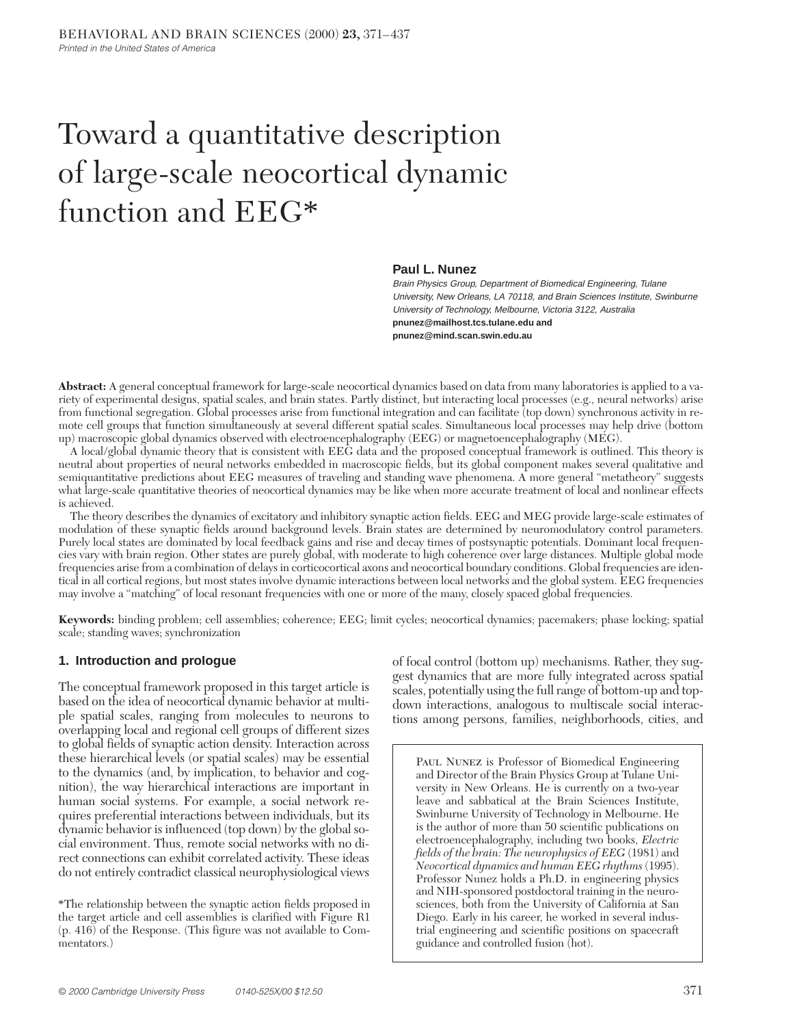# Toward a quantitative description of large-scale neocortical dynamic function and EEG\*

## **Paul L. Nunez**

Brain Physics Group, Department of Biomedical Engineering, Tulane University, New Orleans, LA 70118, and Brain Sciences Institute, Swinburne University of Technology, Melbourne, Victoria 3122, Australia **pnunez@mailhost.tcs.tulane.edu and pnunez@mind.scan.swin.edu.au**

**Abstract:** A general conceptual framework for large-scale neocortical dynamics based on data from many laboratories is applied to a variety of experimental designs, spatial scales, and brain states. Partly distinct, but interacting local processes (e.g., neural networks) arise from functional segregation. Global processes arise from functional integration and can facilitate (top down) synchronous activity in remote cell groups that function simultaneously at several different spatial scales. Simultaneous local processes may help drive (bottom up) macroscopic global dynamics observed with electroencephalography (EEG) or magnetoencephalography (MEG).

A local/global dynamic theory that is consistent with EEG data and the proposed conceptual framework is outlined. This theory is neutral about properties of neural networks embedded in macroscopic fields, but its global component makes several qualitative and semiquantitative predictions about EEG measures of traveling and standing wave phenomena. A more general "metatheory" suggests what large-scale quantitative theories of neocortical dynamics may be like when more accurate treatment of local and nonlinear effects is achieved.

The theory describes the dynamics of excitatory and inhibitory synaptic action fields. EEG and MEG provide large-scale estimates of modulation of these synaptic fields around background levels. Brain states are determined by neuromodulatory control parameters. Purely local states are dominated by local feedback gains and rise and decay times of postsynaptic potentials. Dominant local frequencies vary with brain region. Other states are purely global, with moderate to high coherence over large distances. Multiple global mode frequencies arise from a combination of delays in corticocortical axons and neocortical boundary conditions. Global frequencies are identical in all cortical regions, but most states involve dynamic interactions between local networks and the global system. EEG frequencies may involve a "matching" of local resonant frequencies with one or more of the many, closely spaced global frequencies.

**Keywords:** binding problem; cell assemblies; coherence; EEG; limit cycles; neocortical dynamics; pacemakers; phase locking; spatial scale; standing waves; synchronization

## **1. Introduction and prologue**

The conceptual framework proposed in this target article is based on the idea of neocortical dynamic behavior at multiple spatial scales, ranging from molecules to neurons to overlapping local and regional cell groups of different sizes to global fields of synaptic action density. Interaction across these hierarchical levels (or spatial scales) may be essential to the dynamics (and, by implication, to behavior and cognition), the way hierarchical interactions are important in human social systems. For example, a social network requires preferential interactions between individuals, but its dynamic behavior is influenced (top down) by the global social environment. Thus, remote social networks with no direct connections can exhibit correlated activity. These ideas do not entirely contradict classical neurophysiological views

\*The relationship between the synaptic action fields proposed in the target article and cell assemblies is clarified with Figure R1  $(p. 416)$  of the Response. (This figure was not available to Commentators.)

of focal control (bottom up) mechanisms. Rather, they suggest dynamics that are more fully integrated across spatial scales, potentially using the full range of bottom-up and topdown interactions, analogous to multiscale social interactions among persons, families, neighborhoods, cities, and

PAUL NUNEZ is Professor of Biomedical Engineering and Director of the Brain Physics Group at Tulane University in New Orleans. He is currently on a two-year leave and sabbatical at the Brain Sciences Institute, Swinburne University of Technology in Melbourne. He is the author of more than 50 scientific publications on electroencephalography, including two books, *Electric fields of the brain: The neurophysics of EEG* (1981) and *Neocortical dynamics and human EEG rhythms*(1995). Professor Nunez holds a Ph.D. in engineering physics and NIH-sponsored postdoctoral training in the neurosciences, both from the University of California at San Diego. Early in his career, he worked in several industrial engineering and scientific positions on spacecraft guidance and controlled fusion (hot).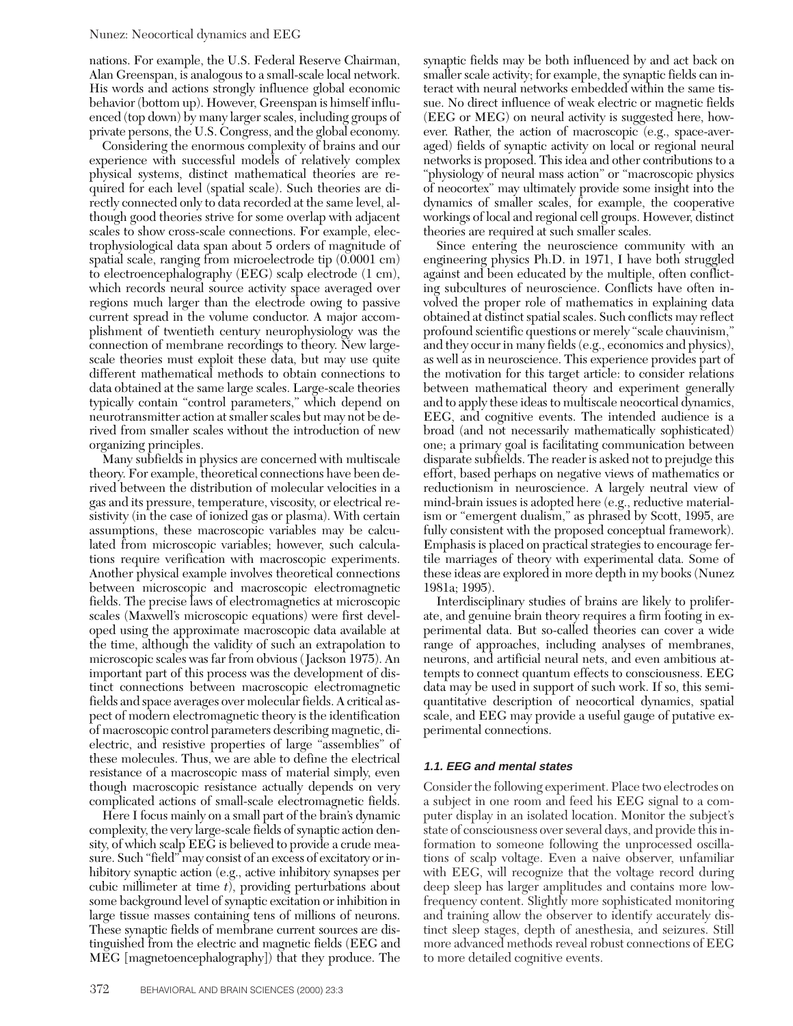#### Nunez: Neocortical dynamics and EEG

nations. For example, the U.S. Federal Reserve Chairman, Alan Greenspan, is analogous to a small-scale local network. His words and actions strongly influence global economic behavior (bottom up). However, Greenspan is himself influenced (top down) by many larger scales, including groups of private persons, the U.S. Congress, and the global economy.

Considering the enormous complexity of brains and our experience with successful models of relatively complex physical systems, distinct mathematical theories are required for each level (spatial scale). Such theories are directly connected only to data recorded at the same level, although good theories strive for some overlap with adjacent scales to show cross-scale connections. For example, electrophysiological data span about 5 orders of magnitude of spatial scale, ranging from microelectrode tip (0.0001 cm) to electroencephalography (EEG) scalp electrode (1 cm), which records neural source activity space averaged over regions much larger than the electrode owing to passive current spread in the volume conductor. A major accomplishment of twentieth century neurophysiology was the connection of membrane recordings to theory. New largescale theories must exploit these data, but may use quite different mathematical methods to obtain connections to data obtained at the same large scales. Large-scale theories typically contain "control parameters," which depend on neurotransmitter action at smaller scales but may not be derived from smaller scales without the introduction of new organizing principles.

Many subfields in physics are concerned with multiscale theory. For example, theoretical connections have been derived between the distribution of molecular velocities in a gas and its pressure, temperature, viscosity, or electrical resistivity (in the case of ionized gas or plasma). With certain assumptions, these macroscopic variables may be calculated from microscopic variables; however, such calculations require verification with macroscopic experiments. Another physical example involves theoretical connections between microscopic and macroscopic electromagnetic fields. The precise laws of electromagnetics at microscopic scales (Maxwell's microscopic equations) were first developed using the approximate macroscopic data available at the time, although the validity of such an extrapolation to microscopic scales was far from obvious (Jackson 1975). An important part of this process was the development of distinct connections between macroscopic electromagnetic fields and space averages over molecular fields. A critical aspect of modern electromagnetic theory is the identification of macroscopic control parameters describing magnetic, dielectric, and resistive properties of large "assemblies" of these molecules. Thus, we are able to define the electrical resistance of a macroscopic mass of material simply, even though macroscopic resistance actually depends on very complicated actions of small-scale electromagnetic fields.

Here I focus mainly on a small part of the brain's dynamic complexity, the very large-scale fields of synaptic action density, of which scalp EEG is believed to provide a crude measure. Such "field" may consist of an excess of excitatory or inhibitory synaptic action (e.g., active inhibitory synapses per cubic millimeter at time *t*), providing perturbations about some background level of synaptic excitation or inhibition in large tissue masses containing tens of millions of neurons. These synaptic fields of membrane current sources are distinguished from the electric and magnetic fields (EEG and MEG [magnetoencephalography]) that they produce. The

synaptic fields may be both influenced by and act back on smaller scale activity; for example, the synaptic fields can interact with neural networks embedded within the same tissue. No direct influence of weak electric or magnetic fields (EEG or MEG) on neural activity is suggested here, however. Rather, the action of macroscopic (e.g., space-averaged) fields of synaptic activity on local or regional neural networks is proposed. This idea and other contributions to a "physiology of neural mass action" or "macroscopic physics of neocortex" may ultimately provide some insight into the dynamics of smaller scales, for example, the cooperative workings of local and regional cell groups. However, distinct theories are required at such smaller scales.

Since entering the neuroscience community with an engineering physics Ph.D. in 1971, I have both struggled against and been educated by the multiple, often conflicting subcultures of neuroscience. Conflicts have often involved the proper role of mathematics in explaining data obtained at distinct spatial scales. Such conflicts may reflect profound scientific questions or merely "scale chauvinism," and they occur in many fields (e.g., economics and physics), as well as in neuroscience. This experience provides part of the motivation for this target article: to consider relations between mathematical theory and experiment generally and to apply these ideas to multiscale neocortical dynamics, EEG, and cognitive events. The intended audience is a broad (and not necessarily mathematically sophisticated) one; a primary goal is facilitating communication between disparate subfields. The reader is asked not to prejudge this effort, based perhaps on negative views of mathematics or reductionism in neuroscience. A largely neutral view of mind-brain issues is adopted here (e.g., reductive materialism or "emergent dualism," as phrased by Scott, 1995, are fully consistent with the proposed conceptual framework). Emphasis is placed on practical strategies to encourage fertile marriages of theory with experimental data. Some of these ideas are explored in more depth in my books (Nunez 1981a; 1995).

Interdisciplinary studies of brains are likely to proliferate, and genuine brain theory requires a firm footing in experimental data. But so-called theories can cover a wide range of approaches, including analyses of membranes, neurons, and artificial neural nets, and even ambitious attempts to connect quantum effects to consciousness. EEG data may be used in support of such work. If so, this semiquantitative description of neocortical dynamics, spatial scale, and EEG may provide a useful gauge of putative experimental connections.

## **1.1. EEG and mental states**

Consider the following experiment. Place two electrodes on a subject in one room and feed his EEG signal to a computer display in an isolated location. Monitor the subject's state of consciousness over several days, and provide this information to someone following the unprocessed oscillations of scalp voltage. Even a naive observer, unfamiliar with EEG, will recognize that the voltage record during deep sleep has larger amplitudes and contains more lowfrequency content. Slightly more sophisticated monitoring and training allow the observer to identify accurately distinct sleep stages, depth of anesthesia, and seizures. Still more advanced methods reveal robust connections of EEG to more detailed cognitive events.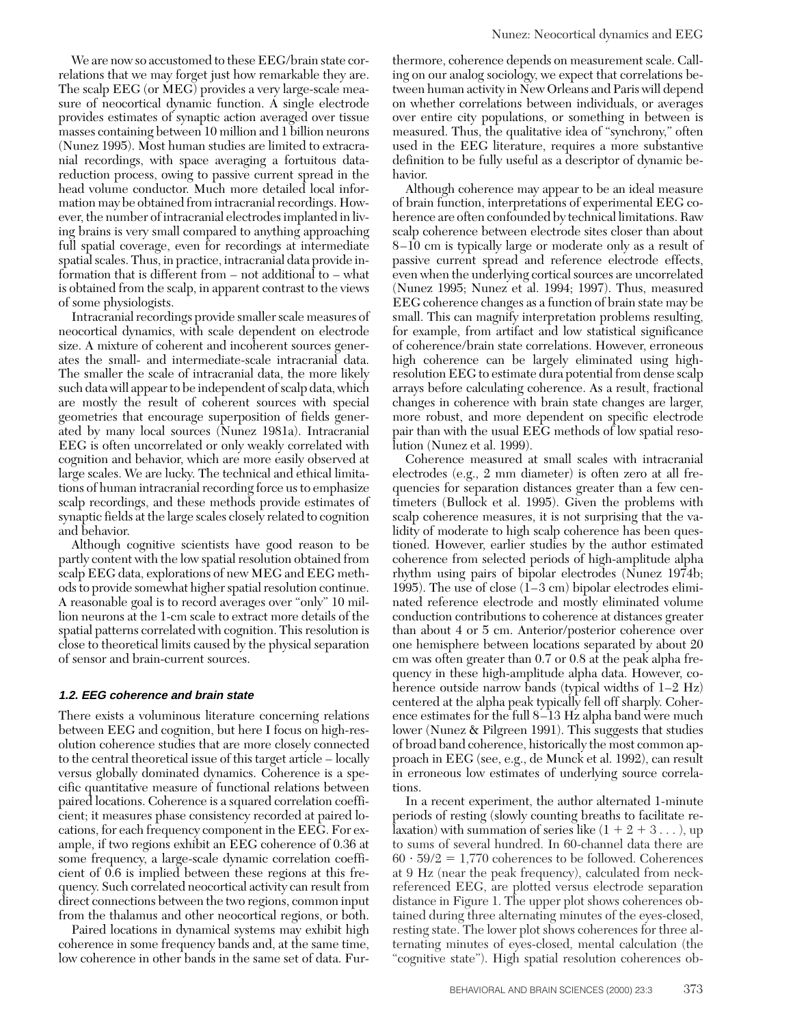We are now so accustomed to these EEG/brain state correlations that we may forget just how remarkable they are. The scalp EEG (or MEG) provides a very large-scale measure of neocortical dynamic function. A single electrode provides estimates of synaptic action averaged over tissue masses containing between 10 million and 1 billion neurons (Nunez 1995). Most human studies are limited to extracranial recordings, with space averaging a fortuitous datareduction process, owing to passive current spread in the head volume conductor. Much more detailed local information may be obtained from intracranial recordings. However, the number of intracranial electrodes implanted in living brains is very small compared to anything approaching full spatial coverage, even for recordings at intermediate spatial scales. Thus, in practice, intracranial data provide information that is different from – not additional to – what is obtained from the scalp, in apparent contrast to the views of some physiologists.

Intracranial recordings provide smaller scale measures of neocortical dynamics, with scale dependent on electrode size. A mixture of coherent and incoherent sources generates the small- and intermediate-scale intracranial data. The smaller the scale of intracranial data, the more likely such data will appear to be independent of scalp data, which are mostly the result of coherent sources with special geometries that encourage superposition of fields generated by many local sources (Nunez 1981a). Intracranial EEG is often uncorrelated or only weakly correlated with cognition and behavior, which are more easily observed at large scales. We are lucky. The technical and ethical limitations of human intracranial recording force us to emphasize scalp recordings, and these methods provide estimates of synaptic fields at the large scales closely related to cognition and behavior.

Although cognitive scientists have good reason to be partly content with the low spatial resolution obtained from scalp EEG data, explorations of new MEG and EEG methods to provide somewhat higher spatial resolution continue. A reasonable goal is to record averages over "only" 10 million neurons at the 1-cm scale to extract more details of the spatial patterns correlated with cognition. This resolution is close to theoretical limits caused by the physical separation of sensor and brain-current sources.

#### **1.2. EEG coherence and brain state**

There exists a voluminous literature concerning relations between EEG and cognition, but here I focus on high-resolution coherence studies that are more closely connected to the central theoretical issue of this target article – locally versus globally dominated dynamics. Coherence is a specific quantitative measure of functional relations between paired locations. Coherence is a squared correlation coefficient; it measures phase consistency recorded at paired locations, for each frequency component in the EEG. For example, if two regions exhibit an EEG coherence of 0.36 at some frequency, a large-scale dynamic correlation coefficient of 0.6 is implied between these regions at this frequency. Such correlated neocortical activity can result from direct connections between the two regions, common input from the thalamus and other neocortical regions, or both.

Paired locations in dynamical systems may exhibit high coherence in some frequency bands and, at the same time, low coherence in other bands in the same set of data. Fur-

thermore, coherence depends on measurement scale. Calling on our analog sociology, we expect that correlations between human activity in New Orleans and Paris will depend on whether correlations between individuals, or averages over entire city populations, or something in between is measured. Thus, the qualitative idea of "synchrony," often used in the EEG literature, requires a more substantive definition to be fully useful as a descriptor of dynamic behavior.

Although coherence may appear to be an ideal measure of brain function, interpretations of experimental EEG coherence are often confounded by technical limitations. Raw scalp coherence between electrode sites closer than about 8–10 cm is typically large or moderate only as a result of passive current spread and reference electrode effects, even when the underlying cortical sources are uncorrelated (Nunez 1995; Nunez et al. 1994; 1997). Thus, measured EEG coherence changes as a function of brain state may be small. This can magnify interpretation problems resulting, for example, from artifact and low statistical significance of coherence/brain state correlations. However, erroneous high coherence can be largely eliminated using highresolution EEG to estimate dura potential from dense scalp arrays before calculating coherence. As a result, fractional changes in coherence with brain state changes are larger, more robust, and more dependent on specific electrode pair than with the usual EEG methods of low spatial resolution (Nunez et al. 1999).

Coherence measured at small scales with intracranial electrodes (e.g., 2 mm diameter) is often zero at all frequencies for separation distances greater than a few centimeters (Bullock et al. 1995). Given the problems with scalp coherence measures, it is not surprising that the validity of moderate to high scalp coherence has been questioned. However, earlier studies by the author estimated coherence from selected periods of high-amplitude alpha rhythm using pairs of bipolar electrodes (Nunez 1974b; 1995). The use of close  $(1-3 \text{ cm})$  bipolar electrodes eliminated reference electrode and mostly eliminated volume conduction contributions to coherence at distances greater than about 4 or 5 cm. Anterior/posterior coherence over one hemisphere between locations separated by about 20 cm was often greater than 0.7 or 0.8 at the peak alpha frequency in these high-amplitude alpha data. However, coherence outside narrow bands (typical widths of  $1-2$  Hz) centered at the alpha peak typically fell off sharply. Coherence estimates for the full 8–13 Hz alpha band were much lower (Nunez & Pilgreen 1991). This suggests that studies of broad band coherence, historically the most common approach in EEG (see, e.g., de Munck et al. 1992), can result in erroneous low estimates of underlying source correlations.

In a recent experiment, the author alternated 1-minute periods of resting (slowly counting breaths to facilitate relaxation) with summation of series like  $(1 + 2 + 3 ...)$ , up to sums of several hundred. In 60-channel data there are  $60 \cdot 59/2 = 1,770$  coherences to be followed. Coherences at 9 Hz (near the peak frequency), calculated from neckreferenced EEG, are plotted versus electrode separation distance in Figure 1. The upper plot shows coherences obtained during three alternating minutes of the eyes-closed, resting state. The lower plot shows coherences for three alternating minutes of eyes-closed, mental calculation (the "cognitive state"). High spatial resolution coherences ob-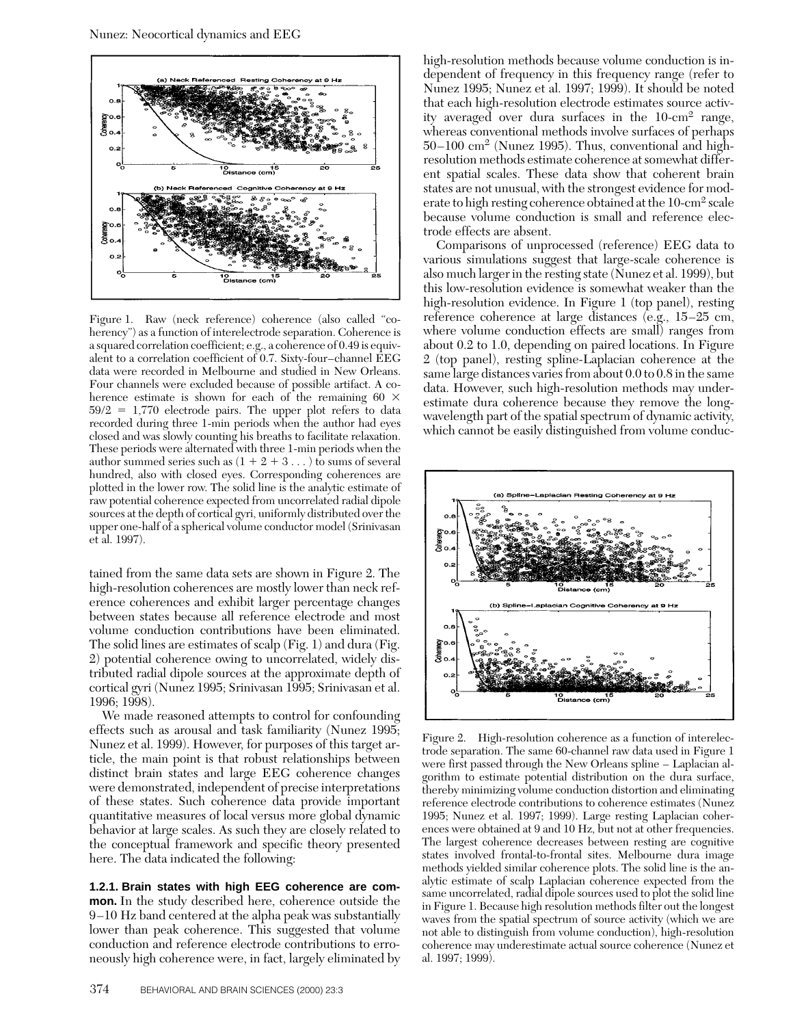

Figure 1. Raw (neck reference) coherence (also called "coherency") as a function of interelectrode separation. Coherence is a squared correlation coefficient; e.g., a coherence of 0.49 is equivalent to a correlation coefficient of 0.7. Sixty-four–channel EEG data were recorded in Melbourne and studied in New Orleans. Four channels were excluded because of possible artifact. A coherence estimate is shown for each of the remaining 60  $\times$ 59/2 5 1,770 electrode pairs. The upper plot refers to data recorded during three 1-min periods when the author had eyes closed and was slowly counting his breaths to facilitate relaxation. These periods were alternated with three 1-min periods when the author summed series such as  $(1 + 2 + 3 ...)$  to sums of several hundred, also with closed eyes. Corresponding coherences are plotted in the lower row. The solid line is the analytic estimate of raw potential coherence expected from uncorrelated radial dipole sources at the depth of cortical gyri, uniformly distributed over the upper one-half of a spherical volume conductor model (Srinivasan et al. 1997).

tained from the same data sets are shown in Figure 2. The high-resolution coherences are mostly lower than neck reference coherences and exhibit larger percentage changes between states because all reference electrode and most volume conduction contributions have been eliminated. The solid lines are estimates of scalp (Fig. 1) and dura (Fig. 2) potential coherence owing to uncorrelated, widely distributed radial dipole sources at the approximate depth of cortical gyri (Nunez 1995; Srinivasan 1995; Srinivasan et al. 1996; 1998).

We made reasoned attempts to control for confounding effects such as arousal and task familiarity (Nunez 1995; Nunez et al. 1999). However, for purposes of this target article, the main point is that robust relationships between distinct brain states and large EEG coherence changes were demonstrated, independent of precise interpretations of these states. Such coherence data provide important quantitative measures of local versus more global dynamic behavior at large scales. As such they are closely related to the conceptual framework and specific theory presented here. The data indicated the following:

**1.2.1. Brain states with high EEG coherence are common.** In the study described here, coherence outside the 9–10 Hz band centered at the alpha peak was substantially lower than peak coherence. This suggested that volume conduction and reference electrode contributions to erroneously high coherence were, in fact, largely eliminated by high-resolution methods because volume conduction is independent of frequency in this frequency range (refer to Nunez 1995; Nunez et al. 1997; 1999). It should be noted that each high-resolution electrode estimates source activity averaged over dura surfaces in the 10-cm2 range, whereas conventional methods involve surfaces of perhaps 50–100 cm2 (Nunez 1995). Thus, conventional and highresolution methods estimate coherence at somewhat different spatial scales. These data show that coherent brain states are not unusual, with the strongest evidence for moderate to high resting coherence obtained at the 10-cm2 scale because volume conduction is small and reference electrode effects are absent.

Comparisons of unprocessed (reference) EEG data to various simulations suggest that large-scale coherence is also much larger in the resting state (Nunez et al. 1999), but this low-resolution evidence is somewhat weaker than the high-resolution evidence. In Figure 1 (top panel), resting reference coherence at large distances (e.g., 15–25 cm, where volume conduction effects are small) ranges from about 0.2 to 1.0, depending on paired locations. In Figure 2 (top panel), resting spline-Laplacian coherence at the same large distances varies from about 0.0 to 0.8 in the same data. However, such high-resolution methods may underestimate dura coherence because they remove the longwavelength part of the spatial spectrum of dynamic activity, which cannot be easily distinguished from volume conduc-



Figure 2. High-resolution coherence as a function of interelectrode separation. The same 60-channel raw data used in Figure 1 were first passed through the New Orleans spline – Laplacian algorithm to estimate potential distribution on the dura surface, thereby minimizing volume conduction distortion and eliminating reference electrode contributions to coherence estimates (Nunez 1995; Nunez et al. 1997; 1999). Large resting Laplacian coherences were obtained at 9 and 10 Hz, but not at other frequencies. The largest coherence decreases between resting are cognitive states involved frontal-to-frontal sites. Melbourne dura image methods yielded similar coherence plots. The solid line is the analytic estimate of scalp Laplacian coherence expected from the same uncorrelated, radial dipole sources used to plot the solid line in Figure 1. Because high resolution methods filter out the longest waves from the spatial spectrum of source activity (which we are not able to distinguish from volume conduction), high-resolution coherence may underestimate actual source coherence (Nunez et al. 1997; 1999).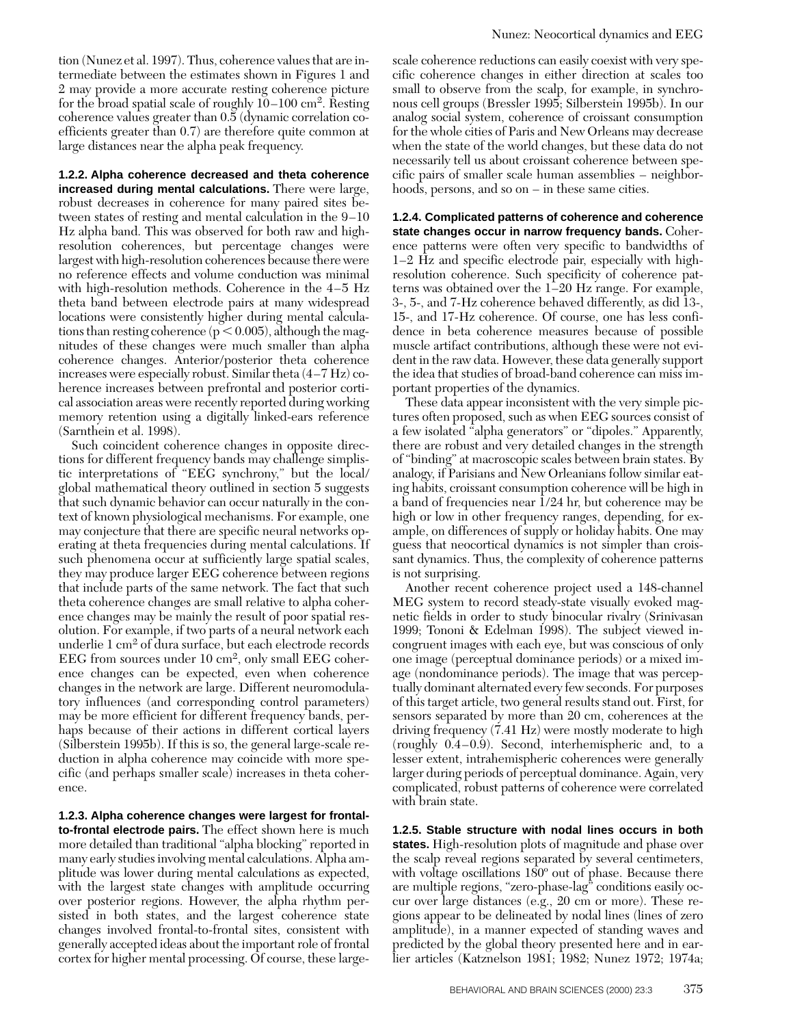tion (Nunez et al. 1997). Thus, coherence values that are intermediate between the estimates shown in Figures 1 and 2 may provide a more accurate resting coherence picture for the broad spatial scale of roughly  $10-100 \text{ cm}^2$ . Resting coherence values greater than 0.5 (dynamic correlation coefficients greater than 0.7) are therefore quite common at large distances near the alpha peak frequency.

**1.2.2. Alpha coherence decreased and theta coherence increased during mental calculations.** There were large, robust decreases in coherence for many paired sites between states of resting and mental calculation in the 9–10 Hz alpha band. This was observed for both raw and highresolution coherences, but percentage changes were largest with high-resolution coherences because there were no reference effects and volume conduction was minimal with high-resolution methods. Coherence in the 4–5 Hz theta band between electrode pairs at many widespread locations were consistently higher during mental calculations than resting coherence ( $p < 0.005$ ), although the magnitudes of these changes were much smaller than alpha coherence changes. Anterior/posterior theta coherence increases were especially robust. Similar theta (4–7 Hz) coherence increases between prefrontal and posterior cortical association areas were recently reported during working memory retention using a digitally linked-ears reference (Sarnthein et al. 1998).

Such coincident coherence changes in opposite directions for different frequency bands may challenge simplistic interpretations of "EEG synchrony," but the local/ global mathematical theory outlined in section 5 suggests that such dynamic behavior can occur naturally in the context of known physiological mechanisms. For example, one may conjecture that there are specific neural networks operating at theta frequencies during mental calculations. If such phenomena occur at sufficiently large spatial scales, they may produce larger EEG coherence between regions that include parts of the same network. The fact that such theta coherence changes are small relative to alpha coherence changes may be mainly the result of poor spatial resolution. For example, if two parts of a neural network each underlie 1 cm<sup>2</sup> of dura surface, but each electrode records EEG from sources under 10 cm<sup>2</sup>, only small EEG coherence changes can be expected, even when coherence changes in the network are large. Different neuromodulatory influences (and corresponding control parameters) may be more efficient for different frequency bands, perhaps because of their actions in different cortical layers (Silberstein 1995b). If this is so, the general large-scale reduction in alpha coherence may coincide with more specific (and perhaps smaller scale) increases in theta coherence.

**1.2.3. Alpha coherence changes were largest for frontalto-frontal electrode pairs.** The effect shown here is much more detailed than traditional "alpha blocking" reported in many early studies involving mental calculations. Alpha amplitude was lower during mental calculations as expected, with the largest state changes with amplitude occurring over posterior regions. However, the alpha rhythm persisted in both states, and the largest coherence state changes involved frontal-to-frontal sites, consistent with generally accepted ideas about the important role of frontal cortex for higher mental processing. Of course, these largescale coherence reductions can easily coexist with very specific coherence changes in either direction at scales too small to observe from the scalp, for example, in synchronous cell groups (Bressler 1995; Silberstein 1995b). In our analog social system, coherence of croissant consumption for the whole cities of Paris and New Orleans may decrease when the state of the world changes, but these data do not necessarily tell us about croissant coherence between specific pairs of smaller scale human assemblies – neighborhoods, persons, and so on – in these same cities.

**1.2.4. Complicated patterns of coherence and coherence state changes occur in narrow frequency bands.** Coherence patterns were often very specific to bandwidths of 1–2 Hz and specific electrode pair, especially with highresolution coherence. Such specificity of coherence patterns was obtained over the 1–20 Hz range. For example, 3-, 5-, and 7-Hz coherence behaved differently, as did 13-, 15-, and 17-Hz coherence. Of course, one has less confidence in beta coherence measures because of possible muscle artifact contributions, although these were not evident in the raw data. However, these data generally support the idea that studies of broad-band coherence can miss important properties of the dynamics.

These data appear inconsistent with the very simple pictures often proposed, such as when EEG sources consist of a few isolated "alpha generators" or "dipoles." Apparently, there are robust and very detailed changes in the strength of "binding" at macroscopic scales between brain states. By analogy, if Parisians and New Orleanians follow similar eating habits, croissant consumption coherence will be high in a band of frequencies near 1/24 hr, but coherence may be high or low in other frequency ranges, depending, for example, on differences of supply or holiday habits. One may guess that neocortical dynamics is not simpler than croissant dynamics. Thus, the complexity of coherence patterns is not surprising.

Another recent coherence project used a 148-channel MEG system to record steady-state visually evoked magnetic fields in order to study binocular rivalry (Srinivasan 1999; Tononi & Edelman 1998). The subject viewed incongruent images with each eye, but was conscious of only one image (perceptual dominance periods) or a mixed image (nondominance periods). The image that was perceptually dominant alternated every few seconds. For purposes of this target article, two general results stand out. First, for sensors separated by more than 20 cm, coherences at the driving frequency (7.41 Hz) were mostly moderate to high (roughly 0.4–0.9). Second, interhemispheric and, to a lesser extent, intrahemispheric coherences were generally larger during periods of perceptual dominance. Again, very complicated, robust patterns of coherence were correlated with brain state.

**1.2.5. Stable structure with nodal lines occurs in both states.** High-resolution plots of magnitude and phase over the scalp reveal regions separated by several centimeters, with voltage oscillations 180º out of phase. Because there are multiple regions, "zero-phase-lag" conditions easily occur over large distances (e.g., 20 cm or more). These regions appear to be delineated by nodal lines (lines of zero amplitude), in a manner expected of standing waves and predicted by the global theory presented here and in earlier articles (Katznelson 1981; 1982; Nunez 1972; 1974a;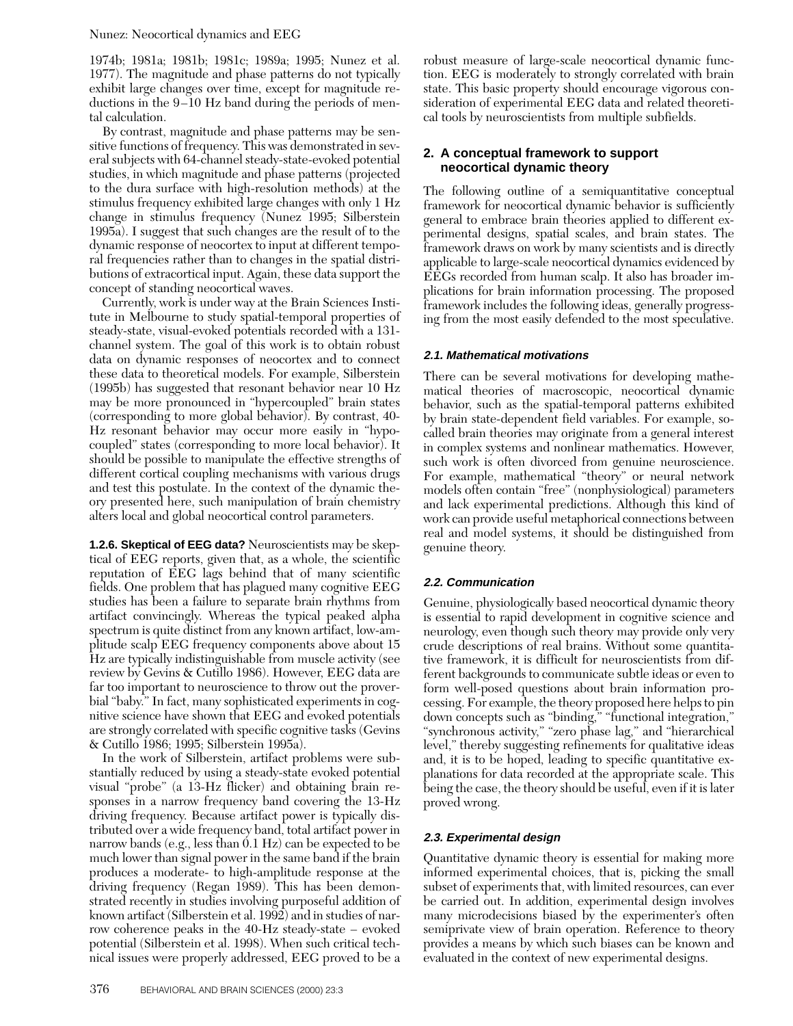#### Nunez: Neocortical dynamics and EEG

1974b; 1981a; 1981b; 1981c; 1989a; 1995; Nunez et al. 1977). The magnitude and phase patterns do not typically exhibit large changes over time, except for magnitude reductions in the 9–10 Hz band during the periods of mental calculation.

By contrast, magnitude and phase patterns may be sensitive functions of frequency. This was demonstrated in several subjects with 64-channel steady-state-evoked potential studies, in which magnitude and phase patterns (projected to the dura surface with high-resolution methods) at the stimulus frequency exhibited large changes with only 1 Hz change in stimulus frequency (Nunez 1995; Silberstein 1995a). I suggest that such changes are the result of to the dynamic response of neocortex to input at different temporal frequencies rather than to changes in the spatial distributions of extracortical input. Again, these data support the concept of standing neocortical waves.

Currently, work is under way at the Brain Sciences Institute in Melbourne to study spatial-temporal properties of steady-state, visual-evoked potentials recorded with a 131 channel system. The goal of this work is to obtain robust data on dynamic responses of neocortex and to connect these data to theoretical models. For example, Silberstein (1995b) has suggested that resonant behavior near 10 Hz may be more pronounced in "hypercoupled" brain states (corresponding to more global behavior). By contrast, 40- Hz resonant behavior may occur more easily in "hypocoupled" states (corresponding to more local behavior). It should be possible to manipulate the effective strengths of different cortical coupling mechanisms with various drugs and test this postulate. In the context of the dynamic theory presented here, such manipulation of brain chemistry alters local and global neocortical control parameters.

**1.2.6. Skeptical of EEG data?** Neuroscientists may be skeptical of EEG reports, given that, as a whole, the scientific reputation of EEG lags behind that of many scientific fields. One problem that has plagued many cognitive EEG studies has been a failure to separate brain rhythms from artifact convincingly. Whereas the typical peaked alpha spectrum is quite distinct from any known artifact, low-amplitude scalp EEG frequency components above about 15 Hz are typically indistinguishable from muscle activity (see review by Gevins & Cutillo 1986). However, EEG data are far too important to neuroscience to throw out the proverbial "baby." In fact, many sophisticated experiments in cognitive science have shown that EEG and evoked potentials are strongly correlated with specific cognitive tasks (Gevins & Cutillo 1986; 1995; Silberstein 1995a).

In the work of Silberstein, artifact problems were substantially reduced by using a steady-state evoked potential visual "probe" (a 13-Hz flicker) and obtaining brain responses in a narrow frequency band covering the 13-Hz driving frequency. Because artifact power is typically distributed over a wide frequency band, total artifact power in narrow bands (e.g., less than 0.1 Hz) can be expected to be much lower than signal power in the same band if the brain produces a moderate- to high-amplitude response at the driving frequency (Regan 1989). This has been demonstrated recently in studies involving purposeful addition of known artifact (Silberstein et al. 1992) and in studies of narrow coherence peaks in the 40-Hz steady-state – evoked potential (Silberstein et al. 1998). When such critical technical issues were properly addressed, EEG proved to be a robust measure of large-scale neocortical dynamic function. EEG is moderately to strongly correlated with brain state. This basic property should encourage vigorous consideration of experimental EEG data and related theoretical tools by neuroscientists from multiple subfields.

## **2. A conceptual framework to support neocortical dynamic theory**

The following outline of a semiquantitative conceptual framework for neocortical dynamic behavior is sufficiently general to embrace brain theories applied to different experimental designs, spatial scales, and brain states. The framework draws on work by many scientists and is directly applicable to large-scale neocortical dynamics evidenced by EEGs recorded from human scalp. It also has broader implications for brain information processing. The proposed framework includes the following ideas, generally progressing from the most easily defended to the most speculative.

## **2.1. Mathematical motivations**

There can be several motivations for developing mathematical theories of macroscopic, neocortical dynamic behavior, such as the spatial-temporal patterns exhibited by brain state-dependent field variables. For example, socalled brain theories may originate from a general interest in complex systems and nonlinear mathematics. However, such work is often divorced from genuine neuroscience. For example, mathematical "theory" or neural network models often contain "free" (nonphysiological) parameters and lack experimental predictions. Although this kind of work can provide useful metaphorical connections between real and model systems, it should be distinguished from genuine theory.

#### **2.2. Communication**

Genuine, physiologically based neocortical dynamic theory is essential to rapid development in cognitive science and neurology, even though such theory may provide only very crude descriptions of real brains. Without some quantitative framework, it is difficult for neuroscientists from different backgrounds to communicate subtle ideas or even to form well-posed questions about brain information processing. For example, the theory proposed here helps to pin down concepts such as "binding," "functional integration," "synchronous activity," "zero phase lag," and "hierarchical level," thereby suggesting refinements for qualitative ideas and, it is to be hoped, leading to specific quantitative explanations for data recorded at the appropriate scale. This being the case, the theory should be useful, even if it is later proved wrong.

#### **2.3. Experimental design**

Quantitative dynamic theory is essential for making more informed experimental choices, that is, picking the small subset of experiments that, with limited resources, can ever be carried out. In addition, experimental design involves many microdecisions biased by the experimenter's often semiprivate view of brain operation. Reference to theory provides a means by which such biases can be known and evaluated in the context of new experimental designs.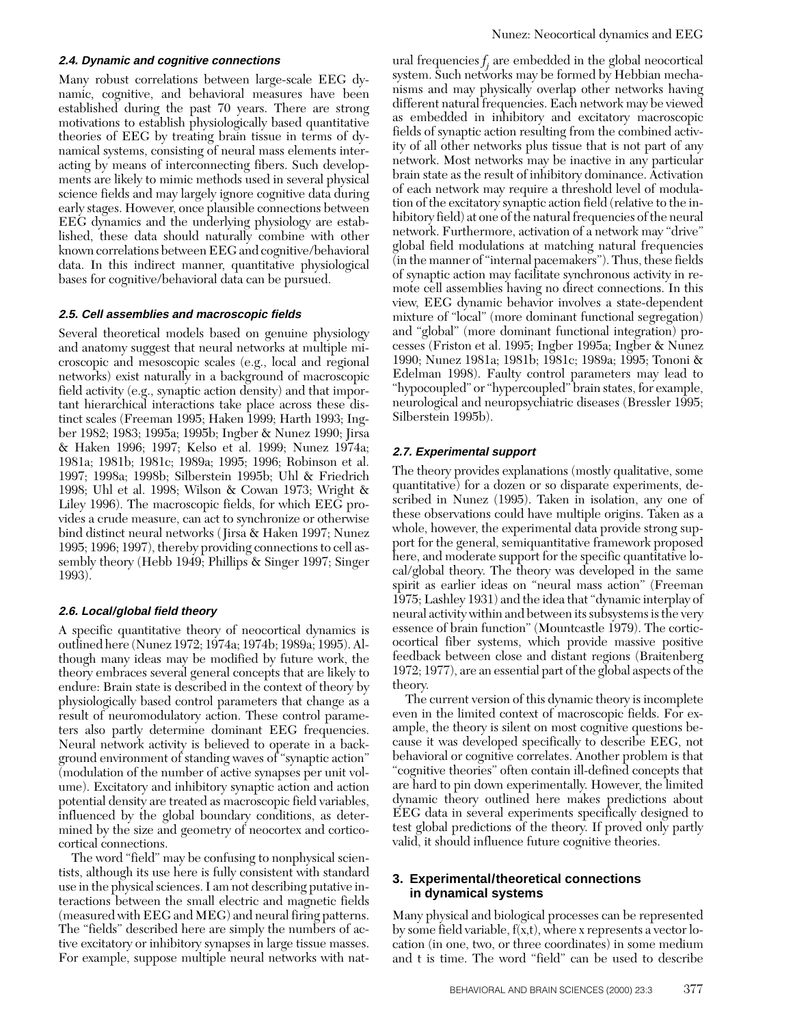## **2.4. Dynamic and cognitive connections**

Many robust correlations between large-scale EEG dynamic, cognitive, and behavioral measures have been established during the past 70 years. There are strong motivations to establish physiologically based quantitative theories of EEG by treating brain tissue in terms of dynamical systems, consisting of neural mass elements interacting by means of interconnecting fibers. Such developments are likely to mimic methods used in several physical science fields and may largely ignore cognitive data during early stages. However, once plausible connections between EEG dynamics and the underlying physiology are established, these data should naturally combine with other known correlations between EEG and cognitive/behavioral data. In this indirect manner, quantitative physiological bases for cognitive/behavioral data can be pursued.

## **2.5. Cell assemblies and macroscopic fields**

Several theoretical models based on genuine physiology and anatomy suggest that neural networks at multiple microscopic and mesoscopic scales (e.g., local and regional networks) exist naturally in a background of macroscopic field activity (e.g., synaptic action density) and that important hierarchical interactions take place across these distinct scales (Freeman 1995; Haken 1999; Harth 1993; Ingber 1982; 1983; 1995a; 1995b; Ingber & Nunez 1990; Jirsa & Haken 1996; 1997; Kelso et al. 1999; Nunez 1974a; 1981a; 1981b; 1981c; 1989a; 1995; 1996; Robinson et al. 1997; 1998a; 1998b; Silberstein 1995b; Uhl & Friedrich 1998; Uhl et al. 1998; Wilson & Cowan 1973; Wright & Liley 1996). The macroscopic fields, for which EEG provides a crude measure, can act to synchronize or otherwise bind distinct neural networks (Jirsa & Haken 1997; Nunez 1995; 1996; 1997), thereby providing connections to cell assembly theory (Hebb 1949; Phillips & Singer 1997; Singer 1993).

## **2.6. Local/global field theory**

A specific quantitative theory of neocortical dynamics is outlined here (Nunez 1972; 1974a; 1974b; 1989a; 1995). Although many ideas may be modified by future work, the theory embraces several general concepts that are likely to endure: Brain state is described in the context of theory by physiologically based control parameters that change as a result of neuromodulatory action. These control parameters also partly determine dominant EEG frequencies. Neural network activity is believed to operate in a background environment of standing waves of "synaptic action" (modulation of the number of active synapses per unit volume). Excitatory and inhibitory synaptic action and action potential density are treated as macroscopic field variables, influenced by the global boundary conditions, as determined by the size and geometry of neocortex and corticocortical connections.

The word "field" may be confusing to nonphysical scientists, although its use here is fully consistent with standard use in the physical sciences. I am not describing putative interactions between the small electric and magnetic fields (measured with EEG and MEG) and neural firing patterns. The "fields" described here are simply the numbers of active excitatory or inhibitory synapses in large tissue masses. For example, suppose multiple neural networks with nat-

ural frequencies  $f_j$  are embedded in the global neocortical system. Such networks may be formed by Hebbian mechanisms and may physically overlap other networks having different natural frequencies. Each network may be viewed as embedded in inhibitory and excitatory macroscopic fields of synaptic action resulting from the combined activity of all other networks plus tissue that is not part of any network. Most networks may be inactive in any particular brain state as the result of inhibitory dominance. Activation of each network may require a threshold level of modulation of the excitatory synaptic action field (relative to the inhibitory field) at one of the natural frequencies of the neural network. Furthermore, activation of a network may "drive" global field modulations at matching natural frequencies (in the manner of "internal pacemakers"). Thus, these fields of synaptic action may facilitate synchronous activity in remote cell assemblies having no direct connections. In this view, EEG dynamic behavior involves a state-dependent mixture of "local" (more dominant functional segregation) and "global" (more dominant functional integration) processes (Friston et al. 1995; Ingber 1995a; Ingber & Nunez 1990; Nunez 1981a; 1981b; 1981c; 1989a; 1995; Tononi & Edelman 1998). Faulty control parameters may lead to "hypocoupled" or "hypercoupled" brain states, for example, neurological and neuropsychiatric diseases (Bressler 1995; Silberstein 1995b).

## **2.7. Experimental support**

The theory provides explanations (mostly qualitative, some quantitative) for a dozen or so disparate experiments, described in Nunez (1995). Taken in isolation, any one of these observations could have multiple origins. Taken as a whole, however, the experimental data provide strong support for the general, semiquantitative framework proposed here, and moderate support for the specific quantitative local/global theory. The theory was developed in the same spirit as earlier ideas on "neural mass action" (Freeman 1975; Lashley 1931) and the idea that "dynamic interplay of neural activity within and between its subsystems is the very essence of brain function" (Mountcastle 1979). The corticocortical fiber systems, which provide massive positive feedback between close and distant regions (Braitenberg 1972; 1977), are an essential part of the global aspects of the theory.

The current version of this dynamic theory is incomplete even in the limited context of macroscopic fields. For example, the theory is silent on most cognitive questions because it was developed specifically to describe EEG, not behavioral or cognitive correlates. Another problem is that "cognitive theories" often contain ill-defined concepts that are hard to pin down experimentally. However, the limited dynamic theory outlined here makes predictions about EEG data in several experiments specifically designed to test global predictions of the theory. If proved only partly valid, it should influence future cognitive theories.

## **3. Experimental/theoretical connections in dynamical systems**

Many physical and biological processes can be represented by some field variable,  $f(x,t)$ , where x represents a vector location (in one, two, or three coordinates) in some medium and t is time. The word "field" can be used to describe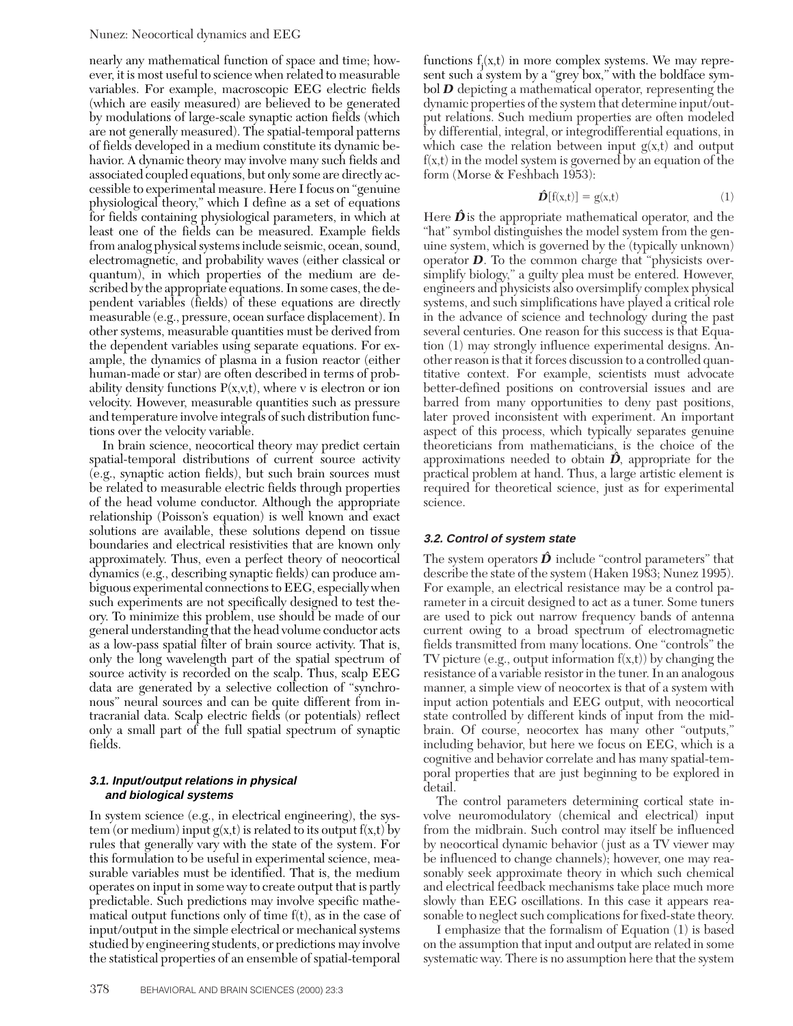#### Nunez: Neocortical dynamics and EEG

nearly any mathematical function of space and time; however, it is most useful to science when related to measurable variables. For example, macroscopic EEG electric fields (which are easily measured) are believed to be generated by modulations of large-scale synaptic action fields (which are not generally measured). The spatial-temporal patterns of fields developed in a medium constitute its dynamic behavior. A dynamic theory may involve many such fields and associated coupled equations, but only some are directly accessible to experimental measure. Here I focus on "genuine physiological theory," which I define as a set of equations for fields containing physiological parameters, in which at least one of the fields can be measured. Example fields from analog physical systems include seismic, ocean, sound, electromagnetic, and probability waves (either classical or quantum), in which properties of the medium are described by the appropriate equations. In some cases, the dependent variables (fields) of these equations are directly measurable (e.g., pressure, ocean surface displacement). In other systems, measurable quantities must be derived from the dependent variables using separate equations. For example, the dynamics of plasma in a fusion reactor (either human-made or star) are often described in terms of probability density functions  $P(x,y,t)$ , where v is electron or ion velocity. However, measurable quantities such as pressure and temperature involve integrals of such distribution functions over the velocity variable.

In brain science, neocortical theory may predict certain spatial-temporal distributions of current source activity (e.g., synaptic action fields), but such brain sources must be related to measurable electric fields through properties of the head volume conductor. Although the appropriate relationship (Poisson's equation) is well known and exact solutions are available, these solutions depend on tissue boundaries and electrical resistivities that are known only approximately. Thus, even a perfect theory of neocortical dynamics (e.g., describing synaptic fields) can produce ambiguous experimental connections to EEG, especially when such experiments are not specifically designed to test theory. To minimize this problem, use should be made of our general understanding that the head volume conductor acts as a low-pass spatial filter of brain source activity. That is, only the long wavelength part of the spatial spectrum of source activity is recorded on the scalp. Thus, scalp EEG data are generated by a selective collection of "synchronous" neural sources and can be quite different from intracranial data. Scalp electric fields (or potentials) reflect only a small part of the full spatial spectrum of synaptic fields.

## **3.1. Input/output relations in physical and biological systems**

In system science (e.g., in electrical engineering), the system (or medium) input  $g(x,t)$  is related to its output  $f(x,t)$  by rules that generally vary with the state of the system. For this formulation to be useful in experimental science, measurable variables must be identified. That is, the medium operates on input in some way to create output that is partly predictable. Such predictions may involve specific mathematical output functions only of time f(t), as in the case of input/output in the simple electrical or mechanical systems studied by engineering students, or predictions may involve the statistical properties of an ensemble of spatial-temporal

functions  $f_j(x,t)$  in more complex systems. We may represent such a system by a "grey box," with the boldface symbol *D* depicting a mathematical operator, representing the dynamic properties of the system that determine input/output relations. Such medium properties are often modeled by differential, integral, or integrodifferential equations, in which case the relation between input  $g(x,t)$  and output  $f(x,t)$  in the model system is governed by an equation of the form (Morse & Feshbach 1953):

$$
\hat{\bm{D}}[f(x,t)] = g(x,t) \tag{1}
$$

Here *D* is the appropriate mathematical operator, and the "hat" symbol distinguishes the model system from the genuine system, which is governed by the (typically unknown) operator *D*. To the common charge that "physicists oversimplify biology," a guilty plea must be entered. However, engineers and physicists also oversimplify complex physical systems, and such simplifications have played a critical role in the advance of science and technology during the past several centuries. One reason for this success is that Equation (1) may strongly influence experimental designs. Another reason is that it forces discussion to a controlled quantitative context. For example, scientists must advocate better-defined positions on controversial issues and are barred from many opportunities to deny past positions, later proved inconsistent with experiment. An important aspect of this process, which typically separates genuine theoreticians from mathematicians, is the choice of the approximations needed to obtain *Dˆ*, appropriate for the practical problem at hand. Thus, a large artistic element is required for theoretical science, just as for experimental science.

## **3.2. Control of system state**

The system operators  $\hat{\boldsymbol{D}}$  include "control parameters" that describe the state of the system (Haken 1983; Nunez 1995). For example, an electrical resistance may be a control parameter in a circuit designed to act as a tuner. Some tuners are used to pick out narrow frequency bands of antenna current owing to a broad spectrum of electromagnetic fields transmitted from many locations. One "controls" the TV picture (e.g., output information  $f(x,t)$ ) by changing the resistance of a variable resistor in the tuner. In an analogous manner, a simple view of neocortex is that of a system with input action potentials and EEG output, with neocortical state controlled by different kinds of input from the midbrain. Of course, neocortex has many other "outputs," including behavior, but here we focus on EEG, which is a cognitive and behavior correlate and has many spatial-temporal properties that are just beginning to be explored in detail.

The control parameters determining cortical state involve neuromodulatory (chemical and electrical) input from the midbrain. Such control may itself be influenced by neocortical dynamic behavior (just as a TV viewer may be influenced to change channels); however, one may reasonably seek approximate theory in which such chemical and electrical feedback mechanisms take place much more slowly than EEG oscillations. In this case it appears reasonable to neglect such complications for fixed-state theory.

I emphasize that the formalism of Equation (1) is based on the assumption that input and output are related in some systematic way. There is no assumption here that the system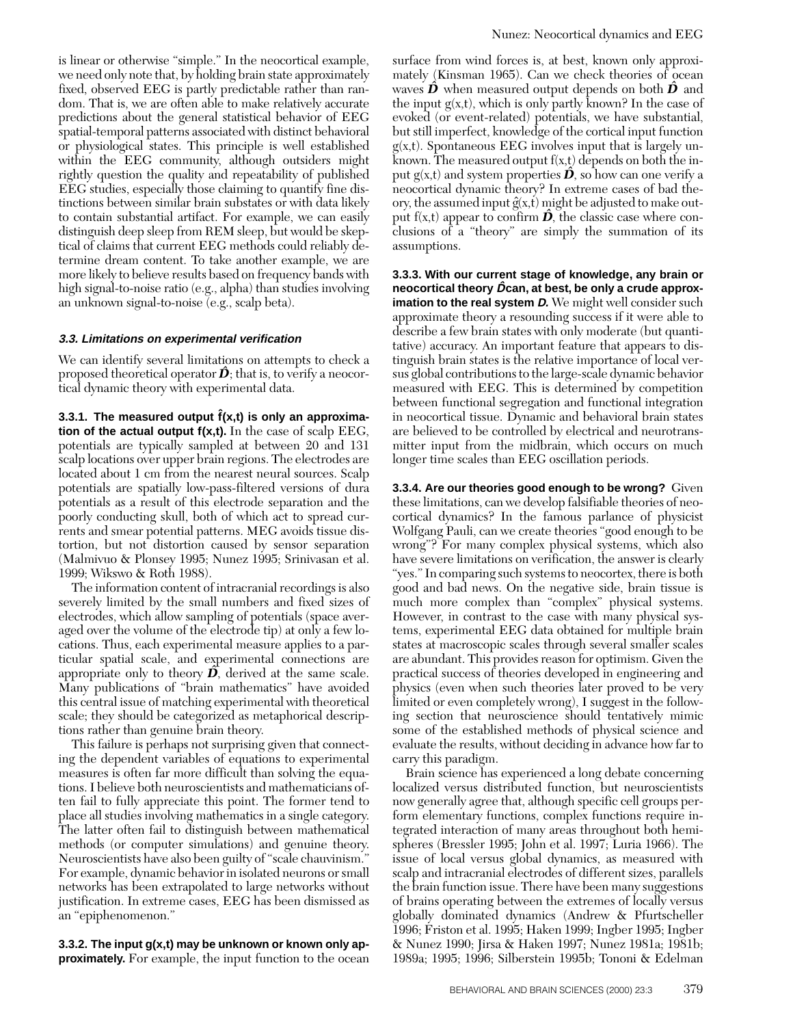is linear or otherwise "simple." In the neocortical example, we need only note that, by holding brain state approximately fixed, observed EEG is partly predictable rather than random. That is, we are often able to make relatively accurate predictions about the general statistical behavior of EEG spatial-temporal patterns associated with distinct behavioral or physiological states. This principle is well established within the EEG community, although outsiders might rightly question the quality and repeatability of published EEG studies, especially those claiming to quantify fine distinctions between similar brain substates or with data likely to contain substantial artifact. For example, we can easily distinguish deep sleep from REM sleep, but would be skeptical of claims that current EEG methods could reliably determine dream content. To take another example, we are more likely to believe results based on frequency bands with high signal-to-noise ratio (e.g., alpha) than studies involving an unknown signal-to-noise (e.g., scalp beta).

#### **3.3. Limitations on experimental verification**

We can identify several limitations on attempts to check a proposed theoretical operator *Dˆ* ; that is, to verify a neocortical dynamic theory with experimental data.

**3.3.1. The measured output f(x,t) is only an approximation of the actual output f(x,t).** In the case of scalp EEG, potentials are typically sampled at between 20 and 131 scalp locations over upper brain regions. The electrodes are located about 1 cm from the nearest neural sources. Scalp potentials are spatially low-pass-filtered versions of dura potentials as a result of this electrode separation and the poorly conducting skull, both of which act to spread currents and smear potential patterns. MEG avoids tissue distortion, but not distortion caused by sensor separation (Malmivuo & Plonsey 1995; Nunez 1995; Srinivasan et al. 1999; Wikswo & Roth 1988).

The information content of intracranial recordings is also severely limited by the small numbers and fixed sizes of electrodes, which allow sampling of potentials (space averaged over the volume of the electrode tip) at only a few locations. Thus, each experimental measure applies to a particular spatial scale, and experimental connections are appropriate only to theory *Dˆ*, derived at the same scale. Many publications of "brain mathematics" have avoided this central issue of matching experimental with theoretical scale; they should be categorized as metaphorical descriptions rather than genuine brain theory.

This failure is perhaps not surprising given that connecting the dependent variables of equations to experimental measures is often far more difficult than solving the equations. I believe both neuroscientists and mathematicians often fail to fully appreciate this point. The former tend to place all studies involving mathematics in a single category. The latter often fail to distinguish between mathematical methods (or computer simulations) and genuine theory. Neuroscientists have also been guilty of "scale chauvinism." For example, dynamic behavior in isolated neurons or small networks has been extrapolated to large networks without justification. In extreme cases, EEG has been dismissed as an "epiphenomenon."

## **3.3.2. The input g(x,t) may be unknown or known only approximately.** For example, the input function to the ocean

surface from wind forces is, at best, known only approximately (Kinsman 1965). Can we check theories of ocean waves *D* when measured output depends on both *D* and the input  $g(x,t)$ , which is only partly known? In the case of evoked (or event-related) potentials, we have substantial, but still imperfect, knowledge of the cortical input function  $g(x,t)$ . Spontaneous EEG involves input that is largely unknown. The measured output  $f(x,t)$  depends on both the input  $g(x,t)$  and system properties  $\hat{\boldsymbol{D}}$ , so how can one verify a neocortical dynamic theory? In extreme cases of bad theory, the assumed input  $\hat{g}(x,t)$  might be adjusted to make output  $f(x,t)$  appear to confirm **D**, the classic case where conclusions of a "theory" are simply the summation of its assumptions.

**3.3.3. With our current stage of knowledge, any brain or neocortical theory Dˆ can, at best, be only a crude approximation to the real system** *D***.** We might well consider such approximate theory a resounding success if it were able to describe a few brain states with only moderate (but quantitative) accuracy. An important feature that appears to distinguish brain states is the relative importance of local versus global contributions to the large-scale dynamic behavior measured with EEG. This is determined by competition between functional segregation and functional integration in neocortical tissue. Dynamic and behavioral brain states are believed to be controlled by electrical and neurotransmitter input from the midbrain, which occurs on much longer time scales than EEG oscillation periods.

**3.3.4. Are our theories good enough to be wrong?** Given these limitations, can we develop falsifiable theories of neocortical dynamics? In the famous parlance of physicist Wolfgang Pauli, can we create theories "good enough to be wrong"? For many complex physical systems, which also have severe limitations on verification, the answer is clearly "yes." In comparing such systems to neocortex, there is both good and bad news. On the negative side, brain tissue is much more complex than "complex" physical systems. However, in contrast to the case with many physical systems, experimental EEG data obtained for multiple brain states at macroscopic scales through several smaller scales are abundant. This provides reason for optimism. Given the practical success of theories developed in engineering and physics (even when such theories later proved to be very limited or even completely wrong), I suggest in the following section that neuroscience should tentatively mimic some of the established methods of physical science and evaluate the results, without deciding in advance how far to carry this paradigm.

Brain science has experienced a long debate concerning localized versus distributed function, but neuroscientists now generally agree that, although specific cell groups perform elementary functions, complex functions require integrated interaction of many areas throughout both hemispheres (Bressler 1995; John et al. 1997; Luria 1966). The issue of local versus global dynamics, as measured with scalp and intracranial electrodes of different sizes, parallels the brain function issue. There have been many suggestions of brains operating between the extremes of locally versus globally dominated dynamics (Andrew & Pfurtscheller 1996; Friston et al. 1995; Haken 1999; Ingber 1995; Ingber & Nunez 1990; Jirsa & Haken 1997; Nunez 1981a; 1981b; 1989a; 1995; 1996; Silberstein 1995b; Tononi & Edelman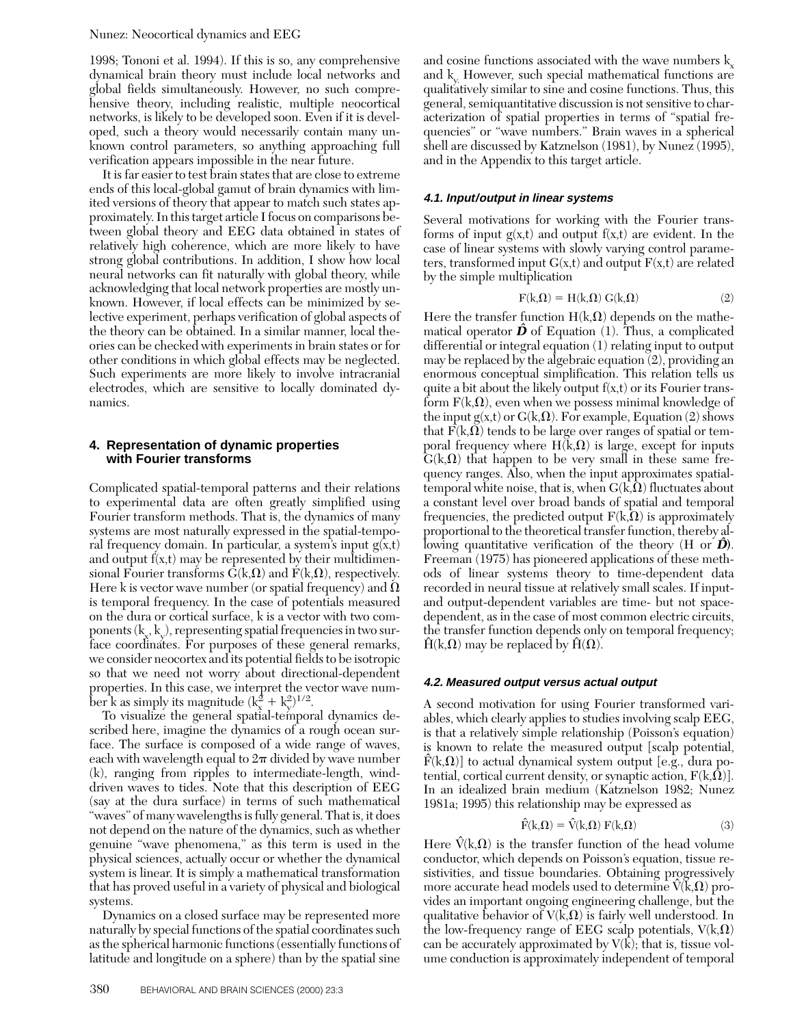#### Nunez: Neocortical dynamics and EEG

1998; Tononi et al. 1994). If this is so, any comprehensive dynamical brain theory must include local networks and global fields simultaneously. However, no such comprehensive theory, including realistic, multiple neocortical networks, is likely to be developed soon. Even if it is developed, such a theory would necessarily contain many unknown control parameters, so anything approaching full verification appears impossible in the near future.

It is far easier to test brain states that are close to extreme ends of this local-global gamut of brain dynamics with limited versions of theory that appear to match such states approximately. In this target article I focus on comparisons between global theory and EEG data obtained in states of relatively high coherence, which are more likely to have strong global contributions. In addition, I show how local neural networks can fit naturally with global theory, while acknowledging that local network properties are mostly unknown. However, if local effects can be minimized by selective experiment, perhaps verification of global aspects of the theory can be obtained. In a similar manner, local theories can be checked with experiments in brain states or for other conditions in which global effects may be neglected. Such experiments are more likely to involve intracranial electrodes, which are sensitive to locally dominated dynamics.

## **4. Representation of dynamic properties with Fourier transforms**

Complicated spatial-temporal patterns and their relations to experimental data are often greatly simplified using Fourier transform methods. That is, the dynamics of many systems are most naturally expressed in the spatial-temporal frequency domain. In particular, a system's input  $g(x,t)$ and output  $f(x,t)$  may be represented by their multidimensional Fourier transforms  $G(k,\Omega)$  and  $F(k,\Omega)$ , respectively. Here k is vector wave number (or spatial frequency) and  $\Omega$ is temporal frequency. In the case of potentials measured on the dura or cortical surface, k is a vector with two components  $(k_{x}, k_{y})$ , representing spatial frequencies in two surface coordinates. For purposes of these general remarks, we consider neocortex and its potential fields to be isotropic so that we need not worry about directional-dependent properties. In this case, we interpret the vector wave number k as simply its magnitude  $(k_x^2 + k_y^2)^{1/2}$ .

To visualize the general spatial-temporal dynamics described here, imagine the dynamics of a rough ocean surface. The surface is composed of a wide range of waves, each with wavelength equal to  $2\pi$  divided by wave number (k), ranging from ripples to intermediate-length, winddriven waves to tides. Note that this description of EEG (say at the dura surface) in terms of such mathematical "waves" of many wavelengths is fully general. That is, it does not depend on the nature of the dynamics, such as whether genuine "wave phenomena," as this term is used in the physical sciences, actually occur or whether the dynamical system is linear. It is simply a mathematical transformation that has proved useful in a variety of physical and biological systems.

Dynamics on a closed surface may be represented more naturally by special functions of the spatial coordinates such as the spherical harmonic functions (essentially functions of latitude and longitude on a sphere) than by the spatial sine and cosine functions associated with the wave numbers  $k_{\rm v}$ and k y. However, such special mathematical functions are qualitatively similar to sine and cosine functions. Thus, this general, semiquantitative discussion is not sensitive to characterization of spatial properties in terms of "spatial frequencies" or "wave numbers." Brain waves in a spherical shell are discussed by Katznelson (1981), by Nunez (1995), and in the Appendix to this target article.

## **4.1. Input/output in linear systems**

Several motivations for working with the Fourier transforms of input  $g(x,t)$  and output  $f(x,t)$  are evident. In the case of linear systems with slowly varying control parameters, transformed input  $G(x,t)$  and output  $F(x,t)$  are related by the simple multiplication

$$
F(k,\Omega) = H(k,\Omega) G(k,\Omega)
$$
 (2)

Here the transfer function  $H(k,\Omega)$  depends on the mathematical operator  $\vec{\boldsymbol{D}}$  of Equation (1). Thus, a complicated differential or integral equation (1) relating input to output may be replaced by the algebraic equation (2), providing an enormous conceptual simplification. This relation tells us quite a bit about the likely output  $f(x,t)$  or its Fourier transform  $F(k,\Omega)$ , even when we possess minimal knowledge of the input  $g(x,t)$  or  $G(k,\Omega)$ . For example, Equation (2) shows that  $F(k,\Omega)$  tends to be large over ranges of spatial or temporal frequency where  $H(k,\Omega)$  is large, except for inputs  $\overline{G}(k,\Omega)$  that happen to be very small in these same frequency ranges. Also, when the input approximates spatialtemporal white noise, that is, when  $G(k,\Omega)$  fluctuates about a constant level over broad bands of spatial and temporal frequencies, the predicted output  $F(k,\Omega)$  is approximately proportional to the theoretical transfer function, thereby allowing quantitative verification of the theory  $(H \text{ or } D)$ . Freeman (1975) has pioneered applications of these methods of linear systems theory to time-dependent data recorded in neural tissue at relatively small scales. If inputand output-dependent variables are time- but not spacedependent, as in the case of most common electric circuits, the transfer function depends only on temporal frequency;  $H(k,\Omega)$  may be replaced by  $H(\Omega)$ .

## **4.2. Measured output versus actual output**

A second motivation for using Fourier transformed variables, which clearly applies to studies involving scalp EEG, is that a relatively simple relationship (Poisson's equation) is known to relate the measured output [scalp potential,  $F(k,\Omega)$ ] to actual dynamical system output [e.g., dura potential, cortical current density, or synaptic action,  $F(k,\Omega)$ ]. In an idealized brain medium (Katznelson 1982; Nunez 1981a; 1995) this relationship may be expressed as

$$
\hat{F}(k,\Omega) = \hat{V}(k,\Omega) F(k,\Omega)
$$
\n(3)

Here  $V(k,\Omega)$  is the transfer function of the head volume conductor, which depends on Poisson's equation, tissue resistivities, and tissue boundaries. Obtaining progressively more accurate head models used to determine  $V(k,\Omega)$  provides an important ongoing engineering challenge, but the qualitative behavior of  $V(k,\Omega)$  is fairly well understood. In the low-frequency range of EEG scalp potentials,  $V(k,\Omega)$ can be accurately approximated by  $V(\hat{k})$ ; that is, tissue volume conduction is approximately independent of temporal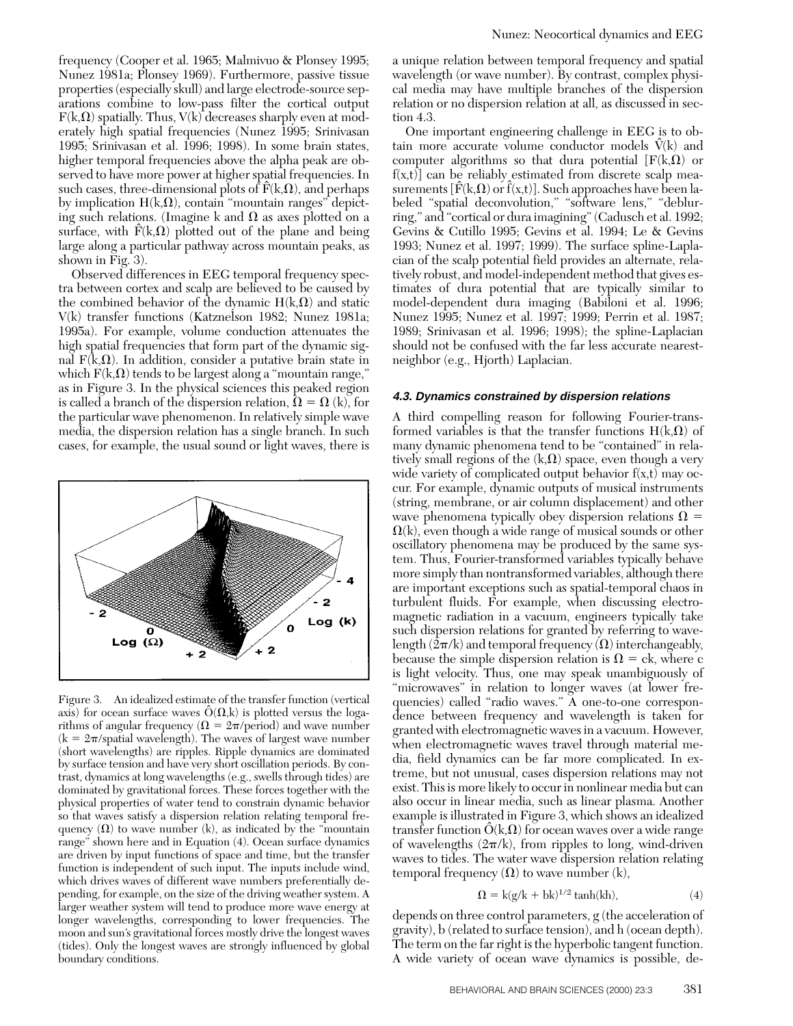frequency (Cooper et al. 1965; Malmivuo & Plonsey 1995; Nunez 1981a; Plonsey 1969). Furthermore, passive tissue properties (especially skull) and large electrode-source separations combine to low-pass filter the cortical output  $F(k,\Omega)$  spatially. Thus,  $V(k)$  decreases sharply even at moderately high spatial frequencies (Nunez 1995; Srinivasan 1995; Srinivasan et al. 1996; 1998). In some brain states, higher temporal frequencies above the alpha peak are observed to have more power at higher spatial frequencies. In such cases, three-dimensional plots of  $\vec{F}(k,\Omega)$ , and perhaps by implication  $H(k,\Omega)$ , contain "mountain ranges" depicting such relations. (Imagine k and  $\Omega$  as axes plotted on a surface, with  $F(k,\Omega)$  plotted out of the plane and being large along a particular pathway across mountain peaks, as shown in Fig. 3).

Observed differences in EEG temporal frequency spectra between cortex and scalp are believed to be caused by the combined behavior of the dynamic  $H(k,\Omega)$  and static V(k) transfer functions (Katznelson 1982; Nunez 1981a; 1995a). For example, volume conduction attenuates the high spatial frequencies that form part of the dynamic signal  $F(k,\Omega)$ . In addition, consider a putative brain state in which  $F(k,\Omega)$  tends to be largest along a "mountain range," as in Figure 3. In the physical sciences this peaked region is called a branch of the dispersion relation,  $\Omega = \Omega$  (k), for the particular wave phenomenon. In relatively simple wave media, the dispersion relation has a single branch. In such cases, for example, the usual sound or light waves, there is



Figure 3. An idealized estimate of the transfer function (vertical axis) for ocean surface waves  $\hat{O}(\Omega,k)$  is plotted versus the logarithms of angular frequency ( $\Omega = 2\pi$ /period) and wave number  $(k = 2\pi$ /spatial wavelength). The waves of largest wave number (short wavelengths) are ripples. Ripple dynamics are dominated by surface tension and have very short oscillation periods. By contrast, dynamics at long wavelengths (e.g., swells through tides) are dominated by gravitational forces. These forces together with the physical properties of water tend to constrain dynamic behavior so that waves satisfy a dispersion relation relating temporal frequency  $(\Omega)$  to wave number (k), as indicated by the "mountain range" shown here and in Equation (4). Ocean surface dynamics are driven by input functions of space and time, but the transfer function is independent of such input. The inputs include wind, which drives waves of different wave numbers preferentially depending, for example, on the size of the driving weather system. A larger weather system will tend to produce more wave energy at longer wavelengths, corresponding to lower frequencies. The moon and sun's gravitational forces mostly drive the longest waves (tides). Only the longest waves are strongly influenced by global boundary conditions.

a unique relation between temporal frequency and spatial wavelength (or wave number). By contrast, complex physical media may have multiple branches of the dispersion relation or no dispersion relation at all, as discussed in section 4.3.

One important engineering challenge in EEG is to obtain more accurate volume conductor models  $V(k)$  and computer algorithms so that dura potential  $[F(k,\Omega)]$  or  $f(x,t)$ ] can be reliably estimated from discrete scalp measurements  $[\hat{F}(k,\Omega)$  or  $\hat{f}(x,t)]$ . Such approaches have been labeled "spatial deconvolution," "software lens," "deblurring," and "cortical or dura imagining" (Cadusch et al. 1992; Gevins & Cutillo 1995; Gevins et al. 1994; Le & Gevins 1993; Nunez et al. 1997; 1999). The surface spline-Laplacian of the scalp potential field provides an alternate, relatively robust, and model-independent method that gives estimates of dura potential that are typically similar to model-dependent dura imaging (Babiloni et al. 1996; Nunez 1995; Nunez et al. 1997; 1999; Perrin et al. 1987; 1989; Srinivasan et al. 1996; 1998); the spline-Laplacian should not be confused with the far less accurate nearestneighbor (e.g., Hjorth) Laplacian.

#### **4.3. Dynamics constrained by dispersion relations**

A third compelling reason for following Fourier-transformed variables is that the transfer functions  $H(k,\Omega)$  of many dynamic phenomena tend to be "contained" in relatively small regions of the  $(k,\Omega)$  space, even though a very wide variety of complicated output behavior  $f(x,t)$  may occur. For example, dynamic outputs of musical instruments (string, membrane, or air column displacement) and other wave phenomena typically obey dispersion relations  $\Omega =$  $\Omega(k)$ , even though a wide range of musical sounds or other oscillatory phenomena may be produced by the same system. Thus, Fourier-transformed variables typically behave more simply than nontransformed variables, although there are important exceptions such as spatial-temporal chaos in turbulent fluids. For example, when discussing electromagnetic radiation in a vacuum, engineers typically take such dispersion relations for granted by referring to wavelength  $(2\pi/k)$  and temporal frequency  $(\Omega)$  interchangeably, because the simple dispersion relation is  $\Omega = ck$ , where c is light velocity. Thus, one may speak unambiguously of "microwaves" in relation to longer waves (at lower frequencies) called "radio waves." A one-to-one correspondence between frequency and wavelength is taken for granted with electromagnetic waves in a vacuum. However, when electromagnetic waves travel through material media, field dynamics can be far more complicated. In extreme, but not unusual, cases dispersion relations may not exist. This is more likely to occur in nonlinear media but can also occur in linear media, such as linear plasma. Another example is illustrated in Figure 3, which shows an idealized transfer function  $O(k,\Omega)$  for ocean waves over a wide range of wavelengths  $(2\pi/k)$ , from ripples to long, wind-driven waves to tides. The water wave dispersion relation relating temporal frequency  $(\Omega)$  to wave number (k),

$$
\Omega = k(g/k + bk)^{1/2} \tanh(kh), \tag{4}
$$

depends on three control parameters, g (the acceleration of gravity), b (related to surface tension), and h (ocean depth). The term on the far right is the hyperbolic tangent function. A wide variety of ocean wave dynamics is possible, de-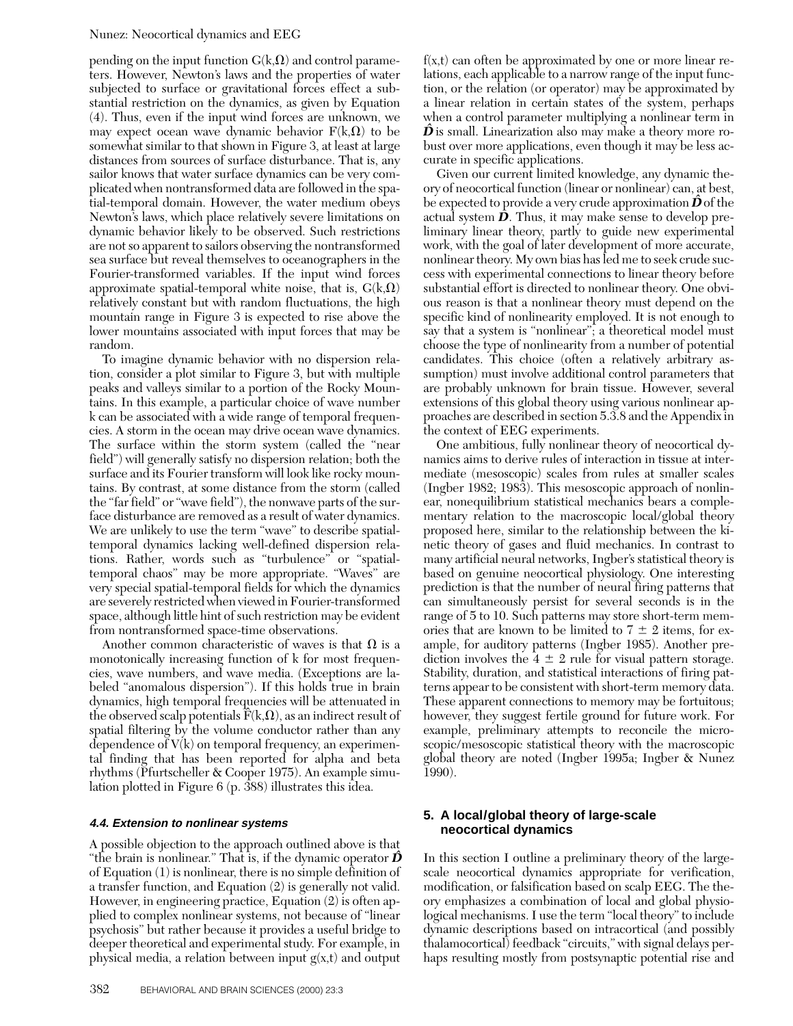#### Nunez: Neocortical dynamics and EEG

pending on the input function  $G(k,\Omega)$  and control parameters. However, Newton's laws and the properties of water subjected to surface or gravitational forces effect a substantial restriction on the dynamics, as given by Equation (4). Thus, even if the input wind forces are unknown, we may expect ocean wave dynamic behavior  $F(k,\Omega)$  to be somewhat similar to that shown in Figure 3, at least at large distances from sources of surface disturbance. That is, any sailor knows that water surface dynamics can be very complicated when nontransformed data are followed in the spatial-temporal domain. However, the water medium obeys Newton's laws, which place relatively severe limitations on dynamic behavior likely to be observed. Such restrictions are not so apparent to sailors observing the nontransformed sea surface but reveal themselves to oceanographers in the Fourier-transformed variables. If the input wind forces approximate spatial-temporal white noise, that is,  $G(k,\Omega)$ relatively constant but with random fluctuations, the high mountain range in Figure 3 is expected to rise above the lower mountains associated with input forces that may be random.

To imagine dynamic behavior with no dispersion relation, consider a plot similar to Figure 3, but with multiple peaks and valleys similar to a portion of the Rocky Mountains. In this example, a particular choice of wave number k can be associated with a wide range of temporal frequencies. A storm in the ocean may drive ocean wave dynamics. The surface within the storm system (called the "near field") will generally satisfy no dispersion relation; both the surface and its Fourier transform will look like rocky mountains. By contrast, at some distance from the storm (called the "far field" or "wave field"), the nonwave parts of the surface disturbance are removed as a result of water dynamics. We are unlikely to use the term "wave" to describe spatialtemporal dynamics lacking well-defined dispersion relations. Rather, words such as "turbulence" or "spatialtemporal chaos" may be more appropriate. "Waves" are very special spatial-temporal fields for which the dynamics are severely restricted when viewed in Fourier-transformed space, although little hint of such restriction may be evident from nontransformed space-time observations.

Another common characteristic of waves is that  $\Omega$  is a monotonically increasing function of k for most frequencies, wave numbers, and wave media. (Exceptions are labeled "anomalous dispersion"). If this holds true in brain dynamics, high temporal frequencies will be attenuated in the observed scalp potentials  $\tilde{F}(k,\Omega)$ , as an indirect result of spatial filtering by the volume conductor rather than any dependence of V(k) on temporal frequency, an experimental finding that has been reported for alpha and beta rhythms (Pfurtscheller & Cooper 1975). An example simulation plotted in Figure 6 (p. 388) illustrates this idea.

#### **4.4. Extension to nonlinear systems**

A possible objection to the approach outlined above is that "the brain is nonlinear." That is, if the dynamic operator  $\hat{D}$ of Equation (1) is nonlinear, there is no simple definition of a transfer function, and Equation (2) is generally not valid. However, in engineering practice, Equation (2) is often applied to complex nonlinear systems, not because of "linear psychosis" but rather because it provides a useful bridge to deeper theoretical and experimental study. For example, in physical media, a relation between input  $g(x,t)$  and output

 $f(x,t)$  can often be approximated by one or more linear relations, each applicable to a narrow range of the input function, or the relation (or operator) may be approximated by a linear relation in certain states of the system, perhaps when a control parameter multiplying a nonlinear term in **D** is small. Linearization also may make a theory more robust over more applications, even though it may be less accurate in specific applications.

Given our current limited knowledge, any dynamic theory of neocortical function (linear or nonlinear) can, at best, be expected to provide a very crude approximation *Dˆ* of the actual system *D*. Thus, it may make sense to develop preliminary linear theory, partly to guide new experimental work, with the goal of later development of more accurate, nonlinear theory. My own bias has led me to seek crude success with experimental connections to linear theory before substantial effort is directed to nonlinear theory. One obvious reason is that a nonlinear theory must depend on the specific kind of nonlinearity employed. It is not enough to say that a system is "nonlinear"; a theoretical model must choose the type of nonlinearity from a number of potential candidates. This choice (often a relatively arbitrary assumption) must involve additional control parameters that are probably unknown for brain tissue. However, several extensions of this global theory using various nonlinear approaches are described in section 5.3.8 and the Appendix in the context of EEG experiments.

One ambitious, fully nonlinear theory of neocortical dynamics aims to derive rules of interaction in tissue at intermediate (mesoscopic) scales from rules at smaller scales (Ingber 1982; 1983). This mesoscopic approach of nonlinear, nonequilibrium statistical mechanics bears a complementary relation to the macroscopic local/global theory proposed here, similar to the relationship between the kinetic theory of gases and fluid mechanics. In contrast to many artificial neural networks, Ingber's statistical theory is based on genuine neocortical physiology. One interesting prediction is that the number of neural firing patterns that can simultaneously persist for several seconds is in the range of 5 to 10. Such patterns may store short-term memories that are known to be limited to  $7 \pm 2$  items, for example, for auditory patterns (Ingber 1985). Another prediction involves the  $4 \pm 2$  rule for visual pattern storage. Stability, duration, and statistical interactions of firing patterns appear to be consistent with short-term memory data. These apparent connections to memory may be fortuitous; however, they suggest fertile ground for future work. For example, preliminary attempts to reconcile the microscopic/mesoscopic statistical theory with the macroscopic global theory are noted (Ingber 1995a; Ingber & Nunez 1990).

## **5. A local/global theory of large-scale neocortical dynamics**

In this section I outline a preliminary theory of the largescale neocortical dynamics appropriate for verification, modification, or falsification based on scalp EEG. The theory emphasizes a combination of local and global physiological mechanisms. I use the term "local theory" to include dynamic descriptions based on intracortical (and possibly thalamocortical) feedback "circuits," with signal delays perhaps resulting mostly from postsynaptic potential rise and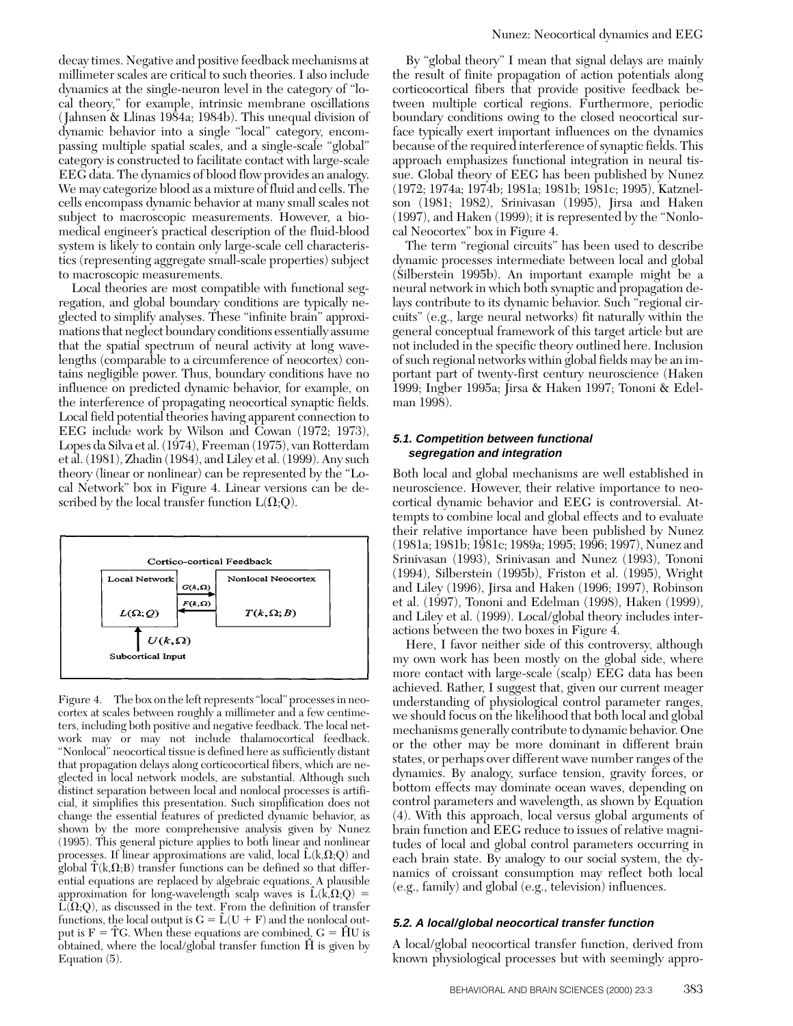decay times. Negative and positive feedback mechanisms at millimeter scales are critical to such theories. I also include dynamics at the single-neuron level in the category of "local theory," for example, intrinsic membrane oscillations (Jahnsen & Llinas 1984a; 1984b). This unequal division of dynamic behavior into a single "local" category, encompassing multiple spatial scales, and a single-scale "global" category is constructed to facilitate contact with large-scale EEG data. The dynamics of blood flow provides an analogy. We may categorize blood as a mixture of fluid and cells. The cells encompass dynamic behavior at many small scales not subject to macroscopic measurements. However, a biomedical engineer's practical description of the fluid-blood system is likely to contain only large-scale cell characteristics (representing aggregate small-scale properties) subject to macroscopic measurements.

Local theories are most compatible with functional segregation, and global boundary conditions are typically neglected to simplify analyses. These "infinite brain" approximations that neglect boundary conditions essentially assume that the spatial spectrum of neural activity at long wavelengths (comparable to a circumference of neocortex) contains negligible power. Thus, boundary conditions have no influence on predicted dynamic behavior, for example, on the interference of propagating neocortical synaptic fields. Local field potential theories having apparent connection to EEG include work by Wilson and Cowan (1972; 1973), Lopes da Silva et al. (1974), Freeman (1975), van Rotterdam et al. (1981), Zhadin (1984), and Liley et al. (1999). Any such theory (linear or nonlinear) can be represented by the "Local Network" box in Figure 4. Linear versions can be described by the local transfer function  $L(\Omega;Q)$ .



Figure 4. The box on the left represents "local" processes in neocortex at scales between roughly a millimeter and a few centimeters, including both positive and negative feedback. The local network may or may not include thalamocortical feedback. "Nonlocal" neocortical tissue is defined here as sufficiently distant that propagation delays along corticocortical fibers, which are neglected in local network models, are substantial. Although such distinct separation between local and nonlocal processes is artificial, it simplifies this presentation. Such simplification does not change the essential features of predicted dynamic behavior, as shown by the more comprehensive analysis given by Nunez (1995). This general picture applies to both linear and nonlinear processes. If linear approximations are valid, local  $\hat{L}(k,\Omega;Q)$  and global  $\hat{T}(k,\Omega,B)$  transfer functions can be defined so that differential equations are replaced by algebraic equations. A plausible approximation for long-wavelength scalp waves is  $\hat{L}(k,\Omega,Q) =$  $\widehat{L}(\Omega;Q)$ , as discussed in the text. From the definition of transfer functions, the local output is  $G = \hat{L}(U + F)$  and the nonlocal output is  $F = \hat{T}G$ . When these equations are combined,  $G = \hat{H}U$  is obtained, where the local/global transfer function  $\hat{H}$  is given by Equation (5).

By "global theory" I mean that signal delays are mainly the result of finite propagation of action potentials along corticocortical fibers that provide positive feedback between multiple cortical regions. Furthermore, periodic boundary conditions owing to the closed neocortical surface typically exert important influences on the dynamics because of the required interference of synaptic fields. This approach emphasizes functional integration in neural tissue. Global theory of EEG has been published by Nunez (1972; 1974a; 1974b; 1981a; 1981b; 1981c; 1995), Katznelson (1981; 1982), Srinivasan (1995), Jirsa and Haken (1997), and Haken (1999); it is represented by the "Nonlocal Neocortex" box in Figure 4.

The term "regional circuits" has been used to describe dynamic processes intermediate between local and global (Silberstein 1995b). An important example might be a neural network in which both synaptic and propagation delays contribute to its dynamic behavior. Such "regional circuits" (e.g., large neural networks) fit naturally within the general conceptual framework of this target article but are not included in the specific theory outlined here. Inclusion of such regional networks within global fields may be an important part of twenty-first century neuroscience (Haken 1999; Ingber 1995a; Jirsa & Haken 1997; Tononi & Edelman 1998).

## **5.1. Competition between functional segregation and integration**

Both local and global mechanisms are well established in neuroscience. However, their relative importance to neocortical dynamic behavior and EEG is controversial. Attempts to combine local and global effects and to evaluate their relative importance have been published by Nunez (1981a; 1981b; 1981c; 1989a; 1995; 1996; 1997), Nunez and Srinivasan (1993), Srinivasan and Nunez (1993), Tononi (1994), Silberstein (1995b), Friston et al. (1995), Wright and Liley (1996), Jirsa and Haken (1996; 1997), Robinson et al. (1997), Tononi and Edelman (1998), Haken (1999), and Liley et al. (1999). Local/global theory includes interactions between the two boxes in Figure 4.

Here, I favor neither side of this controversy, although my own work has been mostly on the global side, where more contact with large-scale (scalp) EEG data has been achieved. Rather, I suggest that, given our current meager understanding of physiological control parameter ranges, we should focus on the likelihood that both local and global mechanisms generally contribute to dynamic behavior. One or the other may be more dominant in different brain states, or perhaps over different wave number ranges of the dynamics. By analogy, surface tension, gravity forces, or bottom effects may dominate ocean waves, depending on control parameters and wavelength, as shown by Equation (4). With this approach, local versus global arguments of brain function and EEG reduce to issues of relative magnitudes of local and global control parameters occurring in each brain state. By analogy to our social system, the dynamics of croissant consumption may reflect both local (e.g., family) and global (e.g., television) influences.

#### **5.2. A local/global neocortical transfer function**

A local/global neocortical transfer function, derived from known physiological processes but with seemingly appro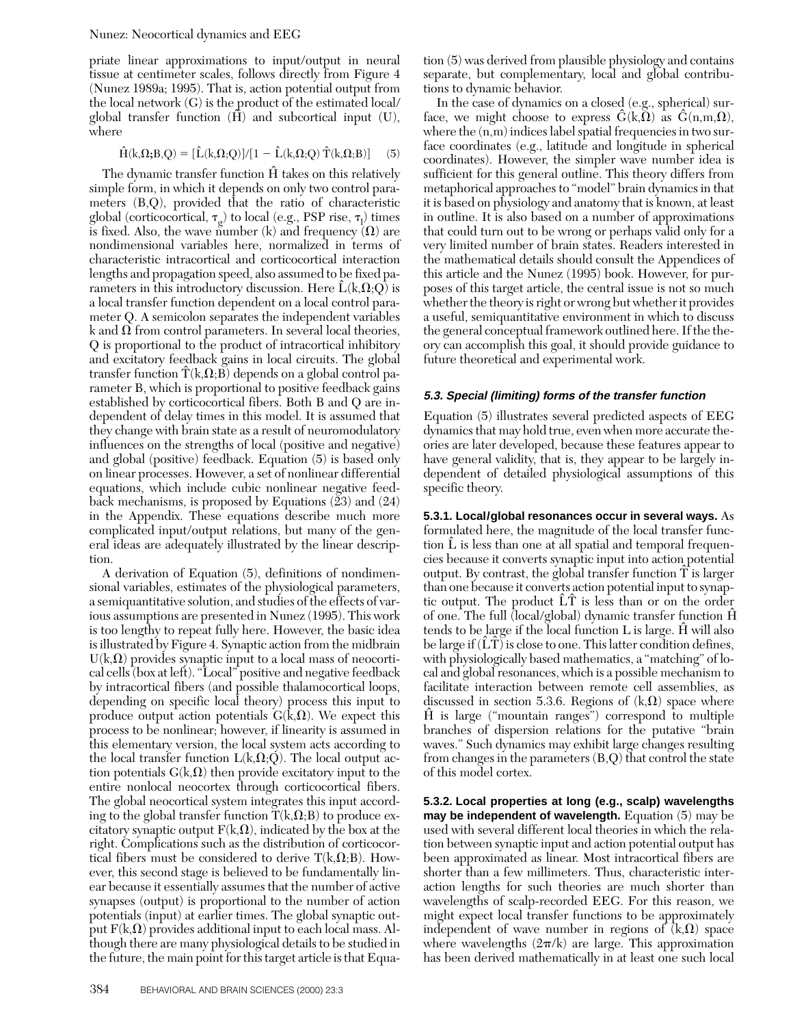priate linear approximations to input/output in neural tissue at centimeter scales, follows directly from Figure 4 (Nunez 1989a; 1995). That is, action potential output from the local network (G) is the product of the estimated local/ global transfer function  $(H)$  and subcortical input  $(U)$ , where

 $\hat{H}(k,\Omega;B,Q) = [\hat{L}(k,\Omega;Q)]/[1 - \hat{L}(k,\Omega;Q)\hat{T}(k,\Omega;B)]$  (5)

The dynamic transfer function  $\hat{H}$  takes on this relatively simple form, in which it depends on only two control parameters (B,Q), provided that the ratio of characteristic global (corticocortical,  $\tau_g$ ) to local (e.g., PSP rise,  $\tau_l$ ) times is fixed. Also, the wave number  $(k)$  and frequency  $(\Omega)$  are nondimensional variables here, normalized in terms of characteristic intracortical and corticocortical interaction lengths and propagation speed, also assumed to be fixed parameters in this introductory discussion. Here  $L(k,\Omega;Q)$  is a local transfer function dependent on a local control parameter Q. A semicolon separates the independent variables k and  $\Omega$  from control parameters. In several local theories, Q is proportional to the product of intracortical inhibitory and excitatory feedback gains in local circuits. The global transfer function  $\tilde{T}(k,\Omega;\mathbf{B})$  depends on a global control parameter B, which is proportional to positive feedback gains established by corticocortical fibers. Both B and Q are independent of delay times in this model. It is assumed that they change with brain state as a result of neuromodulatory influences on the strengths of local (positive and negative) and global (positive) feedback. Equation (5) is based only on linear processes. However, a set of nonlinear differential equations, which include cubic nonlinear negative feedback mechanisms, is proposed by Equations (23) and (24) in the Appendix. These equations describe much more complicated input/output relations, but many of the general ideas are adequately illustrated by the linear description.

A derivation of Equation (5), definitions of nondimensional variables, estimates of the physiological parameters, a semiquantitative solution, and studies of the effects of various assumptions are presented in Nunez (1995). This work is too lengthy to repeat fully here. However, the basic idea is illustrated by Figure 4. Synaptic action from the midbrain  $U(k,\Omega)$  provides synaptic input to a local mass of neocortical cells (box at left). "Local" positive and negative feedback by intracortical fibers (and possible thalamocortical loops, depending on specific local theory) process this input to produce output action potentials  $G(\hat{k}, \Omega)$ . We expect this process to be nonlinear; however, if linearity is assumed in this elementary version, the local system acts according to the local transfer function  $L(k,\Omega;Q)$ . The local output action potentials  $G(k,\Omega)$  then provide excitatory input to the entire nonlocal neocortex through corticocortical fibers. The global neocortical system integrates this input according to the global transfer function  $T(k,\Omega;B)$  to produce excitatory synaptic output  $F(k,\Omega)$ , indicated by the box at the right. Complications such as the distribution of corticocortical fibers must be considered to derive  $T(k,\Omega;B)$ . However, this second stage is believed to be fundamentally linear because it essentially assumes that the number of active synapses (output) is proportional to the number of action potentials (input) at earlier times. The global synaptic output  $F(k,\Omega)$  provides additional input to each local mass. Although there are many physiological details to be studied in the future, the main point for this target article is that Equation (5) was derived from plausible physiology and contains separate, but complementary, local and global contributions to dynamic behavior.

In the case of dynamics on a closed (e.g., spherical) surface, we might choose to express  $\hat{G}(k,\Omega)$  as  $\hat{G}(n,m,\Omega)$ , where the  $(n,m)$  indices label spatial frequencies in two surface coordinates (e.g., latitude and longitude in spherical coordinates). However, the simpler wave number idea is sufficient for this general outline. This theory differs from metaphorical approaches to "model" brain dynamics in that it is based on physiology and anatomy that is known, at least in outline. It is also based on a number of approximations that could turn out to be wrong or perhaps valid only for a very limited number of brain states. Readers interested in the mathematical details should consult the Appendices of this article and the Nunez (1995) book. However, for purposes of this target article, the central issue is not so much whether the theory is right or wrong but whether it provides a useful, semiquantitative environment in which to discuss the general conceptual framework outlined here. If the theory can accomplish this goal, it should provide guidance to future theoretical and experimental work.

## **5.3. Special (limiting) forms of the transfer function**

Equation (5) illustrates several predicted aspects of EEG dynamics that may hold true, even when more accurate theories are later developed, because these features appear to have general validity, that is, they appear to be largely independent of detailed physiological assumptions of this specific theory.

**5.3.1. Local/global resonances occur in several ways.** As formulated here, the magnitude of the local transfer function L is less than one at all spatial and temporal frequencies because it converts synaptic input into action potential output. By contrast, the global transfer function T is larger than one because it converts action potential input to synaptic output. The product LT is less than or on the order of one. The full (local/global) dynamic transfer function Hˆ tends to be large if the local function  $L$  is large.  $\hat{H}$  will also be large if  $(\hat{L}\hat{T})$  is close to one. This latter condition defines, with physiologically based mathematics, a "matching" of local and global resonances, which is a possible mechanism to facilitate interaction between remote cell assemblies, as discussed in section 5.3.6. Regions of  $(k,\Omega)$  space where  $H$  is large ("mountain ranges") correspond to multiple branches of dispersion relations for the putative "brain waves." Such dynamics may exhibit large changes resulting from changes in the parameters (B,Q) that control the state of this model cortex.

**5.3.2. Local properties at long (e.g., scalp) wavelengths may be independent of wavelength.** Equation (5) may be used with several different local theories in which the relation between synaptic input and action potential output has been approximated as linear. Most intracortical fibers are shorter than a few millimeters. Thus, characteristic interaction lengths for such theories are much shorter than wavelengths of scalp-recorded EEG. For this reason, we might expect local transfer functions to be approximately independent of wave number in regions of  $(k,\Omega)$  space where wavelengths  $(2\pi/k)$  are large. This approximation has been derived mathematically in at least one such local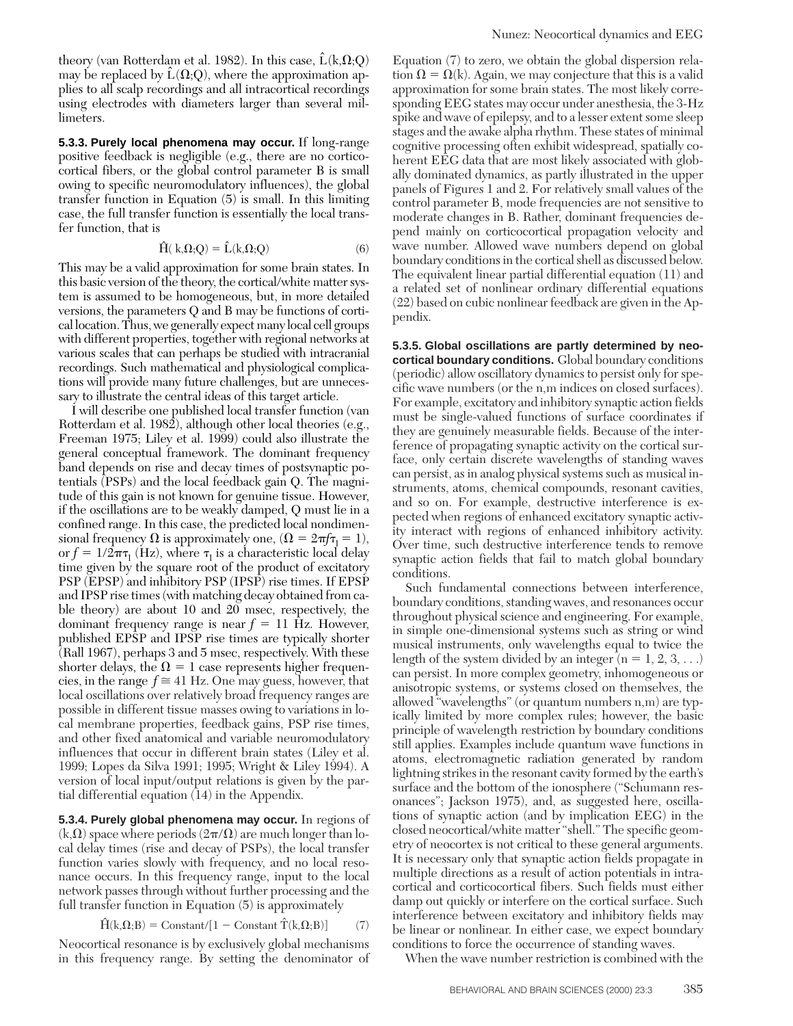theory (van Rotterdam et al. 1982). In this case,  $\hat{L}(k,\Omega;Q)$ may be replaced by  $L(\Omega; Q)$ , where the approximation applies to all scalp recordings and all intracortical recordings using electrodes with diameters larger than several millimeters.

**5.3.3. Purely local phenomena may occur.** If long-range positive feedback is negligible (e.g., there are no corticocortical fibers, or the global control parameter B is small owing to specific neuromodulatory influences), the global transfer function in Equation (5) is small. In this limiting case, the full transfer function is essentially the local transfer function, that is

$$
\hat{H}(k,\Omega;Q) = \hat{L}(k,\Omega;Q)
$$
\n(6)

This may be a valid approximation for some brain states. In this basic version of the theory, the cortical/white matter system is assumed to be homogeneous, but, in more detailed versions, the parameters Q and B may be functions of cortical location. Thus, we generally expect many local cell groups with different properties, together with regional networks at various scales that can perhaps be studied with intracranial recordings. Such mathematical and physiological complications will provide many future challenges, but are unnecessary to illustrate the central ideas of this target article.

I will describe one published local transfer function (van Rotterdam et al. 1982), although other local theories (e.g., Freeman 1975; Liley et al. 1999) could also illustrate the general conceptual framework. The dominant frequency band depends on rise and decay times of postsynaptic potentials (PSPs) and the local feedback gain Q. The magnitude of this gain is not known for genuine tissue. However, if the oscillations are to be weakly damped, Q must lie in a confined range. In this case, the predicted local nondimensional frequency  $\Omega$  is approximately one,  $(\Omega = 2\pi f_{\tau_1} = 1)$ , or  $f = 1/2\pi\tau_1$  (Hz), where  $\tau_1$  is a characteristic local delay time given by the square root of the product of excitatory PSP (EPSP) and inhibitory PSP (IPSP) rise times. If EPSP and IPSP rise times (with matching decay obtained from cable theory) are about 10 and 20 msec, respectively, the dominant frequency range is near  $f = 11$  Hz. However, published EPSP and IPSP rise times are typically shorter (Rall 1967), perhaps 3 and 5 msec, respectively. With these shorter delays, the  $\Omega = 1$  case represents higher frequencies, in the range  $f \approx 41$  Hz. One may guess, however, that local oscillations over relatively broad frequency ranges are possible in different tissue masses owing to variations in local membrane properties, feedback gains, PSP rise times, and other fixed anatomical and variable neuromodulatory influences that occur in different brain states (Liley et al. 1999; Lopes da Silva 1991; 1995; Wright & Liley 1994). A version of local input/output relations is given by the partial differential equation (14) in the Appendix.

**5.3.4. Purely global phenomena may occur.** In regions of  $(k,\Omega)$  space where periods  $(2\pi/\Omega)$  are much longer than local delay times (rise and decay of PSPs), the local transfer function varies slowly with frequency, and no local resonance occurs. In this frequency range, input to the local network passes through without further processing and the full transfer function in Equation (5) is approximately

$$
\hat{H}(k,\Omega;B) = \text{Constant}/[1 - \text{Constant }\hat{T}(k,\Omega;B)] \tag{7}
$$

Neocortical resonance is by exclusively global mechanisms in this frequency range. By setting the denominator of

Equation (7) to zero, we obtain the global dispersion relation  $\Omega = \Omega(k)$ . Again, we may conjecture that this is a valid approximation for some brain states. The most likely corresponding EEG states may occur under anesthesia, the 3-Hz spike and wave of epilepsy, and to a lesser extent some sleep stages and the awake alpha rhythm. These states of minimal cognitive processing often exhibit widespread, spatially coherent EEG data that are most likely associated with globally dominated dynamics, as partly illustrated in the upper panels of Figures 1 and 2. For relatively small values of the control parameter B, mode frequencies are not sensitive to moderate changes in B. Rather, dominant frequencies depend mainly on corticocortical propagation velocity and wave number. Allowed wave numbers depend on global boundary conditions in the cortical shell as discussed below. The equivalent linear partial differential equation (11) and a related set of nonlinear ordinary differential equations (22) based on cubic nonlinear feedback are given in the Appendix.

**5.3.5. Global oscillations are partly determined by neocortical boundary conditions.** Global boundary conditions (periodic) allow oscillatory dynamics to persist only for specific wave numbers (or the n,m indices on closed surfaces). For example, excitatory and inhibitory synaptic action fields must be single-valued functions of surface coordinates if they are genuinely measurable fields. Because of the interference of propagating synaptic activity on the cortical surface, only certain discrete wavelengths of standing waves can persist, as in analog physical systems such as musical instruments, atoms, chemical compounds, resonant cavities, and so on. For example, destructive interference is expected when regions of enhanced excitatory synaptic activity interact with regions of enhanced inhibitory activity. Over time, such destructive interference tends to remove synaptic action fields that fail to match global boundary conditions.

Such fundamental connections between interference, boundary conditions, standing waves, and resonances occur throughout physical science and engineering. For example, in simple one-dimensional systems such as string or wind musical instruments, only wavelengths equal to twice the length of the system divided by an integer  $(n = 1, 2, 3, ...)$ can persist. In more complex geometry, inhomogeneous or anisotropic systems, or systems closed on themselves, the allowed "wavelengths" (or quantum numbers n,m) are typically limited by more complex rules; however, the basic principle of wavelength restriction by boundary conditions still applies. Examples include quantum wave functions in atoms, electromagnetic radiation generated by random lightning strikes in the resonant cavity formed by the earth's surface and the bottom of the ionosphere ("Schumann resonances"; Jackson 1975), and, as suggested here, oscillations of synaptic action (and by implication EEG) in the closed neocortical/white matter "shell." The specific geometry of neocortex is not critical to these general arguments. It is necessary only that synaptic action fields propagate in multiple directions as a result of action potentials in intracortical and corticocortical fibers. Such fields must either damp out quickly or interfere on the cortical surface. Such interference between excitatory and inhibitory fields may be linear or nonlinear. In either case, we expect boundary conditions to force the occurrence of standing waves.

When the wave number restriction is combined with the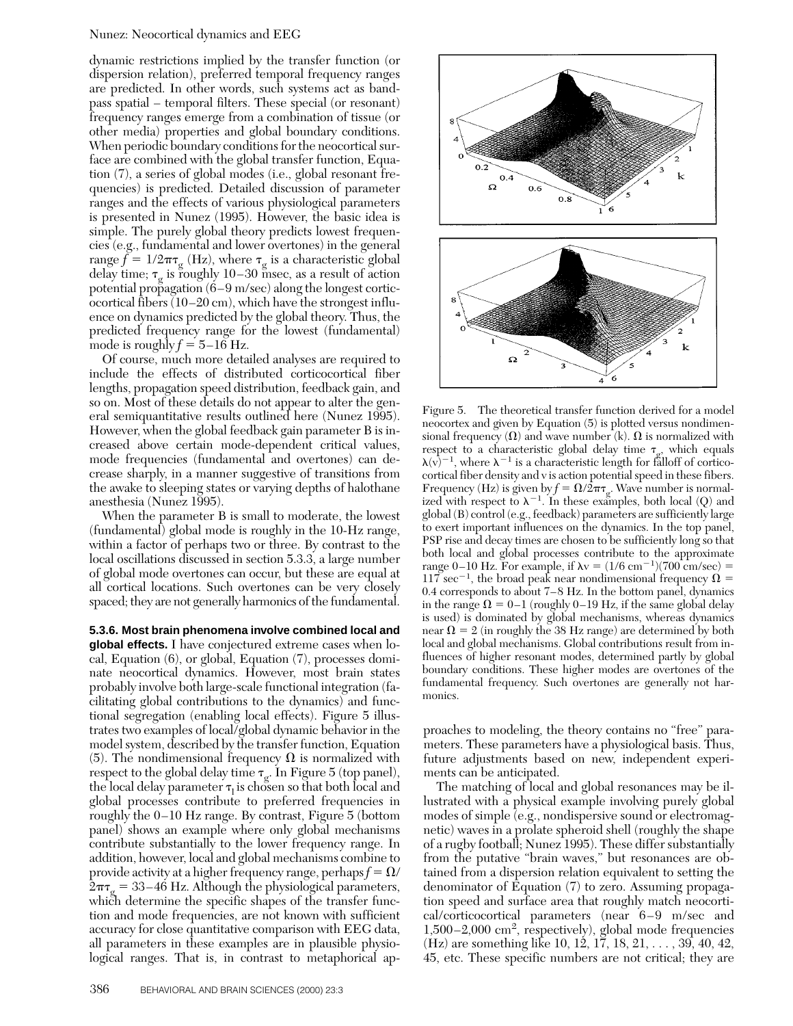#### Nunez: Neocortical dynamics and EEG

dynamic restrictions implied by the transfer function (or dispersion relation), preferred temporal frequency ranges are predicted. In other words, such systems act as bandpass spatial – temporal filters. These special (or resonant) frequency ranges emerge from a combination of tissue (or other media) properties and global boundary conditions. When periodic boundary conditions for the neocortical surface are combined with the global transfer function, Equation (7), a series of global modes (i.e., global resonant frequencies) is predicted. Detailed discussion of parameter ranges and the effects of various physiological parameters is presented in Nunez (1995). However, the basic idea is simple. The purely global theory predicts lowest frequencies (e.g., fundamental and lower overtones) in the general range  $f = 1/2\pi\tau_{\rm g}$  (Hz), where  $\tau_{\rm g}$  is a characteristic global delay time;  $\tau_g$  is roughly 10–30 msec, as a result of action potential propagation (6–9 m/sec) along the longest corticocortical fibers (10–20 cm), which have the strongest influence on dynamics predicted by the global theory. Thus, the predicted frequency range for the lowest (fundamental) mode is roughly  $f = 5{\text -}16$  Hz.

Of course, much more detailed analyses are required to include the effects of distributed corticocortical fiber lengths, propagation speed distribution, feedback gain, and so on. Most of these details do not appear to alter the general semiquantitative results outlined here (Nunez 1995). However, when the global feedback gain parameter B is increased above certain mode-dependent critical values, mode frequencies (fundamental and overtones) can decrease sharply, in a manner suggestive of transitions from the awake to sleeping states or varying depths of halothane anesthesia (Nunez 1995).

When the parameter B is small to moderate, the lowest (fundamental) global mode is roughly in the 10-Hz range, within a factor of perhaps two or three. By contrast to the local oscillations discussed in section 5.3.3, a large number of global mode overtones can occur, but these are equal at all cortical locations. Such overtones can be very closely spaced; they are not generally harmonics of the fundamental.

**5.3.6. Most brain phenomena involve combined local and global effects.** I have conjectured extreme cases when local, Equation (6), or global, Equation (7), processes dominate neocortical dynamics. However, most brain states probably involve both large-scale functional integration (facilitating global contributions to the dynamics) and functional segregation (enabling local effects). Figure 5 illustrates two examples of local/global dynamic behavior in the model system, described by the transfer function, Equation (5). The nondimensional frequency  $\Omega$  is normalized with respect to the global delay time  $\tau_g$ . In Figure 5 (top panel), the local delay parameter  $\tau_1$  is chosen so that both local and global processes contribute to preferred frequencies in roughly the 0–10 Hz range. By contrast, Figure 5 (bottom panel) shows an example where only global mechanisms contribute substantially to the lower frequency range. In addition, however, local and global mechanisms combine to provide activity at a higher frequency range, perhaps  $f = \Omega/$  $2\pi\tau_{\alpha}$  = 33–46 Hz. Although the physiological parameters, which determine the specific shapes of the transfer function and mode frequencies, are not known with sufficient accuracy for close quantitative comparison with EEG data, all parameters in these examples are in plausible physiological ranges. That is, in contrast to metaphorical ap-



Figure 5. The theoretical transfer function derived for a model neocortex and given by Equation (5) is plotted versus nondimensional frequency  $(\Omega)$  and wave number (k).  $\Omega$  is normalized with respect to a characteristic global delay time  $\tau_{g}$ , which equals  $\lambda(v)^{-1}$ , where  $\lambda^{-1}$  is a characteristic length for falloff of corticocortical fiber density and v is action potential speed in these fibers. Frequency (Hz) is given by  $f = \Omega/2\pi\tau_g$ . Wave number is normalized with respect to  $\lambda^{-1}$ . In these examples, both local (Q) and global (B) control (e.g., feedback) parameters are sufficiently large to exert important influences on the dynamics. In the top panel, PSP rise and decay times are chosen to be sufficiently long so that both local and global processes contribute to the approximate range 0–10 Hz. For example, if  $\lambda v = (1/6 \text{ cm}^{-1})(700 \text{ cm/sec}) =$ 117 sec<sup>-1</sup>, the broad peak near nondimensional frequency  $\Omega =$ 0.4 corresponds to about 7–8 Hz. In the bottom panel, dynamics in the range  $\Omega = 0-1$  (roughly 0–19 Hz, if the same global delay is used) is dominated by global mechanisms, whereas dynamics near  $\Omega = 2$  (in roughly the 38 Hz range) are determined by both local and global mechanisms. Global contributions result from influences of higher resonant modes, determined partly by global boundary conditions. These higher modes are overtones of the fundamental frequency. Such overtones are generally not harmonics.

proaches to modeling, the theory contains no "free" parameters. These parameters have a physiological basis. Thus, future adjustments based on new, independent experiments can be anticipated.

The matching of local and global resonances may be illustrated with a physical example involving purely global modes of simple (e.g., nondispersive sound or electromagnetic) waves in a prolate spheroid shell (roughly the shape of a rugby football; Nunez 1995). These differ substantially from the putative "brain waves," but resonances are obtained from a dispersion relation equivalent to setting the denominator of Equation (7) to zero. Assuming propagation speed and surface area that roughly match neocortical/corticocortical parameters (near 6–9 m/sec and 1,500–2,000 cm2, respectively), global mode frequencies (Hz) are something like 10, 12, 17, 18, 21, . . . , 39, 40, 42, 45, etc. These specific numbers are not critical; they are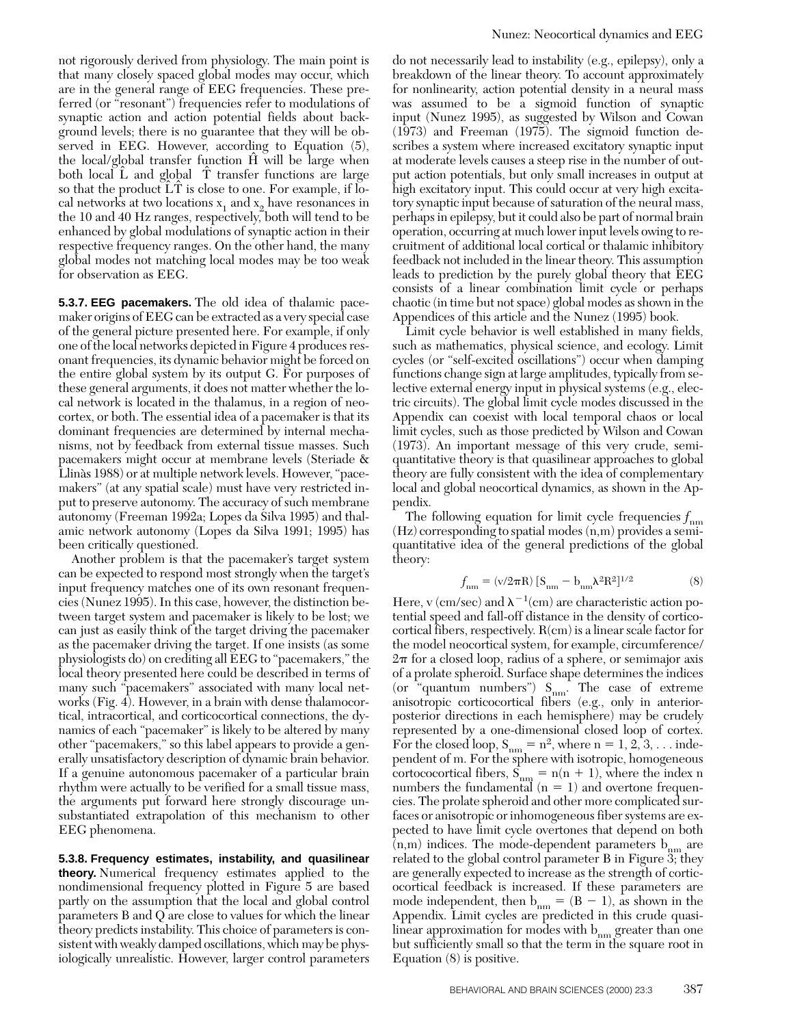not rigorously derived from physiology. The main point is that many closely spaced global modes may occur, which are in the general range of EEG frequencies. These preferred (or "resonant") frequencies refer to modulations of synaptic action and action potential fields about background levels; there is no guarantee that they will be observed in EEG. However, according to Equation (5), the local/global transfer function Hˆ will be large when both local L and global T transfer functions are large so that the product LT is close to one. For example, if local networks at two locations  $x_1$  and  $x_2$  have resonances in the 10 and 40 Hz ranges, respectively, both will tend to be enhanced by global modulations of synaptic action in their respective frequency ranges. On the other hand, the many global modes not matching local modes may be too weak for observation as EEG.

**5.3.7. EEG pacemakers.** The old idea of thalamic pacemaker origins of EEG can be extracted as a very special case of the general picture presented here. For example, if only one of the local networks depicted in Figure 4 produces resonant frequencies, its dynamic behavior might be forced on the entire global system by its output G. For purposes of these general arguments, it does not matter whether the local network is located in the thalamus, in a region of neocortex, or both. The essential idea of a pacemaker is that its dominant frequencies are determined by internal mechanisms, not by feedback from external tissue masses. Such pacemakers might occur at membrane levels (Steriade & Llinàs 1988) or at multiple network levels. However, "pacemakers" (at any spatial scale) must have very restricted input to preserve autonomy. The accuracy of such membrane autonomy (Freeman 1992a; Lopes da Silva 1995) and thalamic network autonomy (Lopes da Silva 1991; 1995) has been critically questioned.

Another problem is that the pacemaker's target system can be expected to respond most strongly when the target's input frequency matches one of its own resonant frequencies (Nunez 1995). In this case, however, the distinction between target system and pacemaker is likely to be lost; we can just as easily think of the target driving the pacemaker as the pacemaker driving the target. If one insists (as some physiologists do) on crediting all EEG to "pacemakers," the local theory presented here could be described in terms of many such "pacemakers" associated with many local networks (Fig. 4). However, in a brain with dense thalamocortical, intracortical, and corticocortical connections, the dynamics of each "pacemaker" is likely to be altered by many other "pacemakers," so this label appears to provide a generally unsatisfactory description of dynamic brain behavior. If a genuine autonomous pacemaker of a particular brain rhythm were actually to be verified for a small tissue mass, the arguments put forward here strongly discourage unsubstantiated extrapolation of this mechanism to other EEG phenomena.

**5.3.8. Frequency estimates, instability, and quasilinear theory.** Numerical frequency estimates applied to the nondimensional frequency plotted in Figure 5 are based partly on the assumption that the local and global control parameters B and Q are close to values for which the linear theory predicts instability. This choice of parameters is consistent with weakly damped oscillations, which may be physiologically unrealistic. However, larger control parameters

do not necessarily lead to instability (e.g., epilepsy), only a breakdown of the linear theory. To account approximately for nonlinearity, action potential density in a neural mass was assumed to be a sigmoid function of synaptic input (Nunez 1995), as suggested by Wilson and Cowan (1973) and Freeman (1975). The sigmoid function describes a system where increased excitatory synaptic input at moderate levels causes a steep rise in the number of output action potentials, but only small increases in output at high excitatory input. This could occur at very high excitatory synaptic input because of saturation of the neural mass, perhaps in epilepsy, but it could also be part of normal brain operation, occurring at much lower input levels owing to recruitment of additional local cortical or thalamic inhibitory feedback not included in the linear theory. This assumption leads to prediction by the purely global theory that EEG consists of a linear combination limit cycle or perhaps chaotic (in time but not space) global modes as shown in the Appendices of this article and the Nunez (1995) book.

Limit cycle behavior is well established in many fields, such as mathematics, physical science, and ecology. Limit cycles (or "self-excited oscillations") occur when damping functions change sign at large amplitudes, typically from selective external energy input in physical systems (e.g., electric circuits). The global limit cycle modes discussed in the Appendix can coexist with local temporal chaos or local limit cycles, such as those predicted by Wilson and Cowan (1973). An important message of this very crude, semiquantitative theory is that quasilinear approaches to global theory are fully consistent with the idea of complementary local and global neocortical dynamics, as shown in the Appendix.

The following equation for limit cycle frequencies  $f_{nm}$ (Hz) corresponding to spatial modes (n,m) provides a semiquantitative idea of the general predictions of the global theory:

$$
f_{nm} = (v/2\pi R) [S_{nm} - b_{nm} \lambda^2 R^2]^{1/2}
$$
 (8)

Here, v (cm/sec) and  $\lambda^{-1}$ (cm) are characteristic action potential speed and fall-off distance in the density of corticocortical fibers, respectively. R(cm) is a linear scale factor for the model neocortical system, for example, circumference/  $2\pi$  for a closed loop, radius of a sphere, or semimajor axis of a prolate spheroid. Surface shape determines the indices (or "quantum numbers")  $S_{nm}$ . The case of extreme anisotropic corticocortical fibers (e.g., only in anteriorposterior directions in each hemisphere) may be crudely represented by a one-dimensional closed loop of cortex. For the closed loop,  $S_{nm} = n^2$ , where  $n = 1, 2, 3, \ldots$  independent of m. For the sphere with isotropic, homogeneous cortococortical fibers,  $\bar{S}_{nm} = n(n + 1)$ , where the index n numbers the fundamental  $(n = 1)$  and overtone frequencies. The prolate spheroid and other more complicated surfaces or anisotropic or inhomogeneous fiber systems are expected to have limit cycle overtones that depend on both  $(n,m)$  indices. The mode-dependent parameters  $b_{nm}$  are related to the global control parameter B in Figure 3; they are generally expected to increase as the strength of corticocortical feedback is increased. If these parameters are mode independent, then  $b_{nm} = (B - 1)$ , as shown in the Appendix. Limit cycles are predicted in this crude quasilinear approximation for modes with  $b_{nm}$  greater than one but sufficiently small so that the term in the square root in Equation (8) is positive.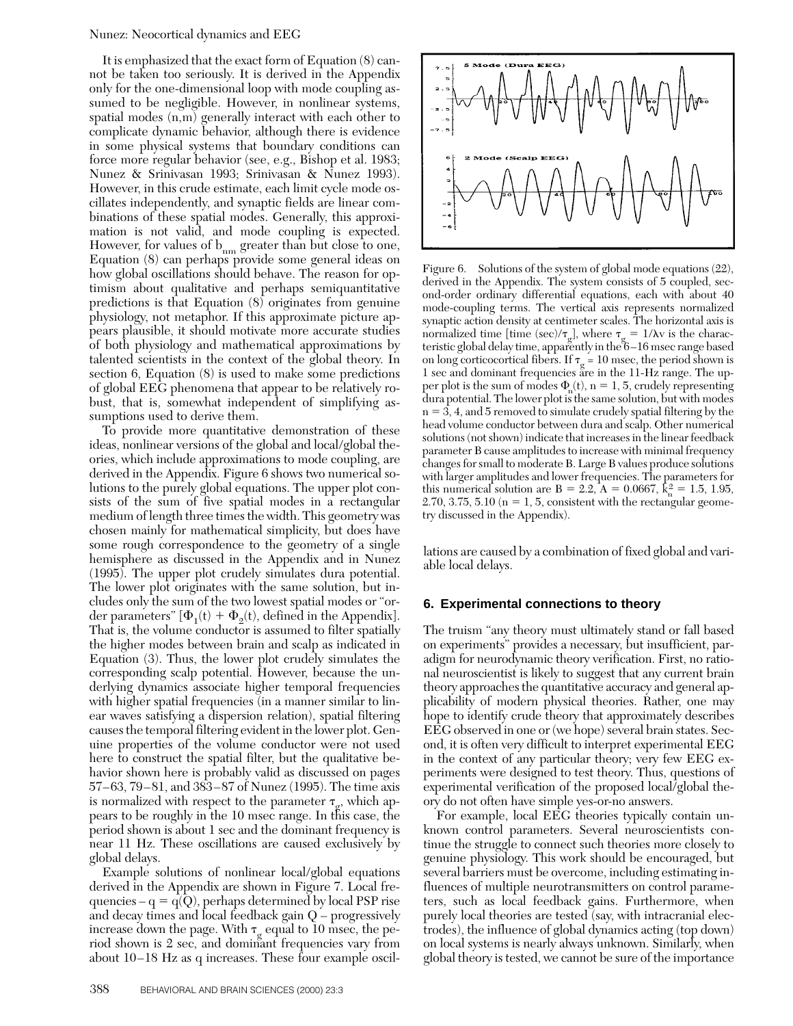#### Nunez: Neocortical dynamics and EEG

It is emphasized that the exact form of Equation (8) cannot be taken too seriously. It is derived in the Appendix only for the one-dimensional loop with mode coupling assumed to be negligible. However, in nonlinear systems, spatial modes (n,m) generally interact with each other to complicate dynamic behavior, although there is evidence in some physical systems that boundary conditions can force more regular behavior (see, e.g., Bishop et al. 1983; Nunez & Srinivasan 1993; Srinivasan & Nunez 1993). However, in this crude estimate, each limit cycle mode oscillates independently, and synaptic fields are linear combinations of these spatial modes. Generally, this approximation is not valid, and mode coupling is expected. However, for values of  $b_{nm}$  greater than but close to one, Equation (8) can perhaps provide some general ideas on how global oscillations should behave. The reason for optimism about qualitative and perhaps semiquantitative predictions is that Equation (8) originates from genuine physiology, not metaphor. If this approximate picture appears plausible, it should motivate more accurate studies of both physiology and mathematical approximations by talented scientists in the context of the global theory. In section 6, Equation (8) is used to make some predictions of global EEG phenomena that appear to be relatively robust, that is, somewhat independent of simplifying assumptions used to derive them.

To provide more quantitative demonstration of these ideas, nonlinear versions of the global and local/global theories, which include approximations to mode coupling, are derived in the Appendix. Figure 6 shows two numerical solutions to the purely global equations. The upper plot consists of the sum of five spatial modes in a rectangular medium of length three times the width. This geometry was chosen mainly for mathematical simplicity, but does have some rough correspondence to the geometry of a single hemisphere as discussed in the Appendix and in Nunez (1995). The upper plot crudely simulates dura potential. The lower plot originates with the same solution, but includes only the sum of the two lowest spatial modes or "order parameters"  $[\Phi_1(t) + \Phi_2(t)]$ , defined in the Appendix]. That is, the volume conductor is assumed to filter spatially the higher modes between brain and scalp as indicated in Equation (3). Thus, the lower plot crudely simulates the corresponding scalp potential. However, because the underlying dynamics associate higher temporal frequencies with higher spatial frequencies (in a manner similar to linear waves satisfying a dispersion relation), spatial filtering causes the temporal filtering evident in the lower plot. Genuine properties of the volume conductor were not used here to construct the spatial filter, but the qualitative behavior shown here is probably valid as discussed on pages 57–63, 79–81, and 383–87 of Nunez (1995). The time axis is normalized with respect to the parameter  $\tau_g$ , which appears to be roughly in the 10 msec range. In this case, the period shown is about 1 sec and the dominant frequency is near 11 Hz. These oscillations are caused exclusively by global delays.

Example solutions of nonlinear local/global equations derived in the Appendix are shown in Figure 7. Local frequencies –  $q = q(Q)$ , perhaps determined by local PSP rise and decay times and local feedback gain Q – progressively increase down the page. With  $\tau_{\sigma}$  equal to 10 msec, the period shown is 2 sec, and dominant frequencies vary from about 10–18 Hz as q increases. These four example oscil-



Figure 6. Solutions of the system of global mode equations (22), derived in the Appendix. The system consists of 5 coupled, second-order ordinary differential equations, each with about 40 mode-coupling terms. The vertical axis represents normalized synaptic action density at centimeter scales. The horizontal axis is normalized time [time (sec)/ $\tau_g$ ], where  $\tau_g = 1/\lambda v$  is the characteristic global delay time, apparently in the 6–16 msec range based on long corticocortical fibers. If  $\tau_g = 10$  msec, the period shown is 1 sec and dominant frequencies are in the 11-Hz range. The upper plot is the sum of modes  $\Phi_n(t)$ ,  $n = 1, 5$ , crudely representing dura potential. The lower plot is the same solution, but with modes  $n = 3, 4$ , and 5 removed to simulate crudely spatial filtering by the head volume conductor between dura and scalp. Other numerical solutions (not shown) indicate that increases in the linear feedback parameter B cause amplitudes to increase with minimal frequency changes for small to moderate B. Large B values produce solutions with larger amplitudes and lower frequencies. The parameters for this numerical solution are B = 2.2, A = 0.0667,  $\hat{k}_n^2 = 1.5, 1.95,$ 2.70, 3.75, 5.10 ( $n = 1, 5$ , consistent with the rectangular geometry discussed in the Appendix).

lations are caused by a combination of fixed global and variable local delays.

## **6. Experimental connections to theory**

The truism "any theory must ultimately stand or fall based on experiments" provides a necessary, but insufficient, paradigm for neurodynamic theory verification. First, no rational neuroscientist is likely to suggest that any current brain theory approaches the quantitative accuracy and general applicability of modern physical theories. Rather, one may hope to identify crude theory that approximately describes EEG observed in one or (we hope) several brain states. Second, it is often very difficult to interpret experimental EEG in the context of any particular theory; very few EEG experiments were designed to test theory. Thus, questions of experimental verification of the proposed local/global theory do not often have simple yes-or-no answers.

For example, local EEG theories typically contain unknown control parameters. Several neuroscientists continue the struggle to connect such theories more closely to genuine physiology. This work should be encouraged, but several barriers must be overcome, including estimating influences of multiple neurotransmitters on control parameters, such as local feedback gains. Furthermore, when purely local theories are tested (say, with intracranial electrodes), the influence of global dynamics acting (top down) on local systems is nearly always unknown. Similarly, when global theory is tested, we cannot be sure of the importance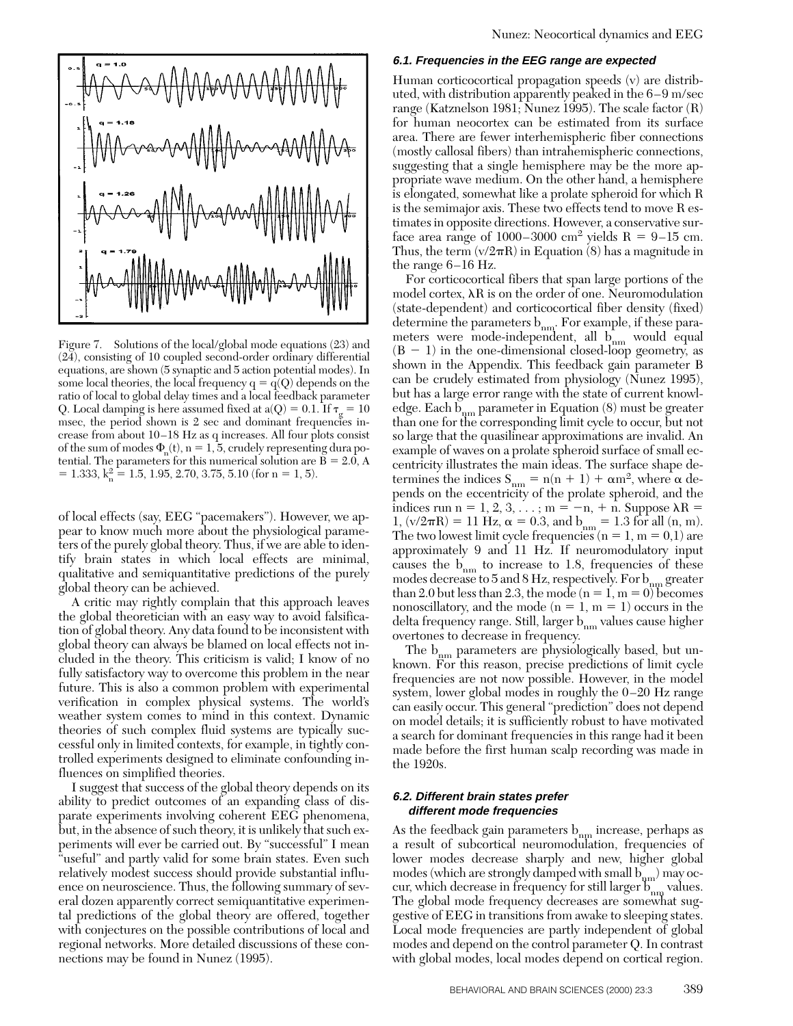

Figure 7. Solutions of the local/global mode equations (23) and (24), consisting of 10 coupled second-order ordinary differential equations, are shown (5 synaptic and 5 action potential modes). In some local theories, the local frequency  $q = \bar{q}(Q)$  depends on the ratio of local to global delay times and a local feedback parameter Q. Local damping is here assumed fixed at  $a(Q) = 0.1$ . If  $\tau_{\sigma} = 10$ msec, the period shown is 2 sec and dominant frequencies increase from about 10–18 Hz as q increases. All four plots consist of the sum of modes  $\Phi_n(t)$ , n = 1, 5, crudely representing dura potential. The parameters for this numerical solution are  $\bar{B} = 2.0$ , A  $= 1.333, k_n^2 = 1.5, 1.95, 2.70, 3.75, 5.10$  (for n = 1, 5).

of local effects (say, EEG "pacemakers"). However, we appear to know much more about the physiological parameters of the purely global theory. Thus, if we are able to identify brain states in which local effects are minimal, qualitative and semiquantitative predictions of the purely global theory can be achieved.

A critic may rightly complain that this approach leaves the global theoretician with an easy way to avoid falsification of global theory. Any data found to be inconsistent with global theory can always be blamed on local effects not included in the theory. This criticism is valid; I know of no fully satisfactory way to overcome this problem in the near future. This is also a common problem with experimental verification in complex physical systems. The world's weather system comes to mind in this context. Dynamic theories of such complex fluid systems are typically successful only in limited contexts, for example, in tightly controlled experiments designed to eliminate confounding influences on simplified theories.

I suggest that success of the global theory depends on its ability to predict outcomes of an expanding class of disparate experiments involving coherent EEG phenomena, but, in the absence of such theory, it is unlikely that such experiments will ever be carried out. By "successful" I mean "useful" and partly valid for some brain states. Even such relatively modest success should provide substantial influence on neuroscience. Thus, the following summary of several dozen apparently correct semiquantitative experimental predictions of the global theory are offered, together with conjectures on the possible contributions of local and regional networks. More detailed discussions of these connections may be found in Nunez (1995).

#### **6.1. Frequencies in the EEG range are expected**

Human corticocortical propagation speeds (v) are distributed, with distribution apparently peaked in the 6–9 m/sec range (Katznelson 1981; Nunez 1995). The scale factor (R) for human neocortex can be estimated from its surface area. There are fewer interhemispheric fiber connections (mostly callosal fibers) than intrahemispheric connections, suggesting that a single hemisphere may be the more appropriate wave medium. On the other hand, a hemisphere is elongated, somewhat like a prolate spheroid for which R is the semimajor axis. These two effects tend to move R estimates in opposite directions. However, a conservative surface area range of  $1000-3000$  cm<sup>2</sup> yields R = 9–15 cm. Thus, the term  $(v/2\pi R)$  in Equation (8) has a magnitude in the range 6–16 Hz.

For corticocortical fibers that span large portions of the model cortex,  $\lambda$ R is on the order of one. Neuromodulation (state-dependent) and corticocortical fiber density (fixed) determine the parameters  $b_{nm}$ . For example, if these parameters were mode-independent, all  $b_{nm}$  would equal  $(B - 1)$  in the one-dimensional closed-loop geometry, as shown in the Appendix. This feedback gain parameter B can be crudely estimated from physiology (Nunez 1995), but has a large error range with the state of current knowledge. Each  $b_{nm}$  parameter in Equation (8) must be greater than one for the corresponding limit cycle to occur, but not so large that the quasilinear approximations are invalid. An example of waves on a prolate spheroid surface of small eccentricity illustrates the main ideas. The surface shape determines the indices  $S_{nm} = n(n + 1) + \alpha m^2$ , where  $\alpha$  depends on the eccentricity of the prolate spheroid, and the indices run n = 1, 2, 3, . . . ; m =  $-n$ , + n. Suppose  $\lambda$ R = 1,  $(v/2\pi R) = 11$  Hz,  $\alpha = 0.3$ , and  $b_{nm} = 1.3$  for all (n, m). The two lowest limit cycle frequencies  $(n = 1, m = 0,1)$  are approximately 9 and 11 Hz. If neuromodulatory input causes the  $b_{nm}$  to increase to 1.8, frequencies of these modes decrease to 5 and 8 Hz, respectively. For  $b_{\rm{nm}}$  greater than 2.0 but less than 2.3, the mode  $(n = 1, m = 0)$  becomes nonoscillatory, and the mode  $(n = 1, m = 1)$  occurs in the delta frequency range. Still, larger b<sub>nm</sub> values cause higher overtones to decrease in frequency.

The  $b_{nm}$  parameters are physiologically based, but unknown. For this reason, precise predictions of limit cycle frequencies are not now possible. However, in the model system, lower global modes in roughly the 0–20 Hz range can easily occur. This general "prediction" does not depend on model details; it is sufficiently robust to have motivated a search for dominant frequencies in this range had it been made before the first human scalp recording was made in the 1920s.

## **6.2. Different brain states prefer different mode frequencies**

As the feedback gain parameters  $b_{nm}$  increase, perhaps as a result of subcortical neuromodulation, frequencies of lower modes decrease sharply and new, higher global modes (which are strongly damped with small  $\overline{b_{nm}}$ ) may occur, which decrease in frequency for still larger  $b_{nn}$  values. The global mode frequency decreases are somewhat suggestive of EEG in transitions from awake to sleeping states. Local mode frequencies are partly independent of global modes and depend on the control parameter Q. In contrast with global modes, local modes depend on cortical region.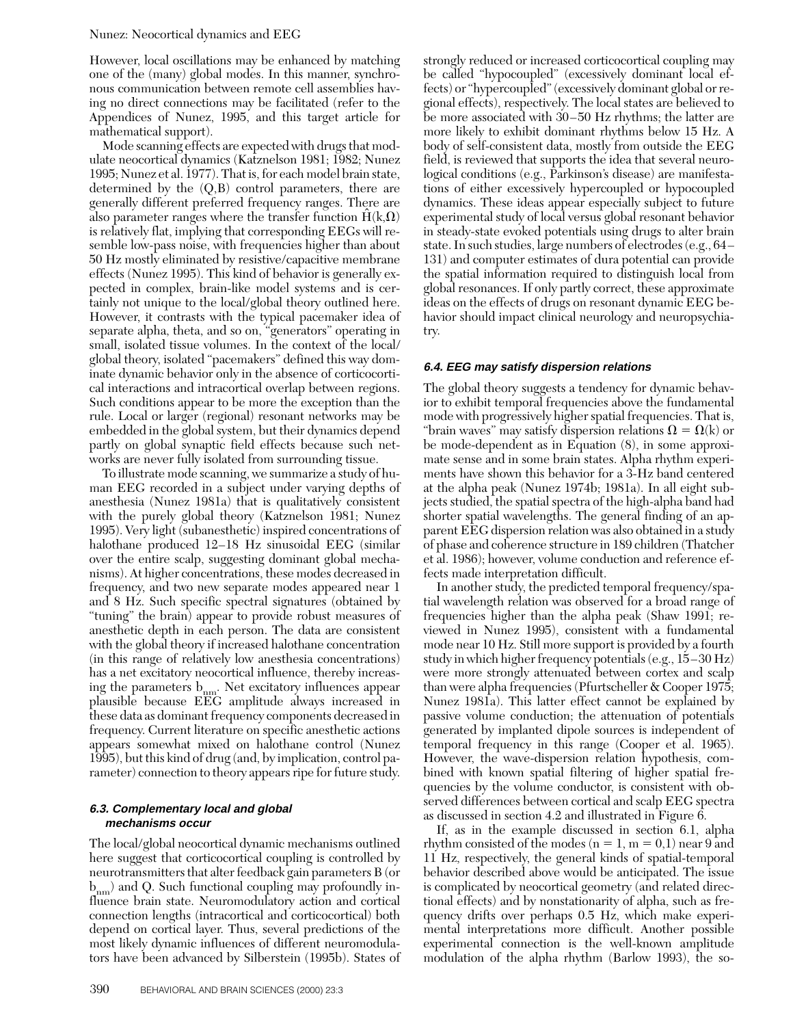However, local oscillations may be enhanced by matching one of the (many) global modes. In this manner, synchronous communication between remote cell assemblies having no direct connections may be facilitated (refer to the Appendices of Nunez, 1995, and this target article for mathematical support).

Mode scanning effects are expected with drugs that modulate neocortical dynamics (Katznelson 1981; 1982; Nunez 1995; Nunez et al. 1977). That is, for each model brain state, determined by the (Q,B) control parameters, there are generally different preferred frequency ranges. There are also parameter ranges where the transfer function  $H(k,\Omega)$ is relatively flat, implying that corresponding EEGs will resemble low-pass noise, with frequencies higher than about 50 Hz mostly eliminated by resistive/capacitive membrane effects (Nunez 1995). This kind of behavior is generally expected in complex, brain-like model systems and is certainly not unique to the local/global theory outlined here. However, it contrasts with the typical pacemaker idea of separate alpha, theta, and so on, "generators" operating in small, isolated tissue volumes. In the context of the local/ global theory, isolated "pacemakers" defined this way dominate dynamic behavior only in the absence of corticocortical interactions and intracortical overlap between regions. Such conditions appear to be more the exception than the rule. Local or larger (regional) resonant networks may be embedded in the global system, but their dynamics depend partly on global synaptic field effects because such networks are never fully isolated from surrounding tissue.

To illustrate mode scanning, we summarize a study of human EEG recorded in a subject under varying depths of anesthesia (Nunez 1981a) that is qualitatively consistent with the purely global theory (Katznelson 1981; Nunez 1995). Very light (subanesthetic) inspired concentrations of halothane produced 12–18 Hz sinusoidal EEG (similar over the entire scalp, suggesting dominant global mechanisms). At higher concentrations, these modes decreased in frequency, and two new separate modes appeared near 1 and 8 Hz. Such specific spectral signatures (obtained by "tuning" the brain) appear to provide robust measures of anesthetic depth in each person. The data are consistent with the global theory if increased halothane concentration (in this range of relatively low anesthesia concentrations) has a net excitatory neocortical influence, thereby increasing the parameters  $b_{nm}$ . Net excitatory influences appear plausible because EEG amplitude always increased in these data as dominant frequency components decreased in frequency. Current literature on specific anesthetic actions appears somewhat mixed on halothane control (Nunez 1995), but this kind of drug (and, by implication, control parameter) connection to theory appears ripe for future study.

## **6.3. Complementary local and global mechanisms occur**

The local/global neocortical dynamic mechanisms outlined here suggest that corticocortical coupling is controlled by neurotransmitters that alter feedback gain parameters B (or  $b_{nm}$ ) and Q. Such functional coupling may profoundly influence brain state. Neuromodulatory action and cortical connection lengths (intracortical and corticocortical) both depend on cortical layer. Thus, several predictions of the most likely dynamic influences of different neuromodulators have been advanced by Silberstein (1995b). States of strongly reduced or increased corticocortical coupling may be called "hypocoupled" (excessively dominant local effects) or "hypercoupled" (excessively dominant global or regional effects), respectively. The local states are believed to be more associated with 30–50 Hz rhythms; the latter are more likely to exhibit dominant rhythms below 15 Hz. A body of self-consistent data, mostly from outside the EEG field, is reviewed that supports the idea that several neurological conditions (e.g., Parkinson's disease) are manifestations of either excessively hypercoupled or hypocoupled dynamics. These ideas appear especially subject to future experimental study of local versus global resonant behavior in steady-state evoked potentials using drugs to alter brain state. In such studies, large numbers of electrodes (e.g., 64– 131) and computer estimates of dura potential can provide the spatial information required to distinguish local from global resonances. If only partly correct, these approximate ideas on the effects of drugs on resonant dynamic EEG behavior should impact clinical neurology and neuropsychiatry.

## **6.4. EEG may satisfy dispersion relations**

The global theory suggests a tendency for dynamic behavior to exhibit temporal frequencies above the fundamental mode with progressively higher spatial frequencies. That is, "brain waves" may satisfy dispersion relations  $\Omega = \Omega(k)$  or be mode-dependent as in Equation (8), in some approximate sense and in some brain states. Alpha rhythm experiments have shown this behavior for a 3-Hz band centered at the alpha peak (Nunez 1974b; 1981a). In all eight subjects studied, the spatial spectra of the high-alpha band had shorter spatial wavelengths. The general finding of an apparent EEG dispersion relation was also obtained in a study of phase and coherence structure in 189 children (Thatcher et al. 1986); however, volume conduction and reference effects made interpretation difficult.

In another study, the predicted temporal frequency/spatial wavelength relation was observed for a broad range of frequencies higher than the alpha peak (Shaw 1991; reviewed in Nunez 1995), consistent with a fundamental mode near 10 Hz. Still more support is provided by a fourth study in which higher frequency potentials (e.g., 15–30 Hz) were more strongly attenuated between cortex and scalp than were alpha frequencies (Pfurtscheller & Cooper 1975; Nunez 1981a). This latter effect cannot be explained by passive volume conduction; the attenuation of potentials generated by implanted dipole sources is independent of temporal frequency in this range (Cooper et al. 1965). However, the wave-dispersion relation hypothesis, combined with known spatial filtering of higher spatial frequencies by the volume conductor, is consistent with observed differences between cortical and scalp EEG spectra as discussed in section 4.2 and illustrated in Figure 6.

If, as in the example discussed in section 6.1, alpha rhythm consisted of the modes ( $n = 1$ ,  $m = 0,1$ ) near 9 and 11 Hz, respectively, the general kinds of spatial-temporal behavior described above would be anticipated. The issue is complicated by neocortical geometry (and related directional effects) and by nonstationarity of alpha, such as frequency drifts over perhaps 0.5 Hz, which make experimental interpretations more difficult. Another possible experimental connection is the well-known amplitude modulation of the alpha rhythm (Barlow 1993), the so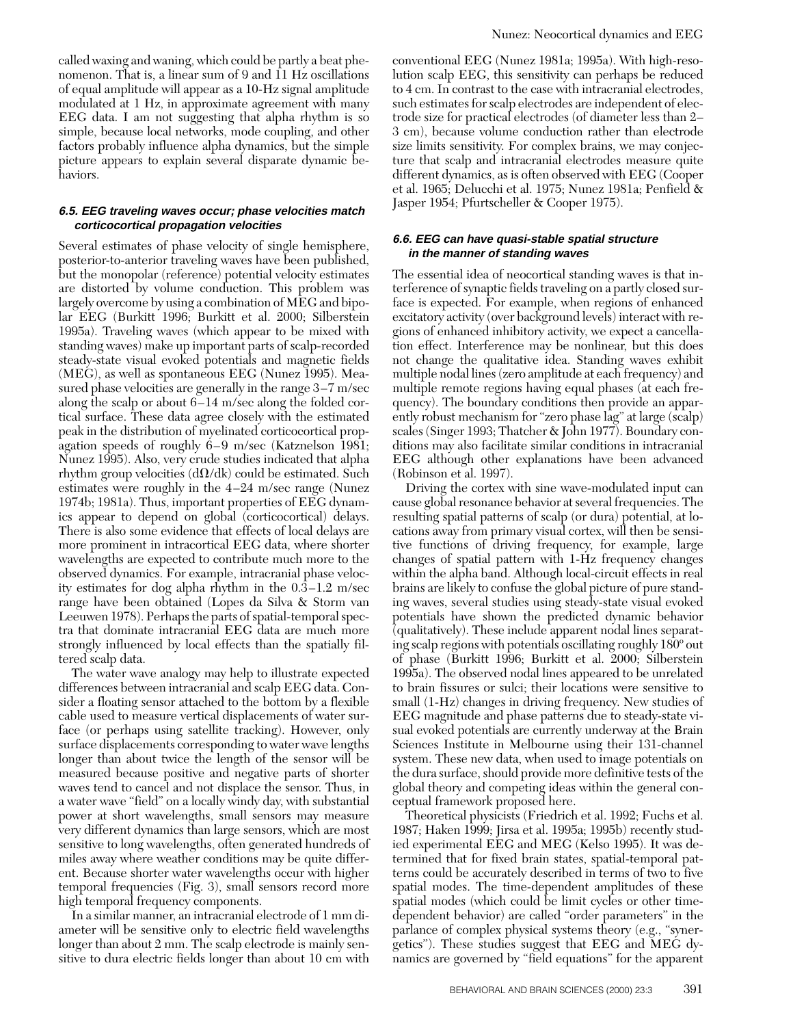called waxing and waning, which could be partly a beat phenomenon. That is, a linear sum of 9 and 11 Hz oscillations of equal amplitude will appear as a 10-Hz signal amplitude modulated at 1 Hz, in approximate agreement with many EEG data. I am not suggesting that alpha rhythm is so simple, because local networks, mode coupling, and other factors probably influence alpha dynamics, but the simple picture appears to explain several disparate dynamic behaviors.

## **6.5. EEG traveling waves occur; phase velocities match corticocortical propagation velocities**

Several estimates of phase velocity of single hemisphere, posterior-to-anterior traveling waves have been published, but the monopolar (reference) potential velocity estimates are distorted by volume conduction. This problem was largely overcome by using a combination of MEG and bipolar EEG (Burkitt 1996; Burkitt et al. 2000; Silberstein 1995a). Traveling waves (which appear to be mixed with standing waves) make up important parts of scalp-recorded steady-state visual evoked potentials and magnetic fields (MEG), as well as spontaneous EEG (Nunez 1995). Measured phase velocities are generally in the range 3–7 m/sec along the scalp or about 6–14 m/sec along the folded cortical surface. These data agree closely with the estimated peak in the distribution of myelinated corticocortical propagation speeds of roughly 6–9 m/sec (Katznelson 1981; Nunez 1995). Also, very crude studies indicated that alpha rhythm group velocities  $(d\Omega/dk)$  could be estimated. Such estimates were roughly in the 4–24 m/sec range (Nunez 1974b; 1981a). Thus, important properties of EEG dynamics appear to depend on global (corticocortical) delays. There is also some evidence that effects of local delays are more prominent in intracortical EEG data, where shorter wavelengths are expected to contribute much more to the observed dynamics. For example, intracranial phase velocity estimates for dog alpha rhythm in the 0.3–1.2 m/sec range have been obtained (Lopes da Silva & Storm van Leeuwen 1978). Perhaps the parts of spatial-temporal spectra that dominate intracranial EEG data are much more strongly influenced by local effects than the spatially filtered scalp data.

The water wave analogy may help to illustrate expected differences between intracranial and scalp EEG data. Consider a floating sensor attached to the bottom by a flexible cable used to measure vertical displacements of water surface (or perhaps using satellite tracking). However, only surface displacements corresponding to water wave lengths longer than about twice the length of the sensor will be measured because positive and negative parts of shorter waves tend to cancel and not displace the sensor. Thus, in a water wave "field" on a locally windy day, with substantial power at short wavelengths, small sensors may measure very different dynamics than large sensors, which are most sensitive to long wavelengths, often generated hundreds of miles away where weather conditions may be quite different. Because shorter water wavelengths occur with higher temporal frequencies (Fig. 3), small sensors record more high temporal frequency components.

In a similar manner, an intracranial electrode of 1 mm diameter will be sensitive only to electric field wavelengths longer than about 2 mm. The scalp electrode is mainly sensitive to dura electric fields longer than about 10 cm with

conventional EEG (Nunez 1981a; 1995a). With high-resolution scalp EEG, this sensitivity can perhaps be reduced to 4 cm. In contrast to the case with intracranial electrodes, such estimates for scalp electrodes are independent of electrode size for practical electrodes (of diameter less than 2– 3 cm), because volume conduction rather than electrode size limits sensitivity. For complex brains, we may conjecture that scalp and intracranial electrodes measure quite different dynamics, as is often observed with EEG (Cooper et al. 1965; Delucchi et al. 1975; Nunez 1981a; Penfield & Jasper 1954; Pfurtscheller & Cooper 1975).

## **6.6. EEG can have quasi-stable spatial structure in the manner of standing waves**

The essential idea of neocortical standing waves is that interference of synaptic fields traveling on a partly closed surface is expected. For example, when regions of enhanced excitatory activity (over background levels) interact with regions of enhanced inhibitory activity, we expect a cancellation effect. Interference may be nonlinear, but this does not change the qualitative idea. Standing waves exhibit multiple nodal lines (zero amplitude at each frequency) and multiple remote regions having equal phases (at each frequency). The boundary conditions then provide an apparently robust mechanism for "zero phase lag" at large (scalp) scales (Singer 1993; Thatcher & John 1977). Boundary conditions may also facilitate similar conditions in intracranial EEG although other explanations have been advanced (Robinson et al. 1997).

Driving the cortex with sine wave-modulated input can cause global resonance behavior at several frequencies. The resulting spatial patterns of scalp (or dura) potential, at locations away from primary visual cortex, will then be sensitive functions of driving frequency, for example, large changes of spatial pattern with 1-Hz frequency changes within the alpha band. Although local-circuit effects in real brains are likely to confuse the global picture of pure standing waves, several studies using steady-state visual evoked potentials have shown the predicted dynamic behavior (qualitatively). These include apparent nodal lines separating scalp regions with potentials oscillating roughly 180º out of phase (Burkitt 1996; Burkitt et al. 2000; Silberstein 1995a). The observed nodal lines appeared to be unrelated to brain fissures or sulci; their locations were sensitive to small (1-Hz) changes in driving frequency. New studies of EEG magnitude and phase patterns due to steady-state visual evoked potentials are currently underway at the Brain Sciences Institute in Melbourne using their 131-channel system. These new data, when used to image potentials on the dura surface, should provide more definitive tests of the global theory and competing ideas within the general conceptual framework proposed here.

Theoretical physicists (Friedrich et al. 1992; Fuchs et al. 1987; Haken 1999; Jirsa et al. 1995a; 1995b) recently studied experimental EEG and MEG (Kelso 1995). It was determined that for fixed brain states, spatial-temporal patterns could be accurately described in terms of two to five spatial modes. The time-dependent amplitudes of these spatial modes (which could be limit cycles or other timedependent behavior) are called "order parameters" in the parlance of complex physical systems theory (e.g., "synergetics"). These studies suggest that EEG and MEG dynamics are governed by "field equations" for the apparent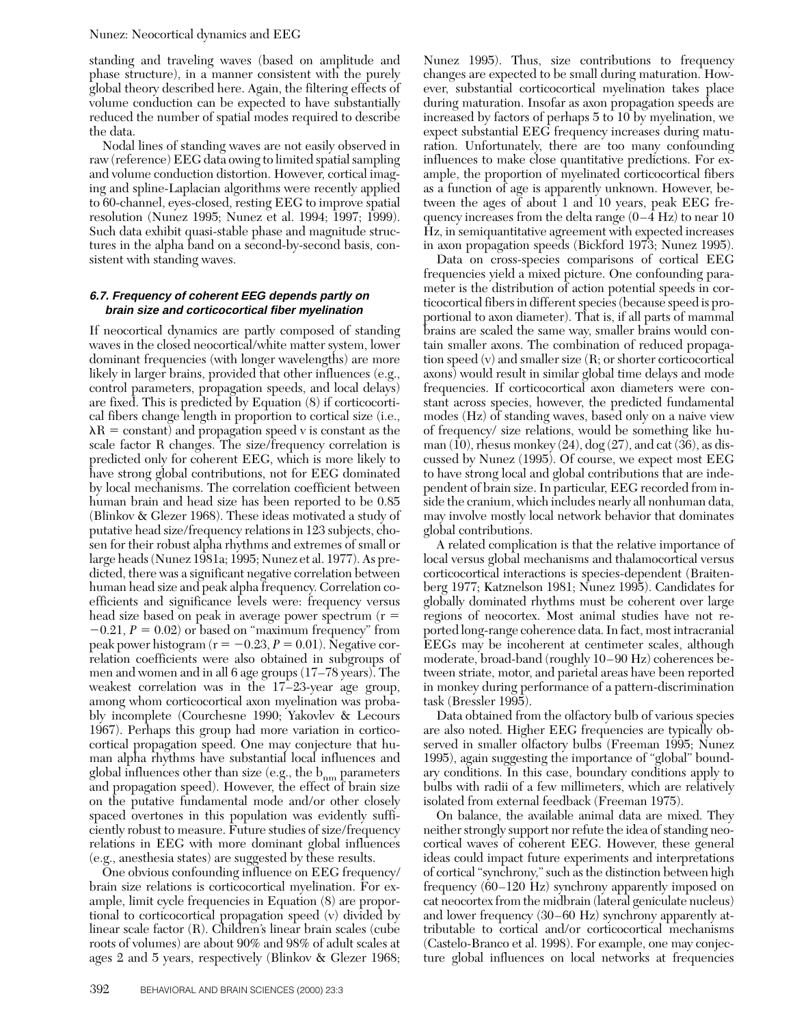#### Nunez: Neocortical dynamics and EEG

standing and traveling waves (based on amplitude and phase structure), in a manner consistent with the purely global theory described here. Again, the filtering effects of volume conduction can be expected to have substantially reduced the number of spatial modes required to describe the data.

Nodal lines of standing waves are not easily observed in raw (reference) EEG data owing to limited spatial sampling and volume conduction distortion. However, cortical imaging and spline-Laplacian algorithms were recently applied to 60-channel, eyes-closed, resting EEG to improve spatial resolution (Nunez 1995; Nunez et al. 1994; 1997; 1999). Such data exhibit quasi-stable phase and magnitude structures in the alpha band on a second-by-second basis, consistent with standing waves.

## **6.7. Frequency of coherent EEG depends partly on brain size and corticocortical fiber myelination**

If neocortical dynamics are partly composed of standing waves in the closed neocortical/white matter system, lower dominant frequencies (with longer wavelengths) are more likely in larger brains, provided that other influences (e.g., control parameters, propagation speeds, and local delays) are fixed. This is predicted by Equation (8) if corticocortical fibers change length in proportion to cortical size (i.e.,  $\lambda$ R = constant) and propagation speed v is constant as the scale factor R changes. The size/frequency correlation is predicted only for coherent EEG, which is more likely to have strong global contributions, not for EEG dominated by local mechanisms. The correlation coefficient between human brain and head size has been reported to be 0.85 (Blinkov & Glezer 1968). These ideas motivated a study of putative head size/frequency relations in 123 subjects, chosen for their robust alpha rhythms and extremes of small or large heads (Nunez 1981a; 1995; Nunez et al. 1977). As predicted, there was a significant negative correlation between human head size and peak alpha frequency. Correlation coefficients and significance levels were: frequency versus head size based on peak in average power spectrum  $(r =$  $-0.21$ ,  $P = 0.02$ ) or based on "maximum frequency" from peak power histogram ( $r = -0.23$ ,  $P = 0.01$ ). Negative correlation coefficients were also obtained in subgroups of men and women and in all 6 age groups (17–78 years). The weakest correlation was in the 17–23-year age group, among whom corticocortical axon myelination was probably incomplete (Courchesne 1990; Yakovlev & Lecours 1967). Perhaps this group had more variation in corticocortical propagation speed. One may conjecture that human alpha rhythms have substantial local influences and global influences other than size (e.g., the  $b_{nm}$  parameters and propagation speed). However, the effect of brain size on the putative fundamental mode and/or other closely spaced overtones in this population was evidently sufficiently robust to measure. Future studies of size/frequency relations in EEG with more dominant global influences (e.g., anesthesia states) are suggested by these results.

One obvious confounding influence on EEG frequency/ brain size relations is corticocortical myelination. For example, limit cycle frequencies in Equation (8) are proportional to corticocortical propagation speed (v) divided by linear scale factor (R). Children's linear brain scales (cube roots of volumes) are about 90% and 98% of adult scales at ages 2 and 5 years, respectively (Blinkov & Glezer 1968; Nunez 1995). Thus, size contributions to frequency changes are expected to be small during maturation. However, substantial corticocortical myelination takes place during maturation. Insofar as axon propagation speeds are increased by factors of perhaps 5 to 10 by myelination, we expect substantial EEG frequency increases during maturation. Unfortunately, there are too many confounding influences to make close quantitative predictions. For example, the proportion of myelinated corticocortical fibers as a function of age is apparently unknown. However, between the ages of about 1 and 10 years, peak EEG frequency increases from the delta range (0–4 Hz) to near 10 Hz, in semiquantitative agreement with expected increases in axon propagation speeds (Bickford 1973; Nunez 1995).

Data on cross-species comparisons of cortical EEG frequencies yield a mixed picture. One confounding parameter is the distribution of action potential speeds in corticocortical fibers in different species (because speed is proportional to axon diameter). That is, if all parts of mammal brains are scaled the same way, smaller brains would contain smaller axons. The combination of reduced propagation speed (v) and smaller size (R; or shorter corticocortical axons) would result in similar global time delays and mode frequencies. If corticocortical axon diameters were constant across species, however, the predicted fundamental modes (Hz) of standing waves, based only on a naive view of frequency/ size relations, would be something like human  $(10)$ , rhesus monkey  $(24)$ ,  $\log(27)$ , and cat  $(36)$ , as discussed by Nunez (1995). Of course, we expect most EEG to have strong local and global contributions that are independent of brain size. In particular, EEG recorded from inside the cranium, which includes nearly all nonhuman data, may involve mostly local network behavior that dominates global contributions.

A related complication is that the relative importance of local versus global mechanisms and thalamocortical versus corticocortical interactions is species-dependent (Braitenberg 1977; Katznelson 1981; Nunez 1995). Candidates for globally dominated rhythms must be coherent over large regions of neocortex. Most animal studies have not reported long-range coherence data. In fact, most intracranial EEGs may be incoherent at centimeter scales, although moderate, broad-band (roughly 10–90 Hz) coherences between striate, motor, and parietal areas have been reported in monkey during performance of a pattern-discrimination task (Bressler 1995).

Data obtained from the olfactory bulb of various species are also noted. Higher EEG frequencies are typically observed in smaller olfactory bulbs (Freeman 1995; Nunez 1995), again suggesting the importance of "global" boundary conditions. In this case, boundary conditions apply to bulbs with radii of a few millimeters, which are relatively isolated from external feedback (Freeman 1975).

On balance, the available animal data are mixed. They neither strongly support nor refute the idea of standing neocortical waves of coherent EEG. However, these general ideas could impact future experiments and interpretations of cortical "synchrony," such as the distinction between high frequency (60–120 Hz) synchrony apparently imposed on cat neocortex from the midbrain (lateral geniculate nucleus) and lower frequency (30–60 Hz) synchrony apparently attributable to cortical and/or corticocortical mechanisms (Castelo-Branco et al. 1998). For example, one may conjecture global influences on local networks at frequencies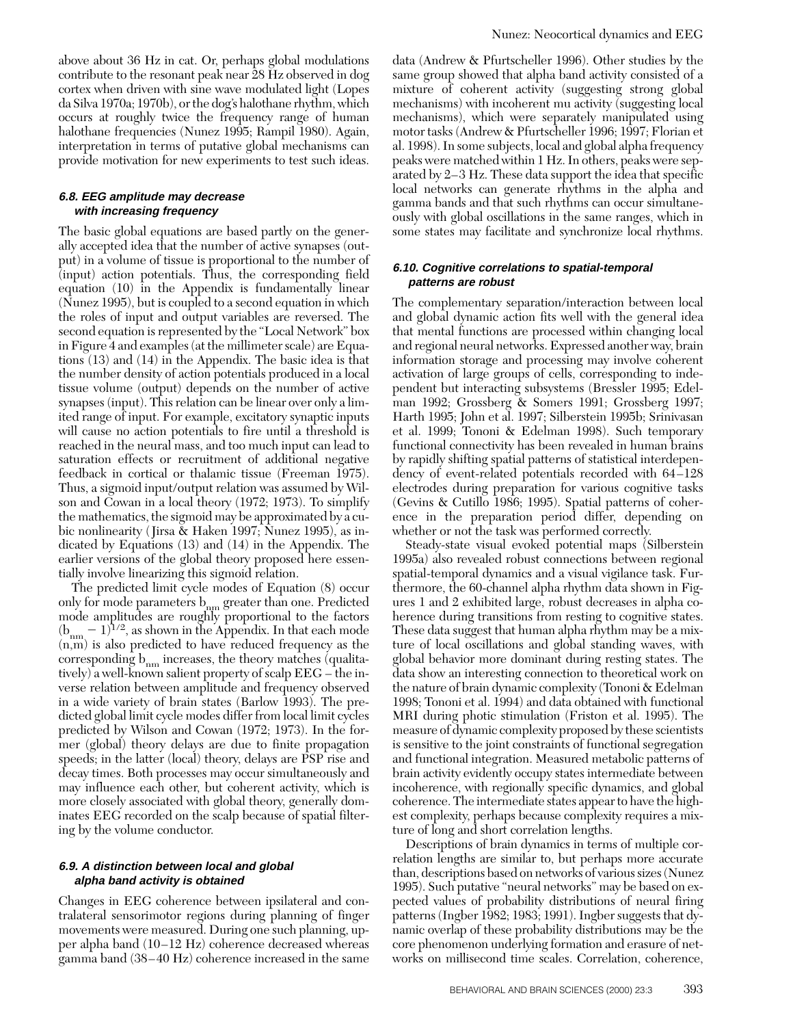above about 36 Hz in cat. Or, perhaps global modulations contribute to the resonant peak near 28 Hz observed in dog cortex when driven with sine wave modulated light (Lopes da Silva 1970a; 1970b), or the dog's halothane rhythm, which occurs at roughly twice the frequency range of human halothane frequencies (Nunez 1995; Rampil 1980). Again, interpretation in terms of putative global mechanisms can provide motivation for new experiments to test such ideas.

### **6.8. EEG amplitude may decrease with increasing frequency**

The basic global equations are based partly on the generally accepted idea that the number of active synapses (output) in a volume of tissue is proportional to the number of (input) action potentials. Thus, the corresponding field equation (10) in the Appendix is fundamentally linear (Nunez 1995), but is coupled to a second equation in which the roles of input and output variables are reversed. The second equation is represented by the "Local Network" box in Figure 4 and examples (at the millimeter scale) are Equations (13) and (14) in the Appendix. The basic idea is that the number density of action potentials produced in a local tissue volume (output) depends on the number of active synapses (input). This relation can be linear over only a limited range of input. For example, excitatory synaptic inputs will cause no action potentials to fire until a threshold is reached in the neural mass, and too much input can lead to saturation effects or recruitment of additional negative feedback in cortical or thalamic tissue (Freeman 1975). Thus, a sigmoid input/output relation was assumed by Wilson and Cowan in a local theory (1972; 1973). To simplify the mathematics, the sigmoid may be approximated by a cubic nonlinearity (Jirsa & Haken 1997; Nunez 1995), as indicated by Equations (13) and (14) in the Appendix. The earlier versions of the global theory proposed here essentially involve linearizing this sigmoid relation.

The predicted limit cycle modes of Equation (8) occur only for mode parameters  $b_{nm}$  greater than one. Predicted mode amplitudes are roughly proportional to the factors  $(b_{nm} - 1)^{1/2}$ , as shown in the Appendix. In that each mode  $(n,m)$  is also predicted to have reduced frequency as the corresponding  $b_{nm}$  increases, the theory matches (qualitatively) a well-known salient property of scalp EEG – the inverse relation between amplitude and frequency observed in a wide variety of brain states (Barlow 1993). The predicted global limit cycle modes differ from local limit cycles predicted by Wilson and Cowan (1972; 1973). In the former (global) theory delays are due to finite propagation speeds; in the latter (local) theory, delays are PSP rise and decay times. Both processes may occur simultaneously and may influence each other, but coherent activity, which is more closely associated with global theory, generally dominates EEG recorded on the scalp because of spatial filtering by the volume conductor.

#### **6.9. A distinction between local and global alpha band activity is obtained**

Changes in EEG coherence between ipsilateral and contralateral sensorimotor regions during planning of finger movements were measured. During one such planning, upper alpha band (10–12 Hz) coherence decreased whereas gamma band (38–40 Hz) coherence increased in the same

data (Andrew & Pfurtscheller 1996). Other studies by the same group showed that alpha band activity consisted of a mixture of coherent activity (suggesting strong global mechanisms) with incoherent mu activity (suggesting local mechanisms), which were separately manipulated using motor tasks (Andrew & Pfurtscheller 1996; 1997; Florian et al. 1998). In some subjects, local and global alpha frequency peaks were matched within 1 Hz. In others, peaks were separated by 2–3 Hz. These data support the idea that specific local networks can generate rhythms in the alpha and gamma bands and that such rhythms can occur simultaneously with global oscillations in the same ranges, which in some states may facilitate and synchronize local rhythms.

## **6.10. Cognitive correlations to spatial-temporal patterns are robust**

The complementary separation/interaction between local and global dynamic action fits well with the general idea that mental functions are processed within changing local and regional neural networks. Expressed another way, brain information storage and processing may involve coherent activation of large groups of cells, corresponding to independent but interacting subsystems (Bressler 1995; Edelman 1992; Grossberg & Somers 1991; Grossberg 1997; Harth 1995; John et al. 1997; Silberstein 1995b; Srinivasan et al. 1999; Tononi & Edelman 1998). Such temporary functional connectivity has been revealed in human brains by rapidly shifting spatial patterns of statistical interdependency of event-related potentials recorded with 64–128 electrodes during preparation for various cognitive tasks (Gevins & Cutillo 1986; 1995). Spatial patterns of coherence in the preparation period differ, depending on whether or not the task was performed correctly.

Steady-state visual evoked potential maps (Silberstein 1995a) also revealed robust connections between regional spatial-temporal dynamics and a visual vigilance task. Furthermore, the 60-channel alpha rhythm data shown in Figures 1 and 2 exhibited large, robust decreases in alpha coherence during transitions from resting to cognitive states. These data suggest that human alpha rhythm may be a mixture of local oscillations and global standing waves, with global behavior more dominant during resting states. The data show an interesting connection to theoretical work on the nature of brain dynamic complexity (Tononi & Edelman 1998; Tononi et al. 1994) and data obtained with functional MRI during photic stimulation (Friston et al. 1995). The measure of dynamic complexity proposed by these scientists is sensitive to the joint constraints of functional segregation and functional integration. Measured metabolic patterns of brain activity evidently occupy states intermediate between incoherence, with regionally specific dynamics, and global coherence. The intermediate states appear to have the highest complexity, perhaps because complexity requires a mixture of long and short correlation lengths.

Descriptions of brain dynamics in terms of multiple correlation lengths are similar to, but perhaps more accurate than, descriptions based on networks of various sizes (Nunez 1995). Such putative "neural networks" may be based on expected values of probability distributions of neural firing patterns (Ingber 1982; 1983; 1991). Ingber suggests that dynamic overlap of these probability distributions may be the core phenomenon underlying formation and erasure of networks on millisecond time scales. Correlation, coherence,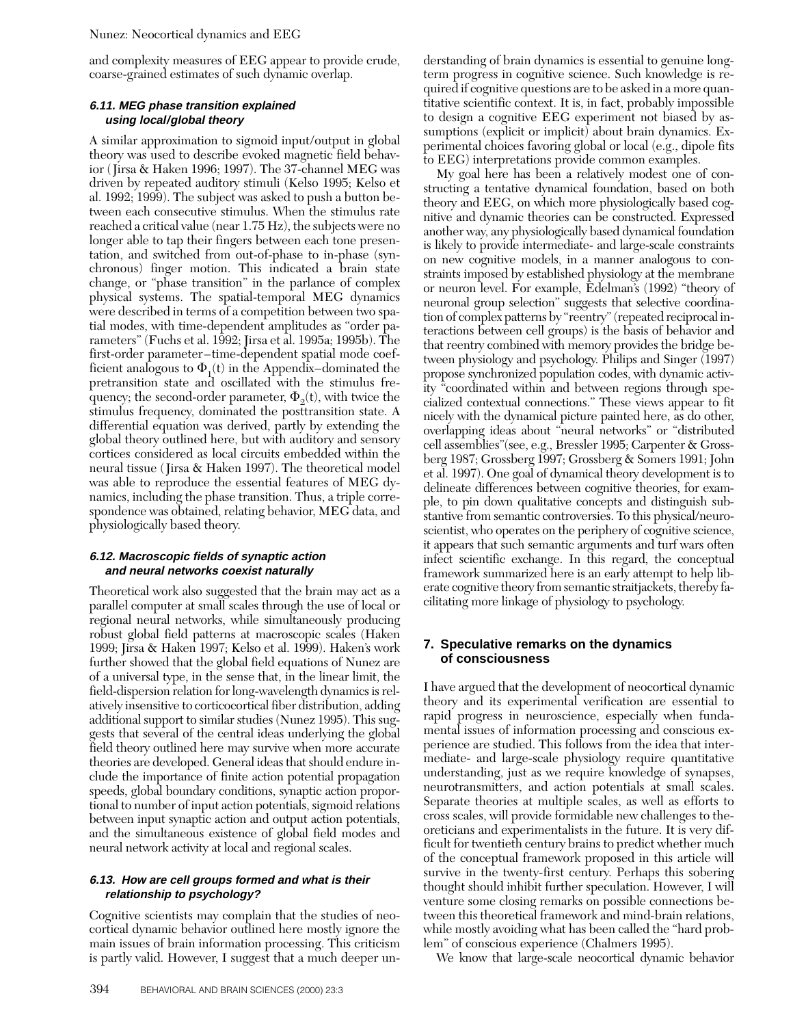## Nunez: Neocortical dynamics and EEG

and complexity measures of EEG appear to provide crude, coarse-grained estimates of such dynamic overlap.

## **6.11. MEG phase transition explained using local/global theory**

A similar approximation to sigmoid input/output in global theory was used to describe evoked magnetic field behavior (Jirsa & Haken 1996; 1997). The 37-channel MEG was driven by repeated auditory stimuli (Kelso 1995; Kelso et al. 1992; 1999). The subject was asked to push a button between each consecutive stimulus. When the stimulus rate reached a critical value (near 1.75 Hz), the subjects were no longer able to tap their fingers between each tone presentation, and switched from out-of-phase to in-phase (synchronous) finger motion. This indicated a brain state change, or "phase transition" in the parlance of complex physical systems. The spatial-temporal MEG dynamics were described in terms of a competition between two spatial modes, with time-dependent amplitudes as "order parameters" (Fuchs et al. 1992; Jirsa et al. 1995a; 1995b). The first-order parameter–time-dependent spatial mode coefficient analogous to  $\Phi_1(t)$  in the Appendix–dominated the pretransition state and oscillated with the stimulus frequency; the second-order parameter,  $\Phi_2(t)$ , with twice the stimulus frequency, dominated the posttransition state. A differential equation was derived, partly by extending the global theory outlined here, but with auditory and sensory cortices considered as local circuits embedded within the neural tissue (Jirsa & Haken 1997). The theoretical model was able to reproduce the essential features of MEG dynamics, including the phase transition. Thus, a triple correspondence was obtained, relating behavior, MEG data, and physiologically based theory.

## **6.12. Macroscopic fields of synaptic action and neural networks coexist naturally**

Theoretical work also suggested that the brain may act as a parallel computer at small scales through the use of local or regional neural networks, while simultaneously producing robust global field patterns at macroscopic scales (Haken 1999; Jirsa & Haken 1997; Kelso et al. 1999). Haken's work further showed that the global field equations of Nunez are of a universal type, in the sense that, in the linear limit, the field-dispersion relation for long-wavelength dynamics is relatively insensitive to corticocortical fiber distribution, adding additional support to similar studies (Nunez 1995). This suggests that several of the central ideas underlying the global field theory outlined here may survive when more accurate theories are developed. General ideas that should endure include the importance of finite action potential propagation speeds, global boundary conditions, synaptic action proportional to number of input action potentials, sigmoid relations between input synaptic action and output action potentials, and the simultaneous existence of global field modes and neural network activity at local and regional scales.

## **6.13. How are cell groups formed and what is their relationship to psychology?**

Cognitive scientists may complain that the studies of neocortical dynamic behavior outlined here mostly ignore the main issues of brain information processing. This criticism is partly valid. However, I suggest that a much deeper understanding of brain dynamics is essential to genuine longterm progress in cognitive science. Such knowledge is required if cognitive questions are to be asked in a more quantitative scientific context. It is, in fact, probably impossible to design a cognitive EEG experiment not biased by assumptions (explicit or implicit) about brain dynamics. Experimental choices favoring global or local (e.g., dipole fits to EEG) interpretations provide common examples.

My goal here has been a relatively modest one of constructing a tentative dynamical foundation, based on both theory and EEG, on which more physiologically based cognitive and dynamic theories can be constructed. Expressed another way, any physiologically based dynamical foundation is likely to provide intermediate- and large-scale constraints on new cognitive models, in a manner analogous to constraints imposed by established physiology at the membrane or neuron level. For example, Edelman's (1992) "theory of neuronal group selection" suggests that selective coordination of complex patterns by "reentry" (repeated reciprocal interactions between cell groups) is the basis of behavior and that reentry combined with memory provides the bridge between physiology and psychology. Philips and Singer (1997) propose synchronized population codes, with dynamic activity "coordinated within and between regions through specialized contextual connections." These views appear to fit nicely with the dynamical picture painted here, as do other, overlapping ideas about "neural networks" or "distributed cell assemblies"(see, e.g., Bressler 1995; Carpenter & Grossberg 1987; Grossberg 1997; Grossberg & Somers 1991; John et al. 1997). One goal of dynamical theory development is to delineate differences between cognitive theories, for example, to pin down qualitative concepts and distinguish substantive from semantic controversies. To this physical/neuroscientist, who operates on the periphery of cognitive science, it appears that such semantic arguments and turf wars often infect scientific exchange. In this regard, the conceptual framework summarized here is an early attempt to help liberate cognitive theory from semantic straitjackets, thereby facilitating more linkage of physiology to psychology.

## **7. Speculative remarks on the dynamics of consciousness**

I have argued that the development of neocortical dynamic theory and its experimental verification are essential to rapid progress in neuroscience, especially when fundamental issues of information processing and conscious experience are studied. This follows from the idea that intermediate- and large-scale physiology require quantitative understanding, just as we require knowledge of synapses, neurotransmitters, and action potentials at small scales. Separate theories at multiple scales, as well as efforts to cross scales, will provide formidable new challenges to theoreticians and experimentalists in the future. It is very difficult for twentieth century brains to predict whether much of the conceptual framework proposed in this article will survive in the twenty-first century. Perhaps this sobering thought should inhibit further speculation. However, I will venture some closing remarks on possible connections between this theoretical framework and mind-brain relations, while mostly avoiding what has been called the "hard problem" of conscious experience (Chalmers 1995).

We know that large-scale neocortical dynamic behavior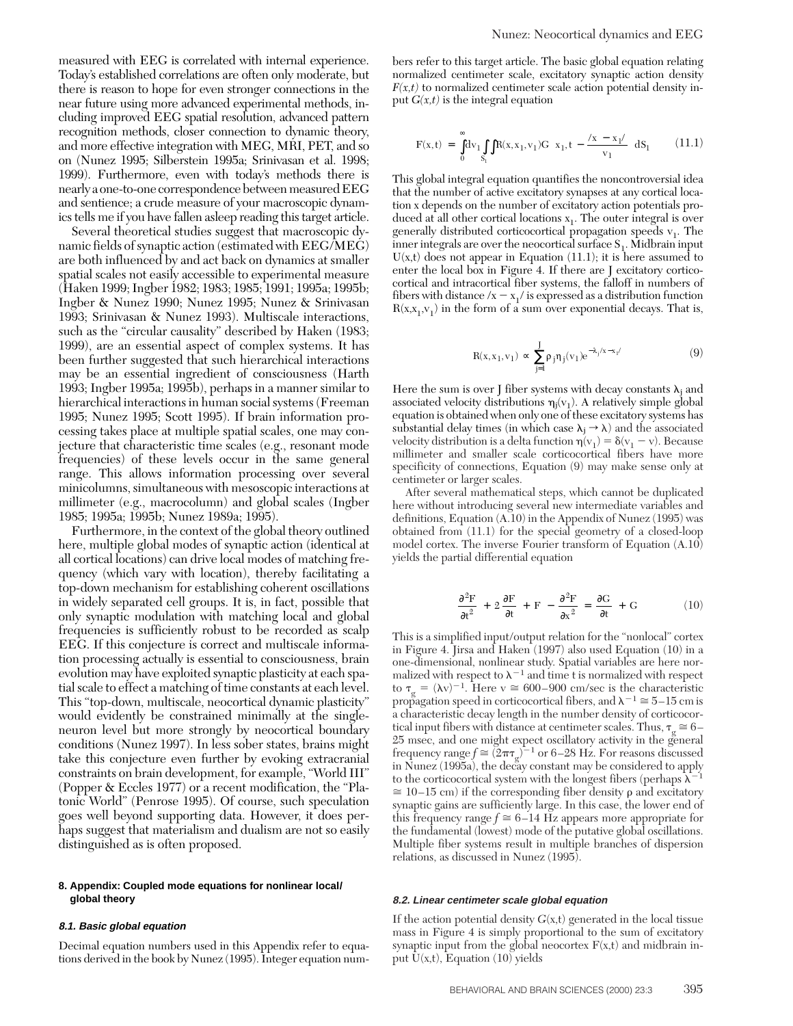measured with EEG is correlated with internal experience. Today's established correlations are often only moderate, but there is reason to hope for even stronger connections in the near future using more advanced experimental methods, including improved EEG spatial resolution, advanced pattern recognition methods, closer connection to dynamic theory, and more effective integration with MEG, MRI, PET, and so on (Nunez 1995; Silberstein 1995a; Srinivasan et al. 1998; 1999). Furthermore, even with today's methods there is nearly a one-to-one correspondence between measured EEG and sentience; a crude measure of your macroscopic dynamics tells me if you have fallen asleep reading this target article.

Several theoretical studies suggest that macroscopic dynamic fields of synaptic action (estimated with EEG/MEG) are both influenced by and act back on dynamics at smaller spatial scales not easily accessible to experimental measure (Haken 1999; Ingber 1982; 1983; 1985; 1991; 1995a; 1995b; Ingber & Nunez 1990; Nunez 1995; Nunez & Srinivasan 1993; Srinivasan & Nunez 1993). Multiscale interactions, such as the "circular causality" described by Haken (1983; 1999), are an essential aspect of complex systems. It has been further suggested that such hierarchical interactions may be an essential ingredient of consciousness (Harth 1993; Ingber 1995a; 1995b), perhaps in a manner similar to hierarchical interactions in human social systems (Freeman 1995; Nunez 1995; Scott 1995). If brain information processing takes place at multiple spatial scales, one may conjecture that characteristic time scales (e.g., resonant mode frequencies) of these levels occur in the same general range. This allows information processing over several minicolumns, simultaneous with mesoscopic interactions at millimeter (e.g., macrocolumn) and global scales (Ingber 1985; 1995a; 1995b; Nunez 1989a; 1995).

Furthermore, in the context of the global theory outlined here, multiple global modes of synaptic action (identical at all cortical locations) can drive local modes of matching frequency (which vary with location), thereby facilitating a top-down mechanism for establishing coherent oscillations in widely separated cell groups. It is, in fact, possible that only synaptic modulation with matching local and global frequencies is sufficiently robust to be recorded as scalp EEG. If this conjecture is correct and multiscale information processing actually is essential to consciousness, brain evolution may have exploited synaptic plasticity at each spatial scale to effect a matching of time constants at each level. This "top-down, multiscale, neocortical dynamic plasticity" would evidently be constrained minimally at the singleneuron level but more strongly by neocortical boundary conditions (Nunez 1997). In less sober states, brains might take this conjecture even further by evoking extracranial constraints on brain development, for example, "World III" (Popper & Eccles 1977) or a recent modification, the "Platonic World" (Penrose 1995). Of course, such speculation goes well beyond supporting data. However, it does perhaps suggest that materialism and dualism are not so easily distinguished as is often proposed.

#### **8. Appendix: Coupled mode equations for nonlinear local/ global theory**

#### **8.1. Basic global equation**

Decimal equation numbers used in this Appendix refer to equations derived in the book by Nunez (1995). Integer equation num-

bers refer to this target article. The basic global equation relating normalized centimeter scale, excitatory synaptic action density  $F(x,t)$  to normalized centimeter scale action potential density input  $G(x,t)$  is the integral equation

$$
F(x,t)\ =\ \int\limits_0^\infty dv_1 \! \int\limits_{S_1} F(x,x_1,v_1) G\!\left(x_1,t-\frac{ / x\, -\, x_1/}{v_1}\right)\! dS_1 \qquad \quad (11.1)
$$

This global integral equation quantifies the noncontroversial idea that the number of active excitatory synapses at any cortical location x depends on the number of excitatory action potentials produced at all other cortical locations  $x_1$ . The outer integral is over generally distributed corticocortical propagation speeds  $v_1$ . The inner integrals are over the neocortical surface  $S_1$ . Midbrain input  $U(x,t)$  does not appear in Equation (11.1); it is here assumed to enter the local box in Figure 4. If there are J excitatory corticocortical and intracortical fiber systems, the falloff in numbers of fibers with distance  $x - x_1 /$  is expressed as a distribution function  $R(x,x_1,v_1)$  in the form of a sum over exponential decays. That is,

$$
R(x, x_1, v_1) \propto \sum_{j=1}^{J} \rho_j \eta_j (v_1) e^{-\lambda_j / x - x_{1'}} \tag{9}
$$

Here the sum is over I fiber systems with decay constants  $\lambda_i$  and associated velocity distributions  $\eta_i(v_1)$ . A relatively simple global equation is obtained when only one of these excitatory systems has substantial delay times (in which case  $\lambda_i \rightarrow \lambda$ ) and the associated velocity distribution is a delta function  $\eta(v_1) = \delta(v_1 - v)$ . Because millimeter and smaller scale corticocortical fibers have more specificity of connections, Equation (9) may make sense only at centimeter or larger scales.

After several mathematical steps, which cannot be duplicated here without introducing several new intermediate variables and definitions, Equation (A.10) in the Appendix of Nunez (1995) was obtained from (11.1) for the special geometry of a closed-loop model cortex. The inverse Fourier transform of Equation (A.10) yields the partial differential equation

$$
\frac{\partial^2 F}{\partial t^2} + 2 \frac{\partial F}{\partial t} + F - \frac{\partial^2 F}{\partial x^2} = \frac{\partial G}{\partial t} + G \tag{10}
$$

This is a simplified input/output relation for the "nonlocal" cortex in Figure 4. Jirsa and Haken (1997) also used Equation (10) in a one-dimensional, nonlinear study. Spatial variables are here normalized with respect to  $\lambda^{-1}$  and time t is normalized with respect to  $\tau_g = (\lambda v)^{-1}$ . Here  $v \approx 600-900$  cm/sec is the characteristic propagation speed in corticocortical fibers, and  $\lambda^{-1} \approx 5-15$  cm is a characteristic decay length in the number density of corticocortical input fibers with distance at centimeter scales. Thus,  $\tau_a \approx 6-$ 25 msec, and one might expect oscillatory activity in the general frequency range  $f \approx (2\pi\tau_g)^{-1}$  or 6–28 Hz. For reasons discussed in Nunez (1995a), the decay constant may be considered to apply to the corticocortical system with the longest fibers (perhaps  $\lambda^{-1}$  $\approx$  10–15 cm) if the corresponding fiber density  $\rho$  and excitatory synaptic gains are sufficiently large. In this case, the lower end of this frequency range  $f \approx 6-14$  Hz appears more appropriate for the fundamental (lowest) mode of the putative global oscillations. Multiple fiber systems result in multiple branches of dispersion relations, as discussed in Nunez (1995).

#### **8.2. Linear centimeter scale global equation**

If the action potential density  $G(x,t)$  generated in the local tissue mass in Figure 4 is simply proportional to the sum of excitatory synaptic input from the global neocortex  $F(x,t)$  and midbrain input  $U(x,t)$ , Equation (10) yields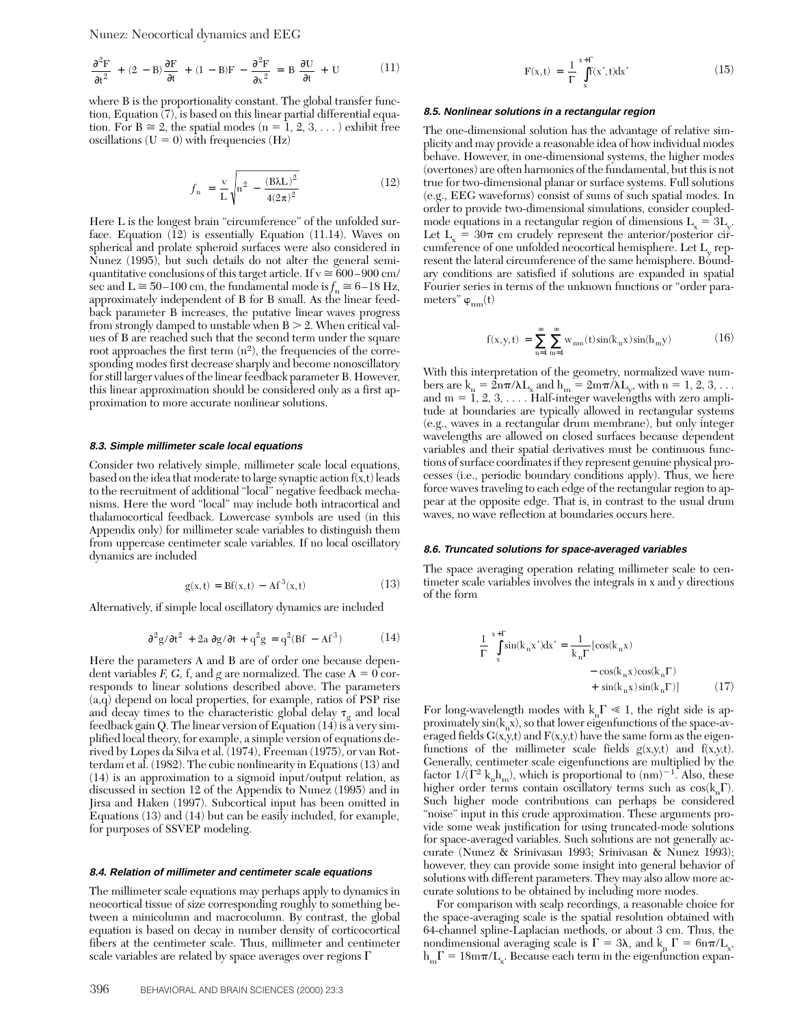Nunez: Neocortical dynamics and EEG

$$
\frac{\partial^2 F}{\partial t^2} + (2 - B)\frac{\partial F}{\partial t} + (1 - B)F - \frac{\partial^2 F}{\partial x^2} = B\left(\frac{\partial U}{\partial t} + U\right)
$$
 (11)

where B is the proportionality constant. The global transfer function, Equation  $(7)$ , is based on this linear partial differential equation. For  $B \cong 2$ , the spatial modes (n = 1, 2, 3, ...) exhibit free oscillations  $(U = 0)$  with frequencies  $(Hz)$ 

$$
f_{\rm n} = \frac{\rm v}{\rm L} \sqrt{n^2 - \frac{(B\lambda L)^2}{4(2\pi)^2}}
$$
 (12)

Here L is the longest brain "circumference" of the unfolded surface. Equation (12) is essentially Equation (11.14). Waves on spherical and prolate spheroid surfaces were also considered in Nunez (1995), but such details do not alter the general semiquantitative conclusions of this target article. If  $v \approx 600-900$  cm/ sec and  $L \approx 50-100$  cm, the fundamental mode is  $f_n \approx 6-18$  Hz, approximately independent of B for B small. As the linear feedback parameter B increases, the putative linear waves progress from strongly damped to unstable when  $B > 2$ . When critical values of B are reached such that the second term under the square root approaches the first term  $(n^2)$ , the frequencies of the corresponding modes first decrease sharply and become nonoscillatory for still larger values of the linear feedback parameter B. However, this linear approximation should be considered only as a first approximation to more accurate nonlinear solutions.

#### **8.3. Simple millimeter scale local equations**

Consider two relatively simple, millimeter scale local equations, based on the idea that moderate to large synaptic action f(x,t) leads to the recruitment of additional "local" negative feedback mechanisms. Here the word "local" may include both intracortical and thalamocortical feedback. Lowercase symbols are used (in this Appendix only) for millimeter scale variables to distinguish them from uppercase centimeter scale variables. If no local oscillatory dynamics are included

$$
g(x,t) = Bf(x,t) - Af^3(x,t)
$$
 (13)

Alternatively, if simple local oscillatory dynamics are included

$$
\partial^2 g / \partial t^2 + 2a \partial g / \partial t + q^2 g = q^2 (Bf - Af^3)
$$
 (14)

Here the parameters A and B are of order one because dependent variables *F*, *G*, *f*, and *g* are normalized. The case  $A = 0$  corresponds to linear solutions described above. The parameters (a,q) depend on local properties, for example, ratios of PSP rise and decay times to the characteristic global delay  $\tau_g$  and local feedback gain Q. The linear version of Equation (14) is a very simplified local theory, for example, a simple version of equations derived by Lopes da Silva et al. (1974), Freeman (1975), or van Rotterdam et al. (1982). The cubic nonlinearity in Equations (13) and (14) is an approximation to a sigmoid input/output relation, as discussed in section 12 of the Appendix to Nunez (1995) and in Jirsa and Haken (1997). Subcortical input has been omitted in Equations (13) and (14) but can be easily included, for example, for purposes of SSVEP modeling.

#### **8.4. Relation of millimeter and centimeter scale equations**

The millimeter scale equations may perhaps apply to dynamics in neocortical tissue of size corresponding roughly to something between a minicolumn and macrocolumn. By contrast, the global equation is based on decay in number density of corticocortical fibers at the centimeter scale. Thus, millimeter and centimeter scale variables are related by space averages over regions  $\Gamma$ 

$$
F(x,t) = \frac{1}{\Gamma} \int_{x}^{x+\Gamma} f(x',t) dx'
$$
 (15)

#### **8.5. Nonlinear solutions in a rectangular region**

The one-dimensional solution has the advantage of relative simplicity and may provide a reasonable idea of how individual modes behave. However, in one-dimensional systems, the higher modes (overtones) are often harmonics of the fundamental, but this is not true for two-dimensional planar or surface systems. Full solutions (e.g., EEG waveforms) consist of sums of such spatial modes. In order to provide two-dimensional simulations, consider coupledmode equations in a rectangular region of dimensions  $L_x = 3L_y$ . Let  $L<sub>x</sub> = 30\pi$  cm crudely represent the anterior/posterior circumference of one unfolded neocortical hemisphere. Let  $L_{y}$  represent the lateral circumference of the same hemisphere. Boundary conditions are satisfied if solutions are expanded in spatial Fourier series in terms of the unknown functions or "order parameters"  $\varphi_{nm}(t)$ 

$$
f(x,y,t)\ =\ \sum_{n=1}^\infty\sum_{m=1}^\infty w_{nm}(t)\sin(k_nx)\sin(h_my)\qquad \qquad (16)
$$

With this interpretation of the geometry, normalized wave numbers are  $k_n = 2n\pi/\lambda L_x$  and  $h_m = 2m\pi/\lambda L_y$ , with  $n = 1, 2, 3, ...$ and  $m = 1, 2, 3, \ldots$ . Half-integer wavelengths with zero amplitude at boundaries are typically allowed in rectangular systems (e.g., waves in a rectangular drum membrane), but only integer wavelengths are allowed on closed surfaces because dependent variables and their spatial derivatives must be continuous functions of surface coordinates if they represent genuine physical processes (i.e., periodic boundary conditions apply). Thus, we here force waves traveling to each edge of the rectangular region to appear at the opposite edge. That is, in contrast to the usual drum waves, no wave reflection at boundaries occurs here.

#### **8.6. Truncated solutions for space-averaged variables**

The space averaging operation relating millimeter scale to centimeter scale variables involves the integrals in x and y directions of the form

$$
\frac{1}{\Gamma} \sum_{x}^{x+\Gamma} \sin(k_n x') dx' = \frac{1}{k_n \Gamma} [\cos(k_n x) - \cos(k_n x) \cos(k_n \Gamma) + \sin(k_n x) \sin(k_n \Gamma)] \tag{17}
$$

For long-wavelength modes with  $k_n \Gamma \ll 1$ , the right side is approximately  $sin(k_n x)$ , so that lower eigenfunctions of the space-averaged fields  $G(x,y,t)$  and  $F(x,y,t)$  have the same form as the eigenfunctions of the millimeter scale fields *g*(x,y,t) and f(x,y,t). Generally, centimeter scale eigenfunctions are multiplied by the factor  $1/(\Gamma^2 k_n h_m)$ , which is proportional to  $(nm)^{-1}$ . Also, these higher order terms contain oscillatory terms such as  $cos(k_n\Gamma)$ . Such higher mode contributions can perhaps be considered "noise" input in this crude approximation. These arguments provide some weak justification for using truncated-mode solutions for space-averaged variables. Such solutions are not generally accurate (Nunez & Srinivasan 1993; Srinivasan & Nunez 1993); however, they can provide some insight into general behavior of solutions with different parameters. They may also allow more accurate solutions to be obtained by including more modes.

For comparison with scalp recordings, a reasonable choice for the space-averaging scale is the spatial resolution obtained with 64-channel spline-Laplacian methods, or about 3 cm. Thus, the nondimensional averaging scale is  $\Gamma = 3\lambda$ , and  $k_n \Gamma = 6n\pi/L_x$ ,  $h_{\rm m}\Gamma = 18$ m $\pi/L_{\rm x}$ . Because each term in the eigenfunction expan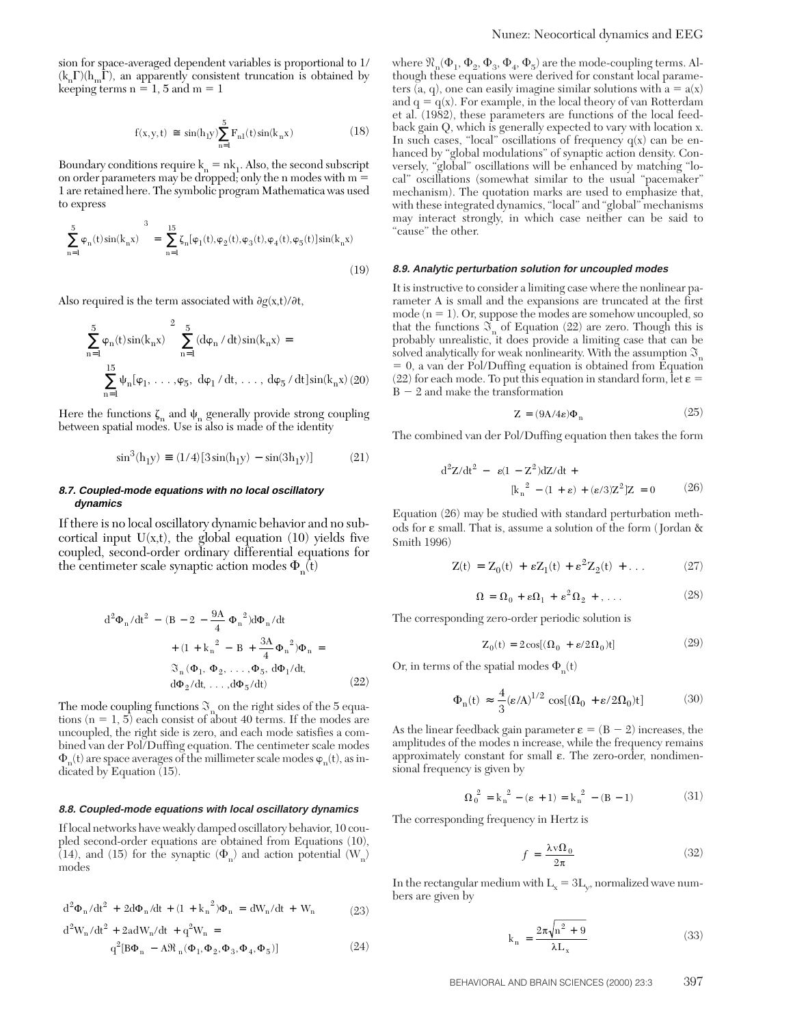sion for space-averaged dependent variables is proportional to 1/  $(k_n\Gamma)(h_m\Gamma)$ , an apparently consistent truncation is obtained by keeping terms  $n = 1, 5$  and  $m = 1$ 

$$
f(x,y,t)\;\cong\;\sin(h_1y)\underset{n=1}{\overset{5}{\sum}}F_{n1}(t)\sin(k_nx)\qquad \qquad (18)
$$

Boundary conditions require  $k_n = nk_1$ . Also, the second subscript on order parameters may be dropped; only the n modes with  $m =$ 1 are retained here. The symbolic program Mathematica was used to express

$$
\left[\sum_{n=1}^{5} \varphi_n(t) \sin(k_n x)\right]^3 = \sum_{n=1}^{15} \zeta_n[\varphi_1(t), \varphi_2(t), \varphi_3(t), \varphi_4(t), \varphi_5(t)] \sin(k_n x)
$$
\n(19)

Also required is the term associated with  $\partial g(x,t)/\partial t$ ,

$$
\left[\sum_{n=1}^{5} \varphi_n(t) \sin(k_n x)\right]^2 \sum_{n=1}^{5} (d\varphi_n / dt) \sin(k_n x) =
$$
  

$$
\sum_{n=1}^{15} \psi_n[\varphi_1, \dots, \varphi_5, d\varphi_1 / dt, \dots, d\varphi_5 / dt] \sin(k_n x) (20)
$$

Here the functions  $\zeta_n$  and  $\psi_n$  generally provide strong coupling between spatial modes. Use is also is made of the identity

$$
\sin^3(h_1 y) = (1/4)[3\sin(h_1 y) - \sin(3h_1 y)] \tag{21}
$$

## **8.7. Coupled-mode equations with no local oscillatory dynamics**

If there is no local oscillatory dynamic behavior and no subcortical input  $U(x,t)$ , the global equation (10) yields five coupled, second-order ordinary differential equations for the centimeter scale synaptic action modes  $\Phi_{n}(t)$ 

$$
d^2 \Phi_n / dt^2 - (B - 2 - \frac{9A}{4} \Phi_n^2) d\Phi_n / dt
$$
  
+ 
$$
(1 + k_n^2 - B + \frac{3A}{4} \Phi_n^2) \Phi_n =
$$
  

$$
\mathfrak{I}_n(\Phi_1, \Phi_2, \dots, \Phi_5, d\Phi_1 / dt,
$$
  

$$
d\Phi_2 / dt, \dots, d\Phi_5 / dt)
$$
 (22)

The mode coupling functions  $\mathfrak{S}_n$  on the right sides of the 5 equations  $(n = 1, 5)$  each consist of about 40 terms. If the modes are uncoupled, the right side is zero, and each mode satisfies a combined van der Pol/Duffing equation. The centimeter scale modes  $\Phi_n(t)$  are space averages of the millimeter scale modes  $\varphi_n(t)$ , as indicated by Equation (15).

#### **8.8. Coupled-mode equations with local oscillatory dynamics**

If local networks have weakly damped oscillatory behavior, 10 coupled second-order equations are obtained from Equations (10), (14), and (15) for the synaptic  $(\Phi_n)$  and action potential  $(W_n)$ modes

$$
d^{2}\Phi_{n}/dt^{2} + 2d\Phi_{n}/dt + (1 + k_{n}^{2})\Phi_{n} = dW_{n}/dt + W_{n}
$$
 (23)

$$
d^2W_n/dt^2 + 2adW_n/dt + q^2W_n =
$$
  
 
$$
q^2[B\Phi_n - A\Re_n(\Phi_1, \Phi_2, \Phi_3, \Phi_4, \Phi_5)]
$$
 (24)

where  $\mathfrak{N}_{n}(\Phi_{1}, \Phi_{2}, \Phi_{3}, \Phi_{4}, \Phi_{5})$  are the mode-coupling terms. Although these equations were derived for constant local parameters (a, q), one can easily imagine similar solutions with  $a = a(x)$ and  $q = q(x)$ . For example, in the local theory of van Rotterdam et al. (1982), these parameters are functions of the local feedback gain Q, which is generally expected to vary with location x. In such cases, "local" oscillations of frequency  $q(x)$  can be enhanced by "global modulations" of synaptic action density. Conversely, "global" oscillations will be enhanced by matching "local" oscillations (somewhat similar to the usual "pacemaker" mechanism). The quotation marks are used to emphasize that, with these integrated dynamics, "local" and "global" mechanisms may interact strongly, in which case neither can be said to "cause" the other.

#### **8.9. Analytic perturbation solution for uncoupled modes**

It is instructive to consider a limiting case where the nonlinear parameter A is small and the expansions are truncated at the first mode  $(n = 1)$ . Or, suppose the modes are somehow uncoupled, so that the functions  $\mathfrak{S}_{\mathbf{n}}$  of Equation (22) are zero. Though this is probably unrealistic, it does provide a limiting case that can be solved analytically for weak nonlinearity. With the assumption  $\mathfrak{S}_n$  $= 0$ , a van der Pol/Duffing equation is obtained from Equation (22) for each mode. To put this equation in standard form, let  $\varepsilon =$  $B - 2$  and make the transformation

$$
Z = (9A/4\varepsilon)\Phi_n \tag{25}
$$

The combined van der Pol/Duffing equation then takes the form

$$
d^{2}Z/dt^{2} - \varepsilon(1 - Z^{2})dZ/dt +
$$
  
[k<sub>n</sub><sup>2</sup> - (1 + \varepsilon) + (\varepsilon/3)Z^{2}]Z = 0 \t(26)

Equation (26) may be studied with standard perturbation methods for e small. That is, assume a solution of the form (Jordan & Smith 1996)

$$
Z(t) = Z_0(t) + \varepsilon Z_1(t) + \varepsilon^2 Z_2(t) + \dots \qquad (27)
$$

$$
\Omega = \Omega_0 + \varepsilon \Omega_1 + \varepsilon^2 \Omega_2 + \dots \tag{28}
$$

The corresponding zero-order periodic solution is

$$
Z_0(t) = 2\cos[(\Omega_0 + \varepsilon/2\Omega_0)t] \eqno(29)
$$

Or, in terms of the spatial modes  $\Phi_n(t)$ 

$$
\Phi_{\rm n}(\mathbf{t}) \approx \frac{4}{3} (\varepsilon / \mathbf{A})^{1/2} \cos[(\Omega_0 + \varepsilon / 2\Omega_0)\mathbf{t}] \tag{30}
$$

As the linear feedback gain parameter  $\varepsilon = (B - 2)$  increases, the amplitudes of the modes n increase, while the frequency remains approximately constant for small e. The zero-order, nondimensional frequency is given by

$$
\Omega_0^2 = k_n^2 - (\varepsilon + 1) = k_n^2 - (B - 1)
$$
 (31)

The corresponding frequency in Hertz is

$$
f = \frac{\lambda \mathbf{v} \Omega_0}{2\pi} \tag{32}
$$

In the rectangular medium with  $L_x = 3L_y$ , normalized wave numbers are given by

$$
k_n = \frac{2\pi\sqrt{n^2 + 9}}{\lambda L_x} \tag{33}
$$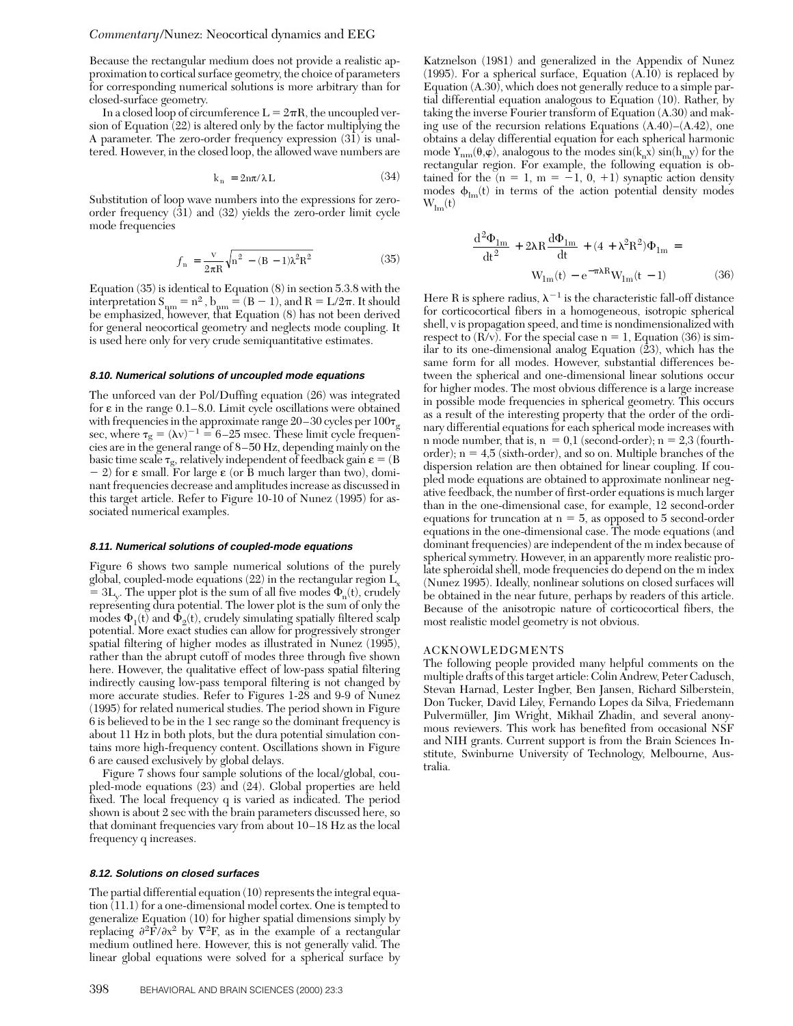## *Commentary/*Nunez: Neocortical dynamics and EEG

Because the rectangular medium does not provide a realistic approximation to cortical surface geometry, the choice of parameters for corresponding numerical solutions is more arbitrary than for closed-surface geometry.

In a closed loop of circumference  $L = 2\pi R$ , the uncoupled version of Equation  $(22)$  is altered only by the factor multiplying the A parameter. The zero-order frequency expression (31) is unaltered. However, in the closed loop, the allowed wave numbers are

$$
k_n = 2n\pi/\lambda L \tag{34}
$$

Substitution of loop wave numbers into the expressions for zeroorder frequency (31) and (32) yields the zero-order limit cycle mode frequencies

$$
f_{\rm n} = \frac{\rm v}{2\pi R} \sqrt{{\rm n}^2 - (B - 1)\lambda^2 R^2}
$$
 (35)

Equation (35) is identical to Equation (8) in section 5.3.8 with the interpretation  $S_{nm} = n^2$ ,  $b_{nm} = (B - 1)$ , and  $R = L/2\pi$ . It should be emphasized, however, that Equation (8) has not been derived for general neocortical geometry and neglects mode coupling. It is used here only for very crude semiquantitative estimates.

#### **8.10. Numerical solutions of uncoupled mode equations**

The unforced van der Pol/Duffing equation (26) was integrated for  $\varepsilon$  in the range 0.1–8.0. Limit cycle oscillations were obtained with frequencies in the approximate range 20–30 cycles per  $100\tau_{\sigma}$ sec, where  $\tau_g = (\lambda v)^{-1} = 6-25$  msec. These limit cycle frequencies are in the general range of 8–50 Hz, depending mainly on the basic time scale  $\tau_g$ , relatively independent of feedback gain  $\varepsilon = (B \cdot \tau_g)$  $-2$ ) for  $\varepsilon$  small. For large  $\varepsilon$  (or B much larger than two), dominant frequencies decrease and amplitudes increase as discussed in this target article. Refer to Figure 10-10 of Nunez (1995) for associated numerical examples.

#### **8.11. Numerical solutions of coupled-mode equations**

Figure 6 shows two sample numerical solutions of the purely global, coupled-mode equations (22) in the rectangular region  $L_{x}$ =  $3L_y$ . The upper plot is the sum of all five modes  $\Phi_n(t)$ , crudely representing dura potential. The lower plot is the sum of only the modes  $\Phi_1(t)$  and  $\Phi_2(t)$ , crudely simulating spatially filtered scalp potential. More exact studies can allow for progressively stronger spatial filtering of higher modes as illustrated in Nunez (1995), rather than the abrupt cutoff of modes three through five shown here. However, the qualitative effect of low-pass spatial filtering indirectly causing low-pass temporal filtering is not changed by more accurate studies. Refer to Figures 1-28 and 9-9 of Nunez (1995) for related numerical studies. The period shown in Figure 6 is believed to be in the 1 sec range so the dominant frequency is about 11 Hz in both plots, but the dura potential simulation contains more high-frequency content. Oscillations shown in Figure 6 are caused exclusively by global delays.

Figure 7 shows four sample solutions of the local/global, coupled-mode equations (23) and (24). Global properties are held fixed. The local frequency q is varied as indicated. The period shown is about 2 sec with the brain parameters discussed here, so that dominant frequencies vary from about 10–18 Hz as the local frequency q increases.

#### **8.12. Solutions on closed surfaces**

The partial differential equation (10) represents the integral equation (11.1) for a one-dimensional model cortex. One is tempted to generalize Equation (10) for higher spatial dimensions simply by replacing  $\partial^2 \vec{F}/\partial x^2$  by  $\nabla^2 F$ , as in the example of a rectangular medium outlined here. However, this is not generally valid. The linear global equations were solved for a spherical surface by

Katznelson (1981) and generalized in the Appendix of Nunez (1995). For a spherical surface, Equation (A.10) is replaced by Equation (A.30), which does not generally reduce to a simple partial differential equation analogous to Equation (10). Rather, by taking the inverse Fourier transform of Equation (A.30) and making use of the recursion relations Equations (A.40)–(A.42), one obtains a delay differential equation for each spherical harmonic mode  $Y_{nm}(\theta,\varphi)$ , analogous to the modes  $sin(k_n x) sin(h_m y)$  for the rectangular region. For example, the following equation is obtained for the  $(n = 1, m = -1, 0, +1)$  synaptic action density modes  $\phi_{lm}(t)$  in terms of the action potential density modes  $W_{lm}(t)$ 

$$
\frac{\mathrm{d}^2 \Phi_{1m}}{\mathrm{dt}^2} + 2\lambda R \frac{\mathrm{d}\Phi_{1m}}{\mathrm{dt}} + (4 + \lambda^2 R^2) \Phi_{1m} =
$$
  
W<sub>1m</sub>(t) – e<sup>- $\pi$ \lambda R</sup>W<sub>1m</sub>(t – 1) (36)

Here R is sphere radius,  $\lambda^{-1}$  is the characteristic fall-off distance for corticocortical fibers in a homogeneous, isotropic spherical shell, v is propagation speed, and time is nondimensionalized with respect to  $(R/v)$ . For the special case  $n = 1$ , Equation (36) is similar to its one-dimensional analog Equation (23), which has the same form for all modes. However, substantial differences between the spherical and one-dimensional linear solutions occur for higher modes. The most obvious difference is a large increase in possible mode frequencies in spherical geometry. This occurs as a result of the interesting property that the order of the ordinary differential equations for each spherical mode increases with n mode number, that is,  $n = 0,1$  (second-order);  $n = 2,3$  (fourthorder);  $n = 4.5$  (sixth-order), and so on. Multiple branches of the dispersion relation are then obtained for linear coupling. If coupled mode equations are obtained to approximate nonlinear negative feedback, the number of first-order equations is much larger than in the one-dimensional case, for example, 12 second-order equations for truncation at  $n = 5$ , as opposed to 5 second-order equations in the one-dimensional case. The mode equations (and dominant frequencies) are independent of the m index because of spherical symmetry. However, in an apparently more realistic prolate spheroidal shell, mode frequencies do depend on the m index (Nunez 1995). Ideally, nonlinear solutions on closed surfaces will be obtained in the near future, perhaps by readers of this article. Because of the anisotropic nature of corticocortical fibers, the most realistic model geometry is not obvious.

#### ACKNOWLEDGMENTS

The following people provided many helpful comments on the multiple drafts of this target article: Colin Andrew, Peter Cadusch, Stevan Harnad, Lester Ingber, Ben Jansen, Richard Silberstein, Don Tucker, David Liley, Fernando Lopes da Silva, Friedemann Pulvermüller, Jim Wright, Mikhail Zhadin, and several anonymous reviewers. This work has benefited from occasional NSF and NIH grants. Current support is from the Brain Sciences Institute, Swinburne University of Technology, Melbourne, Australia.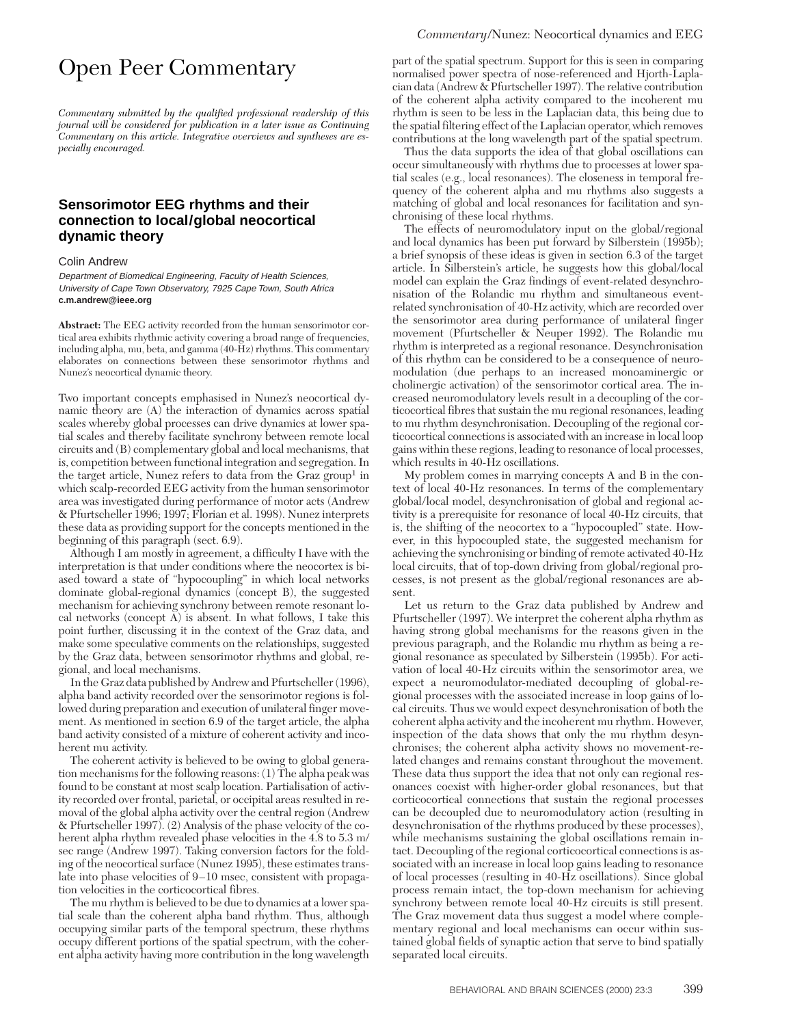## Open Peer Commentary

*Commentary submitted by the qualified professional readership of this journal will be considered for publication in a later issue as Continuing Commentary on this article. Integrative overviews and syntheses are especially encouraged.*

## **Sensorimotor EEG rhythms and their connection to local/global neocortical dynamic theory**

#### Colin Andrew

Department of Biomedical Engineering, Faculty of Health Sciences, University of Cape Town Observatory, 7925 Cape Town, South Africa **c.m.andrew@ieee.org**

**Abstract:** The EEG activity recorded from the human sensorimotor cortical area exhibits rhythmic activity covering a broad range of frequencies, including alpha, mu, beta, and gamma (40-Hz) rhythms. This commentary elaborates on connections between these sensorimotor rhythms and Nunez's neocortical dynamic theory.

Two important concepts emphasised in Nunez's neocortical dynamic theory are (A) the interaction of dynamics across spatial scales whereby global processes can drive dynamics at lower spatial scales and thereby facilitate synchrony between remote local circuits and (B) complementary global and local mechanisms, that is, competition between functional integration and segregation. In the target article, Nunez refers to data from the Graz group<sup>1</sup> in which scalp-recorded EEG activity from the human sensorimotor area was investigated during performance of motor acts (Andrew & Pfurtscheller 1996; 1997; Florian et al. 1998). Nunez interprets these data as providing support for the concepts mentioned in the beginning of this paragraph (sect. 6.9).

Although I am mostly in agreement, a difficulty I have with the interpretation is that under conditions where the neocortex is biased toward a state of "hypocoupling" in which local networks dominate global-regional dynamics (concept B), the suggested mechanism for achieving synchrony between remote resonant local networks (concept  $\overline{A}$ ) is absent. In what follows, I take this point further, discussing it in the context of the Graz data, and make some speculative comments on the relationships, suggested by the Graz data, between sensorimotor rhythms and global, regional, and local mechanisms.

In the Graz data published by Andrew and Pfurtscheller (1996), alpha band activity recorded over the sensorimotor regions is followed during preparation and execution of unilateral finger movement. As mentioned in section 6.9 of the target article, the alpha band activity consisted of a mixture of coherent activity and incoherent mu activity.

The coherent activity is believed to be owing to global generation mechanisms for the following reasons: (1) The alpha peak was found to be constant at most scalp location. Partialisation of activity recorded over frontal, parietal, or occipital areas resulted in removal of the global alpha activity over the central region (Andrew & Pfurtscheller 1997). (2) Analysis of the phase velocity of the coherent alpha rhythm revealed phase velocities in the 4.8 to 5.3 m/ sec range (Andrew 1997). Taking conversion factors for the folding of the neocortical surface (Nunez 1995), these estimates translate into phase velocities of 9–10 msec, consistent with propagation velocities in the corticocortical fibres.

The mu rhythm is believed to be due to dynamics at a lower spatial scale than the coherent alpha band rhythm. Thus, although occupying similar parts of the temporal spectrum, these rhythms occupy different portions of the spatial spectrum, with the coherent alpha activity having more contribution in the long wavelength

part of the spatial spectrum. Support for this is seen in comparing normalised power spectra of nose-referenced and Hjorth-Laplacian data (Andrew & Pfurtscheller 1997). The relative contribution of the coherent alpha activity compared to the incoherent mu rhythm is seen to be less in the Laplacian data, this being due to the spatial filtering effect of the Laplacian operator, which removes contributions at the long wavelength part of the spatial spectrum.

Thus the data supports the idea of that global oscillations can occur simultaneously with rhythms due to processes at lower spatial scales (e.g., local resonances). The closeness in temporal frequency of the coherent alpha and mu rhythms also suggests a matching of global and local resonances for facilitation and synchronising of these local rhythms.

The effects of neuromodulatory input on the global/regional and local dynamics has been put forward by Silberstein (1995b); a brief synopsis of these ideas is given in section 6.3 of the target article. In Silberstein's article, he suggests how this global/local model can explain the Graz findings of event-related desynchronisation of the Rolandic mu rhythm and simultaneous eventrelated synchronisation of 40-Hz activity, which are recorded over the sensorimotor area during performance of unilateral finger movement (Pfurtscheller & Neuper 1992). The Rolandic mu rhythm is interpreted as a regional resonance. Desynchronisation of this rhythm can be considered to be a consequence of neuromodulation (due perhaps to an increased monoaminergic or cholinergic activation) of the sensorimotor cortical area. The increased neuromodulatory levels result in a decoupling of the corticocortical fibres that sustain the mu regional resonances, leading to mu rhythm desynchronisation. Decoupling of the regional corticocortical connections is associated with an increase in local loop gains within these regions, leading to resonance of local processes, which results in 40-Hz oscillations.

My problem comes in marrying concepts A and B in the context of local 40-Hz resonances. In terms of the complementary global/local model, desynchronisation of global and regional activity is a prerequisite for resonance of local 40-Hz circuits, that is, the shifting of the neocortex to a "hypocoupled" state. However, in this hypocoupled state, the suggested mechanism for achieving the synchronising or binding of remote activated 40-Hz local circuits, that of top-down driving from global/regional processes, is not present as the global/regional resonances are absent.

Let us return to the Graz data published by Andrew and Pfurtscheller (1997). We interpret the coherent alpha rhythm as having strong global mechanisms for the reasons given in the previous paragraph, and the Rolandic mu rhythm as being a regional resonance as speculated by Silberstein (1995b). For activation of local 40-Hz circuits within the sensorimotor area, we expect a neuromodulator-mediated decoupling of global-regional processes with the associated increase in loop gains of local circuits. Thus we would expect desynchronisation of both the coherent alpha activity and the incoherent mu rhythm. However, inspection of the data shows that only the mu rhythm desynchronises; the coherent alpha activity shows no movement-related changes and remains constant throughout the movement. These data thus support the idea that not only can regional resonances coexist with higher-order global resonances, but that corticocortical connections that sustain the regional processes can be decoupled due to neuromodulatory action (resulting in desynchronisation of the rhythms produced by these processes), while mechanisms sustaining the global oscillations remain intact. Decoupling of the regional corticocortical connections is associated with an increase in local loop gains leading to resonance of local processes (resulting in 40-Hz oscillations). Since global process remain intact, the top-down mechanism for achieving synchrony between remote local 40-Hz circuits is still present. The Graz movement data thus suggest a model where complementary regional and local mechanisms can occur within sustained global fields of synaptic action that serve to bind spatially separated local circuits.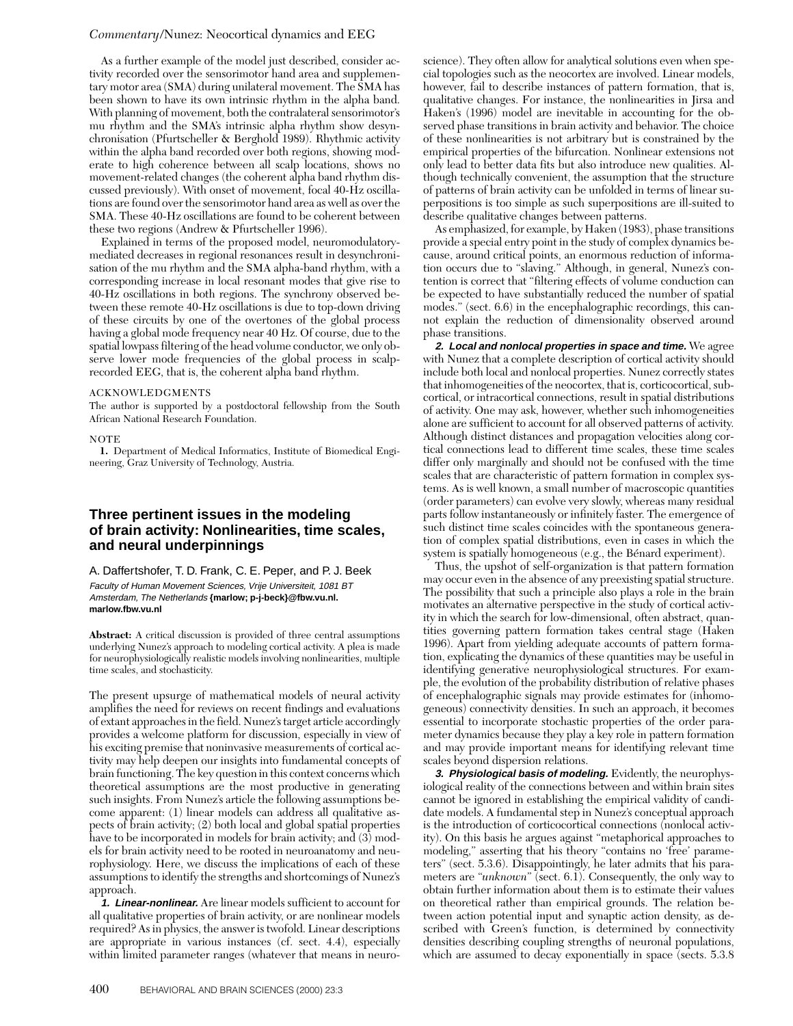## *Commentary/*Nunez: Neocortical dynamics and EEG

As a further example of the model just described, consider activity recorded over the sensorimotor hand area and supplementary motor area (SMA) during unilateral movement. The SMA has been shown to have its own intrinsic rhythm in the alpha band. With planning of movement, both the contralateral sensorimotor's mu rhythm and the SMA's intrinsic alpha rhythm show desynchronisation (Pfurtscheller & Berghold 1989). Rhythmic activity within the alpha band recorded over both regions, showing moderate to high coherence between all scalp locations, shows no movement-related changes (the coherent alpha band rhythm discussed previously). With onset of movement, focal 40-Hz oscillations are found over the sensorimotor hand area as well as over the SMA. These 40-Hz oscillations are found to be coherent between these two regions (Andrew & Pfurtscheller 1996).

Explained in terms of the proposed model, neuromodulatorymediated decreases in regional resonances result in desynchronisation of the mu rhythm and the SMA alpha-band rhythm, with a corresponding increase in local resonant modes that give rise to 40-Hz oscillations in both regions. The synchrony observed between these remote 40-Hz oscillations is due to top-down driving of these circuits by one of the overtones of the global process having a global mode frequency near 40 Hz. Of course, due to the spatial lowpass filtering of the head volume conductor, we only observe lower mode frequencies of the global process in scalprecorded EEG, that is, the coherent alpha band rhythm.

#### ACKNOWLEDGMENTS

The author is supported by a postdoctoral fellowship from the South African National Research Foundation.

#### **NOTE**

**1.** Department of Medical Informatics, Institute of Biomedical Engineering, Graz University of Technology, Austria.

## **Three pertinent issues in the modeling of brain activity: Nonlinearities, time scales, and neural underpinnings**

A. Daffertshofer, T. D. Frank, C. E. Peper, and P. J. Beek Faculty of Human Movement Sciences, Vrije Universiteit, 1081 BT Amsterdam, The Netherlands **{marlow; p-j-beck}@fbw.vu.nl. marlow.fbw.vu.nl**

**Abstract:** A critical discussion is provided of three central assumptions underlying Nunez's approach to modeling cortical activity. A plea is made for neurophysiologically realistic models involving nonlinearities, multiple time scales, and stochasticity.

The present upsurge of mathematical models of neural activity amplifies the need for reviews on recent findings and evaluations of extant approaches in the field. Nunez's target article accordingly provides a welcome platform for discussion, especially in view of his exciting premise that noninvasive measurements of cortical activity may help deepen our insights into fundamental concepts of brain functioning. The key question in this context concerns which theoretical assumptions are the most productive in generating such insights. From Nunez's article the following assumptions become apparent: (1) linear models can address all qualitative aspects of brain activity; (2) both local and global spatial properties have to be incorporated in models for brain activity; and (3) models for brain activity need to be rooted in neuroanatomy and neurophysiology. Here, we discuss the implications of each of these assumptions to identify the strengths and shortcomings of Nunez's approach.

**1. Linear-nonlinear.** Are linear models sufficient to account for all qualitative properties of brain activity, or are nonlinear models required? As in physics, the answer is twofold. Linear descriptions are appropriate in various instances (cf. sect. 4.4), especially within limited parameter ranges (whatever that means in neuroscience). They often allow for analytical solutions even when special topologies such as the neocortex are involved. Linear models, however, fail to describe instances of pattern formation, that is, qualitative changes. For instance, the nonlinearities in Jirsa and Haken's (1996) model are inevitable in accounting for the observed phase transitions in brain activity and behavior. The choice of these nonlinearities is not arbitrary but is constrained by the empirical properties of the bifurcation. Nonlinear extensions not only lead to better data fits but also introduce new qualities. Although technically convenient, the assumption that the structure of patterns of brain activity can be unfolded in terms of linear superpositions is too simple as such superpositions are ill-suited to describe qualitative changes between patterns.

As emphasized, for example, by Haken (1983), phase transitions provide a special entry point in the study of complex dynamics because, around critical points, an enormous reduction of information occurs due to "slaving." Although, in general, Nunez's contention is correct that "filtering effects of volume conduction can be expected to have substantially reduced the number of spatial modes." (sect. 6.6) in the encephalographic recordings, this cannot explain the reduction of dimensionality observed around phase transitions.

**2. Local and nonlocal properties in space and time.** We agree with Nunez that a complete description of cortical activity should include both local and nonlocal properties. Nunez correctly states that inhomogeneities of the neocortex, that is, corticocortical, subcortical, or intracortical connections, result in spatial distributions of activity. One may ask, however, whether such inhomogeneities alone are sufficient to account for all observed patterns of activity. Although distinct distances and propagation velocities along cortical connections lead to different time scales, these time scales differ only marginally and should not be confused with the time scales that are characteristic of pattern formation in complex systems. As is well known, a small number of macroscopic quantities (order parameters) can evolve very slowly, whereas many residual parts follow instantaneously or infinitely faster. The emergence of such distinct time scales coincides with the spontaneous generation of complex spatial distributions, even in cases in which the system is spatially homogeneous (e.g., the Bénard experiment).

Thus, the upshot of self-organization is that pattern formation may occur even in the absence of any preexisting spatial structure. The possibility that such a principle also plays a role in the brain motivates an alternative perspective in the study of cortical activity in which the search for low-dimensional, often abstract, quantities governing pattern formation takes central stage (Haken 1996). Apart from yielding adequate accounts of pattern formation, explicating the dynamics of these quantities may be useful in identifying generative neurophysiological structures. For example, the evolution of the probability distribution of relative phases of encephalographic signals may provide estimates for (inhomogeneous) connectivity densities. In such an approach, it becomes essential to incorporate stochastic properties of the order parameter dynamics because they play a key role in pattern formation and may provide important means for identifying relevant time scales beyond dispersion relations.

**3. Physiological basis of modeling.** Evidently, the neurophysiological reality of the connections between and within brain sites cannot be ignored in establishing the empirical validity of candidate models. A fundamental step in Nunez's conceptual approach is the introduction of corticocortical connections (nonlocal activity). On this basis he argues against "metaphorical approaches to modeling," asserting that his theory "contains no 'free' parameters" (sect. 5.3.6). Disappointingly, he later admits that his parameters are "*unknown*" (sect. 6.1). Consequently, the only way to obtain further information about them is to estimate their values on theoretical rather than empirical grounds. The relation between action potential input and synaptic action density, as described with Green's function, is determined by connectivity densities describing coupling strengths of neuronal populations, which are assumed to decay exponentially in space (sects. 5.3.8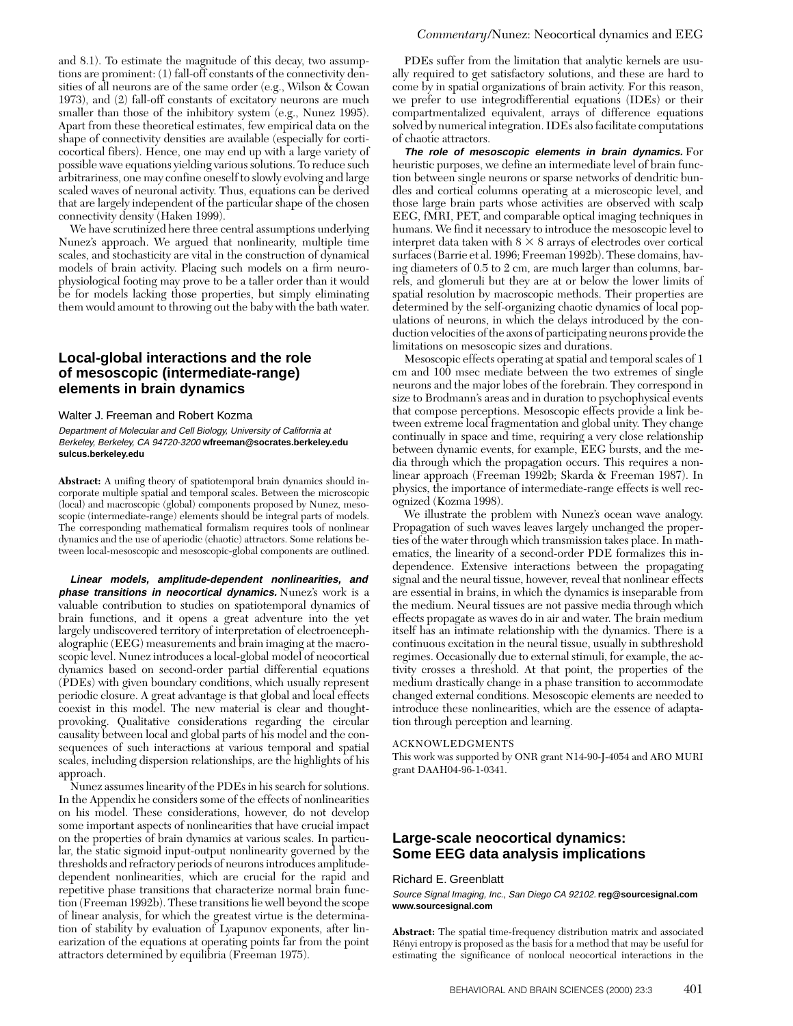and 8.1). To estimate the magnitude of this decay, two assumptions are prominent: (1) fall-off constants of the connectivity densities of all neurons are of the same order (e.g., Wilson & Cowan 1973), and (2) fall-off constants of excitatory neurons are much smaller than those of the inhibitory system (e.g., Nunez 1995). Apart from these theoretical estimates, few empirical data on the shape of connectivity densities are available (especially for corticocortical fibers). Hence, one may end up with a large variety of possible wave equations yielding various solutions. To reduce such arbitrariness, one may confine oneself to slowly evolving and large scaled waves of neuronal activity. Thus, equations can be derived that are largely independent of the particular shape of the chosen connectivity density (Haken 1999).

We have scrutinized here three central assumptions underlying Nunez's approach. We argued that nonlinearity, multiple time scales, and stochasticity are vital in the construction of dynamical models of brain activity. Placing such models on a firm neurophysiological footing may prove to be a taller order than it would be for models lacking those properties, but simply eliminating them would amount to throwing out the baby with the bath water.

## **Local-global interactions and the role of mesoscopic (intermediate-range) elements in brain dynamics**

Walter J. Freeman and Robert Kozma

Department of Molecular and Cell Biology, University of California at Berkeley, Berkeley, CA 94720-3200 **wfreeman@socrates.berkeley.edu sulcus.berkeley.edu**

**Abstract:** A unifing theory of spatiotemporal brain dynamics should incorporate multiple spatial and temporal scales. Between the microscopic (local) and macroscopic (global) components proposed by Nunez, mesoscopic (intermediate-range) elements should be integral parts of models. The corresponding mathematical formalism requires tools of nonlinear dynamics and the use of aperiodic (chaotic) attractors. Some relations between local-mesoscopic and mesoscopic-global components are outlined.

**Linear models, amplitude-dependent nonlinearities, and phase transitions in neocortical dynamics.** Nunez's work is a valuable contribution to studies on spatiotemporal dynamics of brain functions, and it opens a great adventure into the yet largely undiscovered territory of interpretation of electroencephalographic (EEG) measurements and brain imaging at the macroscopic level. Nunez introduces a local-global model of neocortical dynamics based on second-order partial differential equations (PDEs) with given boundary conditions, which usually represent periodic closure. A great advantage is that global and local effects coexist in this model. The new material is clear and thoughtprovoking. Qualitative considerations regarding the circular causality between local and global parts of his model and the consequences of such interactions at various temporal and spatial scales, including dispersion relationships, are the highlights of his approach.

Nunez assumes linearity of the PDEs in his search for solutions. In the Appendix he considers some of the effects of nonlinearities on his model. These considerations, however, do not develop some important aspects of nonlinearities that have crucial impact on the properties of brain dynamics at various scales. In particular, the static sigmoid input-output nonlinearity governed by the thresholds and refractory periods of neurons introduces amplitudedependent nonlinearities, which are crucial for the rapid and repetitive phase transitions that characterize normal brain function (Freeman 1992b). These transitions lie well beyond the scope of linear analysis, for which the greatest virtue is the determination of stability by evaluation of Lyapunov exponents, after linearization of the equations at operating points far from the point attractors determined by equilibria (Freeman 1975).

PDEs suffer from the limitation that analytic kernels are usually required to get satisfactory solutions, and these are hard to come by in spatial organizations of brain activity. For this reason, we prefer to use integrodifferential equations (IDEs) or their compartmentalized equivalent, arrays of difference equations solved by numerical integration. IDEs also facilitate computations of chaotic attractors.

**The role of mesoscopic elements in brain dynamics.** For heuristic purposes, we define an intermediate level of brain function between single neurons or sparse networks of dendritic bundles and cortical columns operating at a microscopic level, and those large brain parts whose activities are observed with scalp EEG, fMRI, PET, and comparable optical imaging techniques in humans. We find it necessary to introduce the mesoscopic level to interpret data taken with  $8 \times 8$  arrays of electrodes over cortical surfaces (Barrie et al. 1996; Freeman 1992b). These domains, having diameters of 0.5 to 2 cm, are much larger than columns, barrels, and glomeruli but they are at or below the lower limits of spatial resolution by macroscopic methods. Their properties are determined by the self-organizing chaotic dynamics of local populations of neurons, in which the delays introduced by the conduction velocities of the axons of participating neurons provide the limitations on mesoscopic sizes and durations.

Mesoscopic effects operating at spatial and temporal scales of 1 cm and 100 msec mediate between the two extremes of single neurons and the major lobes of the forebrain. They correspond in size to Brodmann's areas and in duration to psychophysical events that compose perceptions. Mesoscopic effects provide a link between extreme local fragmentation and global unity. They change continually in space and time, requiring a very close relationship between dynamic events, for example, EEG bursts, and the media through which the propagation occurs. This requires a nonlinear approach (Freeman 1992b; Skarda & Freeman 1987). In physics, the importance of intermediate-range effects is well recognized (Kozma 1998).

We illustrate the problem with Nunez's ocean wave analogy. Propagation of such waves leaves largely unchanged the properties of the water through which transmission takes place. In mathematics, the linearity of a second-order PDE formalizes this independence. Extensive interactions between the propagating signal and the neural tissue, however, reveal that nonlinear effects are essential in brains, in which the dynamics is inseparable from the medium. Neural tissues are not passive media through which effects propagate as waves do in air and water. The brain medium itself has an intimate relationship with the dynamics. There is a continuous excitation in the neural tissue, usually in subthreshold regimes. Occasionally due to external stimuli, for example, the activity crosses a threshold. At that point, the properties of the medium drastically change in a phase transition to accommodate changed external conditions. Mesoscopic elements are needed to introduce these nonlinearities, which are the essence of adaptation through perception and learning.

#### ACKNOWLEDGMENTS

This work was supported by ONR grant N14-90-J-4054 and ARO MURI grant DAAH04-96-1-0341.

## **Large-scale neocortical dynamics: Some EEG data analysis implications**

#### Richard E. Greenblatt

Source Signal Imaging, Inc., San Diego CA 92102. **reg@sourcesignal.com www.sourcesignal.com**

**Abstract:** The spatial time-frequency distribution matrix and associated Rényi entropy is proposed as the basis for a method that may be useful for estimating the significance of nonlocal neocortical interactions in the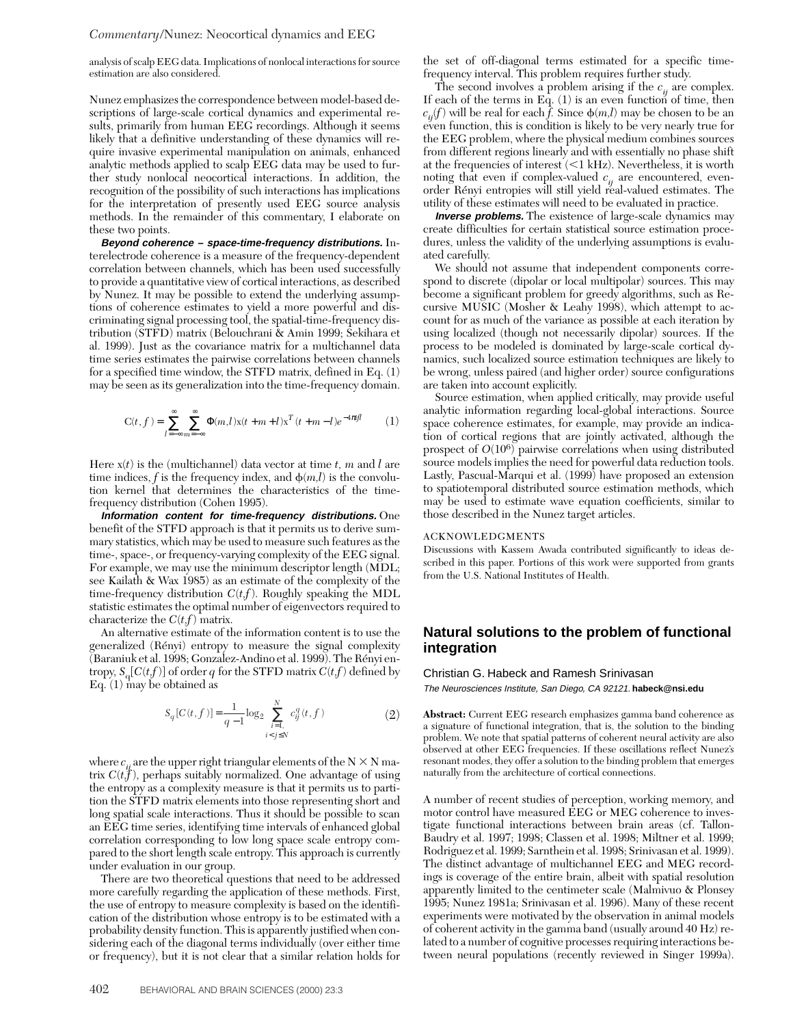analysis of scalp EEG data. Implications of nonlocal interactions for source estimation are also considered.

Nunez emphasizes the correspondence between model-based descriptions of large-scale cortical dynamics and experimental results, primarily from human EEG recordings. Although it seems likely that a definitive understanding of these dynamics will require invasive experimental manipulation on animals, enhanced analytic methods applied to scalp EEG data may be used to further study nonlocal neocortical interactions. In addition, the recognition of the possibility of such interactions has implications for the interpretation of presently used EEG source analysis methods. In the remainder of this commentary, I elaborate on these two points.

**Beyond coherence – space-time-frequency distributions.** Interelectrode coherence is a measure of the frequency-dependent correlation between channels, which has been used successfully to provide a quantitative view of cortical interactions, as described by Nunez. It may be possible to extend the underlying assumptions of coherence estimates to yield a more powerful and discriminating signal processing tool, the spatial-time-frequency distribution (STFD) matrix (Belouchrani & Amin 1999; Sekihara et al. 1999). Just as the covariance matrix for a multichannel data time series estimates the pairwise correlations between channels for a specified time window, the STFD matrix, defined in Eq. (1) may be seen as its generalization into the time-frequency domain.

$$
C(t, f) = \sum_{l = -\infty}^{\infty} \sum_{m = -\infty}^{\infty} \Phi(m, l)x(t + m + l)x^{T} (t + m - l)e^{-4\pi ifl}
$$
 (1)

Here x(*t*) is the (multichannel) data vector at time *t, m* and *l* are time indices,  $f$  is the frequency index, and  $\phi(m,l)$  is the convolution kernel that determines the characteristics of the timefrequency distribution (Cohen 1995).

**Information content for time-frequency distributions.** One benefit of the STFD approach is that it permits us to derive summary statistics, which may be used to measure such features as the time-, space-, or frequency-varying complexity of the EEG signal. For example, we may use the minimum descriptor length (MDL; see Kailath & Wax 1985) as an estimate of the complexity of the time-frequency distribution *C*(*t,f*). Roughly speaking the MDL statistic estimates the optimal number of eigenvectors required to characterize the  $C(t,f)$  matrix.

An alternative estimate of the information content is to use the generalized (Rényi) entropy to measure the signal complexity (Baraniuk et al. 1998; Gonzalez-Andino et al. 1999). The Rényi entropy,  $S_{\alpha}[C(t,f)]$  of order *q* for the STFD matrix  $C(t,f)$  defined by Eq.  $(1)$  may be obtained as

$$
S_q[C(t,f)] = \frac{1}{q-1} \log_2 \sum_{\substack{i=1, \\ i < j \le N}}^N c_{ij}^q(t,f) \tag{2}
$$

where  $c_i$  are the upper right triangular elements of the  $N \times N$  matrix  $C(t, f)$ , perhaps suitably normalized. One advantage of using the entropy as a complexity measure is that it permits us to partition the STFD matrix elements into those representing short and long spatial scale interactions. Thus it should be possible to scan an EEG time series, identifying time intervals of enhanced global correlation corresponding to low long space scale entropy compared to the short length scale entropy. This approach is currently under evaluation in our group.

There are two theoretical questions that need to be addressed more carefully regarding the application of these methods. First, the use of entropy to measure complexity is based on the identification of the distribution whose entropy is to be estimated with a probability density function. This is apparently justified when considering each of the diagonal terms individually (over either time or frequency), but it is not clear that a similar relation holds for

the set of off-diagonal terms estimated for a specific timefrequency interval. This problem requires further study.

The second involves a problem arising if the  $c_{ij}$  are complex. If each of the terms in Eq.  $(1)$  is an even function of time, then  $c_{ij}(f)$  will be real for each *f.* Since  $\phi(m,l)$  may be chosen to be an even function, this is condition is likely to be very nearly true for the EEG problem, where the physical medium combines sources from different regions linearly and with essentially no phase shift at the frequencies of interest  $(<1$  kHz). Nevertheless, it is worth noting that even if complex-valued  $c_{ij}$  are encountered, evenorder Rényi entropies will still yield real-valued estimates. The utility of these estimates will need to be evaluated in practice.

**Inverse problems.** The existence of large-scale dynamics may create difficulties for certain statistical source estimation procedures, unless the validity of the underlying assumptions is evaluated carefully.

We should not assume that independent components correspond to discrete (dipolar or local multipolar) sources. This may become a significant problem for greedy algorithms, such as Recursive MUSIC (Mosher & Leahy 1998), which attempt to account for as much of the variance as possible at each iteration by using localized (though not necessarily dipolar) sources. If the process to be modeled is dominated by large-scale cortical dynamics, such localized source estimation techniques are likely to be wrong, unless paired (and higher order) source configurations are taken into account explicitly.

Source estimation, when applied critically, may provide useful analytic information regarding local-global interactions. Source space coherence estimates, for example, may provide an indication of cortical regions that are jointly activated, although the prospect of *O*(106) pairwise correlations when using distributed source models implies the need for powerful data reduction tools. Lastly, Pascual-Marqui et al. (1999) have proposed an extension to spatiotemporal distributed source estimation methods, which may be used to estimate wave equation coefficients, similar to those described in the Nunez target articles.

#### ACKNOWLEDGMENTS

Discussions with Kassem Awada contributed significantly to ideas described in this paper. Portions of this work were supported from grants from the U.S. National Institutes of Health.

## **Natural solutions to the problem of functional integration**

#### Christian G. Habeck and Ramesh Srinivasan

The Neurosciences Institute, San Diego, CA 92121. **habeck@nsi.edu**

**Abstract:** Current EEG research emphasizes gamma band coherence as a signature of functional integration, that is, the solution to the binding problem. We note that spatial patterns of coherent neural activity are also observed at other EEG frequencies. If these oscillations reflect Nunez's resonant modes, they offer a solution to the binding problem that emerges naturally from the architecture of cortical connections.

A number of recent studies of perception, working memory, and motor control have measured EEG or MEG coherence to investigate functional interactions between brain areas (cf. Tallon-Baudry et al. 1997; 1998; Classen et al. 1998; Miltner et al. 1999; Rodriguez et al. 1999; Sarnthein et al. 1998; Srinivasan et al. 1999). The distinct advantage of multichannel EEG and MEG recordings is coverage of the entire brain, albeit with spatial resolution apparently limited to the centimeter scale (Malmivuo & Plonsey 1995; Nunez 1981a; Srinivasan et al. 1996). Many of these recent experiments were motivated by the observation in animal models of coherent activity in the gamma band (usually around 40 Hz) related to a number of cognitive processes requiring interactions between neural populations (recently reviewed in Singer 1999a).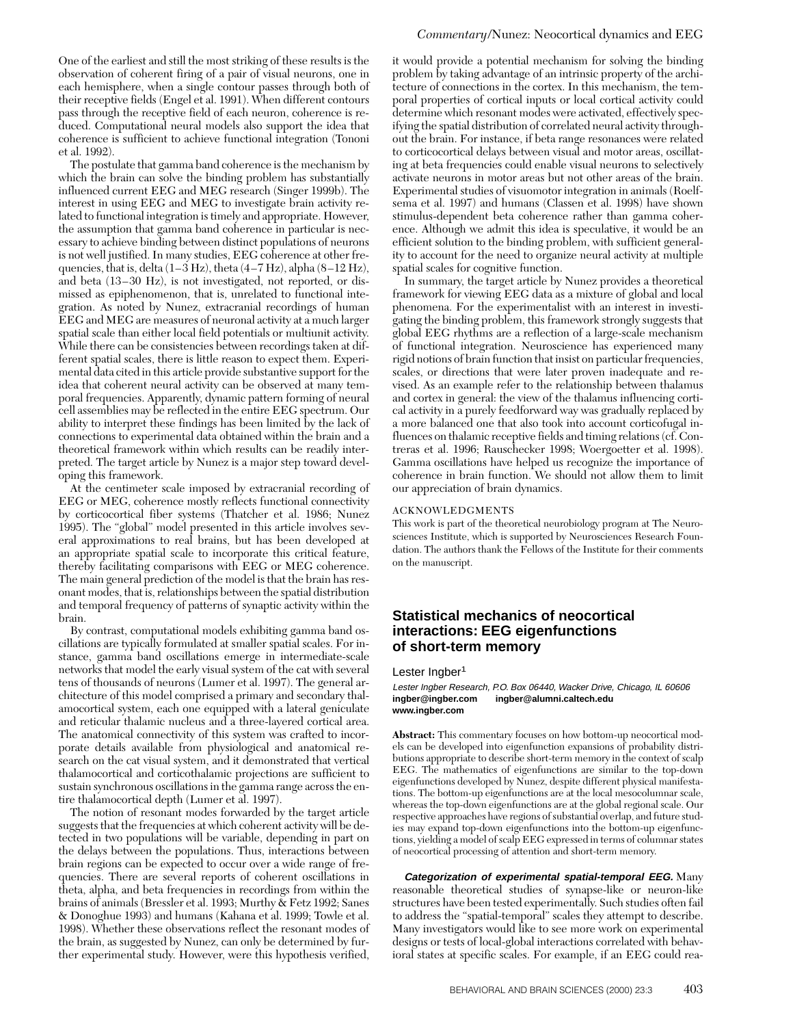One of the earliest and still the most striking of these results is the observation of coherent firing of a pair of visual neurons, one in each hemisphere, when a single contour passes through both of their receptive fields (Engel et al. 1991). When different contours pass through the receptive field of each neuron, coherence is reduced. Computational neural models also support the idea that coherence is sufficient to achieve functional integration (Tononi et al. 1992).

The postulate that gamma band coherence is the mechanism by which the brain can solve the binding problem has substantially influenced current EEG and MEG research (Singer 1999b). The interest in using EEG and MEG to investigate brain activity related to functional integration is timely and appropriate. However, the assumption that gamma band coherence in particular is necessary to achieve binding between distinct populations of neurons is not well justified. In many studies, EEG coherence at other frequencies, that is, delta (1–3 Hz), theta (4–7 Hz), alpha (8–12 Hz), and beta (13–30 Hz), is not investigated, not reported, or dismissed as epiphenomenon, that is, unrelated to functional integration. As noted by Nunez, extracranial recordings of human EEG and MEG are measures of neuronal activity at a much larger spatial scale than either local field potentials or multiunit activity. While there can be consistencies between recordings taken at different spatial scales, there is little reason to expect them. Experimental data cited in this article provide substantive support for the idea that coherent neural activity can be observed at many temporal frequencies. Apparently, dynamic pattern forming of neural cell assemblies may be reflected in the entire EEG spectrum. Our ability to interpret these findings has been limited by the lack of connections to experimental data obtained within the brain and a theoretical framework within which results can be readily interpreted. The target article by Nunez is a major step toward developing this framework.

At the centimeter scale imposed by extracranial recording of EEG or MEG, coherence mostly reflects functional connectivity by corticocortical fiber systems (Thatcher et al. 1986; Nunez 1995). The "global" model presented in this article involves several approximations to real brains, but has been developed at an appropriate spatial scale to incorporate this critical feature, thereby facilitating comparisons with EEG or MEG coherence. The main general prediction of the model is that the brain has resonant modes, that is, relationships between the spatial distribution and temporal frequency of patterns of synaptic activity within the brain.

By contrast, computational models exhibiting gamma band oscillations are typically formulated at smaller spatial scales. For instance, gamma band oscillations emerge in intermediate-scale networks that model the early visual system of the cat with several tens of thousands of neurons (Lumer et al. 1997). The general architecture of this model comprised a primary and secondary thalamocortical system, each one equipped with a lateral geniculate and reticular thalamic nucleus and a three-layered cortical area. The anatomical connectivity of this system was crafted to incorporate details available from physiological and anatomical research on the cat visual system, and it demonstrated that vertical thalamocortical and corticothalamic projections are sufficient to sustain synchronous oscillations in the gamma range across the entire thalamocortical depth (Lumer et al. 1997).

The notion of resonant modes forwarded by the target article suggests that the frequencies at which coherent activity will be detected in two populations will be variable, depending in part on the delays between the populations. Thus, interactions between brain regions can be expected to occur over a wide range of frequencies. There are several reports of coherent oscillations in theta, alpha, and beta frequencies in recordings from within the brains of animals (Bressler et al. 1993; Murthy & Fetz 1992; Sanes & Donoghue 1993) and humans (Kahana et al. 1999; Towle et al. 1998). Whether these observations reflect the resonant modes of the brain, as suggested by Nunez, can only be determined by further experimental study. However, were this hypothesis verified, it would provide a potential mechanism for solving the binding problem by taking advantage of an intrinsic property of the architecture of connections in the cortex. In this mechanism, the temporal properties of cortical inputs or local cortical activity could determine which resonant modes were activated, effectively specifying the spatial distribution of correlated neural activity throughout the brain. For instance, if beta range resonances were related to corticocortical delays between visual and motor areas, oscillating at beta frequencies could enable visual neurons to selectively activate neurons in motor areas but not other areas of the brain. Experimental studies of visuomotor integration in animals (Roelfsema et al. 1997) and humans (Classen et al. 1998) have shown stimulus-dependent beta coherence rather than gamma coherence. Although we admit this idea is speculative, it would be an efficient solution to the binding problem, with sufficient generality to account for the need to organize neural activity at multiple spatial scales for cognitive function.

In summary, the target article by Nunez provides a theoretical framework for viewing EEG data as a mixture of global and local phenomena. For the experimentalist with an interest in investigating the binding problem, this framework strongly suggests that global EEG rhythms are a reflection of a large-scale mechanism of functional integration. Neuroscience has experienced many rigid notions of brain function that insist on particular frequencies, scales, or directions that were later proven inadequate and revised. As an example refer to the relationship between thalamus and cortex in general: the view of the thalamus influencing cortical activity in a purely feedforward way was gradually replaced by a more balanced one that also took into account corticofugal influences on thalamic receptive fields and timing relations (cf. Contreras et al. 1996; Rauschecker 1998; Woergoetter et al. 1998). Gamma oscillations have helped us recognize the importance of coherence in brain function. We should not allow them to limit our appreciation of brain dynamics.

#### ACKNOWLEDGMENTS

This work is part of the theoretical neurobiology program at The Neurosciences Institute, which is supported by Neurosciences Research Foundation. The authors thank the Fellows of the Institute for their comments on the manuscript.

## **Statistical mechanics of neocortical interactions: EEG eigenfunctions of short-term memory**

Lester Ingber<sup>1</sup>

Lester Ingber Research, P.O. Box 06440, Wacker Drive, Chicago, IL 60606 **ingber@ingber.com ingber@alumni.caltech.edu www.ingber.com**

**Abstract:** This commentary focuses on how bottom-up neocortical models can be developed into eigenfunction expansions of probability distributions appropriate to describe short-term memory in the context of scalp EEG. The mathematics of eigenfunctions are similar to the top-down eigenfunctions developed by Nunez, despite different physical manifestations. The bottom-up eigenfunctions are at the local mesocolumnar scale, whereas the top-down eigenfunctions are at the global regional scale. Our respective approaches have regions of substantial overlap, and future studies may expand top-down eigenfunctions into the bottom-up eigenfunctions, yielding a model of scalp EEG expressed in terms of columnar states of neocortical processing of attention and short-term memory.

**Categorization of experimental spatial-temporal EEG.** Many reasonable theoretical studies of synapse-like or neuron-like structures have been tested experimentally. Such studies often fail to address the "spatial-temporal" scales they attempt to describe. Many investigators would like to see more work on experimental designs or tests of local-global interactions correlated with behavioral states at specific scales. For example, if an EEG could rea-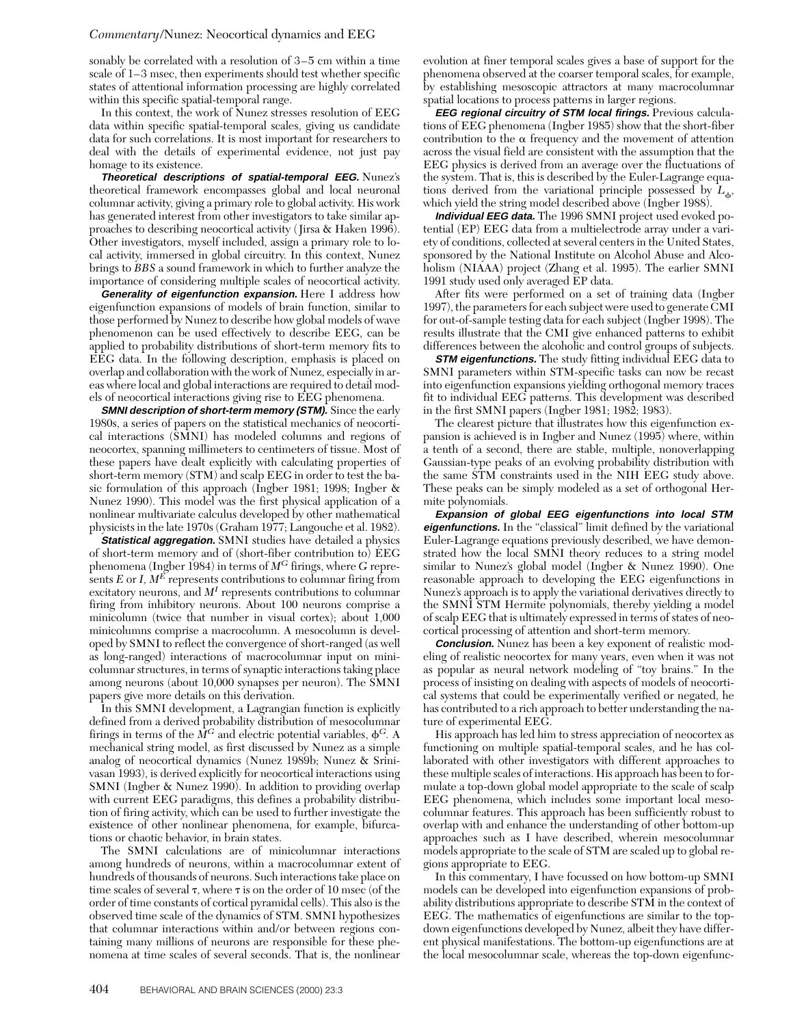sonably be correlated with a resolution of 3–5 cm within a time scale of 1–3 msec, then experiments should test whether specific states of attentional information processing are highly correlated within this specific spatial-temporal range.

In this context, the work of Nunez stresses resolution of EEG data within specific spatial-temporal scales, giving us candidate data for such correlations. It is most important for researchers to deal with the details of experimental evidence, not just pay homage to its existence.

**Theoretical descriptions of spatial-temporal EEG.** Nunez's theoretical framework encompasses global and local neuronal columnar activity, giving a primary role to global activity. His work has generated interest from other investigators to take similar approaches to describing neocortical activity (Jirsa & Haken 1996). Other investigators, myself included, assign a primary role to local activity, immersed in global circuitry. In this context, Nunez brings to *BBS* a sound framework in which to further analyze the importance of considering multiple scales of neocortical activity.

**Generality of eigenfunction expansion.** Here I address how eigenfunction expansions of models of brain function, similar to those performed by Nunez to describe how global models of wave phenomenon can be used effectively to describe EEG, can be applied to probability distributions of short-term memory fits to EEG data. In the following description, emphasis is placed on overlap and collaboration with the work of Nunez, especially in areas where local and global interactions are required to detail models of neocortical interactions giving rise to EEG phenomena.

**SMNI description of short-term memory (STM).** Since the early 1980s, a series of papers on the statistical mechanics of neocortical interactions (SMNI) has modeled columns and regions of neocortex, spanning millimeters to centimeters of tissue. Most of these papers have dealt explicitly with calculating properties of short-term memory (STM) and scalp EEG in order to test the basic formulation of this approach (Ingber 1981; 1998; Ingber & Nunez 1990). This model was the first physical application of a nonlinear multivariate calculus developed by other mathematical physicists in the late 1970s (Graham 1977; Langouche et al. 1982).

**Statistical aggregation.** SMNI studies have detailed a physics of short-term memory and of (short-fiber contribution to) EEG phenomena (Ingber 1984) in terms of *MG* firings, where *G* represents *E* or *I, M<sup>E</sup>* represents contributions to columnar firing from excitatory neurons, and *MI* represents contributions to columnar firing from inhibitory neurons. About 100 neurons comprise a minicolumn (twice that number in visual cortex); about 1,000 minicolumns comprise a macrocolumn. A mesocolumn is developed by SMNI to reflect the convergence of short-ranged (as well as long-ranged) interactions of macrocolumnar input on minicolumnar structures, in terms of synaptic interactions taking place among neurons (about 10,000 synapses per neuron). The SMNI papers give more details on this derivation.

In this SMNI development, a Lagrangian function is explicitly defined from a derived probability distribution of mesocolumnar firings in terms of the  $M$ <sup>*G*</sup> and electric potential variables,  $\phi$ <sup>*G*</sup>. A mechanical string model, as first discussed by Nunez as a simple analog of neocortical dynamics (Nunez 1989b; Nunez & Srinivasan 1993), is derived explicitly for neocortical interactions using SMNI (Ingber & Nunez 1990). In addition to providing overlap with current EEG paradigms, this defines a probability distribution of firing activity, which can be used to further investigate the existence of other nonlinear phenomena, for example, bifurcations or chaotic behavior, in brain states.

The SMNI calculations are of minicolumnar interactions among hundreds of neurons, within a macrocolumnar extent of hundreds of thousands of neurons. Such interactions take place on time scales of several  $\tau$ , where  $\tau$  is on the order of 10 msec (of the order of time constants of cortical pyramidal cells). This also is the observed time scale of the dynamics of STM. SMNI hypothesizes that columnar interactions within and/or between regions containing many millions of neurons are responsible for these phenomena at time scales of several seconds. That is, the nonlinear evolution at finer temporal scales gives a base of support for the phenomena observed at the coarser temporal scales, for example, by establishing mesoscopic attractors at many macrocolumnar spatial locations to process patterns in larger regions.

**EEG regional circuitry of STM local firings.** Previous calculations of EEG phenomena (Ingber 1985) show that the short-fiber contribution to the  $\alpha$  frequency and the movement of attention across the visual field are consistent with the assumption that the EEG physics is derived from an average over the fluctuations of the system. That is, this is described by the Euler-Lagrange equations derived from the variational principle possessed by  $L_{\phi}$ , which yield the string model described above (Ingber 1988).

**Individual EEG data.** The 1996 SMNI project used evoked potential (EP) EEG data from a multielectrode array under a variety of conditions, collected at several centers in the United States, sponsored by the National Institute on Alcohol Abuse and Alcoholism (NIAAA) project (Zhang et al. 1995). The earlier SMNI 1991 study used only averaged EP data.

After fits were performed on a set of training data (Ingber 1997), the parameters for each subject were used to generate CMI for out-of-sample testing data for each subject (Ingber 1998). The results illustrate that the CMI give enhanced patterns to exhibit differences between the alcoholic and control groups of subjects.

**STM eigenfunctions.** The study fitting individual EEG data to SMNI parameters within STM-specific tasks can now be recast into eigenfunction expansions yielding orthogonal memory traces fit to individual EEG patterns. This development was described in the first SMNI papers (Ingber 1981; 1982; 1983).

The clearest picture that illustrates how this eigenfunction expansion is achieved is in Ingber and Nunez (1995) where, within a tenth of a second, there are stable, multiple, nonoverlapping Gaussian-type peaks of an evolving probability distribution with the same STM constraints used in the NIH EEG study above. These peaks can be simply modeled as a set of orthogonal Hermite polynomials.

**Expansion of global EEG eigenfunctions into local STM eigenfunctions.** In the "classical" limit defined by the variational Euler-Lagrange equations previously described, we have demonstrated how the local SMNI theory reduces to a string model similar to Nunez's global model (Ingber & Nunez 1990). One reasonable approach to developing the EEG eigenfunctions in Nunez's approach is to apply the variational derivatives directly to the SMNI STM Hermite polynomials, thereby yielding a model of scalp EEG that is ultimately expressed in terms of states of neocortical processing of attention and short-term memory.

**Conclusion.** Nunez has been a key exponent of realistic modeling of realistic neocortex for many years, even when it was not as popular as neural network modeling of "toy brains." In the process of insisting on dealing with aspects of models of neocortical systems that could be experimentally verified or negated, he has contributed to a rich approach to better understanding the nature of experimental EEG.

His approach has led him to stress appreciation of neocortex as functioning on multiple spatial-temporal scales, and he has collaborated with other investigators with different approaches to these multiple scales of interactions. His approach has been to formulate a top-down global model appropriate to the scale of scalp EEG phenomena, which includes some important local mesocolumnar features. This approach has been sufficiently robust to overlap with and enhance the understanding of other bottom-up approaches such as I have described, wherein mesocolumnar models appropriate to the scale of STM are scaled up to global regions appropriate to EEG.

In this commentary, I have focussed on how bottom-up SMNI models can be developed into eigenfunction expansions of probability distributions appropriate to describe STM in the context of EEG. The mathematics of eigenfunctions are similar to the topdown eigenfunctions developed by Nunez, albeit they have different physical manifestations. The bottom-up eigenfunctions are at the local mesocolumnar scale, whereas the top-down eigenfunc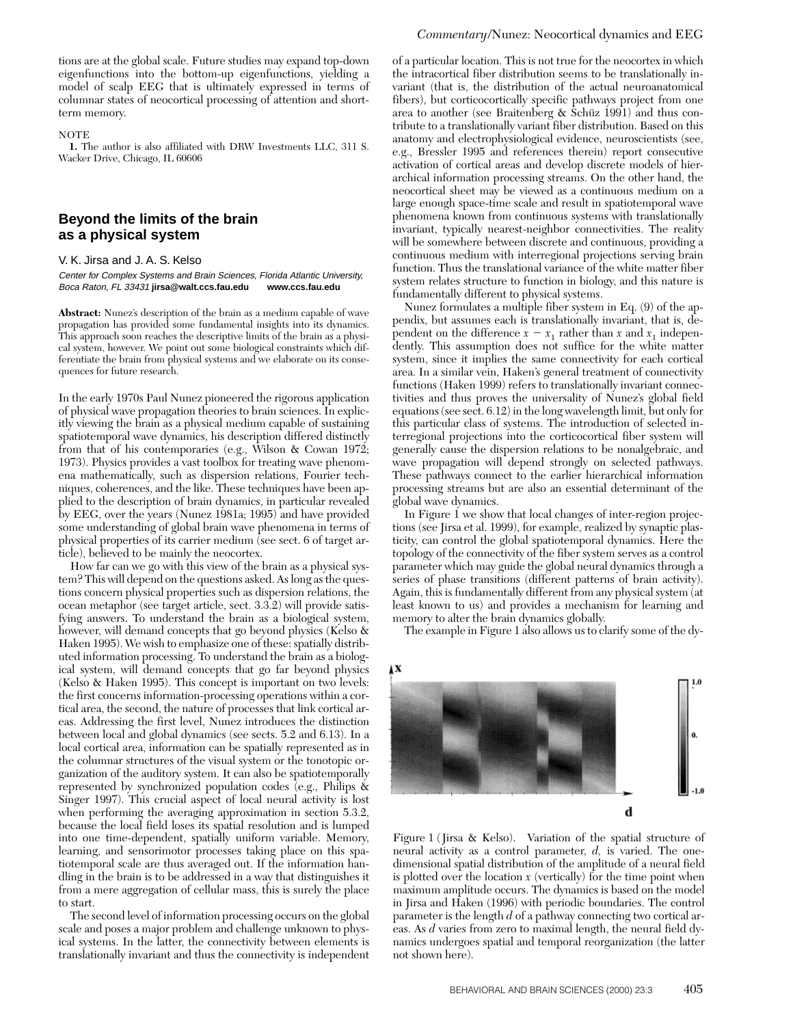tions are at the global scale. Future studies may expand top-down eigenfunctions into the bottom-up eigenfunctions, yielding a model of scalp EEG that is ultimately expressed in terms of columnar states of neocortical processing of attention and shortterm memory.

#### NOTE

**1.** The author is also affiliated with DRW Investments LLC, 311 S. Wacker Drive, Chicago, IL 60606

## **Beyond the limits of the brain as a physical system**

#### V. K. Jirsa and J. A. S. Kelso

Center for Complex Systems and Brain Sciences, Florida Atlantic University, Boca Raton, FL 33431 **jirsa@walt.ccs.fau.edu www.ccs.fau.edu**

**Abstract:** Nunez's description of the brain as a medium capable of wave propagation has provided some fundamental insights into its dynamics. This approach soon reaches the descriptive limits of the brain as a physical system, however. We point out some biological constraints which differentiate the brain from physical systems and we elaborate on its consequences for future research.

In the early 1970s Paul Nunez pioneered the rigorous application of physical wave propagation theories to brain sciences. In explicitly viewing the brain as a physical medium capable of sustaining spatiotemporal wave dynamics, his description differed distinctly from that of his contemporaries (e.g., Wilson & Cowan 1972; 1973). Physics provides a vast toolbox for treating wave phenomena mathematically, such as dispersion relations, Fourier techniques, coherences, and the like. These techniques have been applied to the description of brain dynamics, in particular revealed by EEG, over the years (Nunez 1981a; 1995) and have provided some understanding of global brain wave phenomena in terms of physical properties of its carrier medium (see sect. 6 of target article), believed to be mainly the neocortex.

How far can we go with this view of the brain as a physical system? This will depend on the questions asked. As long as the questions concern physical properties such as dispersion relations, the ocean metaphor (see target article, sect. 3.3.2) will provide satisfying answers. To understand the brain as a biological system, however, will demand concepts that go beyond physics (Kelso & Haken 1995). We wish to emphasize one of these: spatially distributed information processing. To understand the brain as a biological system, will demand concepts that go far beyond physics (Kelso & Haken 1995). This concept is important on two levels: the first concerns information-processing operations within a cortical area, the second, the nature of processes that link cortical areas. Addressing the first level, Nunez introduces the distinction between local and global dynamics (see sects. 5.2 and 6.13). In a local cortical area, information can be spatially represented as in the columnar structures of the visual system or the tonotopic organization of the auditory system. It can also be spatiotemporally represented by synchronized population codes (e.g., Philips & Singer 1997). This crucial aspect of local neural activity is lost when performing the averaging approximation in section 5.3.2, because the local field loses its spatial resolution and is lumped into one time-dependent, spatially uniform variable. Memory, learning, and sensorimotor processes taking place on this spatiotemporal scale are thus averaged out. If the information handling in the brain is to be addressed in a way that distinguishes it from a mere aggregation of cellular mass, this is surely the place to start.

The second level of information processing occurs on the global scale and poses a major problem and challenge unknown to physical systems. In the latter, the connectivity between elements is translationally invariant and thus the connectivity is independent

of a particular location. This is not true for the neocortex in which the intracortical fiber distribution seems to be translationally invariant (that is, the distribution of the actual neuroanatomical fibers), but corticocortically specific pathways project from one area to another (see Braitenberg & Schüz 1991) and thus contribute to a translationally variant fiber distribution. Based on this anatomy and electrophysiological evidence, neuroscientists (see, e.g., Bressler 1995 and references therein) report consecutive activation of cortical areas and develop discrete models of hierarchical information processing streams. On the other hand, the neocortical sheet may be viewed as a continuous medium on a large enough space-time scale and result in spatiotemporal wave phenomena known from continuous systems with translationally invariant, typically nearest-neighbor connectivities. The reality will be somewhere between discrete and continuous, providing a continuous medium with interregional projections serving brain function. Thus the translational variance of the white matter fiber system relates structure to function in biology, and this nature is fundamentally different to physical systems.

Nunez formulates a multiple fiber system in Eq. (9) of the appendix, but assumes each is translationally invariant, that is, dependent on the difference  $x - x_1$  rather than x and  $x_1$  independently. This assumption does not suffice for the white matter system, since it implies the same connectivity for each cortical area. In a similar vein, Haken's general treatment of connectivity functions (Haken 1999) refers to translationally invariant connectivities and thus proves the universality of Nunez's global field equations (see sect. 6.12) in the long wavelength limit, but only for this particular class of systems. The introduction of selected interregional projections into the corticocortical fiber system will generally cause the dispersion relations to be nonalgebraic, and wave propagation will depend strongly on selected pathways. These pathways connect to the earlier hierarchical information processing streams but are also an essential determinant of the global wave dynamics.

In Figure 1 we show that local changes of inter-region projections (see Jirsa et al. 1999), for example, realized by synaptic plasticity, can control the global spatiotemporal dynamics. Here the topology of the connectivity of the fiber system serves as a control parameter which may guide the global neural dynamics through a series of phase transitions (different patterns of brain activity). Again, this is fundamentally different from any physical system (at least known to us) and provides a mechanism for learning and memory to alter the brain dynamics globally.

The example in Figure 1 also allows us to clarify some of the dy-



Figure 1 (Jirsa & Kelso). Variation of the spatial structure of neural activity as a control parameter, *d,* is varied. The onedimensional spatial distribution of the amplitude of a neural field is plotted over the location *x* (vertically) for the time point when maximum amplitude occurs. The dynamics is based on the model in Jirsa and Haken (1996) with periodic boundaries. The control parameter is the length *d* of a pathway connecting two cortical areas. As *d* varies from zero to maximal length, the neural field dynamics undergoes spatial and temporal reorganization (the latter not shown here).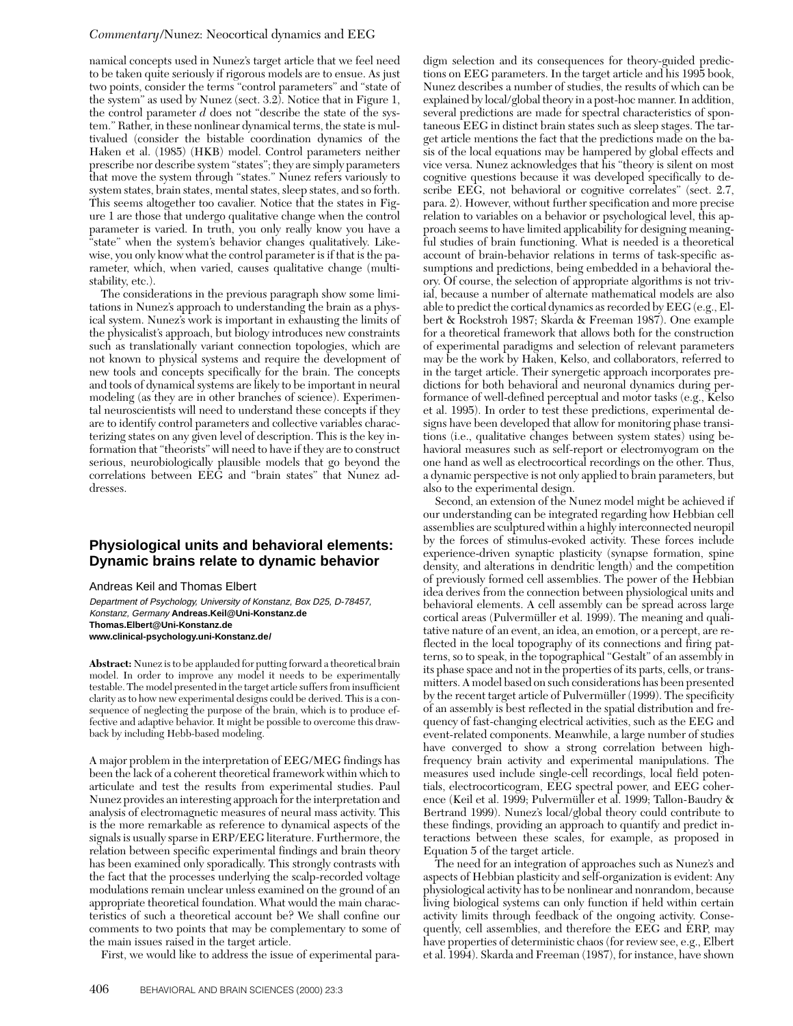#### *Commentary/*Nunez: Neocortical dynamics and EEG

namical concepts used in Nunez's target article that we feel need to be taken quite seriously if rigorous models are to ensue. As just two points, consider the terms "control parameters" and "state of the system" as used by Nunez (sect. 3.2). Notice that in Figure 1, the control parameter *d* does not "describe the state of the system." Rather, in these nonlinear dynamical terms, the state is multivalued (consider the bistable coordination dynamics of the Haken et al. (1985) (HKB) model. Control parameters neither prescribe nor describe system "states"; they are simply parameters that move the system through "states." Nunez refers variously to system states, brain states, mental states, sleep states, and so forth. This seems altogether too cavalier. Notice that the states in Figure 1 are those that undergo qualitative change when the control parameter is varied. In truth, you only really know you have a "state" when the system's behavior changes qualitatively. Likewise, you only know what the control parameter is if that is the parameter, which, when varied, causes qualitative change (multistability, etc.).

The considerations in the previous paragraph show some limitations in Nunez's approach to understanding the brain as a physical system. Nunez's work is important in exhausting the limits of the physicalist's approach, but biology introduces new constraints such as translationally variant connection topologies, which are not known to physical systems and require the development of new tools and concepts specifically for the brain. The concepts and tools of dynamical systems are likely to be important in neural modeling (as they are in other branches of science). Experimental neuroscientists will need to understand these concepts if they are to identify control parameters and collective variables characterizing states on any given level of description. This is the key information that "theorists" will need to have if they are to construct serious, neurobiologically plausible models that go beyond the correlations between EEG and "brain states" that Nunez addresses.

## **Physiological units and behavioral elements: Dynamic brains relate to dynamic behavior**

Andreas Keil and Thomas Elbert

Department of Psychology, University of Konstanz, Box D25, D-78457, Konstanz, Germany **Andreas.Keil@Uni-Konstanz.de Thomas.Elbert@Uni-Konstanz.de www.clinical-psychology.uni-Konstanz.de/**

**Abstract:** Nunez is to be applauded for putting forward a theoretical brain model. In order to improve any model it needs to be experimentally testable. The model presented in the target article suffers from insufficient clarity as to how new experimental designs could be derived. This is a consequence of neglecting the purpose of the brain, which is to produce effective and adaptive behavior. It might be possible to overcome this drawback by including Hebb-based modeling.

A major problem in the interpretation of EEG/MEG findings has been the lack of a coherent theoretical framework within which to articulate and test the results from experimental studies. Paul Nunez provides an interesting approach for the interpretation and analysis of electromagnetic measures of neural mass activity. This is the more remarkable as reference to dynamical aspects of the signals is usually sparse in ERP/EEG literature. Furthermore, the relation between specific experimental findings and brain theory has been examined only sporadically. This strongly contrasts with the fact that the processes underlying the scalp-recorded voltage modulations remain unclear unless examined on the ground of an appropriate theoretical foundation. What would the main characteristics of such a theoretical account be? We shall confine our comments to two points that may be complementary to some of the main issues raised in the target article.

First, we would like to address the issue of experimental para-

digm selection and its consequences for theory-guided predictions on EEG parameters. In the target article and his 1995 book, Nunez describes a number of studies, the results of which can be explained by local/global theory in a post-hoc manner. In addition, several predictions are made for spectral characteristics of spontaneous EEG in distinct brain states such as sleep stages. The target article mentions the fact that the predictions made on the basis of the local equations may be hampered by global effects and vice versa. Nunez acknowledges that his "theory is silent on most cognitive questions because it was developed specifically to describe EEG, not behavioral or cognitive correlates" (sect. 2.7, para. 2). However, without further specification and more precise relation to variables on a behavior or psychological level, this approach seems to have limited applicability for designing meaningful studies of brain functioning. What is needed is a theoretical account of brain-behavior relations in terms of task-specific assumptions and predictions, being embedded in a behavioral theory. Of course, the selection of appropriate algorithms is not trivial, because a number of alternate mathematical models are also able to predict the cortical dynamics as recorded by EEG (e.g., Elbert & Rockstroh 1987; Skarda & Freeman 1987). One example for a theoretical framework that allows both for the construction of experimental paradigms and selection of relevant parameters may be the work by Haken, Kelso, and collaborators, referred to in the target article. Their synergetic approach incorporates predictions for both behavioral and neuronal dynamics during performance of well-defined perceptual and motor tasks (e.g., Kelso et al. 1995). In order to test these predictions, experimental designs have been developed that allow for monitoring phase transitions (i.e., qualitative changes between system states) using behavioral measures such as self-report or electromyogram on the one hand as well as electrocortical recordings on the other. Thus, a dynamic perspective is not only applied to brain parameters, but also to the experimental design.

Second, an extension of the Nunez model might be achieved if our understanding can be integrated regarding how Hebbian cell assemblies are sculptured within a highly interconnected neuropil by the forces of stimulus-evoked activity. These forces include experience-driven synaptic plasticity (synapse formation, spine density, and alterations in dendritic length) and the competition of previously formed cell assemblies. The power of the Hebbian idea derives from the connection between physiological units and behavioral elements. A cell assembly can be spread across large cortical areas (Pulvermüller et al. 1999). The meaning and qualitative nature of an event, an idea, an emotion, or a percept, are reflected in the local topography of its connections and firing patterns, so to speak, in the topographical "Gestalt" of an assembly in its phase space and not in the properties of its parts, cells, or transmitters. A model based on such considerations has been presented by the recent target article of Pulvermüller (1999). The specificity of an assembly is best reflected in the spatial distribution and frequency of fast-changing electrical activities, such as the EEG and event-related components. Meanwhile, a large number of studies have converged to show a strong correlation between highfrequency brain activity and experimental manipulations. The measures used include single-cell recordings, local field potentials, electrocorticogram, EEG spectral power, and EEG coherence (Keil et al. 1999; Pulvermüller et al. 1999; Tallon-Baudry & Bertrand 1999). Nunez's local/global theory could contribute to these findings, providing an approach to quantify and predict interactions between these scales, for example, as proposed in Equation 5 of the target article.

The need for an integration of approaches such as Nunez's and aspects of Hebbian plasticity and self-organization is evident: Any physiological activity has to be nonlinear and nonrandom, because living biological systems can only function if held within certain activity limits through feedback of the ongoing activity. Consequently, cell assemblies, and therefore the EEG and ERP, may have properties of deterministic chaos (for review see, e.g., Elbert et al. 1994). Skarda and Freeman (1987), for instance, have shown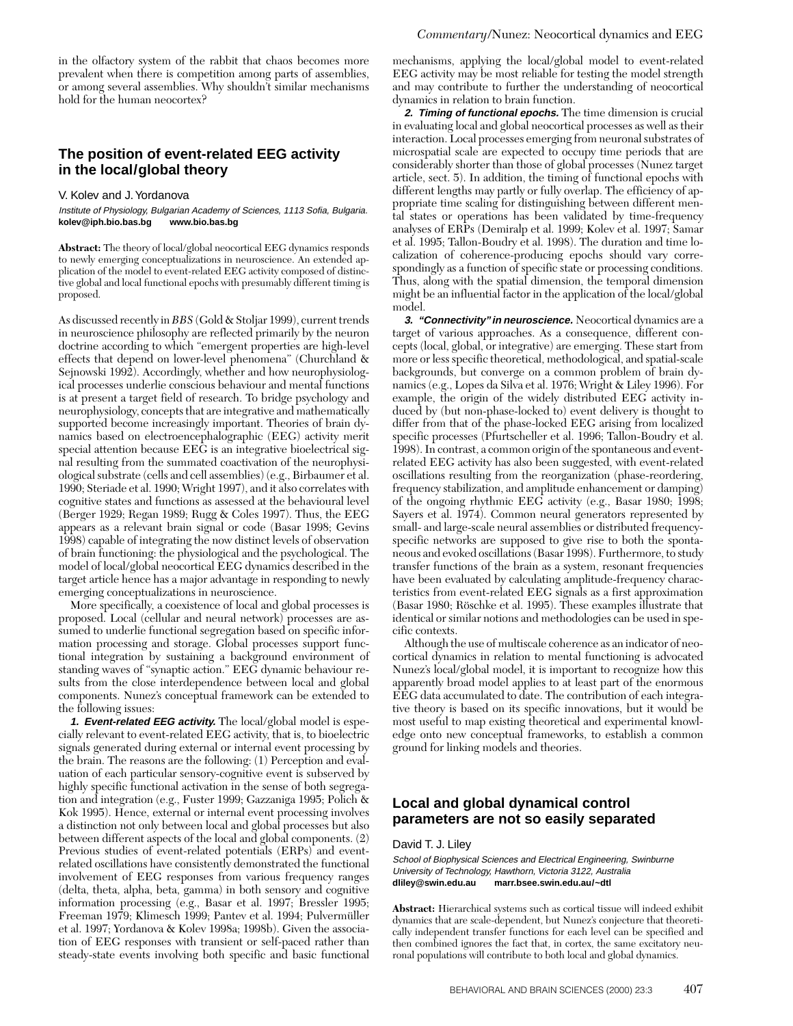in the olfactory system of the rabbit that chaos becomes more prevalent when there is competition among parts of assemblies, or among several assemblies. Why shouldn't similar mechanisms hold for the human neocortex?

## **The position of event-related EEG activity in the local/global theory**

V. Kolev and J.Yordanova

Institute of Physiology, Bulgarian Academy of Sciences, 1113 Sofia, Bulgaria. **kolev@iph.bio.bas.bg www.bio.bas.bg**

**Abstract:** The theory of local/global neocortical EEG dynamics responds to newly emerging conceptualizations in neuroscience. An extended application of the model to event-related EEG activity composed of distinctive global and local functional epochs with presumably different timing is proposed.

As discussed recently in *BBS* (Gold & Stoljar 1999), current trends in neuroscience philosophy are reflected primarily by the neuron doctrine according to which "emergent properties are high-level effects that depend on lower-level phenomena" (Churchland & Sejnowski 1992). Accordingly, whether and how neurophysiological processes underlie conscious behaviour and mental functions is at present a target field of research. To bridge psychology and neurophysiology, concepts that are integrative and mathematically supported become increasingly important. Theories of brain dynamics based on electroencephalographic (EEG) activity merit special attention because EEG is an integrative bioelectrical signal resulting from the summated coactivation of the neurophysiological substrate (cells and cell assemblies) (e.g., Birbaumer et al. 1990; Steriade et al. 1990; Wright 1997), and it also correlates with cognitive states and functions as assessed at the behavioural level (Berger 1929; Regan 1989; Rugg & Coles 1997). Thus, the EEG appears as a relevant brain signal or code (Basar 1998; Gevins 1998) capable of integrating the now distinct levels of observation of brain functioning: the physiological and the psychological. The model of local/global neocortical EEG dynamics described in the target article hence has a major advantage in responding to newly emerging conceptualizations in neuroscience.

More specifically, a coexistence of local and global processes is proposed. Local (cellular and neural network) processes are assumed to underlie functional segregation based on specific information processing and storage. Global processes support functional integration by sustaining a background environment of standing waves of "synaptic action." EEG dynamic behaviour results from the close interdependence between local and global components. Nunez's conceptual framework can be extended to the following issues:

**1. Event-related EEG activity.** The local/global model is especially relevant to event-related EEG activity, that is, to bioelectric signals generated during external or internal event processing by the brain. The reasons are the following: (1) Perception and evaluation of each particular sensory-cognitive event is subserved by highly specific functional activation in the sense of both segregation and integration (e.g., Fuster 1999; Gazzaniga 1995; Polich & Kok 1995). Hence, external or internal event processing involves a distinction not only between local and global processes but also between different aspects of the local and global components. (2) Previous studies of event-related potentials (ERPs) and eventrelated oscillations have consistently demonstrated the functional involvement of EEG responses from various frequency ranges (delta, theta, alpha, beta, gamma) in both sensory and cognitive information processing (e.g., Basar et al. 1997; Bressler 1995; Freeman 1979; Klimesch 1999; Pantev et al. 1994; Pulvermüller et al. 1997; Yordanova & Kolev 1998a; 1998b). Given the association of EEG responses with transient or self-paced rather than steady-state events involving both specific and basic functional

mechanisms, applying the local/global model to event-related EEG activity may be most reliable for testing the model strength and may contribute to further the understanding of neocortical dynamics in relation to brain function.

**2. Timing of functional epochs.** The time dimension is crucial in evaluating local and global neocortical processes as well as their interaction. Local processes emerging from neuronal substrates of microspatial scale are expected to occupy time periods that are considerably shorter than those of global processes (Nunez target article, sect. 5). In addition, the timing of functional epochs with different lengths may partly or fully overlap. The efficiency of appropriate time scaling for distinguishing between different mental states or operations has been validated by time-frequency analyses of ERPs (Demiralp et al. 1999; Kolev et al. 1997; Samar et al. 1995; Tallon-Boudry et al. 1998). The duration and time localization of coherence-producing epochs should vary correspondingly as a function of specific state or processing conditions. Thus, along with the spatial dimension, the temporal dimension might be an influential factor in the application of the local/global model.

**3. "Connectivity"in neuroscience.** Neocortical dynamics are a target of various approaches. As a consequence, different concepts (local, global, or integrative) are emerging. These start from more or less specific theoretical, methodological, and spatial-scale backgrounds, but converge on a common problem of brain dynamics (e.g., Lopes da Silva et al. 1976; Wright & Liley 1996). For example, the origin of the widely distributed EEG activity induced by (but non-phase-locked to) event delivery is thought to differ from that of the phase-locked EEG arising from localized specific processes (Pfurtscheller et al. 1996; Tallon-Boudry et al. 1998). In contrast, a common origin of the spontaneous and eventrelated EEG activity has also been suggested, with event-related oscillations resulting from the reorganization (phase-reordering, frequency stabilization, and amplitude enhancement or damping) of the ongoing rhythmic EEG activity (e.g., Basar 1980; 1998; Sayers et al. 1974). Common neural generators represented by small- and large-scale neural assemblies or distributed frequencyspecific networks are supposed to give rise to both the spontaneous and evoked oscillations (Basar 1998). Furthermore, to study transfer functions of the brain as a system, resonant frequencies have been evaluated by calculating amplitude-frequency characteristics from event-related EEG signals as a first approximation (Basar 1980; Röschke et al. 1995). These examples illustrate that identical or similar notions and methodologies can be used in specific contexts.

Although the use of multiscale coherence as an indicator of neocortical dynamics in relation to mental functioning is advocated Nunez's local/global model, it is important to recognize how this apparently broad model applies to at least part of the enormous EEG data accumulated to date. The contribution of each integrative theory is based on its specific innovations, but it would be most useful to map existing theoretical and experimental knowledge onto new conceptual frameworks, to establish a common ground for linking models and theories.

## **Local and global dynamical control parameters are not so easily separated**

David T. J. Liley

School of Biophysical Sciences and Electrical Engineering, Swinburne University of Technology, Hawthorn, Victoria 3122, Australia<br>dliley@swin.edu.au marr.bsee.swin.edu.au/~dtl marr.bsee.swin.edu.au/~dtl

**Abstract:** Hierarchical systems such as cortical tissue will indeed exhibit dynamics that are scale-dependent, but Nunez's conjecture that theoretically independent transfer functions for each level can be specified and then combined ignores the fact that, in cortex, the same excitatory neuronal populations will contribute to both local and global dynamics.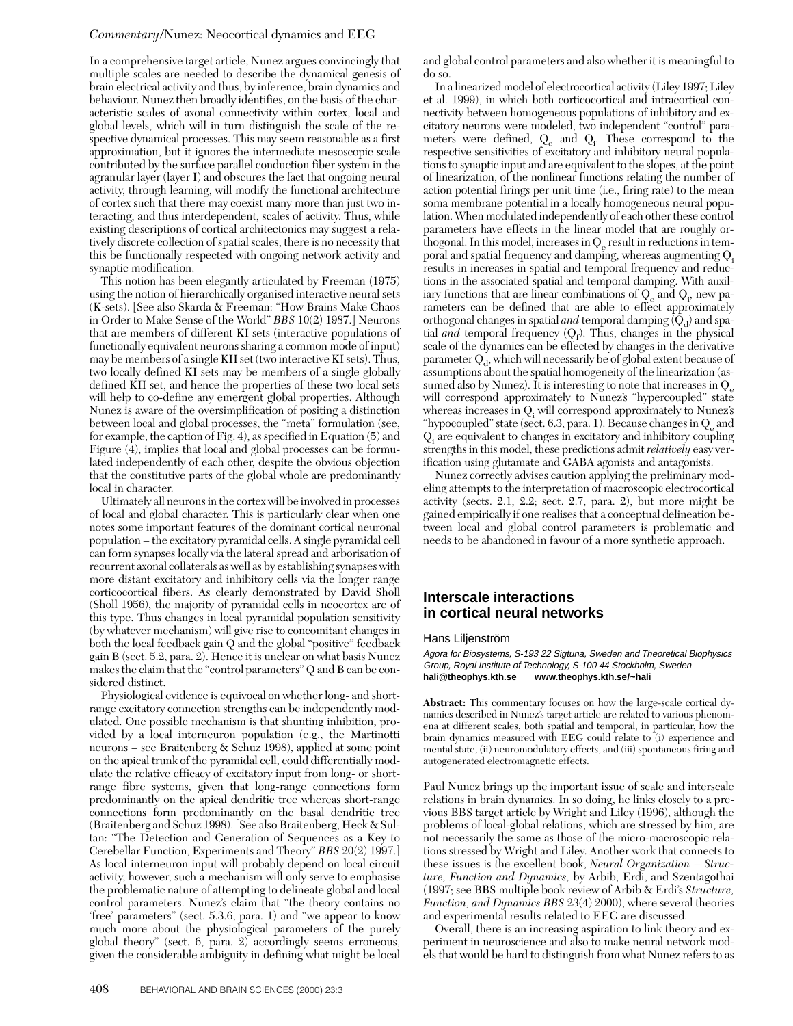## *Commentary/*Nunez: Neocortical dynamics and EEG

In a comprehensive target article, Nunez argues convincingly that multiple scales are needed to describe the dynamical genesis of brain electrical activity and thus, by inference, brain dynamics and behaviour. Nunez then broadly identifies, on the basis of the characteristic scales of axonal connectivity within cortex, local and global levels, which will in turn distinguish the scale of the respective dynamical processes. This may seem reasonable as a first approximation, but it ignores the intermediate mesoscopic scale contributed by the surface parallel conduction fiber system in the agranular layer (layer I) and obscures the fact that ongoing neural activity, through learning, will modify the functional architecture of cortex such that there may coexist many more than just two interacting, and thus interdependent, scales of activity. Thus, while existing descriptions of cortical architectonics may suggest a relatively discrete collection of spatial scales, there is no necessity that this be functionally respected with ongoing network activity and synaptic modification.

This notion has been elegantly articulated by Freeman (1975) using the notion of hierarchically organised interactive neural sets (K-sets). [See also Skarda & Freeman: "How Brains Make Chaos in Order to Make Sense of the World" *BBS* 10(2) 1987.] Neurons that are members of different KI sets (interactive populations of functionally equivalent neurons sharing a common mode of input) may be members of a single KII set (two interactive KI sets). Thus, two locally defined KI sets may be members of a single globally defined KII set, and hence the properties of these two local sets will help to co-define any emergent global properties. Although Nunez is aware of the oversimplification of positing a distinction between local and global processes, the "meta" formulation (see, for example, the caption of Fig. 4), as specified in Equation (5) and Figure (4), implies that local and global processes can be formulated independently of each other, despite the obvious objection that the constitutive parts of the global whole are predominantly local in character.

Ultimately all neurons in the cortex will be involved in processes of local and global character. This is particularly clear when one notes some important features of the dominant cortical neuronal population – the excitatory pyramidal cells. A single pyramidal cell can form synapses locally via the lateral spread and arborisation of recurrent axonal collaterals as well as by establishing synapses with more distant excitatory and inhibitory cells via the longer range corticocortical fibers. As clearly demonstrated by David Sholl (Sholl 1956), the majority of pyramidal cells in neocortex are of this type. Thus changes in local pyramidal population sensitivity (by whatever mechanism) will give rise to concomitant changes in both the local feedback gain Q and the global "positive" feedback gain B (sect. 5.2, para. 2). Hence it is unclear on what basis Nunez makes the claim that the "control parameters" Q and B can be considered distinct.

Physiological evidence is equivocal on whether long- and shortrange excitatory connection strengths can be independently modulated. One possible mechanism is that shunting inhibition, provided by a local interneuron population (e.g., the Martinotti neurons – see Braitenberg & Schuz 1998), applied at some point on the apical trunk of the pyramidal cell, could differentially modulate the relative efficacy of excitatory input from long- or shortrange fibre systems, given that long-range connections form predominantly on the apical dendritic tree whereas short-range connections form predominantly on the basal dendritic tree (Braitenberg and Schuz 1998). [See also Braitenberg, Heck & Sultan: "The Detection and Generation of Sequences as a Key to Cerebellar Function, Experiments and Theory" *BBS* 20(2) 1997.] As local interneuron input will probably depend on local circuit activity, however, such a mechanism will only serve to emphasise the problematic nature of attempting to delineate global and local control parameters. Nunez's claim that "the theory contains no 'free' parameters" (sect. 5.3.6, para. 1) and "we appear to know much more about the physiological parameters of the purely global theory" (sect.  $6,$  para. 2) accordingly seems erroneous, given the considerable ambiguity in defining what might be local and global control parameters and also whether it is meaningful to do so.

In a linearized model of electrocortical activity (Liley 1997; Liley et al. 1999), in which both corticocortical and intracortical connectivity between homogeneous populations of inhibitory and excitatory neurons were modeled, two independent "control" parameters were defined,  $Q_e$  and  $Q_i$ . These correspond to the respective sensitivities of excitatory and inhibitory neural populations to synaptic input and are equivalent to the slopes, at the point of linearization, of the nonlinear functions relating the number of action potential firings per unit time (i.e., firing rate) to the mean soma membrane potential in a locally homogeneous neural population. When modulated independently of each other these control parameters have effects in the linear model that are roughly orthogonal. In this model, increases in  $Q_{\alpha}$  result in reductions in temporal and spatial frequency and damping, whereas augmenting  $Q_i$ results in increases in spatial and temporal frequency and reductions in the associated spatial and temporal damping. With auxiliary functions that are linear combinations of  $Q_e$  and  $Q_i$ , new parameters can be defined that are able to effect approximately orthogonal changes in spatial *and* temporal damping  $\overline{(\mathbf{Q}_d)}$  and spatial *and* temporal frequency  $(Q_f)$ . Thus, changes in the physical scale of the dynamics can be effected by changes in the derivative parameter  $Q_d$ , which will necessarily be of global extent because of assumptions about the spatial homogeneity of the linearization (assumed also by Nunez). It is interesting to note that increases in  $Q_e$ will correspond approximately to Nunez's "hypercoupled" state whereas increases in  $Q_i$  will correspond approximately to Nunez's "hypocoupled" state (sect. 6.3, para. 1). Because changes in  $\mathbf{Q}_{\mathrm{e}}$  and Qi are equivalent to changes in excitatory and inhibitory coupling strengths in this model, these predictions admit *relatively* easy verification using glutamate and GABA agonists and antagonists.

Nunez correctly advises caution applying the preliminary modeling attempts to the interpretation of macroscopic electrocortical activity (sects. 2.1, 2.2; sect. 2.7, para. 2), but more might be gained empirically if one realises that a conceptual delineation between local and global control parameters is problematic and needs to be abandoned in favour of a more synthetic approach.

## **Interscale interactions in cortical neural networks**

#### Hans Liljenström

Agora for Biosystems, S-193 22 Sigtuna, Sweden and Theoretical Biophysics Group, Royal Institute of Technology, S-100 44 Stockholm, Sweden **hali@theophys.kth.se www.theophys.kth.se/~hali**

**Abstract:** This commentary focuses on how the large-scale cortical dynamics described in Nunez's target article are related to various phenomena at different scales, both spatial and temporal, in particular, how the brain dynamics measured with EEG could relate to (i) experience and mental state, (ii) neuromodulatory effects, and (iii) spontaneous firing and autogenerated electromagnetic effects.

Paul Nunez brings up the important issue of scale and interscale relations in brain dynamics. In so doing, he links closely to a previous BBS target article by Wright and Liley (1996), although the problems of local-global relations, which are stressed by him, are not necessarily the same as those of the micro-macroscopic relations stressed by Wright and Liley. Another work that connects to these issues is the excellent book, *Neural Organization – Structure, Function and Dynamics,* by Arbib, Erdi, and Szentagothai (1997; see BBS multiple book review of Arbib & Erdi's *Structure, Function, and Dynamics BBS* 23(4) 2000), where several theories and experimental results related to EEG are discussed.

Overall, there is an increasing aspiration to link theory and experiment in neuroscience and also to make neural network models that would be hard to distinguish from what Nunez refers to as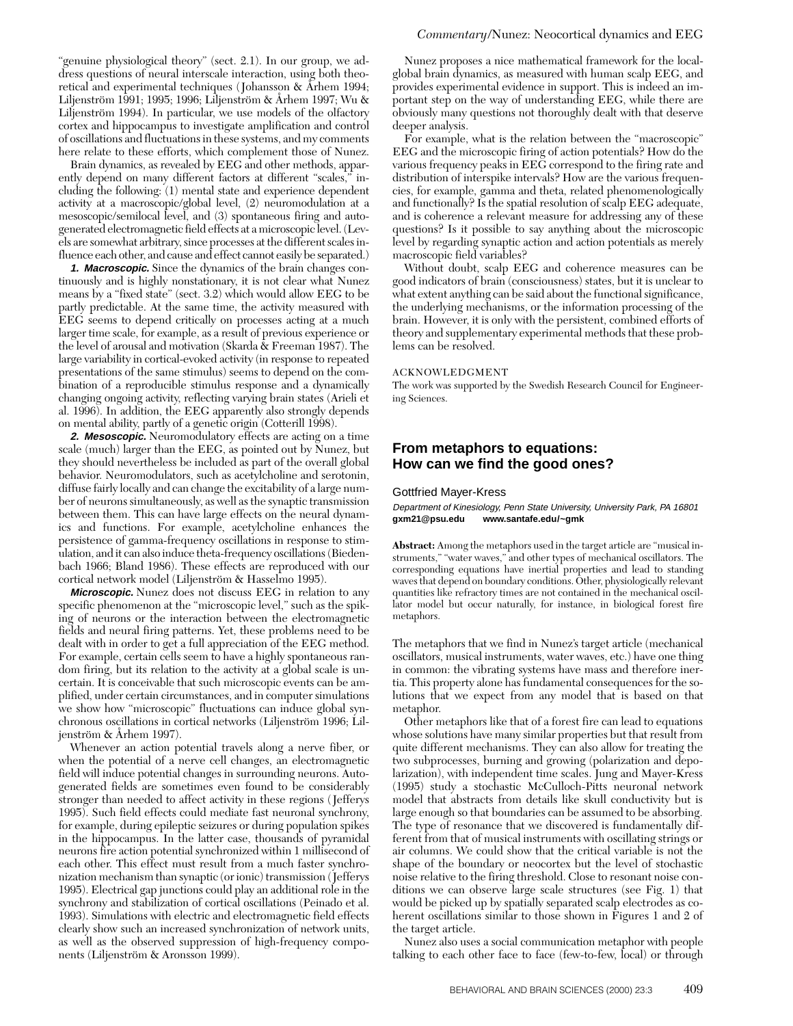"genuine physiological theory" (sect. 2.1). In our group, we address questions of neural interscale interaction, using both theoretical and experimental techniques (Johansson & Århem 1994; Liljenström 1991; 1995; 1996; Liljenström & Århem 1997; Wu & Liljenström 1994). In particular, we use models of the olfactory cortex and hippocampus to investigate amplification and control of oscillations and fluctuations in these systems, and my comments here relate to these efforts, which complement those of Nunez.

Brain dynamics, as revealed by EEG and other methods, apparently depend on many different factors at different "scales," including the following: (1) mental state and experience dependent activity at a macroscopic/global level, (2) neuromodulation at a mesoscopic/semilocal level, and (3) spontaneous firing and autogenerated electromagnetic field effects at a microscopic level. (Levels are somewhat arbitrary, since processes at the different scales influence each other, and cause and effect cannot easily be separated.)

**1. Macroscopic.** Since the dynamics of the brain changes continuously and is highly nonstationary, it is not clear what Nunez means by a "fixed state" (sect. 3.2) which would allow EEG to be partly predictable. At the same time, the activity measured with EEG seems to depend critically on processes acting at a much larger time scale, for example, as a result of previous experience or the level of arousal and motivation (Skarda & Freeman 1987). The large variability in cortical-evoked activity (in response to repeated presentations of the same stimulus) seems to depend on the combination of a reproducible stimulus response and a dynamically changing ongoing activity, reflecting varying brain states (Arieli et al. 1996). In addition, the EEG apparently also strongly depends on mental ability, partly of a genetic origin (Cotterill 1998).

**2. Mesoscopic.** Neuromodulatory effects are acting on a time scale (much) larger than the EEG, as pointed out by Nunez, but they should nevertheless be included as part of the overall global behavior. Neuromodulators, such as acetylcholine and serotonin, diffuse fairly locally and can change the excitability of a large number of neurons simultaneously, as well as the synaptic transmission between them. This can have large effects on the neural dynamics and functions. For example, acetylcholine enhances the persistence of gamma-frequency oscillations in response to stimulation, and it can also induce theta-frequency oscillations (Biedenbach 1966; Bland 1986). These effects are reproduced with our cortical network model (Liljenström & Hasselmo 1995).

**Microscopic.** Nunez does not discuss EEG in relation to any specific phenomenon at the "microscopic level," such as the spiking of neurons or the interaction between the electromagnetic fields and neural firing patterns. Yet, these problems need to be dealt with in order to get a full appreciation of the EEG method. For example, certain cells seem to have a highly spontaneous random firing, but its relation to the activity at a global scale is uncertain. It is conceivable that such microscopic events can be amplified, under certain circumstances, and in computer simulations we show how "microscopic" fluctuations can induce global synchronous oscillations in cortical networks (Liljenström 1996; Liljenström & Århem 1997).

Whenever an action potential travels along a nerve fiber, or when the potential of a nerve cell changes, an electromagnetic field will induce potential changes in surrounding neurons. Autogenerated fields are sometimes even found to be considerably stronger than needed to affect activity in these regions (Jefferys 1995). Such field effects could mediate fast neuronal synchrony, for example, during epileptic seizures or during population spikes in the hippocampus. In the latter case, thousands of pyramidal neurons fire action potential synchronized within 1 millisecond of each other. This effect must result from a much faster synchronization mechanism than synaptic (or ionic) transmission (Jefferys 1995). Electrical gap junctions could play an additional role in the synchrony and stabilization of cortical oscillations (Peinado et al. 1993). Simulations with electric and electromagnetic field effects clearly show such an increased synchronization of network units, as well as the observed suppression of high-frequency components (Liljenström & Aronsson 1999).

Nunez proposes a nice mathematical framework for the localglobal brain dynamics, as measured with human scalp EEG, and provides experimental evidence in support. This is indeed an important step on the way of understanding EEG, while there are obviously many questions not thoroughly dealt with that deserve deeper analysis.

For example, what is the relation between the "macroscopic" EEG and the microscopic firing of action potentials? How do the various frequency peaks in EEG correspond to the firing rate and distribution of interspike intervals? How are the various frequencies, for example, gamma and theta, related phenomenologically and functionally? Is the spatial resolution of scalp EEG adequate, and is coherence a relevant measure for addressing any of these questions? Is it possible to say anything about the microscopic level by regarding synaptic action and action potentials as merely macroscopic field variables?

Without doubt, scalp EEG and coherence measures can be good indicators of brain (consciousness) states, but it is unclear to what extent anything can be said about the functional significance, the underlying mechanisms, or the information processing of the brain. However, it is only with the persistent, combined efforts of theory and supplementary experimental methods that these problems can be resolved.

#### ACKNOWLEDGMENT

The work was supported by the Swedish Research Council for Engineering Sciences.

## **From metaphors to equations: How can we find the good ones?**

#### Gottfried Mayer-Kress

Department of Kinesiology, Penn State University, University Park, PA 16801 **gxm21@psu.edu www.santafe.edu/~gmk**

**Abstract:** Among the metaphors used in the target article are "musical instruments," "water waves," and other types of mechanical oscillators. The corresponding equations have inertial properties and lead to standing waves that depend on boundary conditions. Other, physiologically relevant quantities like refractory times are not contained in the mechanical oscillator model but occur naturally, for instance, in biological forest fire metaphors.

The metaphors that we find in Nunez's target article (mechanical oscillators, musical instruments, water waves, etc.) have one thing in common: the vibrating systems have mass and therefore inertia. This property alone has fundamental consequences for the solutions that we expect from any model that is based on that metaphor.

Other metaphors like that of a forest fire can lead to equations whose solutions have many similar properties but that result from quite different mechanisms. They can also allow for treating the two subprocesses, burning and growing (polarization and depolarization), with independent time scales. Jung and Mayer-Kress (1995) study a stochastic McCulloch-Pitts neuronal network model that abstracts from details like skull conductivity but is large enough so that boundaries can be assumed to be absorbing. The type of resonance that we discovered is fundamentally different from that of musical instruments with oscillating strings or air columns. We could show that the critical variable is not the shape of the boundary or neocortex but the level of stochastic noise relative to the firing threshold. Close to resonant noise conditions we can observe large scale structures (see Fig. 1) that would be picked up by spatially separated scalp electrodes as coherent oscillations similar to those shown in Figures 1 and 2 of the target article.

Nunez also uses a social communication metaphor with people talking to each other face to face (few-to-few, local) or through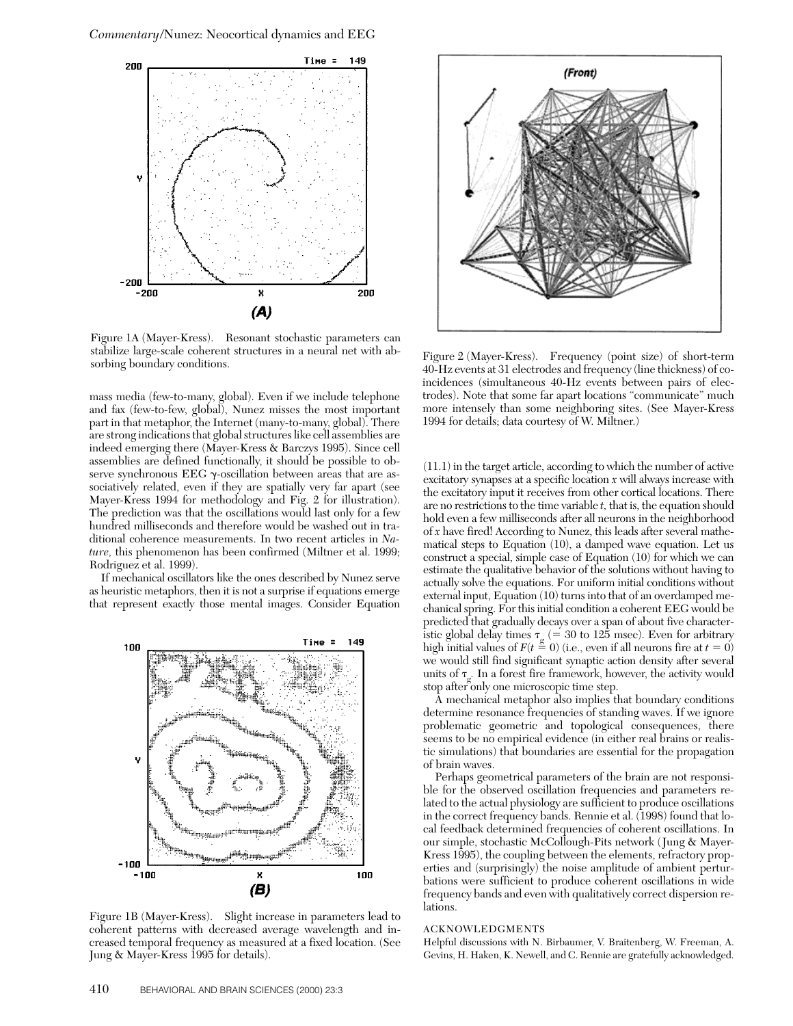*Commentary/*Nunez: Neocortical dynamics and EEG



Figure 1A (Mayer-Kress). Resonant stochastic parameters can stabilize large-scale coherent structures in a neural net with absorbing boundary conditions.

mass media (few-to-many, global). Even if we include telephone and fax (few-to-few, global), Nunez misses the most important part in that metaphor, the Internet (many-to-many, global). There are strong indications that global structures like cell assemblies are indeed emerging there (Mayer-Kress & Barczys 1995). Since cell assemblies are defined functionally, it should be possible to observe synchronous EEG  $\gamma$ -oscillation between areas that are associatively related, even if they are spatially very far apart (see Mayer-Kress 1994 for methodology and Fig. 2 for illustration). The prediction was that the oscillations would last only for a few hundred milliseconds and therefore would be washed out in traditional coherence measurements. In two recent articles in *Nature,* this phenomenon has been confirmed (Miltner et al. 1999; Rodriguez et al. 1999).

If mechanical oscillators like the ones described by Nunez serve as heuristic metaphors, then it is not a surprise if equations emerge that represent exactly those mental images. Consider Equation



Figure 1B (Mayer-Kress). Slight increase in parameters lead to coherent patterns with decreased average wavelength and increased temporal frequency as measured at a fixed location. (See Jung & Mayer-Kress 1995 for details).



Figure 2 (Mayer-Kress). Frequency (point size) of short-term 40-Hz events at 31 electrodes and frequency (line thickness) of coincidences (simultaneous 40-Hz events between pairs of electrodes). Note that some far apart locations "communicate" much more intensely than some neighboring sites. (See Mayer-Kress 1994 for details; data courtesy of W. Miltner.)

(11.1) in the target article, according to which the number of active excitatory synapses at a specific location *x* will always increase with the excitatory input it receives from other cortical locations. There are no restrictions to the time variable *t,* that is, the equation should hold even a few milliseconds after all neurons in the neighborhood of *x* have fired! According to Nunez, this leads after several mathematical steps to Equation (10), a damped wave equation. Let us construct a special, simple case of Equation (10) for which we can estimate the qualitative behavior of the solutions without having to actually solve the equations. For uniform initial conditions without external input, Equation (10) turns into that of an overdamped mechanical spring. For this initial condition a coherent EEG would be predicted that gradually decays over a span of about five characteristic global delay times  $\tau_g$  (= 30 to 125 msec). Even for arbitrary high initial values of *F*(*t*  $\stackrel{=}{=}$  0) (i.e., even if all neurons fire at *t* = 0) we would still find significant synaptic action density after several units of  $\tau_g$ . In a forest fire framework, however, the activity would stop after only one microscopic time step.

A mechanical metaphor also implies that boundary conditions determine resonance frequencies of standing waves. If we ignore problematic geometric and topological consequences, there seems to be no empirical evidence (in either real brains or realistic simulations) that boundaries are essential for the propagation of brain waves.

Perhaps geometrical parameters of the brain are not responsible for the observed oscillation frequencies and parameters related to the actual physiology are sufficient to produce oscillations in the correct frequency bands. Rennie et al. (1998) found that local feedback determined frequencies of coherent oscillations. In our simple, stochastic McCollough-Pits network (Jung & Mayer-Kress 1995), the coupling between the elements, refractory properties and (surprisingly) the noise amplitude of ambient perturbations were sufficient to produce coherent oscillations in wide frequency bands and even with qualitatively correct dispersion relations.

#### ACKNOWLEDGMENTS

Helpful discussions with N. Birbaumer, V. Braitenberg, W. Freeman, A. Gevins, H. Haken, K. Newell, and C. Rennie are gratefully acknowledged.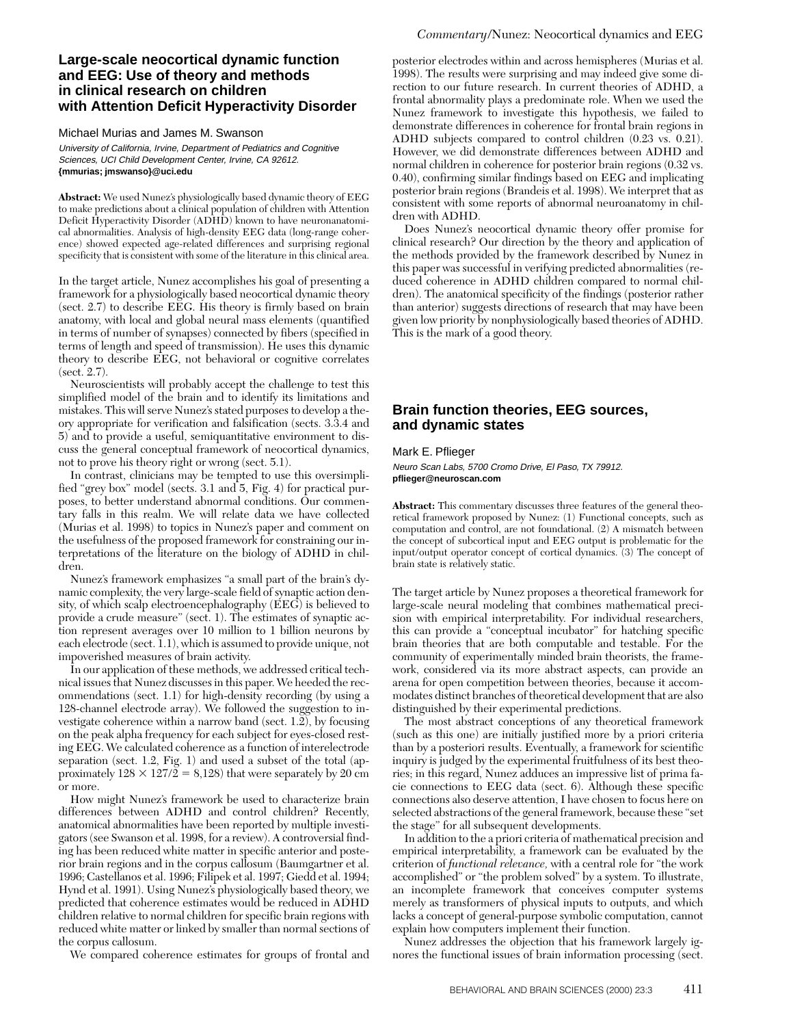## **Large-scale neocortical dynamic function and EEG: Use of theory and methods in clinical research on children with Attention Deficit Hyperactivity Disorder**

#### Michael Murias and James M. Swanson

University of California, Irvine, Department of Pediatrics and Cognitive Sciences, UCI Child Development Center, Irvine, CA 92612. **{mmurias; jmswanso}@uci.edu**

**Abstract:** We used Nunez's physiologically based dynamic theory of EEG to make predictions about a clinical population of children with Attention Deficit Hyperactivity Disorder (ADHD) known to have neuronanatomical abnormalities. Analysis of high-density EEG data (long-range coherence) showed expected age-related differences and surprising regional specificity that is consistent with some of the literature in this clinical area.

In the target article, Nunez accomplishes his goal of presenting a framework for a physiologically based neocortical dynamic theory (sect. 2.7) to describe EEG. His theory is firmly based on brain anatomy, with local and global neural mass elements (quantified in terms of number of synapses) connected by fibers (specified in terms of length and speed of transmission). He uses this dynamic theory to describe EEG, not behavioral or cognitive correlates (sect. 2.7).

Neuroscientists will probably accept the challenge to test this simplified model of the brain and to identify its limitations and mistakes. This will serve Nunez's stated purposes to develop a theory appropriate for verification and falsification (sects. 3.3.4 and 5) and to provide a useful, semiquantitative environment to discuss the general conceptual framework of neocortical dynamics, not to prove his theory right or wrong (sect. 5.1).

In contrast, clinicians may be tempted to use this oversimplified "grey box" model (sects. 3.1 and 5, Fig. 4) for practical purposes, to better understand abnormal conditions. Our commentary falls in this realm. We will relate data we have collected (Murias et al. 1998) to topics in Nunez's paper and comment on the usefulness of the proposed framework for constraining our interpretations of the literature on the biology of ADHD in children.

Nunez's framework emphasizes "a small part of the brain's dynamic complexity, the very large-scale field of synaptic action density, of which scalp electroencephalography (EEG) is believed to provide a crude measure" (sect. 1). The estimates of synaptic action represent averages over 10 million to 1 billion neurons by each electrode (sect. 1.1), which is assumed to provide unique, not impoverished measures of brain activity.

In our application of these methods, we addressed critical technical issues that Nunez discusses in this paper. We heeded the recommendations (sect. 1.1) for high-density recording (by using a 128-channel electrode array). We followed the suggestion to investigate coherence within a narrow band (sect. 1.2), by focusing on the peak alpha frequency for each subject for eyes-closed resting EEG. We calculated coherence as a function of interelectrode separation (sect. 1.2, Fig. 1) and used a subset of the total (approximately  $128 \times 127/\overline{2} = 8,128$ ) that were separately by 20 cm or more.

How might Nunez's framework be used to characterize brain differences between ADHD and control children? Recently, anatomical abnormalities have been reported by multiple investigators (see Swanson et al. 1998, for a review). A controversial finding has been reduced white matter in specific anterior and posterior brain regions and in the corpus callosum (Baumgartner et al. 1996; Castellanos et al. 1996; Filipek et al. 1997; Giedd et al. 1994; Hynd et al. 1991). Using Nunez's physiologically based theory, we predicted that coherence estimates would be reduced in ADHD children relative to normal children for specific brain regions with reduced white matter or linked by smaller than normal sections of the corpus callosum.

We compared coherence estimates for groups of frontal and

#### *Commentary/*Nunez: Neocortical dynamics and EEG

posterior electrodes within and across hemispheres (Murias et al. 1998). The results were surprising and may indeed give some direction to our future research. In current theories of ADHD, a frontal abnormality plays a predominate role. When we used the Nunez framework to investigate this hypothesis, we failed to demonstrate differences in coherence for frontal brain regions in ADHD subjects compared to control children (0.23 vs. 0.21). However, we did demonstrate differences between ADHD and normal children in coherence for posterior brain regions (0.32 vs. 0.40), confirming similar findings based on EEG and implicating posterior brain regions (Brandeis et al. 1998). We interpret that as consistent with some reports of abnormal neuroanatomy in children with ADHD.

Does Nunez's neocortical dynamic theory offer promise for clinical research? Our direction by the theory and application of the methods provided by the framework described by Nunez in this paper was successful in verifying predicted abnormalities (reduced coherence in ADHD children compared to normal children). The anatomical specificity of the findings (posterior rather than anterior) suggests directions of research that may have been given low priority by nonphysiologically based theories of ADHD. This is the mark of a good theory.

## **Brain function theories, EEG sources, and dynamic states**

Mark E. Pflieger Neuro Scan Labs, 5700 Cromo Drive, El Paso, TX 79912. **pflieger@neuroscan.com**

**Abstract:** This commentary discusses three features of the general theoretical framework proposed by Nunez: (1) Functional concepts, such as computation and control, are not foundational. (2) A mismatch between the concept of subcortical input and EEG output is problematic for the input/output operator concept of cortical dynamics. (3) The concept of brain state is relatively static.

The target article by Nunez proposes a theoretical framework for large-scale neural modeling that combines mathematical precision with empirical interpretability. For individual researchers, this can provide a "conceptual incubator" for hatching specific brain theories that are both computable and testable. For the community of experimentally minded brain theorists, the framework, considered via its more abstract aspects, can provide an arena for open competition between theories, because it accommodates distinct branches of theoretical development that are also distinguished by their experimental predictions.

The most abstract conceptions of any theoretical framework (such as this one) are initially justified more by a priori criteria than by a posteriori results. Eventually, a framework for scientific inquiry is judged by the experimental fruitfulness of its best theories; in this regard, Nunez adduces an impressive list of prima facie connections to EEG data (sect. 6). Although these specific connections also deserve attention, I have chosen to focus here on selected abstractions of the general framework, because these "set the stage" for all subsequent developments.

In addition to the a priori criteria of mathematical precision and empirical interpretability, a framework can be evaluated by the criterion of *functional relevance,* with a central role for "the work accomplished" or "the problem solved" by a system. To illustrate, an incomplete framework that conceives computer systems merely as transformers of physical inputs to outputs, and which lacks a concept of general-purpose symbolic computation, cannot explain how computers implement their function.

Nunez addresses the objection that his framework largely ignores the functional issues of brain information processing (sect.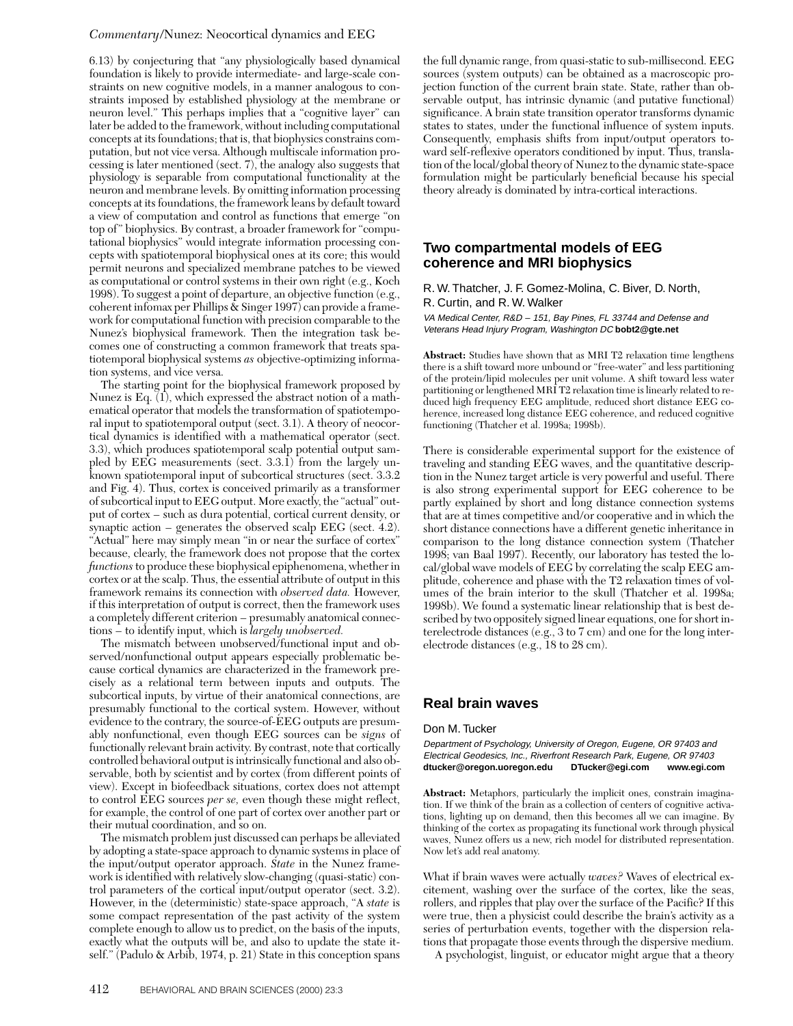## *Commentary/*Nunez: Neocortical dynamics and EEG

6.13) by conjecturing that "any physiologically based dynamical foundation is likely to provide intermediate- and large-scale constraints on new cognitive models, in a manner analogous to constraints imposed by established physiology at the membrane or neuron level." This perhaps implies that a "cognitive layer" can later be added to the framework, without including computational concepts at its foundations; that is, that biophysics constrains computation, but not vice versa. Although multiscale information processing is later mentioned (sect. 7), the analogy also suggests that physiology is separable from computational functionality at the neuron and membrane levels. By omitting information processing concepts at its foundations, the framework leans by default toward a view of computation and control as functions that emerge "on top of" biophysics. By contrast, a broader framework for "computational biophysics" would integrate information processing concepts with spatiotemporal biophysical ones at its core; this would permit neurons and specialized membrane patches to be viewed as computational or control systems in their own right (e.g., Koch 1998). To suggest a point of departure, an objective function (e.g., coherent infomax per Phillips & Singer 1997) can provide a framework for computational function with precision comparable to the Nunez's biophysical framework. Then the integration task becomes one of constructing a common framework that treats spatiotemporal biophysical systems *as* objective-optimizing information systems, and vice versa.

The starting point for the biophysical framework proposed by Nunez is Eq.  $(1)$ , which expressed the abstract notion of a mathematical operator that models the transformation of spatiotemporal input to spatiotemporal output (sect. 3.1). A theory of neocortical dynamics is identified with a mathematical operator (sect. 3.3), which produces spatiotemporal scalp potential output sampled by EEG measurements (sect. 3.3.1) from the largely unknown spatiotemporal input of subcortical structures (sect. 3.3.2 and Fig. 4). Thus, cortex is conceived primarily as a transformer of subcortical input to EEG output. More exactly, the "actual" output of cortex – such as dura potential, cortical current density, or synaptic action – generates the observed scalp EEG (sect. 4.2). "Actual" here may simply mean "in or near the surface of cortex" because, clearly, the framework does not propose that the cortex *functions* to produce these biophysical epiphenomena, whether in cortex or at the scalp. Thus, the essential attribute of output in this framework remains its connection with *observed data.* However, if this interpretation of output is correct, then the framework uses a completely different criterion – presumably anatomical connections – to identify input, which is *largely unobserved.*

The mismatch between unobserved/functional input and observed/nonfunctional output appears especially problematic because cortical dynamics are characterized in the framework precisely as a relational term between inputs and outputs. The subcortical inputs, by virtue of their anatomical connections, are presumably functional to the cortical system. However, without evidence to the contrary, the source-of-EEG outputs are presumably nonfunctional, even though EEG sources can be *signs* of functionally relevant brain activity. By contrast, note that cortically controlled behavioral output is intrinsically functional and also observable, both by scientist and by cortex (from different points of view). Except in biofeedback situations, cortex does not attempt to control EEG sources *per se,* even though these might reflect, for example, the control of one part of cortex over another part or their mutual coordination, and so on.

The mismatch problem just discussed can perhaps be alleviated by adopting a state-space approach to dynamic systems in place of the input/output operator approach. *State* in the Nunez framework is identified with relatively slow-changing (quasi-static) control parameters of the cortical input/output operator (sect. 3.2). However, in the (deterministic) state-space approach, "A *state* is some compact representation of the past activity of the system complete enough to allow us to predict, on the basis of the inputs, exactly what the outputs will be, and also to update the state itself." (Padulo & Arbib, 1974, p. 21) State in this conception spans

the full dynamic range, from quasi-static to sub-millisecond. EEG sources (system outputs) can be obtained as a macroscopic projection function of the current brain state. State, rather than observable output, has intrinsic dynamic (and putative functional) significance. A brain state transition operator transforms dynamic states to states, under the functional influence of system inputs. Consequently, emphasis shifts from input/output operators toward self-reflexive operators conditioned by input. Thus, translation of the local/global theory of Nunez to the dynamic state-space formulation might be particularly beneficial because his special theory already is dominated by intra-cortical interactions.

## **Two compartmental models of EEG coherence and MRI biophysics**

R. W. Thatcher, J. F. Gomez-Molina, C. Biver, D. North, R. Curtin, and R. W. Walker

VA Medical Center, R&D – 151, Bay Pines, FL 33744 and Defense and Veterans Head Injury Program, Washington DC **bobt2@gte.net**

**Abstract:** Studies have shown that as MRI T2 relaxation time lengthens there is a shift toward more unbound or "free-water" and less partitioning of the protein/lipid molecules per unit volume. A shift toward less water partitioning or lengthened MRI T2 relaxation time is linearly related to reduced high frequency EEG amplitude, reduced short distance EEG coherence, increased long distance EEG coherence, and reduced cognitive functioning (Thatcher et al. 1998a; 1998b).

There is considerable experimental support for the existence of traveling and standing EEG waves, and the quantitative description in the Nunez target article is very powerful and useful. There is also strong experimental support for EEG coherence to be partly explained by short and long distance connection systems that are at times competitive and/or cooperative and in which the short distance connections have a different genetic inheritance in comparison to the long distance connection system (Thatcher 1998; van Baal 1997). Recently, our laboratory has tested the local/global wave models of EEG by correlating the scalp EEG amplitude, coherence and phase with the T2 relaxation times of volumes of the brain interior to the skull (Thatcher et al. 1998a; 1998b). We found a systematic linear relationship that is best described by two oppositely signed linear equations, one for short interelectrode distances (e.g., 3 to 7 cm) and one for the long interelectrode distances (e.g., 18 to 28 cm).

## **Real brain waves**

#### Don M. Tucker

Department of Psychology, University of Oregon, Eugene, OR 97403 and Electrical Geodesics, Inc., Riverfront Research Park, Eugene, OR 97403 **dtucker@oregon.uoregon.edu DTucker@egi.com www.egi.com**

**Abstract:** Metaphors, particularly the implicit ones, constrain imagination. If we think of the brain as a collection of centers of cognitive activations, lighting up on demand, then this becomes all we can imagine. By thinking of the cortex as propagating its functional work through physical waves, Nunez offers us a new, rich model for distributed representation. Now let's add real anatomy.

What if brain waves were actually *waves?* Waves of electrical excitement, washing over the surface of the cortex, like the seas, rollers, and ripples that play over the surface of the Pacific? If this were true, then a physicist could describe the brain's activity as a series of perturbation events, together with the dispersion relations that propagate those events through the dispersive medium.

A psychologist, linguist, or educator might argue that a theory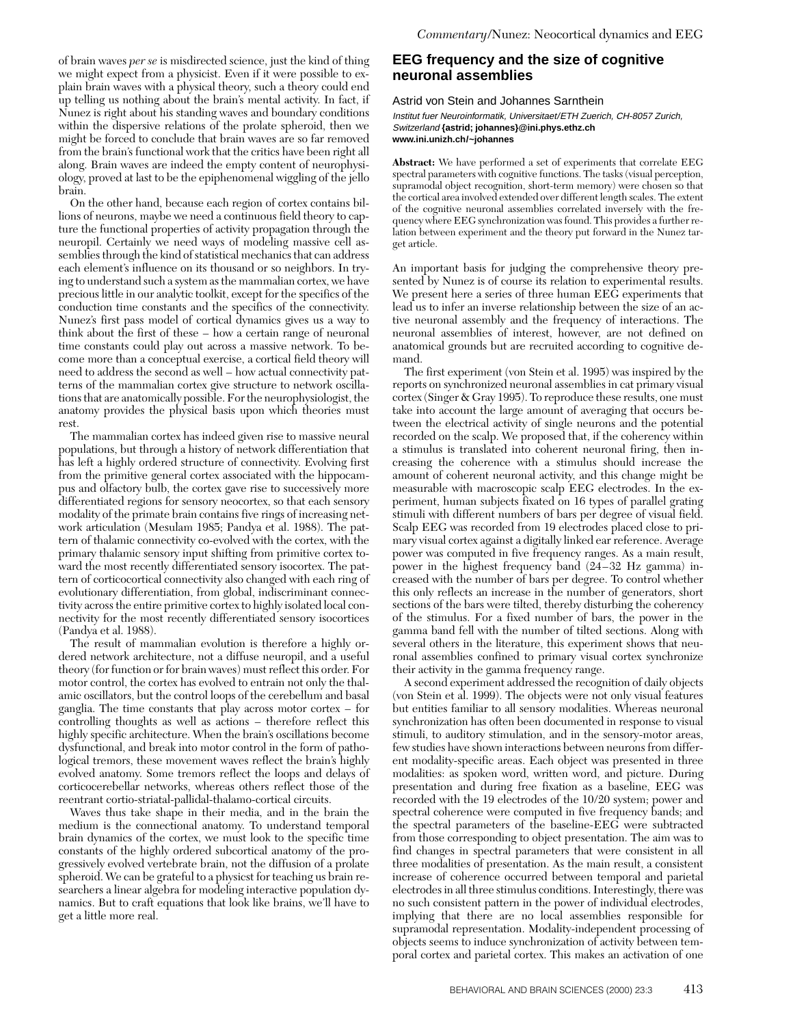of brain waves *per se* is misdirected science, just the kind of thing we might expect from a physicist. Even if it were possible to explain brain waves with a physical theory, such a theory could end up telling us nothing about the brain's mental activity. In fact, if Nunez is right about his standing waves and boundary conditions within the dispersive relations of the prolate spheroid, then we might be forced to conclude that brain waves are so far removed from the brain's functional work that the critics have been right all along. Brain waves are indeed the empty content of neurophysiology, proved at last to be the epiphenomenal wiggling of the jello brain.

On the other hand, because each region of cortex contains billions of neurons, maybe we need a continuous field theory to capture the functional properties of activity propagation through the neuropil. Certainly we need ways of modeling massive cell assemblies through the kind of statistical mechanics that can address each element's influence on its thousand or so neighbors. In trying to understand such a system as the mammalian cortex, we have precious little in our analytic toolkit, except for the specifics of the conduction time constants and the specifics of the connectivity. Nunez's first pass model of cortical dynamics gives us a way to think about the first of these – how a certain range of neuronal time constants could play out across a massive network. To become more than a conceptual exercise, a cortical field theory will need to address the second as well – how actual connectivity patterns of the mammalian cortex give structure to network oscillations that are anatomically possible. For the neurophysiologist, the anatomy provides the physical basis upon which theories must rest.

The mammalian cortex has indeed given rise to massive neural populations, but through a history of network differentiation that has left a highly ordered structure of connectivity. Evolving first from the primitive general cortex associated with the hippocampus and olfactory bulb, the cortex gave rise to successively more differentiated regions for sensory neocortex, so that each sensory modality of the primate brain contains five rings of increasing network articulation (Mesulam 1985; Pandya et al. 1988). The pattern of thalamic connectivity co-evolved with the cortex, with the primary thalamic sensory input shifting from primitive cortex toward the most recently differentiated sensory isocortex. The pattern of corticocortical connectivity also changed with each ring of evolutionary differentiation, from global, indiscriminant connectivity across the entire primitive cortex to highly isolated local connectivity for the most recently differentiated sensory isocortices (Pandya et al. 1988).

The result of mammalian evolution is therefore a highly ordered network architecture, not a diffuse neuropil, and a useful theory (for function or for brain waves) must reflect this order. For motor control, the cortex has evolved to entrain not only the thalamic oscillators, but the control loops of the cerebellum and basal ganglia. The time constants that play across motor cortex – for controlling thoughts as well as actions – therefore reflect this highly specific architecture. When the brain's oscillations become dysfunctional, and break into motor control in the form of pathological tremors, these movement waves reflect the brain's highly evolved anatomy. Some tremors reflect the loops and delays of corticocerebellar networks, whereas others reflect those of the reentrant cortio-striatal-pallidal-thalamo-cortical circuits.

Waves thus take shape in their media, and in the brain the medium is the connectional anatomy. To understand temporal brain dynamics of the cortex, we must look to the specific time constants of the highly ordered subcortical anatomy of the progressively evolved vertebrate brain, not the diffusion of a prolate spheroid. We can be grateful to a physicst for teaching us brain researchers a linear algebra for modeling interactive population dynamics. But to craft equations that look like brains, we'll have to get a little more real.

## **EEG frequency and the size of cognitive neuronal assemblies**

Astrid von Stein and Johannes Sarnthein Institut fuer Neuroinformatik, Universitaet/ETH Zuerich, CH-8057 Zurich, Switzerland **{astrid; johannes}@ini.phys.ethz.ch www.ini.unizh.ch/~johannes**

**Abstract:** We have performed a set of experiments that correlate EEG spectral parameters with cognitive functions. The tasks (visual perception, supramodal object recognition, short-term memory) were chosen so that the cortical area involved extended over different length scales. The extent of the cognitive neuronal assemblies correlated inversely with the frequency where EEG synchronization was found. This provides a further relation between experiment and the theory put forward in the Nunez target article.

An important basis for judging the comprehensive theory presented by Nunez is of course its relation to experimental results. We present here a series of three human EEG experiments that lead us to infer an inverse relationship between the size of an active neuronal assembly and the frequency of interactions. The neuronal assemblies of interest, however, are not defined on anatomical grounds but are recruited according to cognitive demand.

The first experiment (von Stein et al. 1995) was inspired by the reports on synchronized neuronal assemblies in cat primary visual cortex (Singer & Gray 1995). To reproduce these results, one must take into account the large amount of averaging that occurs between the electrical activity of single neurons and the potential recorded on the scalp. We proposed that, if the coherency within a stimulus is translated into coherent neuronal firing, then increasing the coherence with a stimulus should increase the amount of coherent neuronal activity, and this change might be measurable with macroscopic scalp EEG electrodes. In the experiment, human subjects fixated on 16 types of parallel grating stimuli with different numbers of bars per degree of visual field. Scalp EEG was recorded from 19 electrodes placed close to primary visual cortex against a digitally linked ear reference. Average power was computed in five frequency ranges. As a main result, power in the highest frequency band (24–32 Hz gamma) increased with the number of bars per degree. To control whether this only reflects an increase in the number of generators, short sections of the bars were tilted, thereby disturbing the coherency of the stimulus. For a fixed number of bars, the power in the gamma band fell with the number of tilted sections. Along with several others in the literature, this experiment shows that neuronal assemblies confined to primary visual cortex synchronize their activity in the gamma frequency range.

A second experiment addressed the recognition of daily objects (von Stein et al. 1999). The objects were not only visual features but entities familiar to all sensory modalities. Whereas neuronal synchronization has often been documented in response to visual stimuli, to auditory stimulation, and in the sensory-motor areas, few studies have shown interactions between neurons from different modality-specific areas. Each object was presented in three modalities: as spoken word, written word, and picture. During presentation and during free fixation as a baseline, EEG was recorded with the 19 electrodes of the 10/20 system; power and spectral coherence were computed in five frequency bands; and the spectral parameters of the baseline-EEG were subtracted from those corresponding to object presentation. The aim was to find changes in spectral parameters that were consistent in all three modalities of presentation. As the main result, a consistent increase of coherence occurred between temporal and parietal electrodes in all three stimulus conditions. Interestingly, there was no such consistent pattern in the power of individual electrodes, implying that there are no local assemblies responsible for supramodal representation. Modality-independent processing of objects seems to induce synchronization of activity between temporal cortex and parietal cortex. This makes an activation of one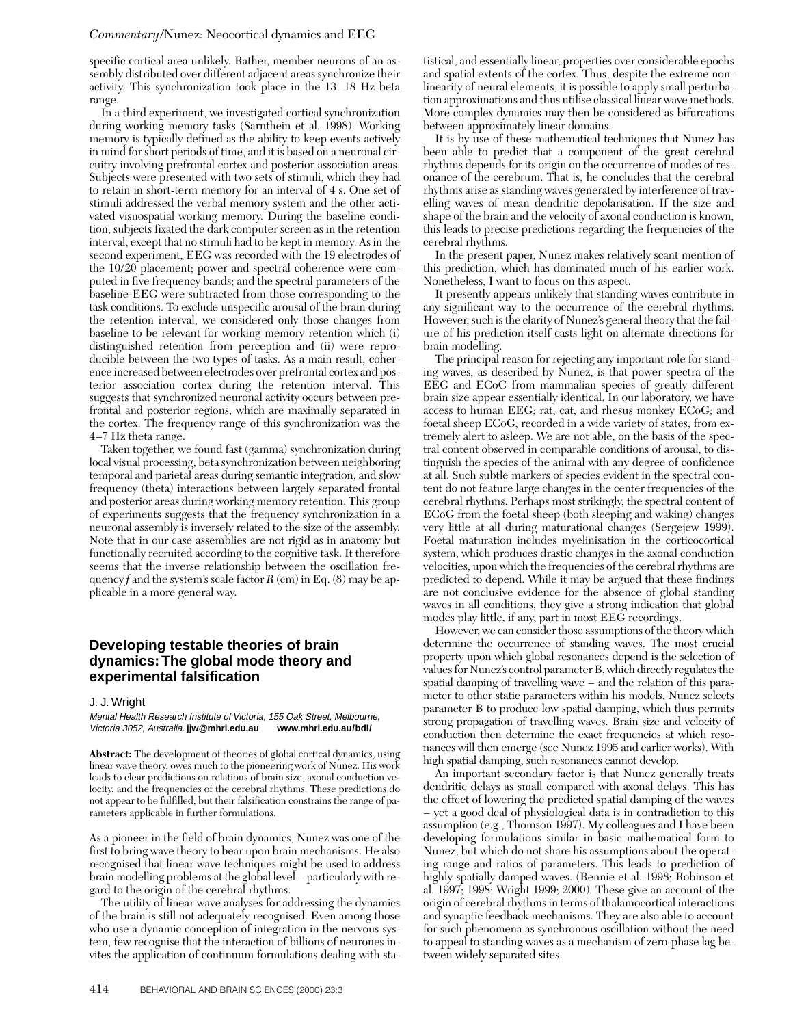specific cortical area unlikely. Rather, member neurons of an assembly distributed over different adjacent areas synchronize their activity. This synchronization took place in the 13–18 Hz beta range.

In a third experiment, we investigated cortical synchronization during working memory tasks (Sarnthein et al. 1998). Working memory is typically defined as the ability to keep events actively in mind for short periods of time, and it is based on a neuronal circuitry involving prefrontal cortex and posterior association areas. Subjects were presented with two sets of stimuli, which they had to retain in short-term memory for an interval of 4 s. One set of stimuli addressed the verbal memory system and the other activated visuospatial working memory. During the baseline condition, subjects fixated the dark computer screen as in the retention interval, except that no stimuli had to be kept in memory. As in the second experiment, EEG was recorded with the 19 electrodes of the 10/20 placement; power and spectral coherence were computed in five frequency bands; and the spectral parameters of the baseline-EEG were subtracted from those corresponding to the task conditions. To exclude unspecific arousal of the brain during the retention interval, we considered only those changes from baseline to be relevant for working memory retention which (i) distinguished retention from perception and (ii) were reproducible between the two types of tasks. As a main result, coherence increased between electrodes over prefrontal cortex and posterior association cortex during the retention interval. This suggests that synchronized neuronal activity occurs between prefrontal and posterior regions, which are maximally separated in the cortex. The frequency range of this synchronization was the 4–7 Hz theta range.

Taken together, we found fast (gamma) synchronization during local visual processing, beta synchronization between neighboring temporal and parietal areas during semantic integration, and slow frequency (theta) interactions between largely separated frontal and posterior areas during working memory retention. This group of experiments suggests that the frequency synchronization in a neuronal assembly is inversely related to the size of the assembly. Note that in our case assemblies are not rigid as in anatomy but functionally recruited according to the cognitive task. It therefore seems that the inverse relationship between the oscillation frequency *f* and the system's scale factor *R* (cm) in Eq. (8) may be applicable in a more general way.

## **Developing testable theories of brain dynamics:The global mode theory and experimental falsification**

#### J. J. Wright

Mental Health Research Institute of Victoria, 155 Oak Street, Melbourne, Victoria 3052, Australia. **jjw@mhri.edu.au www.mhri.edu.au/bdl/**

**Abstract:** The development of theories of global cortical dynamics, using linear wave theory, owes much to the pioneering work of Nunez. His work leads to clear predictions on relations of brain size, axonal conduction velocity, and the frequencies of the cerebral rhythms. These predictions do not appear to be fulfilled, but their falsification constrains the range of parameters applicable in further formulations.

As a pioneer in the field of brain dynamics, Nunez was one of the first to bring wave theory to bear upon brain mechanisms. He also recognised that linear wave techniques might be used to address brain modelling problems at the global level – particularly with regard to the origin of the cerebral rhythms.

The utility of linear wave analyses for addressing the dynamics of the brain is still not adequately recognised. Even among those who use a dynamic conception of integration in the nervous system, few recognise that the interaction of billions of neurones invites the application of continuum formulations dealing with statistical, and essentially linear, properties over considerable epochs and spatial extents of the cortex. Thus, despite the extreme nonlinearity of neural elements, it is possible to apply small perturbation approximations and thus utilise classical linear wave methods. More complex dynamics may then be considered as bifurcations between approximately linear domains.

It is by use of these mathematical techniques that Nunez has been able to predict that a component of the great cerebral rhythms depends for its origin on the occurrence of modes of resonance of the cerebrum. That is, he concludes that the cerebral rhythms arise as standing waves generated by interference of travelling waves of mean dendritic depolarisation. If the size and shape of the brain and the velocity of axonal conduction is known, this leads to precise predictions regarding the frequencies of the cerebral rhythms.

In the present paper, Nunez makes relatively scant mention of this prediction, which has dominated much of his earlier work. Nonetheless, I want to focus on this aspect.

It presently appears unlikely that standing waves contribute in any significant way to the occurrence of the cerebral rhythms. However, such is the clarity of Nunez's general theory that the failure of his prediction itself casts light on alternate directions for brain modelling.

The principal reason for rejecting any important role for standing waves, as described by Nunez, is that power spectra of the EEG and ECoG from mammalian species of greatly different brain size appear essentially identical. In our laboratory, we have access to human EEG; rat, cat, and rhesus monkey ECoG; and foetal sheep ECoG, recorded in a wide variety of states, from extremely alert to asleep. We are not able, on the basis of the spectral content observed in comparable conditions of arousal, to distinguish the species of the animal with any degree of confidence at all. Such subtle markers of species evident in the spectral content do not feature large changes in the center frequencies of the cerebral rhythms. Perhaps most strikingly, the spectral content of ECoG from the foetal sheep (both sleeping and waking) changes very little at all during maturational changes (Sergejew 1999). Foetal maturation includes myelinisation in the corticocortical system, which produces drastic changes in the axonal conduction velocities, upon which the frequencies of the cerebral rhythms are predicted to depend. While it may be argued that these findings are not conclusive evidence for the absence of global standing waves in all conditions, they give a strong indication that global modes play little, if any, part in most EEG recordings.

However, we can consider those assumptions of the theory which determine the occurrence of standing waves. The most crucial property upon which global resonances depend is the selection of values for Nunez's control parameter B, which directly regulates the spatial damping of travelling wave – and the relation of this parameter to other static parameters within his models. Nunez selects parameter B to produce low spatial damping, which thus permits strong propagation of travelling waves. Brain size and velocity of conduction then determine the exact frequencies at which resonances will then emerge (see Nunez 1995 and earlier works). With high spatial damping, such resonances cannot develop.

An important secondary factor is that Nunez generally treats dendritic delays as small compared with axonal delays. This has the effect of lowering the predicted spatial damping of the waves – yet a good deal of physiological data is in contradiction to this assumption (e.g., Thomson 1997). My colleagues and I have been developing formulations similar in basic mathematical form to Nunez, but which do not share his assumptions about the operating range and ratios of parameters. This leads to prediction of highly spatially damped waves. (Rennie et al. 1998; Robinson et al. 1997; 1998; Wright 1999; 2000). These give an account of the origin of cerebral rhythms in terms of thalamocortical interactions and synaptic feedback mechanisms. They are also able to account for such phenomena as synchronous oscillation without the need to appeal to standing waves as a mechanism of zero-phase lag between widely separated sites.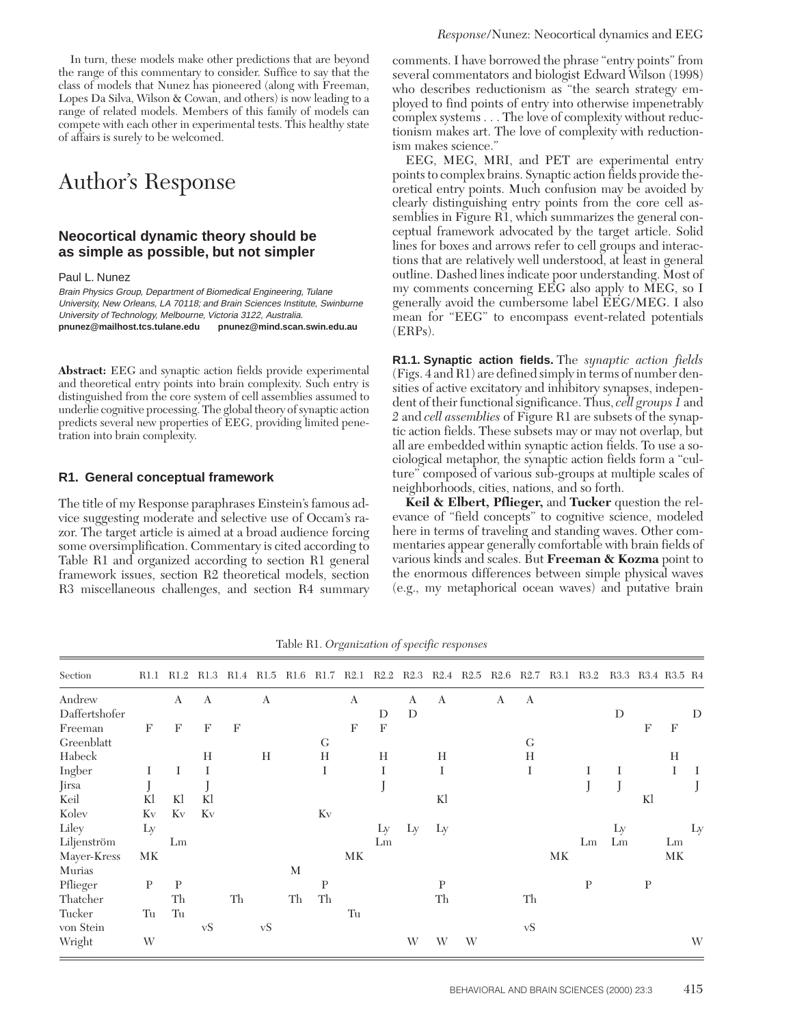In turn, these models make other predictions that are beyond the range of this commentary to consider. Suffice to say that the class of models that Nunez has pioneered (along with Freeman, Lopes Da Silva, Wilson & Cowan, and others) is now leading to a range of related models. Members of this family of models can compete with each other in experimental tests. This healthy state of affairs is surely to be welcomed.

## Author's Response

## **Neocortical dynamic theory should be as simple as possible, but not simpler**

#### Paul L. Nunez

Brain Physics Group, Department of Biomedical Engineering, Tulane University, New Orleans, LA 70118; and Brain Sciences Institute, Swinburne University of Technology, Melbourne, Victoria 3122, Australia. **pnunez@mailhost.tcs.tulane.edu pnunez@mind.scan.swin.edu.au**

**Abstract:** EEG and synaptic action fields provide experimental and theoretical entry points into brain complexity. Such entry is distinguished from the core system of cell assemblies assumed to underlie cognitive processing. The global theory of synaptic action predicts several new properties of EEG, providing limited penetration into brain complexity.

## **R1. General conceptual framework**

The title of my Response paraphrases Einstein's famous advice suggesting moderate and selective use of Occam's razor. The target article is aimed at a broad audience forcing some oversimplification. Commentary is cited according to Table R1 and organized according to section R1 general framework issues, section R2 theoretical models, section R3 miscellaneous challenges, and section R4 summary

comments. I have borrowed the phrase "entry points" from several commentators and biologist Edward Wilson (1998) who describes reductionism as "the search strategy employed to find points of entry into otherwise impenetrably complex systems . . . The love of complexity without reductionism makes art. The love of complexity with reductionism makes science."

EEG, MEG, MRI, and PET are experimental entry points to complex brains. Synaptic action fields provide theoretical entry points. Much confusion may be avoided by clearly distinguishing entry points from the core cell assemblies in Figure R1, which summarizes the general conceptual framework advocated by the target article. Solid lines for boxes and arrows refer to cell groups and interactions that are relatively well understood, at least in general outline. Dashed lines indicate poor understanding. Most of my comments concerning EEG also apply to MEG, so I generally avoid the cumbersome label EEG/MEG. I also mean for "EEG" to encompass event-related potentials (ERPs).

**R1.1. Synaptic action fields.** The *synaptic action fields* (Figs. 4 and R1) are defined simply in terms of number densities of active excitatory and inhibitory synapses, independent of their functional significance. Thus, *cell groups 1* and *2* and *cell assemblies* of Figure R1 are subsets of the synaptic action fields. These subsets may or may not overlap, but all are embedded within synaptic action fields. To use a sociological metaphor, the synaptic action fields form a "culture" composed of various sub-groups at multiple scales of neighborhoods, cities, nations, and so forth.

**Keil & Elbert, Pflieger,** and **Tucker** question the relevance of "field concepts" to cognitive science, modeled here in terms of traveling and standing waves. Other commentaries appear generally comfortable with brain fields of various kinds and scales. But **Freeman & Kozma** point to the enormous differences between simple physical waves (e.g., my metaphorical ocean waves) and putative brain

| Section       |             |    |              |            |    |    |    |              |              |    |                  |   |   |              |    | R1.1 R1.2 R1.3 R1.4 R1.5 R1.6 R1.7 R2.1 R2.2 R2.3 R2.4 R2.5 R2.6 R2.7 R3.1 R3.2 | R3.3 R3.4 R3.5 R4 |    |    |    |
|---------------|-------------|----|--------------|------------|----|----|----|--------------|--------------|----|------------------|---|---|--------------|----|---------------------------------------------------------------------------------|-------------------|----|----|----|
| Andrew        |             | A  | $\mathbf{A}$ |            | A  |    |    | $\mathbf{A}$ |              | A  | $\boldsymbol{A}$ |   | A | $\mathbf{A}$ |    |                                                                                 |                   |    |    |    |
| Daffertshofer |             |    |              |            |    |    |    |              | D            | D  |                  |   |   |              |    |                                                                                 | D                 |    |    | D  |
| Freeman       | F           | F  | F            | $_{\rm F}$ |    |    |    | F            | $\mathbf{F}$ |    |                  |   |   |              |    |                                                                                 |                   | F  | F  |    |
| Greenblatt    |             |    |              |            |    |    | G  |              |              |    |                  |   |   | G            |    |                                                                                 |                   |    |    |    |
| Habeck        |             |    | Н            |            | Η  |    | Н  |              | Η            |    | H                |   |   | Η            |    |                                                                                 |                   |    | H  |    |
| Ingber        | Ι           | I  | Ι            |            |    |    | Ι  |              | I            |    | Ι                |   |   | Ι            |    | Ι                                                                               | Ι                 |    | Ι  | Ι. |
| <b>Jirsa</b>  |             |    |              |            |    |    |    |              |              |    |                  |   |   |              |    |                                                                                 |                   |    |    |    |
| Keil          | Kl          | Kl | Kl           |            |    |    |    |              |              |    | Kl               |   |   |              |    |                                                                                 |                   | Kl |    |    |
| Kolev         | Kv          | Kv | Kv           |            |    |    | Kv |              |              |    |                  |   |   |              |    |                                                                                 |                   |    |    |    |
| Liley         | Ly          |    |              |            |    |    |    |              | Ly           | Ly | $\mathbf{L}$     |   |   |              |    |                                                                                 | Ly                |    |    | Ly |
| Liljenström   |             | Lm |              |            |    |    |    |              | Lm           |    |                  |   |   |              |    | Lm                                                                              | Lm                |    | Lm |    |
| Mayer-Kress   | МK          |    |              |            |    |    |    | МK           |              |    |                  |   |   |              | МK |                                                                                 |                   |    | МK |    |
| Murias        |             |    |              |            |    | M  |    |              |              |    |                  |   |   |              |    |                                                                                 |                   |    |    |    |
| Pflieger      | $\mathbf P$ | P  |              |            |    |    | P  |              |              |    | Ρ                |   |   |              |    | $\mathbf{P}$                                                                    |                   | P  |    |    |
| Thatcher      |             | Th |              | Th         |    | Th | Th |              |              |    | Th               |   |   | Th           |    |                                                                                 |                   |    |    |    |
| Tucker        | Tu          | Tu |              |            |    |    |    | Tu           |              |    |                  |   |   |              |    |                                                                                 |                   |    |    |    |
| von Stein     |             |    | vS           |            | vS |    |    |              |              |    |                  |   |   | vS           |    |                                                                                 |                   |    |    |    |
| Wright        | W           |    |              |            |    |    |    |              |              | W  | W                | W |   |              |    |                                                                                 |                   |    |    | W  |

Table R1. *Organization of specific responses*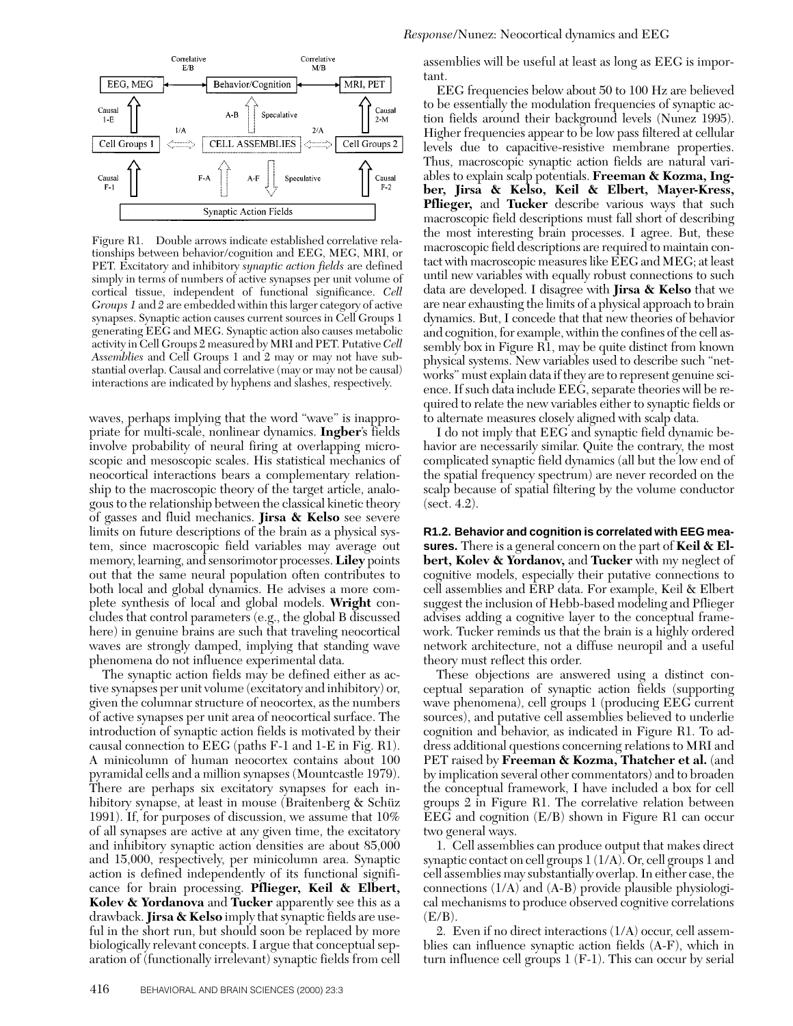

Figure R1. Double arrows indicate established correlative relationships between behavior/cognition and EEG, MEG, MRI, or PET. Excitatory and inhibitory *synaptic action fields* are defined simply in terms of numbers of active synapses per unit volume of cortical tissue, independent of functional significance. *Cell Groups 1* and *2* are embedded within this larger category of active synapses. Synaptic action causes current sources in Cell Groups 1 generating EEG and MEG. Synaptic action also causes metabolic activity in Cell Groups 2 measured by MRI and PET. Putative *Cell Assemblies* and Cell Groups 1 and 2 may or may not have substantial overlap. Causal and correlative (may or may not be causal) interactions are indicated by hyphens and slashes, respectively.

waves, perhaps implying that the word "wave" is inappropriate for multi-scale, nonlinear dynamics. **Ingber**'s fields involve probability of neural firing at overlapping microscopic and mesoscopic scales. His statistical mechanics of neocortical interactions bears a complementary relationship to the macroscopic theory of the target article, analogous to the relationship between the classical kinetic theory of gasses and fluid mechanics. **Jirsa & Kelso** see severe limits on future descriptions of the brain as a physical system, since macroscopic field variables may average out memory, learning, and sensorimotor processes. **Liley** points out that the same neural population often contributes to both local and global dynamics. He advises a more complete synthesis of local and global models. **Wright** concludes that control parameters (e.g., the global B discussed here) in genuine brains are such that traveling neocortical waves are strongly damped, implying that standing wave phenomena do not influence experimental data.

The synaptic action fields may be defined either as active synapses per unit volume (excitatory and inhibitory) or, given the columnar structure of neocortex, as the numbers of active synapses per unit area of neocortical surface. The introduction of synaptic action fields is motivated by their causal connection to EEG (paths F-1 and 1-E in Fig. R1). A minicolumn of human neocortex contains about 100 pyramidal cells and a million synapses (Mountcastle 1979). There are perhaps six excitatory synapses for each inhibitory synapse, at least in mouse (Braitenberg & Schüz 1991). If, for purposes of discussion, we assume that 10% of all synapses are active at any given time, the excitatory and inhibitory synaptic action densities are about 85,000 and 15,000, respectively, per minicolumn area. Synaptic action is defined independently of its functional significance for brain processing. **Pflieger, Keil & Elbert, Kolev & Yordanova** and **Tucker** apparently see this as a drawback. **Jirsa & Kelso** imply that synaptic fields are useful in the short run, but should soon be replaced by more biologically relevant concepts. I argue that conceptual separation of (functionally irrelevant) synaptic fields from cell assemblies will be useful at least as long as EEG is important.

EEG frequencies below about 50 to 100 Hz are believed to be essentially the modulation frequencies of synaptic action fields around their background levels (Nunez 1995). Higher frequencies appear to be low pass filtered at cellular levels due to capacitive-resistive membrane properties. Thus, macroscopic synaptic action fields are natural variables to explain scalp potentials. **Freeman & Kozma, Ingber, Jirsa & Kelso, Keil & Elbert, Mayer-Kress, Pflieger,** and **Tucker** describe various ways that such macroscopic field descriptions must fall short of describing the most interesting brain processes. I agree. But, these macroscopic field descriptions are required to maintain contact with macroscopic measures like EEG and MEG; at least until new variables with equally robust connections to such data are developed. I disagree with **Jirsa & Kelso** that we are near exhausting the limits of a physical approach to brain dynamics. But, I concede that that new theories of behavior and cognition, for example, within the confines of the cell assembly box in Figure R1, may be quite distinct from known physical systems. New variables used to describe such "networks" must explain data if they are to represent genuine science. If such data include EEG, separate theories will be required to relate the new variables either to synaptic fields or to alternate measures closely aligned with scalp data.

I do not imply that EEG and synaptic field dynamic behavior are necessarily similar. Quite the contrary, the most complicated synaptic field dynamics (all but the low end of the spatial frequency spectrum) are never recorded on the scalp because of spatial filtering by the volume conductor (sect. 4.2).

**R1.2. Behavior and cognition is correlated with EEG measures.** There is a general concern on the part of **Keil & Elbert, Kolev & Yordanov,** and **Tucker** with my neglect of cognitive models, especially their putative connections to cell assemblies and ERP data. For example, Keil & Elbert suggest the inclusion of Hebb-based modeling and Pflieger advises adding a cognitive layer to the conceptual framework. Tucker reminds us that the brain is a highly ordered network architecture, not a diffuse neuropil and a useful theory must reflect this order.

These objections are answered using a distinct conceptual separation of synaptic action fields (supporting wave phenomena), cell groups 1 (producing EEG current sources), and putative cell assemblies believed to underlie cognition and behavior, as indicated in Figure R1. To address additional questions concerning relations to MRI and PET raised by **Freeman & Kozma, Thatcher et al.** (and by implication several other commentators) and to broaden the conceptual framework, I have included a box for cell groups 2 in Figure R1. The correlative relation between EEG and cognition (E/B) shown in Figure R1 can occur two general ways.

1. Cell assemblies can produce output that makes direct synaptic contact on cell groups 1 (1/A). Or, cell groups 1 and cell assemblies may substantially overlap. In either case, the connections (1/A) and (A-B) provide plausible physiological mechanisms to produce observed cognitive correlations  $(E/B)$ .

2. Even if no direct interactions (1/A) occur, cell assemblies can influence synaptic action fields (A-F), which in turn influence cell groups 1 (F-1). This can occur by serial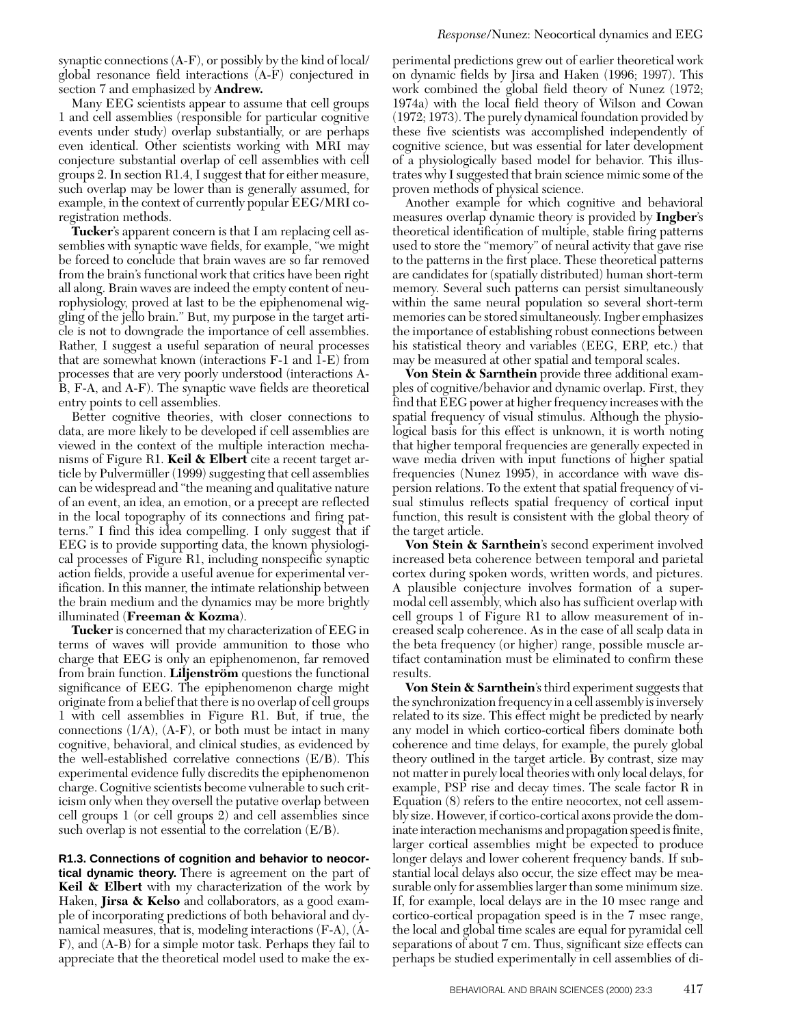synaptic connections (A-F), or possibly by the kind of local/ global resonance field interactions (A-F) conjectured in section 7 and emphasized by **Andrew.**

Many EEG scientists appear to assume that cell groups 1 and cell assemblies (responsible for particular cognitive events under study) overlap substantially, or are perhaps even identical. Other scientists working with MRI may conjecture substantial overlap of cell assemblies with cell groups 2. In section R1.4, I suggest that for either measure, such overlap may be lower than is generally assumed, for example, in the context of currently popular EEG/MRI coregistration methods.

**Tucker**'s apparent concern is that I am replacing cell assemblies with synaptic wave fields, for example, "we might be forced to conclude that brain waves are so far removed from the brain's functional work that critics have been right all along. Brain waves are indeed the empty content of neurophysiology, proved at last to be the epiphenomenal wiggling of the jello brain." But, my purpose in the target article is not to downgrade the importance of cell assemblies. Rather, I suggest a useful separation of neural processes that are somewhat known (interactions F-1 and 1-E) from processes that are very poorly understood (interactions A-B, F-A, and A-F). The synaptic wave fields are theoretical entry points to cell assemblies.

Better cognitive theories, with closer connections to data, are more likely to be developed if cell assemblies are viewed in the context of the multiple interaction mechanisms of Figure R1. **Keil & Elbert** cite a recent target article by Pulvermüller (1999) suggesting that cell assemblies can be widespread and "the meaning and qualitative nature of an event, an idea, an emotion, or a precept are reflected in the local topography of its connections and firing patterns." I find this idea compelling. I only suggest that if EEG is to provide supporting data, the known physiological processes of Figure R1, including nonspecific synaptic action fields, provide a useful avenue for experimental verification. In this manner, the intimate relationship between the brain medium and the dynamics may be more brightly illuminated (**Freeman & Kozma**).

**Tucker** is concerned that my characterization of EEG in terms of waves will provide ammunition to those who charge that EEG is only an epiphenomenon, far removed from brain function. **Liljenström** questions the functional significance of EEG. The epiphenomenon charge might originate from a belief that there is no overlap of cell groups 1 with cell assemblies in Figure R1. But, if true, the connections  $(1/A)$ ,  $(A-F)$ , or both must be intact in many cognitive, behavioral, and clinical studies, as evidenced by the well-established correlative connections (E/B). This experimental evidence fully discredits the epiphenomenon charge. Cognitive scientists become vulnerable to such criticism only when they oversell the putative overlap between cell groups 1 (or cell groups 2) and cell assemblies since such overlap is not essential to the correlation (E/B).

## **R1.3. Connections of cognition and behavior to neocortical dynamic theory.** There is agreement on the part of **Keil & Elbert** with my characterization of the work by Haken, **Jirsa & Kelso** and collaborators, as a good example of incorporating predictions of both behavioral and dynamical measures, that is, modeling interactions (F-A), (A-F), and (A-B) for a simple motor task. Perhaps they fail to appreciate that the theoretical model used to make the ex-

perimental predictions grew out of earlier theoretical work on dynamic fields by Jirsa and Haken (1996; 1997). This work combined the global field theory of Nunez (1972; 1974a) with the local field theory of Wilson and Cowan (1972; 1973). The purely dynamical foundation provided by these five scientists was accomplished independently of cognitive science, but was essential for later development of a physiologically based model for behavior. This illustrates why I suggested that brain science mimic some of the proven methods of physical science.

Another example for which cognitive and behavioral measures overlap dynamic theory is provided by **Ingber**'s theoretical identification of multiple, stable firing patterns used to store the "memory" of neural activity that gave rise to the patterns in the first place. These theoretical patterns are candidates for (spatially distributed) human short-term memory. Several such patterns can persist simultaneously within the same neural population so several short-term memories can be stored simultaneously. Ingber emphasizes the importance of establishing robust connections between his statistical theory and variables (EEG, ERP, etc.) that may be measured at other spatial and temporal scales.

**Von Stein & Sarnthein** provide three additional examples of cognitive/behavior and dynamic overlap. First, they find that EEG power at higher frequency increases with the spatial frequency of visual stimulus. Although the physiological basis for this effect is unknown, it is worth noting that higher temporal frequencies are generally expected in wave media driven with input functions of higher spatial frequencies (Nunez 1995), in accordance with wave dispersion relations. To the extent that spatial frequency of visual stimulus reflects spatial frequency of cortical input function, this result is consistent with the global theory of the target article.

**Von Stein & Sarnthein**'s second experiment involved increased beta coherence between temporal and parietal cortex during spoken words, written words, and pictures. A plausible conjecture involves formation of a supermodal cell assembly, which also has sufficient overlap with cell groups 1 of Figure R1 to allow measurement of increased scalp coherence. As in the case of all scalp data in the beta frequency (or higher) range, possible muscle artifact contamination must be eliminated to confirm these results.

**Von Stein & Sarnthein**'s third experiment suggests that the synchronization frequency in a cell assembly is inversely related to its size. This effect might be predicted by nearly any model in which cortico-cortical fibers dominate both coherence and time delays, for example, the purely global theory outlined in the target article. By contrast, size may not matter in purely local theories with only local delays, for example, PSP rise and decay times. The scale factor R in Equation (8) refers to the entire neocortex, not cell assembly size. However, if cortico-cortical axons provide the dominate interaction mechanisms and propagation speed is finite, larger cortical assemblies might be expected to produce longer delays and lower coherent frequency bands. If substantial local delays also occur, the size effect may be measurable only for assemblies larger than some minimum size. If, for example, local delays are in the 10 msec range and cortico-cortical propagation speed is in the 7 msec range, the local and global time scales are equal for pyramidal cell separations of about 7 cm. Thus, significant size effects can perhaps be studied experimentally in cell assemblies of di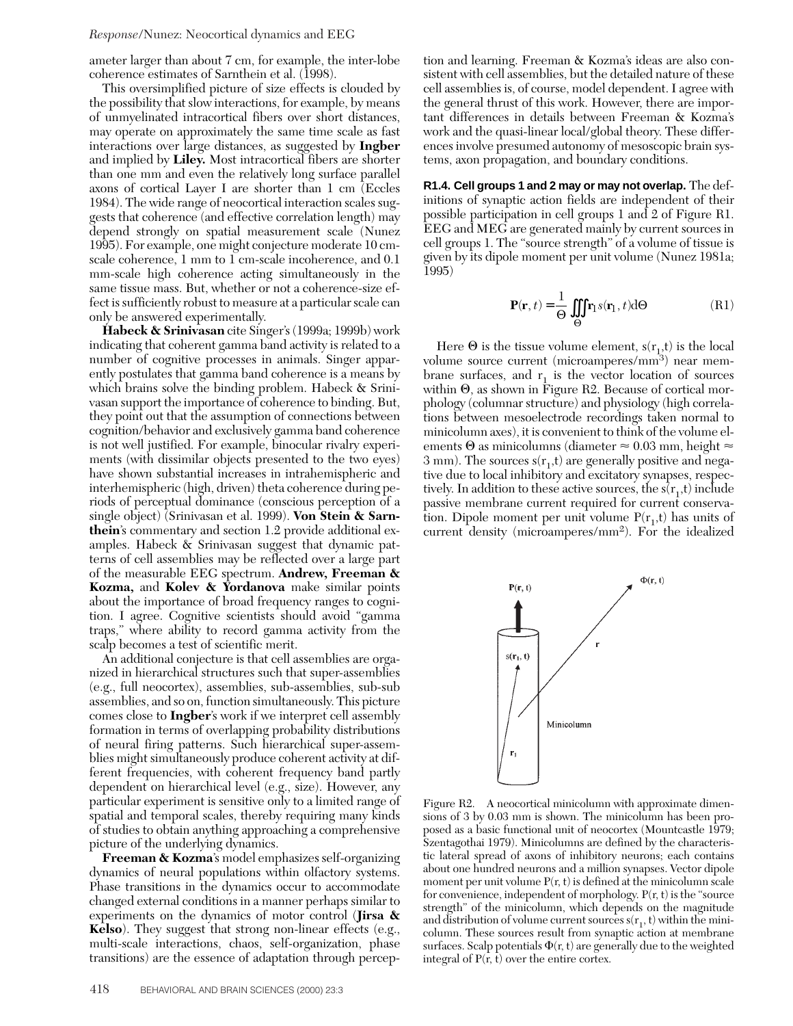ameter larger than about 7 cm, for example, the inter-lobe coherence estimates of Sarnthein et al. (1998).

This oversimplified picture of size effects is clouded by the possibility that slow interactions, for example, by means of unmyelinated intracortical fibers over short distances, may operate on approximately the same time scale as fast interactions over large distances, as suggested by **Ingber** and implied by **Liley.** Most intracortical fibers are shorter than one mm and even the relatively long surface parallel axons of cortical Layer I are shorter than 1 cm (Eccles 1984). The wide range of neocortical interaction scales suggests that coherence (and effective correlation length) may depend strongly on spatial measurement scale (Nunez 1995). For example, one might conjecture moderate 10 cmscale coherence, 1 mm to 1 cm-scale incoherence, and 0.1 mm-scale high coherence acting simultaneously in the same tissue mass. But, whether or not a coherence-size effect is sufficiently robust to measure at a particular scale can only be answered experimentally.

**Habeck & Srinivasan** cite Singer's (1999a; 1999b) work indicating that coherent gamma band activity is related to a number of cognitive processes in animals. Singer apparently postulates that gamma band coherence is a means by which brains solve the binding problem. Habeck & Srinivasan support the importance of coherence to binding. But, they point out that the assumption of connections between cognition/behavior and exclusively gamma band coherence is not well justified. For example, binocular rivalry experiments (with dissimilar objects presented to the two eyes) have shown substantial increases in intrahemispheric and interhemispheric (high, driven) theta coherence during periods of perceptual dominance (conscious perception of a single object) (Srinivasan et al. 1999). **Von Stein & Sarnthein**'s commentary and section 1.2 provide additional examples. Habeck & Srinivasan suggest that dynamic patterns of cell assemblies may be reflected over a large part of the measurable EEG spectrum. **Andrew, Freeman & Kozma,** and **Kolev & Yordanova** make similar points about the importance of broad frequency ranges to cognition. I agree. Cognitive scientists should avoid "gamma traps," where ability to record gamma activity from the scalp becomes a test of scientific merit.

An additional conjecture is that cell assemblies are organized in hierarchical structures such that super-assemblies (e.g., full neocortex), assemblies, sub-assemblies, sub-sub assemblies, and so on, function simultaneously. This picture comes close to **Ingber**'s work if we interpret cell assembly formation in terms of overlapping probability distributions of neural firing patterns. Such hierarchical super-assemblies might simultaneously produce coherent activity at different frequencies, with coherent frequency band partly dependent on hierarchical level (e.g., size). However, any particular experiment is sensitive only to a limited range of spatial and temporal scales, thereby requiring many kinds of studies to obtain anything approaching a comprehensive picture of the underlying dynamics.

**Freeman & Kozma**'s model emphasizes self-organizing dynamics of neural populations within olfactory systems. Phase transitions in the dynamics occur to accommodate changed external conditions in a manner perhaps similar to experiments on the dynamics of motor control (**Jirsa & Kelso**). They suggest that strong non-linear effects (e.g., multi-scale interactions, chaos, self-organization, phase transitions) are the essence of adaptation through perception and learning. Freeman & Kozma's ideas are also consistent with cell assemblies, but the detailed nature of these cell assemblies is, of course, model dependent. I agree with the general thrust of this work. However, there are important differences in details between Freeman & Kozma's work and the quasi-linear local/global theory. These differences involve presumed autonomy of mesoscopic brain systems, axon propagation, and boundary conditions.

**R1.4. Cell groups 1 and 2 may or may not overlap.** The definitions of synaptic action fields are independent of their possible participation in cell groups 1 and 2 of Figure R1. EEG and MEG are generated mainly by current sources in cell groups 1. The "source strength" of a volume of tissue is given by its dipole moment per unit volume (Nunez 1981a; 1995)

$$
\mathbf{P}(\mathbf{r}, t) = \frac{1}{\Theta} \iiint_{\Theta} \mathbf{r}_1 s(\mathbf{r}_1, t) \, d\Theta \tag{R1}
$$

Here  $\Theta$  is the tissue volume element,  $s(r_1,t)$  is the local volume source current (microamperes/mm<sup>3</sup>) near membrane surfaces, and  $r_1$  is the vector location of sources within  $\Theta$ , as shown in Figure R2. Because of cortical morphology (columnar structure) and physiology (high correlations between mesoelectrode recordings taken normal to minicolumn axes), it is convenient to think of the volume elements  $\Theta$  as minicolumns (diameter  $\approx 0.03$  mm, height  $\approx$ 3 mm). The sources  $s(r_1,t)$  are generally positive and negative due to local inhibitory and excitatory synapses, respectively. In addition to these active sources, the  $s(r_1,t)$  include passive membrane current required for current conservation. Dipole moment per unit volume  $P(r_1,t)$  has units of current density (microamperes/mm2). For the idealized



Figure R2. A neocortical minicolumn with approximate dimensions of 3 by 0.03 mm is shown. The minicolumn has been proposed as a basic functional unit of neocortex (Mountcastle 1979; Szentagothai 1979). Minicolumns are defined by the characteristic lateral spread of axons of inhibitory neurons; each contains about one hundred neurons and a million synapses. Vector dipole moment per unit volume  $P(r, t)$  is defined at the minicolumn scale for convenience, independent of morphology.  $P(r, t)$  is the "source" strength" of the minicolumn, which depends on the magnitude and distribution of volume current sources  $s(r_1, t)$  within the minicolumn. These sources result from synaptic action at membrane surfaces. Scalp potentials  $\Phi(r, t)$  are generally due to the weighted integral of  $P(r, t)$  over the entire cortex.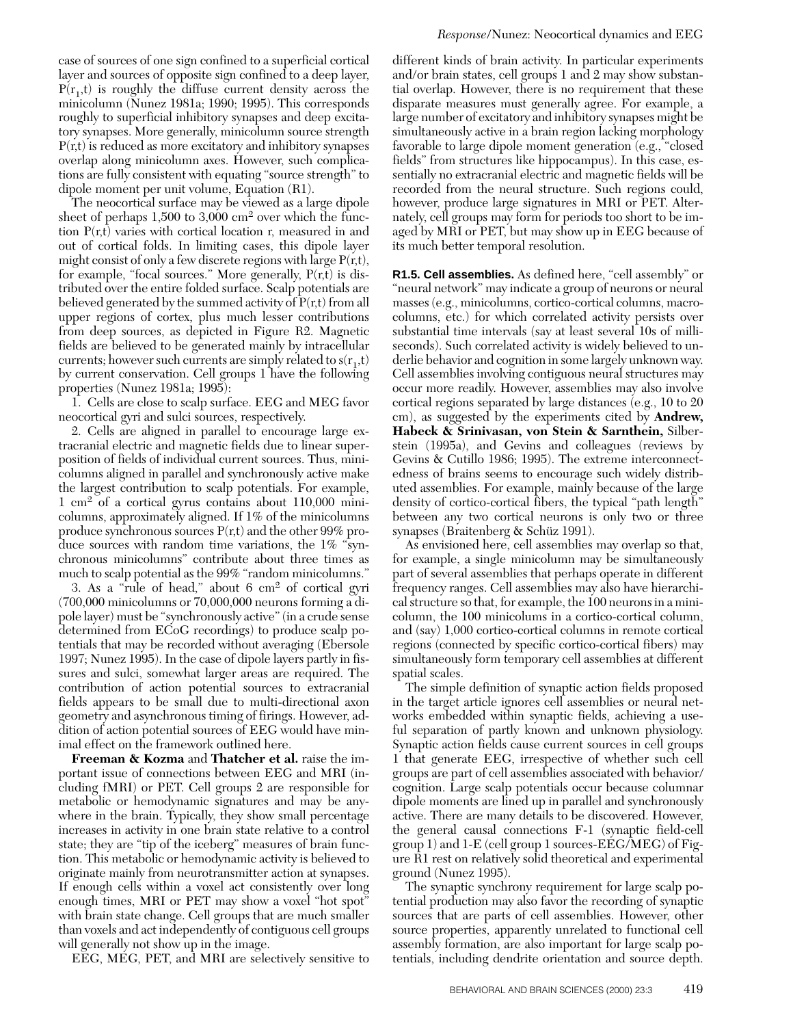case of sources of one sign confined to a superficial cortical layer and sources of opposite sign confined to a deep layer,  $P(r_1,t)$  is roughly the diffuse current density across the minicolumn (Nunez 1981a; 1990; 1995). This corresponds roughly to superficial inhibitory synapses and deep excitatory synapses. More generally, minicolumn source strength  $P(r,t)$  is reduced as more excitatory and inhibitory synapses overlap along minicolumn axes. However, such complications are fully consistent with equating "source strength" to dipole moment per unit volume, Equation (R1).

The neocortical surface may be viewed as a large dipole sheet of perhaps  $1,500$  to  $3,000$  cm<sup>2</sup> over which the function P(r,t) varies with cortical location r, measured in and out of cortical folds. In limiting cases, this dipole layer might consist of only a few discrete regions with large  $P(r,t)$ , for example, "focal sources." More generally,  $P(r,t)$  is distributed over the entire folded surface. Scalp potentials are believed generated by the summed activity of  $P(r,t)$  from all upper regions of cortex, plus much lesser contributions from deep sources, as depicted in Figure R2. Magnetic fields are believed to be generated mainly by intracellular currents; however such currents are simply related to  $s(r_1,t)$ by current conservation. Cell groups 1 have the following properties (Nunez 1981a; 1995):

1. Cells are close to scalp surface. EEG and MEG favor neocortical gyri and sulci sources, respectively.

2. Cells are aligned in parallel to encourage large extracranial electric and magnetic fields due to linear superposition of fields of individual current sources. Thus, minicolumns aligned in parallel and synchronously active make the largest contribution to scalp potentials. For example, 1 cm<sup>2</sup> of a cortical gyrus contains about 110,000 minicolumns, approximately aligned. If 1% of the minicolumns produce synchronous sources P(r,t) and the other 99% produce sources with random time variations, the 1% "synchronous minicolumns" contribute about three times as much to scalp potential as the 99% "random minicolumns."

3. As a "rule of head," about 6 cm2 of cortical gyri (700,000 minicolumns or 70,000,000 neurons forming a dipole layer) must be "synchronously active" (in a crude sense determined from ECoG recordings) to produce scalp potentials that may be recorded without averaging (Ebersole 1997; Nunez 1995). In the case of dipole layers partly in fissures and sulci, somewhat larger areas are required. The contribution of action potential sources to extracranial fields appears to be small due to multi-directional axon geometry and asynchronous timing of firings. However, addition of action potential sources of EEG would have minimal effect on the framework outlined here.

**Freeman & Kozma** and **Thatcher et al.** raise the important issue of connections between EEG and MRI (including fMRI) or PET. Cell groups 2 are responsible for metabolic or hemodynamic signatures and may be anywhere in the brain. Typically, they show small percentage increases in activity in one brain state relative to a control state; they are "tip of the iceberg" measures of brain function. This metabolic or hemodynamic activity is believed to originate mainly from neurotransmitter action at synapses. If enough cells within a voxel act consistently over long enough times, MRI or PET may show a voxel "hot spot" with brain state change. Cell groups that are much smaller than voxels and act independently of contiguous cell groups will generally not show up in the image.

EEG, MEG, PET, and MRI are selectively sensitive to

different kinds of brain activity. In particular experiments and/or brain states, cell groups 1 and 2 may show substantial overlap. However, there is no requirement that these disparate measures must generally agree. For example, a large number of excitatory and inhibitory synapses might be simultaneously active in a brain region lacking morphology favorable to large dipole moment generation (e.g., "closed fields" from structures like hippocampus). In this case, essentially no extracranial electric and magnetic fields will be recorded from the neural structure. Such regions could, however, produce large signatures in MRI or PET. Alternately, cell groups may form for periods too short to be imaged by MRI or PET, but may show up in EEG because of its much better temporal resolution.

**R1.5. Cell assemblies.** As defined here, "cell assembly" or "neural network" may indicate a group of neurons or neural masses (e.g., minicolumns, cortico-cortical columns, macrocolumns, etc.) for which correlated activity persists over substantial time intervals (say at least several 10s of milliseconds). Such correlated activity is widely believed to underlie behavior and cognition in some largely unknown way. Cell assemblies involving contiguous neural structures may occur more readily. However, assemblies may also involve cortical regions separated by large distances (e.g., 10 to 20 cm), as suggested by the experiments cited by **Andrew, Habeck & Srinivasan, von Stein & Sarnthein,** Silberstein (1995a), and Gevins and colleagues (reviews by Gevins & Cutillo 1986; 1995). The extreme interconnectedness of brains seems to encourage such widely distributed assemblies. For example, mainly because of the large density of cortico-cortical fibers, the typical "path length" between any two cortical neurons is only two or three synapses (Braitenberg & Schüz 1991).

As envisioned here, cell assemblies may overlap so that, for example, a single minicolumn may be simultaneously part of several assemblies that perhaps operate in different frequency ranges. Cell assemblies may also have hierarchical structure so that, for example, the 100 neurons in a minicolumn, the 100 minicolums in a cortico-cortical column, and (say) 1,000 cortico-cortical columns in remote cortical regions (connected by specific cortico-cortical fibers) may simultaneously form temporary cell assemblies at different spatial scales.

The simple definition of synaptic action fields proposed in the target article ignores cell assemblies or neural networks embedded within synaptic fields, achieving a useful separation of partly known and unknown physiology. Synaptic action fields cause current sources in cell groups 1 that generate EEG, irrespective of whether such cell groups are part of cell assemblies associated with behavior/ cognition. Large scalp potentials occur because columnar dipole moments are lined up in parallel and synchronously active. There are many details to be discovered. However, the general causal connections F-1 (synaptic field-cell group 1) and 1-E (cell group 1 sources-EEG/MEG) of Figure R1 rest on relatively solid theoretical and experimental ground (Nunez 1995).

The synaptic synchrony requirement for large scalp potential production may also favor the recording of synaptic sources that are parts of cell assemblies. However, other source properties, apparently unrelated to functional cell assembly formation, are also important for large scalp potentials, including dendrite orientation and source depth.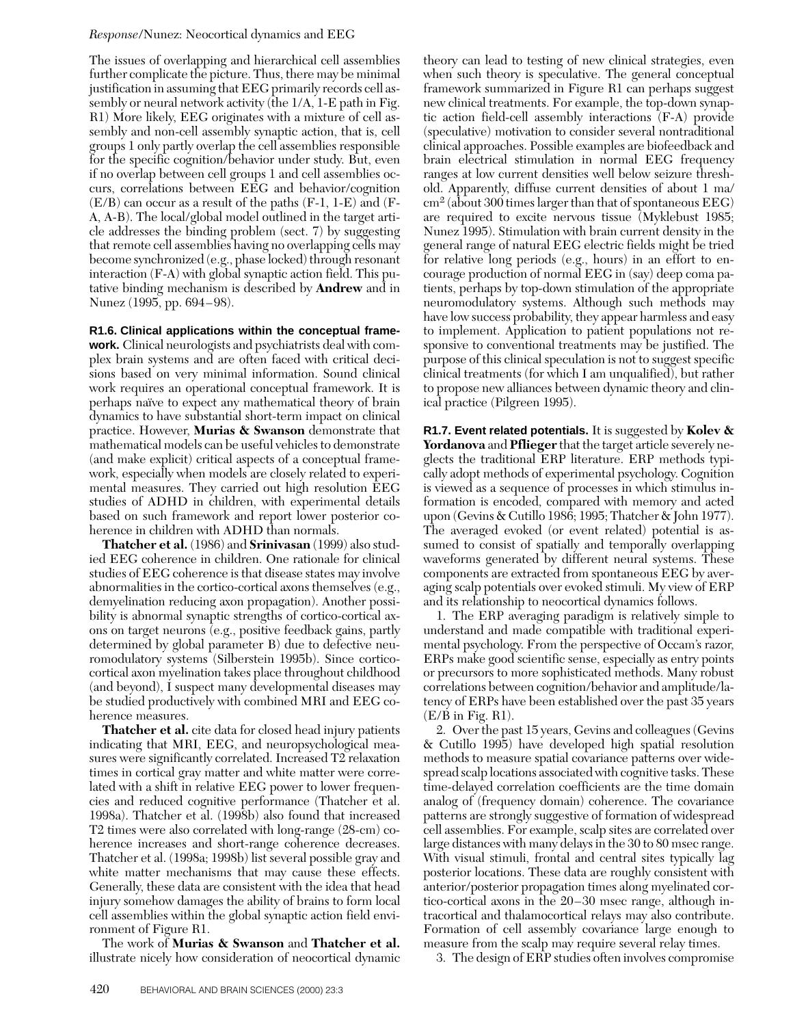The issues of overlapping and hierarchical cell assemblies further complicate the picture. Thus, there may be minimal justification in assuming that EEG primarily records cell assembly or neural network activity (the 1/A, 1-E path in Fig. R1) More likely, EEG originates with a mixture of cell assembly and non-cell assembly synaptic action, that is, cell groups 1 only partly overlap the cell assemblies responsible for the specific cognition/behavior under study. But, even if no overlap between cell groups 1 and cell assemblies occurs, correlations between EEG and behavior/cognition (E/B) can occur as a result of the paths (F-1, 1-E) and (F-A, A-B). The local/global model outlined in the target article addresses the binding problem (sect. 7) by suggesting that remote cell assemblies having no overlapping cells may become synchronized (e.g., phase locked) through resonant interaction (F-A) with global synaptic action field. This putative binding mechanism is described by **Andrew** and in Nunez (1995, pp. 694–98).

#### **R1.6. Clinical applications within the conceptual frame-**

**work.** Clinical neurologists and psychiatrists deal with complex brain systems and are often faced with critical decisions based on very minimal information. Sound clinical work requires an operational conceptual framework. It is perhaps naïve to expect any mathematical theory of brain dynamics to have substantial short-term impact on clinical practice. However, **Murias & Swanson** demonstrate that mathematical models can be useful vehicles to demonstrate (and make explicit) critical aspects of a conceptual framework, especially when models are closely related to experimental measures. They carried out high resolution EEG studies of ADHD in children, with experimental details based on such framework and report lower posterior coherence in children with ADHD than normals.

**Thatcher et al.** (1986) and **Srinivasan** (1999) also studied EEG coherence in children. One rationale for clinical studies of EEG coherence is that disease states may involve abnormalities in the cortico-cortical axons themselves (e.g., demyelination reducing axon propagation). Another possibility is abnormal synaptic strengths of cortico-cortical axons on target neurons (e.g., positive feedback gains, partly determined by global parameter B) due to defective neuromodulatory systems (Silberstein 1995b). Since corticocortical axon myelination takes place throughout childhood (and beyond), I suspect many developmental diseases may be studied productively with combined MRI and EEG coherence measures.

**Thatcher et al.** cite data for closed head injury patients indicating that MRI, EEG, and neuropsychological measures were significantly correlated. Increased T2 relaxation times in cortical gray matter and white matter were correlated with a shift in relative EEG power to lower frequencies and reduced cognitive performance (Thatcher et al. 1998a). Thatcher et al. (1998b) also found that increased T2 times were also correlated with long-range (28-cm) coherence increases and short-range coherence decreases. Thatcher et al. (1998a; 1998b) list several possible gray and white matter mechanisms that may cause these effects. Generally, these data are consistent with the idea that head injury somehow damages the ability of brains to form local cell assemblies within the global synaptic action field environment of Figure R1.

The work of **Murias & Swanson** and **Thatcher et al.** illustrate nicely how consideration of neocortical dynamic theory can lead to testing of new clinical strategies, even when such theory is speculative. The general conceptual framework summarized in Figure R1 can perhaps suggest new clinical treatments. For example, the top-down synaptic action field-cell assembly interactions (F-A) provide (speculative) motivation to consider several nontraditional clinical approaches. Possible examples are biofeedback and brain electrical stimulation in normal EEG frequency ranges at low current densities well below seizure threshold. Apparently, diffuse current densities of about 1 ma/  $\text{cm}^2$  (about 300 times larger than that of spontaneous EEG) are required to excite nervous tissue (Myklebust 1985; Nunez 1995). Stimulation with brain current density in the general range of natural EEG electric fields might be tried for relative long periods (e.g., hours) in an effort to encourage production of normal EEG in (say) deep coma patients, perhaps by top-down stimulation of the appropriate neuromodulatory systems. Although such methods may have low success probability, they appear harmless and easy to implement. Application to patient populations not responsive to conventional treatments may be justified. The purpose of this clinical speculation is not to suggest specific clinical treatments (for which I am unqualified), but rather to propose new alliances between dynamic theory and clinical practice (Pilgreen 1995).

**R1.7. Event related potentials.** It is suggested by **Kolev & Yordanova** and **Pflieger** that the target article severely neglects the traditional ERP literature. ERP methods typically adopt methods of experimental psychology. Cognition is viewed as a sequence of processes in which stimulus information is encoded, compared with memory and acted upon (Gevins & Cutillo 1986; 1995; Thatcher & John 1977). The averaged evoked (or event related) potential is assumed to consist of spatially and temporally overlapping waveforms generated by different neural systems. These components are extracted from spontaneous EEG by averaging scalp potentials over evoked stimuli. My view of ERP and its relationship to neocortical dynamics follows.

1. The ERP averaging paradigm is relatively simple to understand and made compatible with traditional experimental psychology. From the perspective of Occam's razor, ERPs make good scientific sense, especially as entry points or precursors to more sophisticated methods. Many robust correlations between cognition/behavior and amplitude/latency of ERPs have been established over the past 35 years  $(E/B \text{ in Fig. R1}).$ 

2. Over the past 15 years, Gevins and colleagues (Gevins & Cutillo 1995) have developed high spatial resolution methods to measure spatial covariance patterns over widespread scalp locations associated with cognitive tasks. These time-delayed correlation coefficients are the time domain analog of (frequency domain) coherence. The covariance patterns are strongly suggestive of formation of widespread cell assemblies. For example, scalp sites are correlated over large distances with many delays in the 30 to 80 msec range. With visual stimuli, frontal and central sites typically lag posterior locations. These data are roughly consistent with anterior/posterior propagation times along myelinated cortico-cortical axons in the 20–30 msec range, although intracortical and thalamocortical relays may also contribute. Formation of cell assembly covariance large enough to measure from the scalp may require several relay times.

3. The design of ERP studies often involves compromise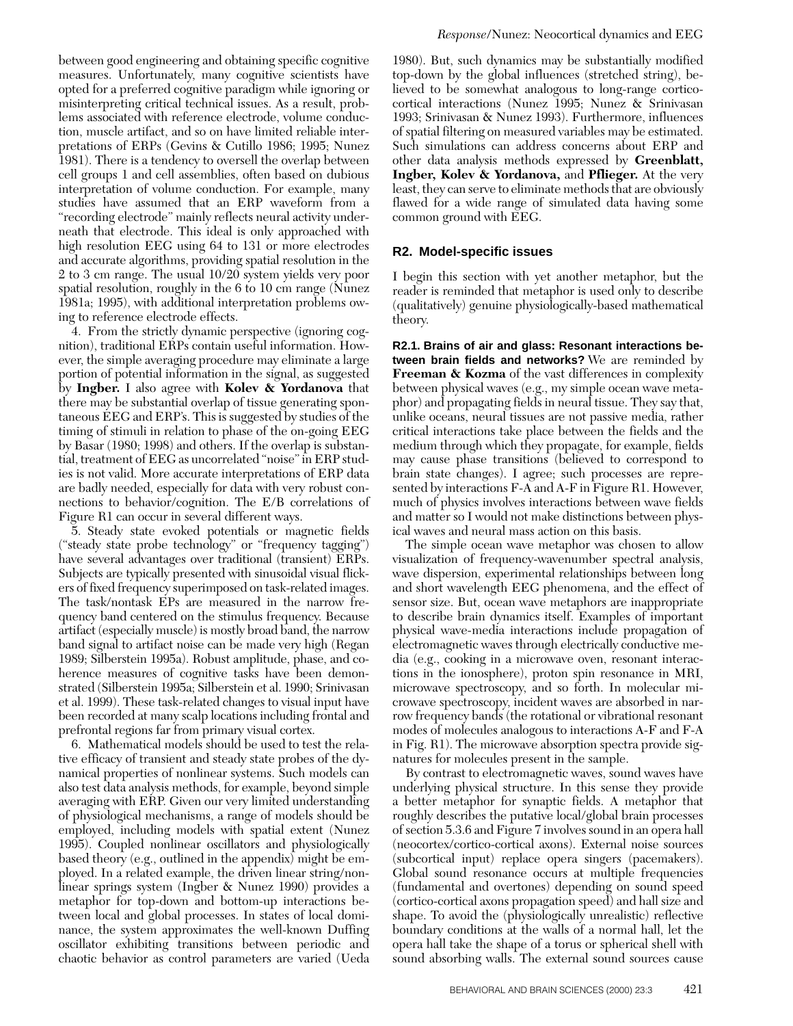between good engineering and obtaining specific cognitive measures. Unfortunately, many cognitive scientists have opted for a preferred cognitive paradigm while ignoring or misinterpreting critical technical issues. As a result, problems associated with reference electrode, volume conduction, muscle artifact, and so on have limited reliable interpretations of ERPs (Gevins & Cutillo 1986; 1995; Nunez 1981). There is a tendency to oversell the overlap between cell groups 1 and cell assemblies, often based on dubious interpretation of volume conduction. For example, many studies have assumed that an ERP waveform from a "recording electrode" mainly reflects neural activity underneath that electrode. This ideal is only approached with high resolution EEG using 64 to 131 or more electrodes and accurate algorithms, providing spatial resolution in the 2 to 3 cm range. The usual 10/20 system yields very poor spatial resolution, roughly in the 6 to 10 cm range (Nunez 1981a; 1995), with additional interpretation problems owing to reference electrode effects.

4. From the strictly dynamic perspective (ignoring cognition), traditional ERPs contain useful information. However, the simple averaging procedure may eliminate a large portion of potential information in the signal, as suggested by **Ingber.** I also agree with **Kolev & Yordanova** that there may be substantial overlap of tissue generating spontaneous EEG and ERP's. This is suggested by studies of the timing of stimuli in relation to phase of the on-going EEG by Basar (1980; 1998) and others. If the overlap is substantial, treatment of EEG as uncorrelated "noise" in ERP studies is not valid. More accurate interpretations of ERP data are badly needed, especially for data with very robust connections to behavior/cognition. The E/B correlations of Figure R1 can occur in several different ways.

5. Steady state evoked potentials or magnetic fields ("steady state probe technology" or "frequency tagging") have several advantages over traditional (transient) ERPs. Subjects are typically presented with sinusoidal visual flickers of fixed frequency superimposed on task-related images. The task/nontask EPs are measured in the narrow frequency band centered on the stimulus frequency. Because artifact (especially muscle) is mostly broad band, the narrow band signal to artifact noise can be made very high (Regan 1989; Silberstein 1995a). Robust amplitude, phase, and coherence measures of cognitive tasks have been demonstrated (Silberstein 1995a; Silberstein et al. 1990; Srinivasan et al. 1999). These task-related changes to visual input have been recorded at many scalp locations including frontal and prefrontal regions far from primary visual cortex.

6. Mathematical models should be used to test the relative efficacy of transient and steady state probes of the dynamical properties of nonlinear systems. Such models can also test data analysis methods, for example, beyond simple averaging with ERP. Given our very limited understanding of physiological mechanisms, a range of models should be employed, including models with spatial extent (Nunez 1995). Coupled nonlinear oscillators and physiologically based theory (e.g., outlined in the appendix) might be employed. In a related example, the driven linear string/nonlinear springs system (Ingber & Nunez 1990) provides a metaphor for top-down and bottom-up interactions between local and global processes. In states of local dominance, the system approximates the well-known Duffing oscillator exhibiting transitions between periodic and chaotic behavior as control parameters are varied (Ueda

1980). But, such dynamics may be substantially modified top-down by the global influences (stretched string), believed to be somewhat analogous to long-range corticocortical interactions (Nunez 1995; Nunez & Srinivasan 1993; Srinivasan & Nunez 1993). Furthermore, influences of spatial filtering on measured variables may be estimated. Such simulations can address concerns about ERP and other data analysis methods expressed by **Greenblatt, Ingber, Kolev & Yordanova,** and **Pflieger.** At the very least, they can serve to eliminate methods that are obviously flawed for a wide range of simulated data having some common ground with EEG.

## **R2. Model-specific issues**

I begin this section with yet another metaphor, but the reader is reminded that metaphor is used only to describe (qualitatively) genuine physiologically-based mathematical theory.

**R2.1. Brains of air and glass: Resonant interactions between brain fields and networks?** We are reminded by **Freeman & Kozma** of the vast differences in complexity between physical waves (e.g., my simple ocean wave metaphor) and propagating fields in neural tissue. They say that, unlike oceans, neural tissues are not passive media, rather critical interactions take place between the fields and the medium through which they propagate, for example, fields may cause phase transitions (believed to correspond to brain state changes). I agree; such processes are represented by interactions F-A and A-F in Figure R1. However, much of physics involves interactions between wave fields and matter so I would not make distinctions between physical waves and neural mass action on this basis.

The simple ocean wave metaphor was chosen to allow visualization of frequency-wavenumber spectral analysis, wave dispersion, experimental relationships between long and short wavelength EEG phenomena, and the effect of sensor size. But, ocean wave metaphors are inappropriate to describe brain dynamics itself. Examples of important physical wave-media interactions include propagation of electromagnetic waves through electrically conductive media (e.g., cooking in a microwave oven, resonant interactions in the ionosphere), proton spin resonance in MRI, microwave spectroscopy, and so forth. In molecular microwave spectroscopy, incident waves are absorbed in narrow frequency bands (the rotational or vibrational resonant modes of molecules analogous to interactions A-F and F-A in Fig. R1). The microwave absorption spectra provide signatures for molecules present in the sample.

By contrast to electromagnetic waves, sound waves have underlying physical structure. In this sense they provide a better metaphor for synaptic fields. A metaphor that roughly describes the putative local/global brain processes of section 5.3.6 and Figure 7 involves sound in an opera hall (neocortex/cortico-cortical axons). External noise sources (subcortical input) replace opera singers (pacemakers). Global sound resonance occurs at multiple frequencies (fundamental and overtones) depending on sound speed (cortico-cortical axons propagation speed) and hall size and shape. To avoid the (physiologically unrealistic) reflective boundary conditions at the walls of a normal hall, let the opera hall take the shape of a torus or spherical shell with sound absorbing walls. The external sound sources cause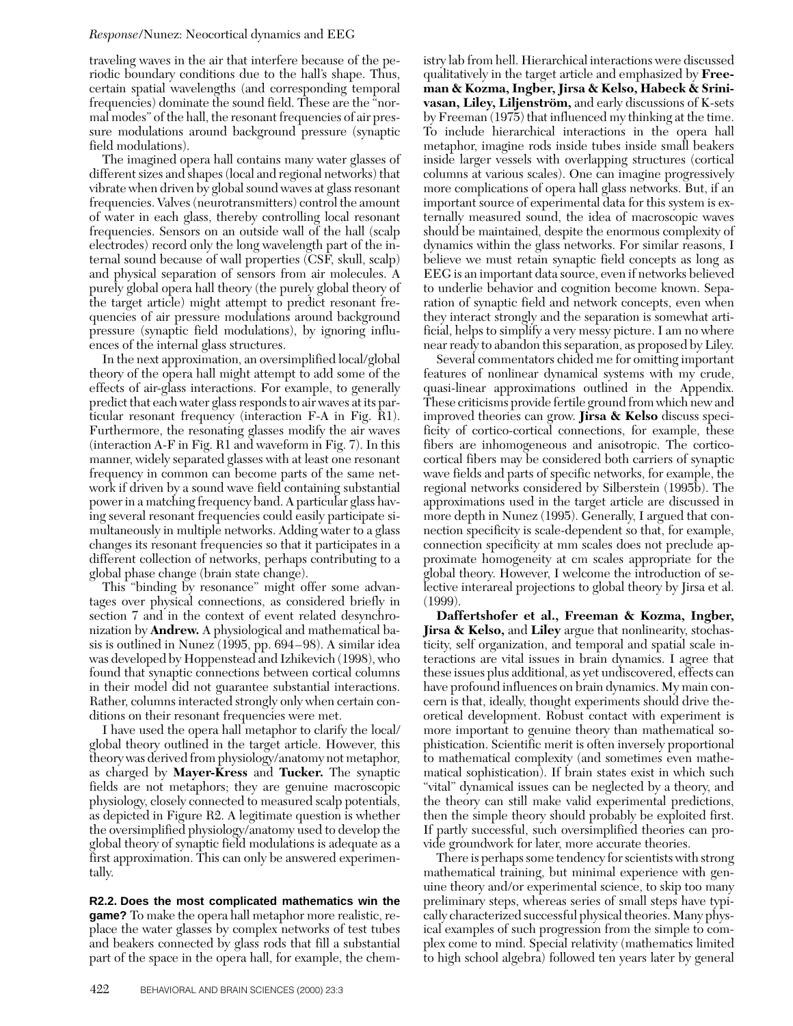#### *Response/*Nunez: Neocortical dynamics and EEG

traveling waves in the air that interfere because of the periodic boundary conditions due to the hall's shape. Thus, certain spatial wavelengths (and corresponding temporal frequencies) dominate the sound field. These are the "normal modes" of the hall, the resonant frequencies of air pressure modulations around background pressure (synaptic field modulations).

The imagined opera hall contains many water glasses of different sizes and shapes (local and regional networks) that vibrate when driven by global sound waves at glass resonant frequencies. Valves (neurotransmitters) control the amount of water in each glass, thereby controlling local resonant frequencies. Sensors on an outside wall of the hall (scalp electrodes) record only the long wavelength part of the internal sound because of wall properties (CSF, skull, scalp) and physical separation of sensors from air molecules. A purely global opera hall theory (the purely global theory of the target article) might attempt to predict resonant frequencies of air pressure modulations around background pressure (synaptic field modulations), by ignoring influences of the internal glass structures.

In the next approximation, an oversimplified local/global theory of the opera hall might attempt to add some of the effects of air-glass interactions. For example, to generally predict that each water glass responds to air waves at its particular resonant frequency (interaction F-A in Fig. R1). Furthermore, the resonating glasses modify the air waves (interaction A-F in Fig. R1 and waveform in Fig. 7). In this manner, widely separated glasses with at least one resonant frequency in common can become parts of the same network if driven by a sound wave field containing substantial power in a matching frequency band. A particular glass having several resonant frequencies could easily participate simultaneously in multiple networks. Adding water to a glass changes its resonant frequencies so that it participates in a different collection of networks, perhaps contributing to a global phase change (brain state change).

This "binding by resonance" might offer some advantages over physical connections, as considered briefly in section 7 and in the context of event related desynchronization by **Andrew.** A physiological and mathematical basis is outlined in Nunez (1995, pp. 694–98). A similar idea was developed by Hoppenstead and Izhikevich (1998), who found that synaptic connections between cortical columns in their model did not guarantee substantial interactions. Rather, columns interacted strongly only when certain conditions on their resonant frequencies were met.

I have used the opera hall metaphor to clarify the local/ global theory outlined in the target article. However, this theory was derived from physiology/anatomy not metaphor, as charged by **Mayer-Kress** and **Tucker.** The synaptic fields are not metaphors; they are genuine macroscopic physiology, closely connected to measured scalp potentials, as depicted in Figure R2. A legitimate question is whether the oversimplified physiology/anatomy used to develop the global theory of synaptic field modulations is adequate as a first approximation. This can only be answered experimentally.

**R2.2. Does the most complicated mathematics win the game?** To make the opera hall metaphor more realistic, replace the water glasses by complex networks of test tubes and beakers connected by glass rods that fill a substantial part of the space in the opera hall, for example, the chemistry lab from hell. Hierarchical interactions were discussed qualitatively in the target article and emphasized by **Freeman & Kozma, Ingber, Jirsa & Kelso, Habeck & Srinivasan, Liley, Liljenström,** and early discussions of K-sets by Freeman (1975) that influenced my thinking at the time. To include hierarchical interactions in the opera hall metaphor, imagine rods inside tubes inside small beakers inside larger vessels with overlapping structures (cortical columns at various scales). One can imagine progressively more complications of opera hall glass networks. But, if an important source of experimental data for this system is externally measured sound, the idea of macroscopic waves should be maintained, despite the enormous complexity of dynamics within the glass networks. For similar reasons, I believe we must retain synaptic field concepts as long as EEG is an important data source, even if networks believed to underlie behavior and cognition become known. Separation of synaptic field and network concepts, even when they interact strongly and the separation is somewhat artificial, helps to simplify a very messy picture. I am no where near ready to abandon this separation, as proposed by Liley.

Several commentators chided me for omitting important features of nonlinear dynamical systems with my crude, quasi-linear approximations outlined in the Appendix. These criticisms provide fertile ground from which new and improved theories can grow. **Jirsa & Kelso** discuss specificity of cortico-cortical connections, for example, these fibers are inhomogeneous and anisotropic. The corticocortical fibers may be considered both carriers of synaptic wave fields and parts of specific networks, for example, the regional networks considered by Silberstein (1995b). The approximations used in the target article are discussed in more depth in Nunez (1995). Generally, I argued that connection specificity is scale-dependent so that, for example, connection specificity at mm scales does not preclude approximate homogeneity at cm scales appropriate for the global theory. However, I welcome the introduction of selective interareal projections to global theory by Jirsa et al. (1999).

**Daffertshofer et al., Freeman & Kozma, Ingber, Jirsa & Kelso,** and **Liley** argue that nonlinearity, stochasticity, self organization, and temporal and spatial scale interactions are vital issues in brain dynamics. I agree that these issues plus additional, as yet undiscovered, effects can have profound influences on brain dynamics. My main concern is that, ideally, thought experiments should drive theoretical development. Robust contact with experiment is more important to genuine theory than mathematical sophistication. Scientific merit is often inversely proportional to mathematical complexity (and sometimes even mathematical sophistication). If brain states exist in which such "vital" dynamical issues can be neglected by a theory, and the theory can still make valid experimental predictions, then the simple theory should probably be exploited first. If partly successful, such oversimplified theories can provide groundwork for later, more accurate theories.

There is perhaps some tendency for scientists with strong mathematical training, but minimal experience with genuine theory and/or experimental science, to skip too many preliminary steps, whereas series of small steps have typically characterized successful physical theories. Many physical examples of such progression from the simple to complex come to mind. Special relativity (mathematics limited to high school algebra) followed ten years later by general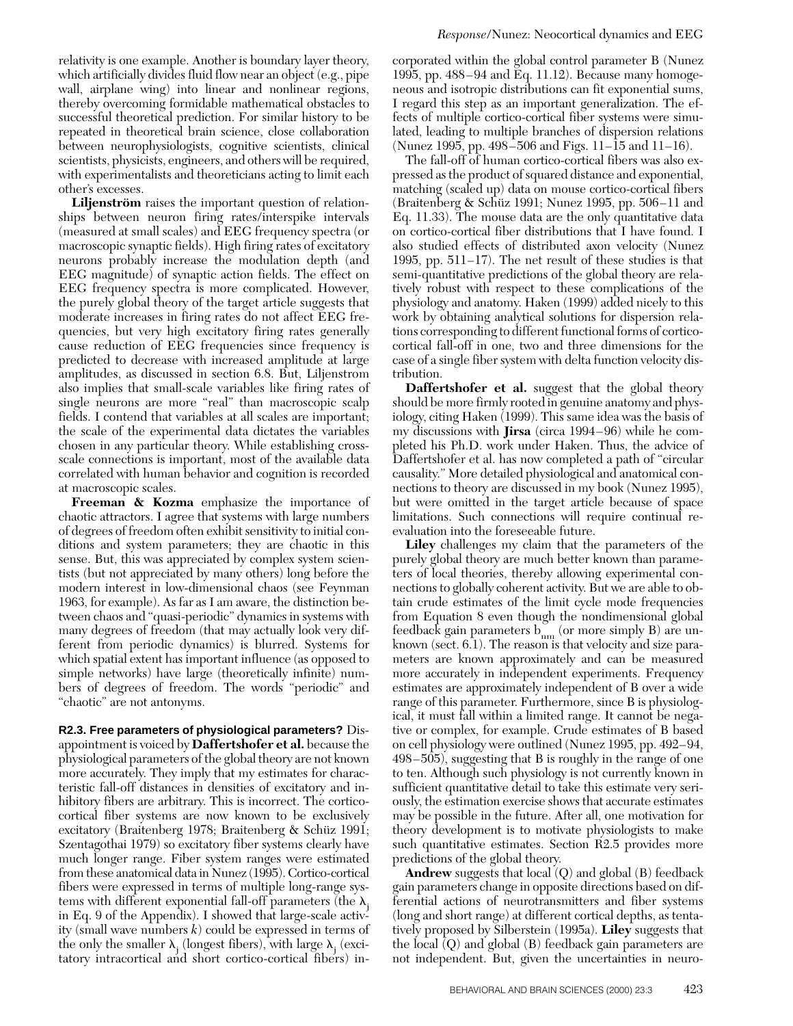relativity is one example. Another is boundary layer theory, which artificially divides fluid flow near an object (e.g., pipe wall, airplane wing) into linear and nonlinear regions, thereby overcoming formidable mathematical obstacles to successful theoretical prediction. For similar history to be repeated in theoretical brain science, close collaboration between neurophysiologists, cognitive scientists, clinical scientists, physicists, engineers, and others will be required, with experimentalists and theoreticians acting to limit each other's excesses.

**Liljenström** raises the important question of relationships between neuron firing rates/interspike intervals (measured at small scales) and EEG frequency spectra (or macroscopic synaptic fields). High firing rates of excitatory neurons probably increase the modulation depth (and EEG magnitude) of synaptic action fields. The effect on EEG frequency spectra is more complicated. However, the purely global theory of the target article suggests that moderate increases in firing rates do not affect EEG frequencies, but very high excitatory firing rates generally cause reduction of EEG frequencies since frequency is predicted to decrease with increased amplitude at large amplitudes, as discussed in section 6.8. But, Liljenstrom also implies that small-scale variables like firing rates of single neurons are more "real" than macroscopic scalp fields. I contend that variables at all scales are important; the scale of the experimental data dictates the variables chosen in any particular theory. While establishing crossscale connections is important, most of the available data correlated with human behavior and cognition is recorded at macroscopic scales.

**Freeman & Kozma** emphasize the importance of chaotic attractors. I agree that systems with large numbers of degrees of freedom often exhibit sensitivity to initial conditions and system parameters; they are chaotic in this sense. But, this was appreciated by complex system scientists (but not appreciated by many others) long before the modern interest in low-dimensional chaos (see Feynman 1963, for example). As far as I am aware, the distinction between chaos and "quasi-periodic" dynamics in systems with many degrees of freedom (that may actually look very different from periodic dynamics) is blurred. Systems for which spatial extent has important influence (as opposed to simple networks) have large (theoretically infinite) numbers of degrees of freedom. The words "periodic" and "chaotic" are not antonyms.

**R2.3. Free parameters of physiological parameters?** Disappointment is voiced by **Daffertshofer et al.** because the physiological parameters of the global theory are not known more accurately. They imply that my estimates for characteristic fall-off distances in densities of excitatory and inhibitory fibers are arbitrary. This is incorrect. The corticocortical fiber systems are now known to be exclusively excitatory (Braitenberg 1978; Braitenberg & Schüz 1991; Szentagothai 1979) so excitatory fiber systems clearly have much longer range. Fiber system ranges were estimated from these anatomical data in Nunez (1995). Cortico-cortical fibers were expressed in terms of multiple long-range systems with different exponential fall-off parameters (the  $\lambda_i$ in Eq. 9 of the Appendix). I showed that large-scale activity (small wave numbers *k*) could be expressed in terms of the only the smaller  $\lambda_i$  (longest fibers), with large  $\lambda_i$  (excitatory intracortical and short cortico-cortical fibers) in-

corporated within the global control parameter B (Nunez 1995, pp. 488–94 and Eq. 11.12). Because many homogeneous and isotropic distributions can fit exponential sums, I regard this step as an important generalization. The effects of multiple cortico-cortical fiber systems were simulated, leading to multiple branches of dispersion relations (Nunez 1995, pp. 498–506 and Figs. 11–15 and 11–16).

The fall-off of human cortico-cortical fibers was also expressed as the product of squared distance and exponential, matching (scaled up) data on mouse cortico-cortical fibers (Braitenberg & Schüz 1991; Nunez 1995, pp. 506–11 and Eq. 11.33). The mouse data are the only quantitative data on cortico-cortical fiber distributions that I have found. I also studied effects of distributed axon velocity (Nunez 1995, pp. 511–17). The net result of these studies is that semi-quantitative predictions of the global theory are relatively robust with respect to these complications of the physiology and anatomy. Haken (1999) added nicely to this work by obtaining analytical solutions for dispersion relations corresponding to different functional forms of corticocortical fall-off in one, two and three dimensions for the case of a single fiber system with delta function velocity distribution.

**Daffertshofer et al.** suggest that the global theory should be more firmly rooted in genuine anatomy and physiology, citing Haken (1999). This same idea was the basis of my discussions with **Jirsa** (circa 1994–96) while he completed his Ph.D. work under Haken. Thus, the advice of Daffertshofer et al. has now completed a path of "circular causality." More detailed physiological and anatomical connections to theory are discussed in my book (Nunez 1995), but were omitted in the target article because of space limitations. Such connections will require continual reevaluation into the foreseeable future.

**Liley** challenges my claim that the parameters of the purely global theory are much better known than parameters of local theories, thereby allowing experimental connections to globally coherent activity. But we are able to obtain crude estimates of the limit cycle mode frequencies from Equation 8 even though the nondimensional global feedback gain parameters  $b_{nm}$  (or more simply B) are unknown (sect. 6.1). The reason is that velocity and size parameters are known approximately and can be measured more accurately in independent experiments. Frequency estimates are approximately independent of B over a wide range of this parameter. Furthermore, since B is physiological, it must fall within a limited range. It cannot be negative or complex, for example. Crude estimates of B based on cell physiology were outlined (Nunez 1995, pp. 492–94, 498–505), suggesting that B is roughly in the range of one to ten. Although such physiology is not currently known in sufficient quantitative detail to take this estimate very seriously, the estimation exercise shows that accurate estimates may be possible in the future. After all, one motivation for theory development is to motivate physiologists to make such quantitative estimates. Section R2.5 provides more predictions of the global theory.

**Andrew** suggests that local (Q) and global (B) feedback gain parameters change in opposite directions based on differential actions of neurotransmitters and fiber systems (long and short range) at different cortical depths, as tentatively proposed by Silberstein (1995a). **Liley** suggests that the local (Q) and global (B) feedback gain parameters are not independent. But, given the uncertainties in neuro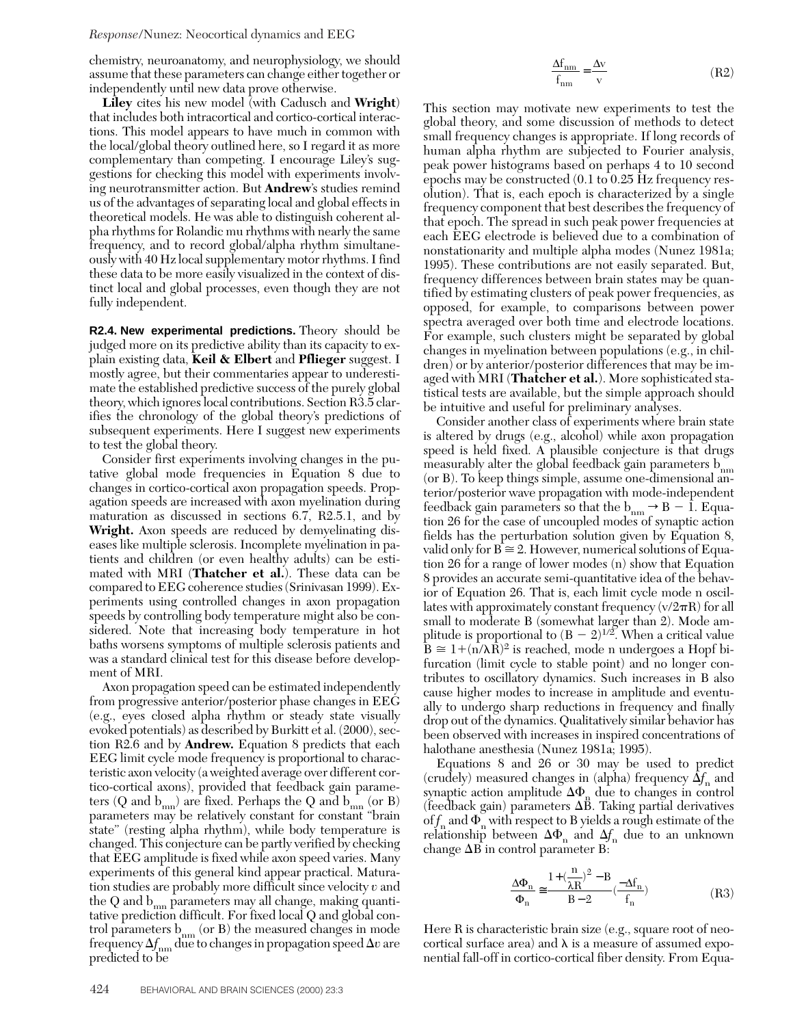chemistry, neuroanatomy, and neurophysiology, we should assume that these parameters can change either together or independently until new data prove otherwise.

**Liley** cites his new model (with Cadusch and **Wright**) that includes both intracortical and cortico-cortical interactions. This model appears to have much in common with the local/global theory outlined here, so I regard it as more complementary than competing. I encourage Liley's suggestions for checking this model with experiments involving neurotransmitter action. But **Andrew**'s studies remind us of the advantages of separating local and global effects in theoretical models. He was able to distinguish coherent alpha rhythms for Rolandic mu rhythms with nearly the same frequency, and to record global/alpha rhythm simultaneously with 40 Hz local supplementary motor rhythms. I find these data to be more easily visualized in the context of distinct local and global processes, even though they are not fully independent.

**R2.4. New experimental predictions.** Theory should be judged more on its predictive ability than its capacity to explain existing data, **Keil & Elbert** and **Pflieger** suggest. I mostly agree, but their commentaries appear to underestimate the established predictive success of the purely global theory, which ignores local contributions. Section R3.5 clarifies the chronology of the global theory's predictions of subsequent experiments. Here I suggest new experiments to test the global theory.

Consider first experiments involving changes in the putative global mode frequencies in Equation 8 due to changes in cortico-cortical axon propagation speeds. Propagation speeds are increased with axon myelination during maturation as discussed in sections 6.7, R2.5.1, and by **Wright.** Axon speeds are reduced by demyelinating diseases like multiple sclerosis. Incomplete myelination in patients and children (or even healthy adults) can be estimated with MRI (**Thatcher et al.**). These data can be compared to EEG coherence studies (Srinivasan 1999). Experiments using controlled changes in axon propagation speeds by controlling body temperature might also be considered. Note that increasing body temperature in hot baths worsens symptoms of multiple sclerosis patients and was a standard clinical test for this disease before development of MRI.

Axon propagation speed can be estimated independently from progressive anterior/posterior phase changes in EEG (e.g., eyes closed alpha rhythm or steady state visually evoked potentials) as described by Burkitt et al. (2000), section R2.6 and by **Andrew.** Equation 8 predicts that each EEG limit cycle mode frequency is proportional to characteristic axon velocity (a weighted average over different cortico-cortical axons), provided that feedback gain parameters (Q and  $b_{mn}$ ) are fixed. Perhaps the Q and  $b_{mn}$  (or B) parameters may be relatively constant for constant "brain state" (resting alpha rhythm), while body temperature is changed. This conjecture can be partly verified by checking that EEG amplitude is fixed while axon speed varies. Many experiments of this general kind appear practical. Maturation studies are probably more difficult since velocity *v* and the Q and  $b_{mn}$  parameters may all change, making quantitative prediction difficult. For fixed local Q and global control parameters  $b_{nm}$  (or B) the measured changes in mode frequency  $\Delta f_{\rm nm}$  due to changes in propagation speed  $\Delta v$  are predicted to be

$$
\frac{\Delta f_{nm}}{f_{nm}} = \frac{\Delta v}{v}
$$
 (R2)

This section may motivate new experiments to test the global theory, and some discussion of methods to detect small frequency changes is appropriate. If long records of human alpha rhythm are subjected to Fourier analysis, peak power histograms based on perhaps 4 to 10 second epochs may be constructed (0.1 to 0.25 Hz frequency resolution). That is, each epoch is characterized by a single frequency component that best describes the frequency of that epoch. The spread in such peak power frequencies at each EEG electrode is believed due to a combination of nonstationarity and multiple alpha modes (Nunez 1981a; 1995). These contributions are not easily separated. But, frequency differences between brain states may be quantified by estimating clusters of peak power frequencies, as opposed, for example, to comparisons between power spectra averaged over both time and electrode locations. For example, such clusters might be separated by global changes in myelination between populations (e.g., in children) or by anterior/posterior differences that may be imaged with MRI (**Thatcher et al.**). More sophisticated statistical tests are available, but the simple approach should be intuitive and useful for preliminary analyses.

Consider another class of experiments where brain state is altered by drugs (e.g., alcohol) while axon propagation speed is held fixed. A plausible conjecture is that drugs measurably alter the global feedback gain parameters  $\mathbf{b}_{\rm nm}$ (or B). To keep things simple, assume one-dimensional anterior/posterior wave propagation with mode-independent feedback gain parameters so that the  $b_{nm} \rightarrow B - \overline{1}$ . Equation 26 for the case of uncoupled modes of synaptic action fields has the perturbation solution given by Equation 8, valid only for  $B \cong 2$ . However, numerical solutions of Equation 26 for a range of lower modes (n) show that Equation 8 provides an accurate semi-quantitative idea of the behavior of Equation 26. That is, each limit cycle mode n oscillates with approximately constant frequency  $(v/2\pi R)$  for all small to moderate B (somewhat larger than 2). Mode amplitude is proportional to  $(B - 2)^{1/2}$ . When a critical value  $B \cong 1 + (n/\lambda R)^2$  is reached, mode n undergoes a Hopf bifurcation (limit cycle to stable point) and no longer contributes to oscillatory dynamics. Such increases in B also cause higher modes to increase in amplitude and eventually to undergo sharp reductions in frequency and finally drop out of the dynamics. Qualitatively similar behavior has been observed with increases in inspired concentrations of halothane anesthesia (Nunez 1981a; 1995).

Equations 8 and 26 or 30 may be used to predict (crudely) measured changes in (alpha) frequency  $\Delta f_n$  and synaptic action amplitude  $\Delta\Phi_n$  due to changes in control (feedback gain) parameters  $\Delta \bar{\text{B}}$ . Taking partial derivatives of  $f_n$  and  $\Phi_n$  with respect to B yields a rough estimate of the relationship between  $\Delta \Phi_n$  and  $\Delta f_n$  due to an unknown change  $\Delta B$  in control parameter B:

$$
\frac{\Delta \Phi_n}{\Phi_n} \approx \frac{1 + (\frac{n}{\lambda R})^2 - B}{B - 2} (\frac{-\Delta f_n}{f_n})
$$
(R3)

Here R is characteristic brain size (e.g., square root of neocortical surface area) and  $\lambda$  is a measure of assumed exponential fall-off in cortico-cortical fiber density. From Equa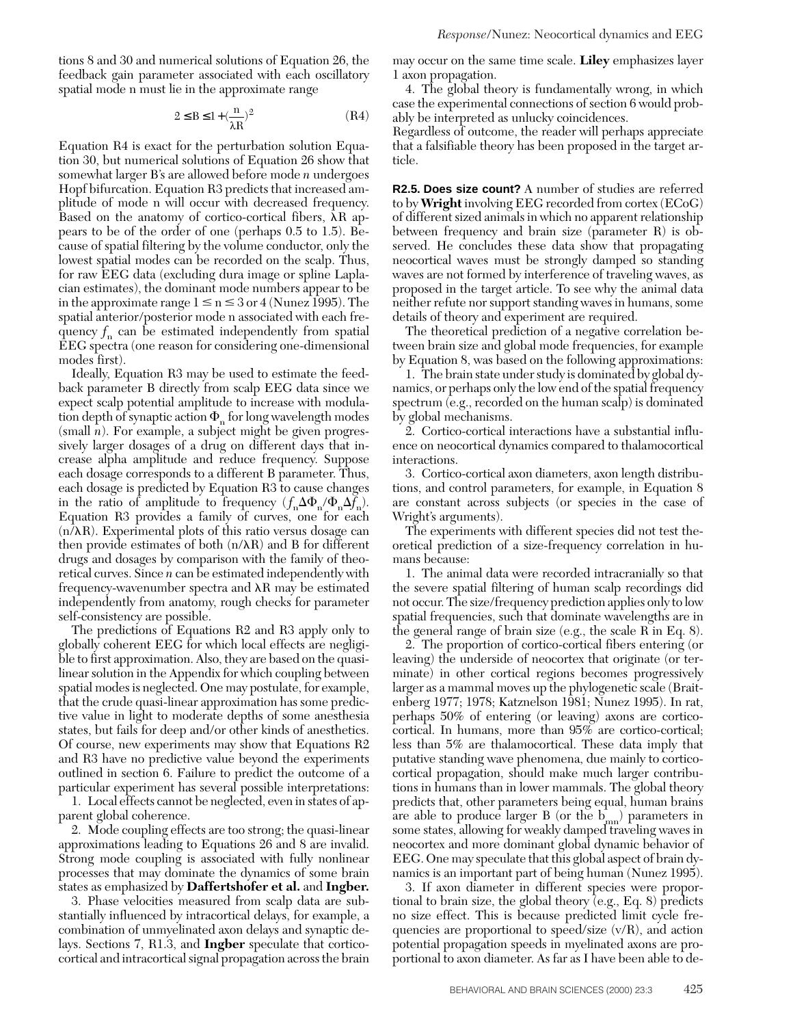tions 8 and 30 and numerical solutions of Equation 26, the feedback gain parameter associated with each oscillatory spatial mode n must lie in the approximate range

$$
2 \leq B \leq 1 + (\frac{n}{\lambda R})^2 \tag{R4}
$$

Equation R4 is exact for the perturbation solution Equation 30, but numerical solutions of Equation 26 show that somewhat larger B's are allowed before mode *n* undergoes Hopf bifurcation. Equation R3 predicts that increased amplitude of mode n will occur with decreased frequency. Based on the anatomy of cortico-cortical fibers,  $\lambda R$  appears to be of the order of one (perhaps 0.5 to 1.5). Because of spatial filtering by the volume conductor, only the lowest spatial modes can be recorded on the scalp. Thus, for raw EEG data (excluding dura image or spline Laplacian estimates), the dominant mode numbers appear to be in the approximate range  $1 \le n \le 3$  or 4 (Nunez 1995). The spatial anterior/posterior mode n associated with each frequency  $f_n$  can be estimated independently from spatial EEG spectra (one reason for considering one-dimensional modes first).

Ideally, Equation R3 may be used to estimate the feedback parameter B directly from scalp EEG data since we expect scalp potential amplitude to increase with modulation depth of synaptic action  $\Phi_n$  for long wavelength modes (small *n*). For example, a subject might be given progressively larger dosages of a drug on different days that increase alpha amplitude and reduce frequency. Suppose each dosage corresponds to a different B parameter. Thus, each dosage is predicted by Equation R3 to cause changes in the ratio of amplitude to frequency  $(f_n \Delta \Phi_n / \Phi_n \Delta f_n)$ . Equation R3 provides a family of curves, one for each  $(n/\lambda R)$ . Experimental plots of this ratio versus dosage can then provide estimates of both  $(n/\lambda R)$  and B for different drugs and dosages by comparison with the family of theoretical curves. Since *n* can be estimated independently with frequency-wavenumber spectra and  $\lambda R$  may be estimated independently from anatomy, rough checks for parameter self-consistency are possible.

The predictions of Equations R2 and R3 apply only to globally coherent EEG for which local effects are negligible to first approximation. Also, they are based on the quasilinear solution in the Appendix for which coupling between spatial modes is neglected. One may postulate, for example, that the crude quasi-linear approximation has some predictive value in light to moderate depths of some anesthesia states, but fails for deep and/or other kinds of anesthetics. Of course, new experiments may show that Equations R2 and R3 have no predictive value beyond the experiments outlined in section 6. Failure to predict the outcome of a particular experiment has several possible interpretations:

1. Local effects cannot be neglected, even in states of apparent global coherence.

2. Mode coupling effects are too strong; the quasi-linear approximations leading to Equations 26 and 8 are invalid. Strong mode coupling is associated with fully nonlinear processes that may dominate the dynamics of some brain states as emphasized by **Daffertshofer et al.** and **Ingber.**

3. Phase velocities measured from scalp data are substantially influenced by intracortical delays, for example, a combination of unmyelinated axon delays and synaptic delays. Sections 7, R1.3, and **Ingber** speculate that corticocortical and intracortical signal propagation across the brain

may occur on the same time scale. **Liley** emphasizes layer 1 axon propagation.

4. The global theory is fundamentally wrong, in which case the experimental connections of section 6 would probably be interpreted as unlucky coincidences.

Regardless of outcome, the reader will perhaps appreciate that a falsifiable theory has been proposed in the target article.

**R2.5. Does size count?** A number of studies are referred to by **Wright** involving EEG recorded from cortex (ECoG) of different sized animals in which no apparent relationship between frequency and brain size (parameter R) is observed. He concludes these data show that propagating neocortical waves must be strongly damped so standing waves are not formed by interference of traveling waves, as proposed in the target article. To see why the animal data neither refute nor support standing waves in humans, some details of theory and experiment are required.

The theoretical prediction of a negative correlation between brain size and global mode frequencies, for example by Equation 8, was based on the following approximations:

1. The brain state under study is dominated by global dynamics, or perhaps only the low end of the spatial frequency spectrum (e.g., recorded on the human scalp) is dominated by global mechanisms.

2. Cortico-cortical interactions have a substantial influence on neocortical dynamics compared to thalamocortical interactions.

3. Cortico-cortical axon diameters, axon length distributions, and control parameters, for example, in Equation 8 are constant across subjects (or species in the case of Wright's arguments).

The experiments with different species did not test theoretical prediction of a size-frequency correlation in humans because:

1. The animal data were recorded intracranially so that the severe spatial filtering of human scalp recordings did not occur. The size/frequency prediction applies only to low spatial frequencies, such that dominate wavelengths are in the general range of brain size (e.g., the scale R in Eq. 8).

2. The proportion of cortico-cortical fibers entering (or leaving) the underside of neocortex that originate (or terminate) in other cortical regions becomes progressively larger as a mammal moves up the phylogenetic scale (Braitenberg 1977; 1978; Katznelson 1981; Nunez 1995). In rat, perhaps 50% of entering (or leaving) axons are corticocortical. In humans, more than 95% are cortico-cortical; less than 5% are thalamocortical. These data imply that putative standing wave phenomena, due mainly to corticocortical propagation, should make much larger contributions in humans than in lower mammals. The global theory predicts that, other parameters being equal, human brains are able to produce larger B (or the  $b_{mn}$ ) parameters in some states, allowing for weakly damped traveling waves in neocortex and more dominant global dynamic behavior of EEG. One may speculate that this global aspect of brain dynamics is an important part of being human (Nunez 1995).

3. If axon diameter in different species were proportional to brain size, the global theory (e.g., Eq. 8) predicts no size effect. This is because predicted limit cycle frequencies are proportional to speed/size (v/R), and action potential propagation speeds in myelinated axons are proportional to axon diameter. As far as I have been able to de-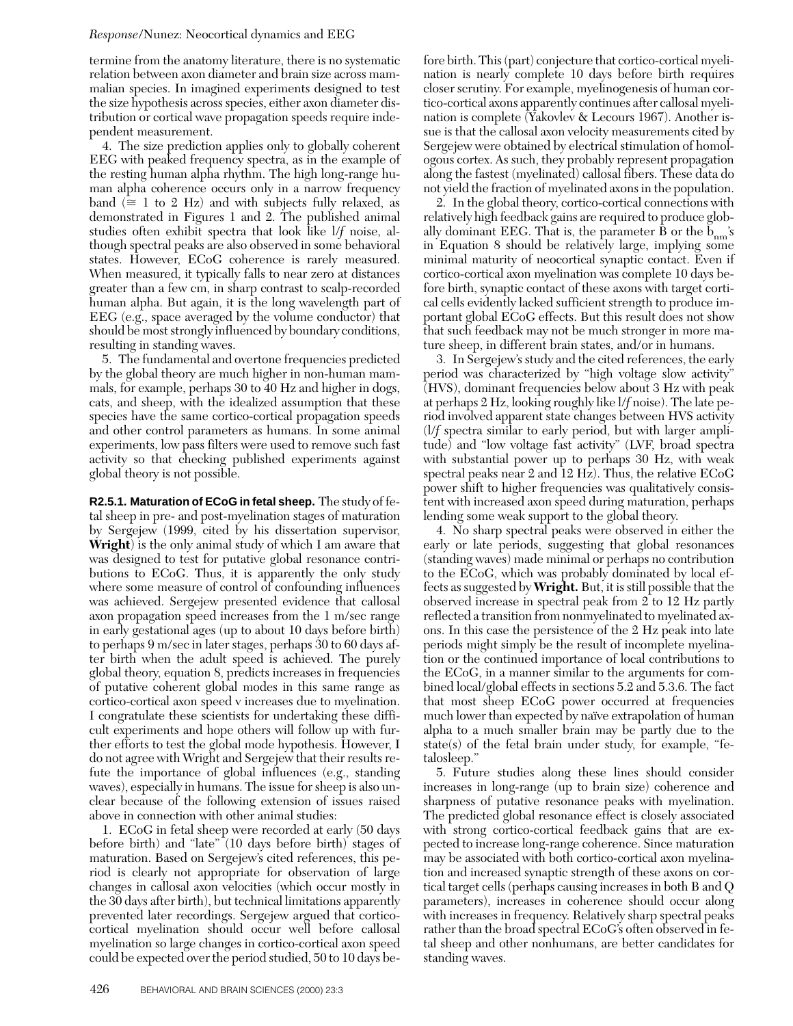## *Response/*Nunez: Neocortical dynamics and EEG

termine from the anatomy literature, there is no systematic relation between axon diameter and brain size across mammalian species. In imagined experiments designed to test the size hypothesis across species, either axon diameter distribution or cortical wave propagation speeds require independent measurement.

4. The size prediction applies only to globally coherent EEG with peaked frequency spectra, as in the example of the resting human alpha rhythm. The high long-range human alpha coherence occurs only in a narrow frequency band  $(\cong 1$  to 2 Hz) and with subjects fully relaxed, as demonstrated in Figures 1 and 2. The published animal studies often exhibit spectra that look like l/*f* noise, although spectral peaks are also observed in some behavioral states. However, ECoG coherence is rarely measured. When measured, it typically falls to near zero at distances greater than a few cm, in sharp contrast to scalp-recorded human alpha. But again, it is the long wavelength part of EEG (e.g., space averaged by the volume conductor) that should be most strongly influenced by boundary conditions, resulting in standing waves.

5. The fundamental and overtone frequencies predicted by the global theory are much higher in non-human mammals, for example, perhaps 30 to 40 Hz and higher in dogs, cats, and sheep, with the idealized assumption that these species have the same cortico-cortical propagation speeds and other control parameters as humans. In some animal experiments, low pass filters were used to remove such fast activity so that checking published experiments against global theory is not possible.

**R2.5.1. Maturation of ECoG in fetal sheep.** The study of fetal sheep in pre- and post-myelination stages of maturation by Sergejew (1999, cited by his dissertation supervisor, **Wright**) is the only animal study of which I am aware that was designed to test for putative global resonance contributions to ECoG. Thus, it is apparently the only study where some measure of control of confounding influences was achieved. Sergejew presented evidence that callosal axon propagation speed increases from the 1 m/sec range in early gestational ages (up to about 10 days before birth) to perhaps 9 m/sec in later stages, perhaps 30 to 60 days after birth when the adult speed is achieved. The purely global theory, equation 8, predicts increases in frequencies of putative coherent global modes in this same range as cortico-cortical axon speed v increases due to myelination. I congratulate these scientists for undertaking these difficult experiments and hope others will follow up with further efforts to test the global mode hypothesis. However, I do not agree with Wright and Sergejew that their results refute the importance of global influences (e.g., standing waves), especially in humans. The issue for sheep is also unclear because of the following extension of issues raised above in connection with other animal studies:

1. ECoG in fetal sheep were recorded at early (50 days before birth) and "late" (10 days before birth) stages of maturation. Based on Sergejew's cited references, this period is clearly not appropriate for observation of large changes in callosal axon velocities (which occur mostly in the 30 days after birth), but technical limitations apparently prevented later recordings. Sergejew argued that corticocortical myelination should occur well before callosal myelination so large changes in cortico-cortical axon speed could be expected over the period studied, 50 to 10 days before birth. This (part) conjecture that cortico-cortical myelination is nearly complete 10 days before birth requires closer scrutiny. For example, myelinogenesis of human cortico-cortical axons apparently continues after callosal myelination is complete (Yakovlev & Lecours 1967). Another issue is that the callosal axon velocity measurements cited by Sergejew were obtained by electrical stimulation of homologous cortex. As such, they probably represent propagation along the fastest (myelinated) callosal fibers. These data do not yield the fraction of myelinated axons in the population.

2. In the global theory, cortico-cortical connections with relatively high feedback gains are required to produce globally dominant EEG. That is, the parameter B or the  $b_{nm}$ 's in Equation 8 should be relatively large, implying some minimal maturity of neocortical synaptic contact. Even if cortico-cortical axon myelination was complete 10 days before birth, synaptic contact of these axons with target cortical cells evidently lacked sufficient strength to produce important global ECoG effects. But this result does not show that such feedback may not be much stronger in more mature sheep, in different brain states, and/or in humans.

3. In Sergejew's study and the cited references, the early period was characterized by "high voltage slow activity" (HVS), dominant frequencies below about 3 Hz with peak at perhaps 2 Hz, looking roughly like l/*f* noise). The late period involved apparent state changes between HVS activity (l/*f* spectra similar to early period, but with larger amplitude) and "low voltage fast activity" (LVF, broad spectra with substantial power up to perhaps 30 Hz, with weak spectral peaks near 2 and 12 Hz). Thus, the relative ECoG power shift to higher frequencies was qualitatively consistent with increased axon speed during maturation, perhaps lending some weak support to the global theory.

4. No sharp spectral peaks were observed in either the early or late periods, suggesting that global resonances (standing waves) made minimal or perhaps no contribution to the ECoG, which was probably dominated by local effects as suggested by **Wright.** But, it is still possible that the observed increase in spectral peak from 2 to 12 Hz partly reflected a transition from nonmyelinated to myelinated axons. In this case the persistence of the 2 Hz peak into late periods might simply be the result of incomplete myelination or the continued importance of local contributions to the ECoG, in a manner similar to the arguments for combined local/global effects in sections 5.2 and 5.3.6. The fact that most sheep ECoG power occurred at frequencies much lower than expected by naïve extrapolation of human alpha to a much smaller brain may be partly due to the state(s) of the fetal brain under study, for example, "fetalosleep."

5. Future studies along these lines should consider increases in long-range (up to brain size) coherence and sharpness of putative resonance peaks with myelination. The predicted global resonance effect is closely associated with strong cortico-cortical feedback gains that are expected to increase long-range coherence. Since maturation may be associated with both cortico-cortical axon myelination and increased synaptic strength of these axons on cortical target cells (perhaps causing increases in both B and Q parameters), increases in coherence should occur along with increases in frequency. Relatively sharp spectral peaks rather than the broad spectral ECoG's often observed in fetal sheep and other nonhumans, are better candidates for standing waves.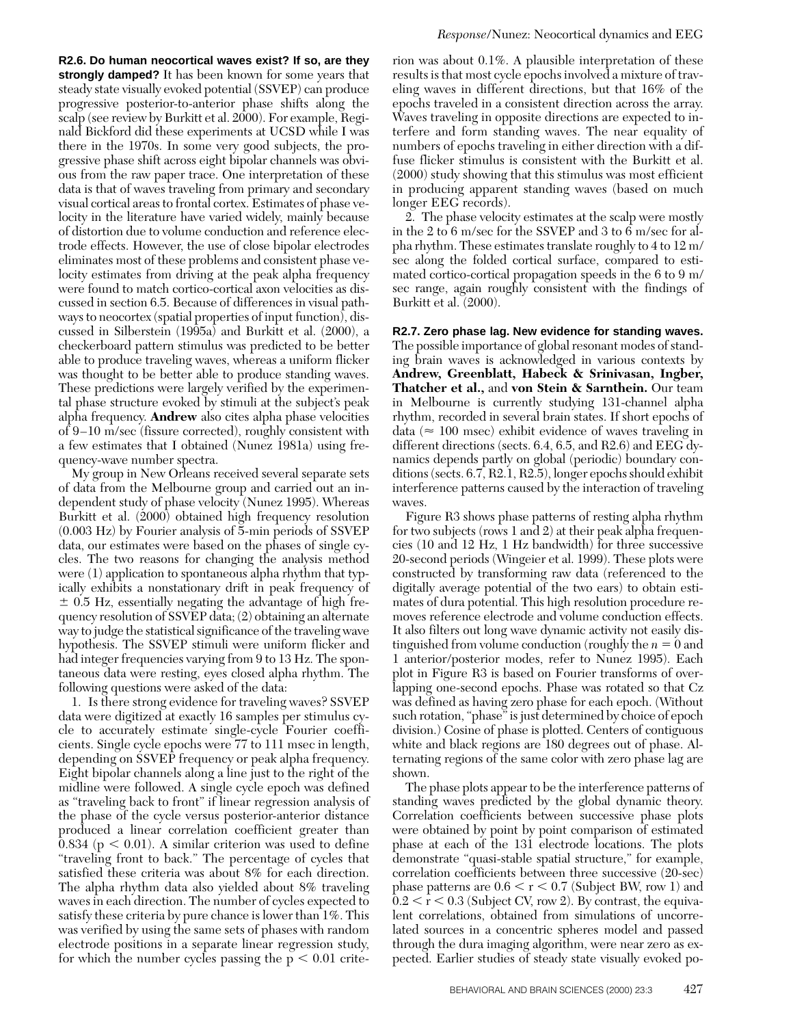**R2.6. Do human neocortical waves exist? If so, are they strongly damped?** It has been known for some years that steady state visually evoked potential (SSVEP) can produce progressive posterior-to-anterior phase shifts along the scalp (see review by Burkitt et al. 2000). For example, Reginald Bickford did these experiments at UCSD while I was there in the 1970s. In some very good subjects, the progressive phase shift across eight bipolar channels was obvious from the raw paper trace. One interpretation of these data is that of waves traveling from primary and secondary visual cortical areas to frontal cortex. Estimates of phase velocity in the literature have varied widely, mainly because of distortion due to volume conduction and reference electrode effects. However, the use of close bipolar electrodes eliminates most of these problems and consistent phase velocity estimates from driving at the peak alpha frequency were found to match cortico-cortical axon velocities as discussed in section 6.5. Because of differences in visual pathways to neocortex (spatial properties of input function), discussed in Silberstein (1995a) and Burkitt et al. (2000), a checkerboard pattern stimulus was predicted to be better able to produce traveling waves, whereas a uniform flicker was thought to be better able to produce standing waves. These predictions were largely verified by the experimental phase structure evoked by stimuli at the subject's peak alpha frequency. **Andrew** also cites alpha phase velocities of 9–10 m/sec (fissure corrected), roughly consistent with a few estimates that I obtained (Nunez 1981a) using frequency-wave number spectra.

My group in New Orleans received several separate sets of data from the Melbourne group and carried out an independent study of phase velocity (Nunez 1995). Whereas Burkitt et al. (2000) obtained high frequency resolution (0.003 Hz) by Fourier analysis of 5-min periods of SSVEP data, our estimates were based on the phases of single cycles. The two reasons for changing the analysis method were (1) application to spontaneous alpha rhythm that typically exhibits a nonstationary drift in peak frequency of  $\pm$  0.5 Hz, essentially negating the advantage of high frequency resolution of SSVEP data; (2) obtaining an alternate way to judge the statistical significance of the traveling wave hypothesis. The SSVEP stimuli were uniform flicker and had integer frequencies varying from 9 to 13 Hz. The spontaneous data were resting, eyes closed alpha rhythm. The following questions were asked of the data:

1. Is there strong evidence for traveling waves? SSVEP data were digitized at exactly 16 samples per stimulus cycle to accurately estimate single-cycle Fourier coefficients. Single cycle epochs were 77 to 111 msec in length, depending on SSVEP frequency or peak alpha frequency. Eight bipolar channels along a line just to the right of the midline were followed. A single cycle epoch was defined as "traveling back to front" if linear regression analysis of the phase of the cycle versus posterior-anterior distance produced a linear correlation coefficient greater than 0.834 ( $p < 0.01$ ). A similar criterion was used to define "traveling front to back." The percentage of cycles that satisfied these criteria was about 8% for each direction. The alpha rhythm data also yielded about 8% traveling waves in each direction. The number of cycles expected to satisfy these criteria by pure chance is lower than 1%. This was verified by using the same sets of phases with random electrode positions in a separate linear regression study, for which the number cycles passing the  $p < 0.01$  crite-

rion was about 0.1%. A plausible interpretation of these results is that most cycle epochs involved a mixture of traveling waves in different directions, but that 16% of the epochs traveled in a consistent direction across the array. Waves traveling in opposite directions are expected to interfere and form standing waves. The near equality of numbers of epochs traveling in either direction with a diffuse flicker stimulus is consistent with the Burkitt et al. (2000) study showing that this stimulus was most efficient in producing apparent standing waves (based on much longer EEG records).

2. The phase velocity estimates at the scalp were mostly in the 2 to 6 m/sec for the SSVEP and 3 to 6 m/sec for alpha rhythm. These estimates translate roughly to 4 to 12 m/ sec along the folded cortical surface, compared to estimated cortico-cortical propagation speeds in the 6 to 9 m/ sec range, again roughly consistent with the findings of Burkitt et al. (2000).

**R2.7. Zero phase lag. New evidence for standing waves.** The possible importance of global resonant modes of standing brain waves is acknowledged in various contexts by **Andrew, Greenblatt, Habeck & Srinivasan, Ingber, Thatcher et al.,** and **von Stein & Sarnthein.** Our team in Melbourne is currently studying 131-channel alpha rhythm, recorded in several brain states. If short epochs of data ( $\approx 100$  msec) exhibit evidence of waves traveling in different directions (sects. 6.4, 6.5, and R2.6) and EEG dynamics depends partly on global (periodic) boundary conditions (sects. 6.7, R2.1, R2.5), longer epochs should exhibit interference patterns caused by the interaction of traveling waves.

Figure R3 shows phase patterns of resting alpha rhythm for two subjects (rows 1 and 2) at their peak alpha frequencies (10 and 12 Hz, 1 Hz bandwidth) for three successive 20-second periods (Wingeier et al. 1999). These plots were constructed by transforming raw data (referenced to the digitally average potential of the two ears) to obtain estimates of dura potential. This high resolution procedure removes reference electrode and volume conduction effects. It also filters out long wave dynamic activity not easily distinguished from volume conduction (roughly the  $n = 0$  and 1 anterior/posterior modes, refer to Nunez 1995). Each plot in Figure R3 is based on Fourier transforms of overlapping one-second epochs. Phase was rotated so that Cz was defined as having zero phase for each epoch. (Without such rotation, "phase" is just determined by choice of epoch division.) Cosine of phase is plotted. Centers of contiguous white and black regions are 180 degrees out of phase. Alternating regions of the same color with zero phase lag are shown.

The phase plots appear to be the interference patterns of standing waves predicted by the global dynamic theory. Correlation coefficients between successive phase plots were obtained by point by point comparison of estimated phase at each of the 131 electrode locations. The plots demonstrate "quasi-stable spatial structure," for example, correlation coefficients between three successive (20-sec) phase patterns are  $0.6 < r < 0.7$  (Subject BW, row 1) and  $0.2 < r < 0.3$  (Subject CV, row 2). By contrast, the equivalent correlations, obtained from simulations of uncorrelated sources in a concentric spheres model and passed through the dura imaging algorithm, were near zero as expected. Earlier studies of steady state visually evoked po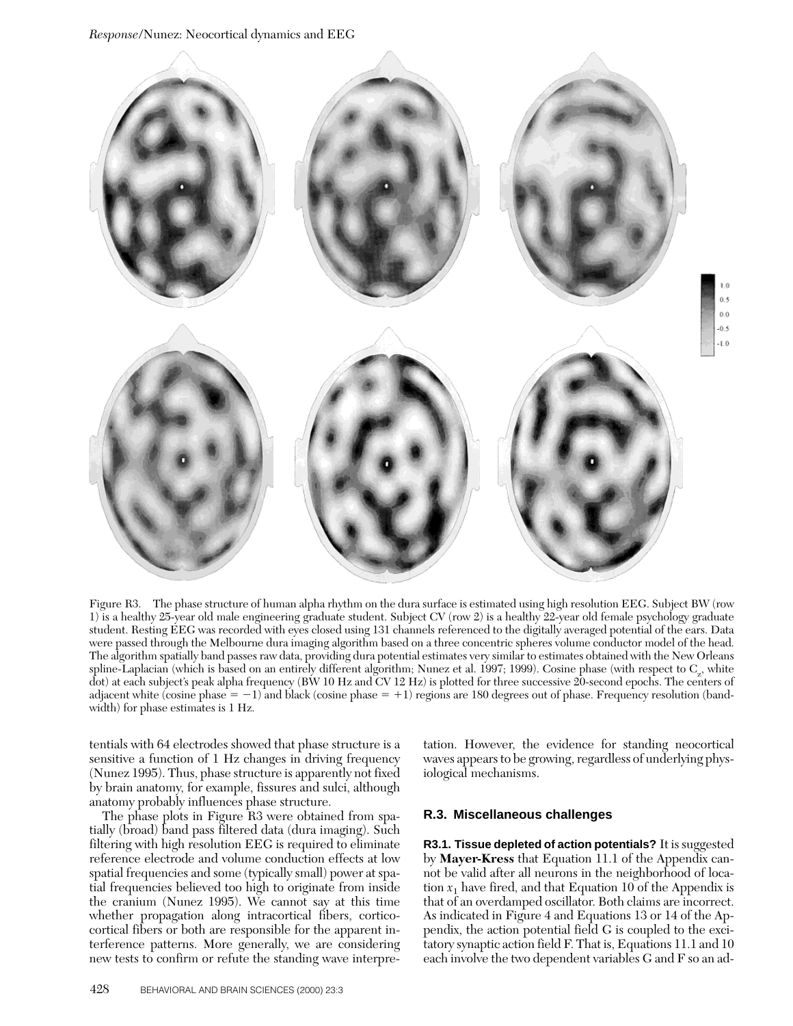*Response/*Nunez: Neocortical dynamics and EEG



Figure R3. The phase structure of human alpha rhythm on the dura surface is estimated using high resolution EEG. Subject BW (row 1) is a healthy 25-year old male engineering graduate student. Subject CV (row 2) is a healthy 22-year old female psychology graduate student. Resting EEG was recorded with eyes closed using 131 channels referenced to the digitally averaged potential of the ears. Data were passed through the Melbourne dura imaging algorithm based on a three concentric spheres volume conductor model of the head. The algorithm spatially band passes raw data, providing dura potential estimates very similar to estimates obtained with the New Orleans spline-Laplacian (which is based on an entirely different algorithm; Nunez et al. 1997; 1999). Cosine phase (with respect to  $C_z$ , white dot) at each subject's peak alpha frequency (BW 10 Hz and CV 12 Hz) is plotted for three successive 20-second epochs. The centers of adjacent white (cosine phase  $= -1$ ) and black (cosine phase  $= +1$ ) regions are 180 degrees out of phase. Frequency resolution (bandwidth) for phase estimates is 1 Hz.

tentials with 64 electrodes showed that phase structure is a sensitive a function of 1 Hz changes in driving frequency (Nunez 1995). Thus, phase structure is apparently not fixed by brain anatomy, for example, fissures and sulci, although anatomy probably influences phase structure.

The phase plots in Figure R3 were obtained from spatially (broad) band pass filtered data (dura imaging). Such filtering with high resolution EEG is required to eliminate reference electrode and volume conduction effects at low spatial frequencies and some (typically small) power at spatial frequencies believed too high to originate from inside the cranium (Nunez 1995). We cannot say at this time whether propagation along intracortical fibers, corticocortical fibers or both are responsible for the apparent interference patterns. More generally, we are considering new tests to confirm or refute the standing wave interpretation. However, the evidence for standing neocortical waves appears to be growing, regardless of underlying physiological mechanisms.

## **R.3. Miscellaneous challenges**

**R3.1. Tissue depleted of action potentials?** It is suggested by **Mayer-Kress** that Equation 11.1 of the Appendix cannot be valid after all neurons in the neighborhood of location  $x_1$  have fired, and that Equation 10 of the Appendix is that of an overdamped oscillator. Both claims are incorrect. As indicated in Figure 4 and Equations 13 or 14 of the Appendix, the action potential field G is coupled to the excitatory synaptic action field F. That is, Equations 11.1 and 10 each involve the two dependent variables G and F so an ad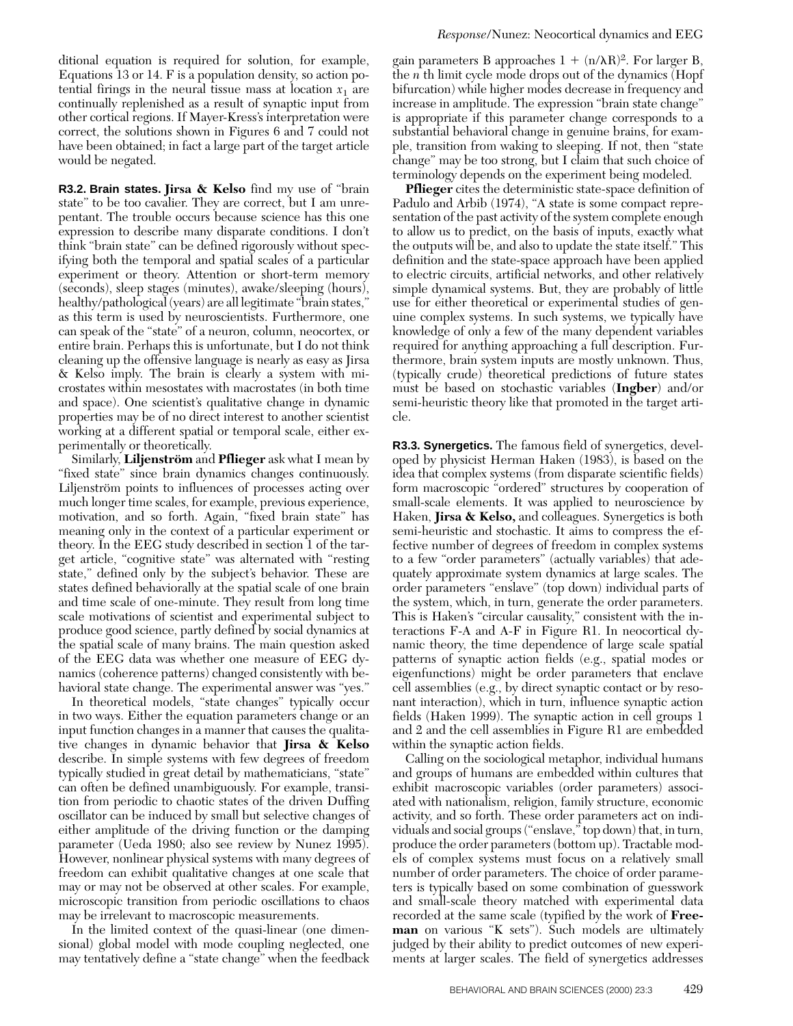ditional equation is required for solution, for example, Equations 13 or 14. F is a population density, so action potential firings in the neural tissue mass at location  $x_1$  are continually replenished as a result of synaptic input from other cortical regions. If Mayer-Kress's interpretation were correct, the solutions shown in Figures 6 and 7 could not have been obtained; in fact a large part of the target article would be negated.

**R3.2. Brain states. Jirsa & Kelso** find my use of "brain state" to be too cavalier. They are correct, but I am unrepentant. The trouble occurs because science has this one expression to describe many disparate conditions. I don't think "brain state" can be defined rigorously without specifying both the temporal and spatial scales of a particular experiment or theory. Attention or short-term memory (seconds), sleep stages (minutes), awake/sleeping (hours), healthy/pathological (years) are all legitimate "brain states," as this term is used by neuroscientists. Furthermore, one can speak of the "state" of a neuron, column, neocortex, or entire brain. Perhaps this is unfortunate, but I do not think cleaning up the offensive language is nearly as easy as Jirsa & Kelso imply. The brain is clearly a system with microstates within mesostates with macrostates (in both time and space). One scientist's qualitative change in dynamic properties may be of no direct interest to another scientist working at a different spatial or temporal scale, either experimentally or theoretically.

Similarly, **Liljenström** and **Pflieger** ask what I mean by "fixed state" since brain dynamics changes continuously. Liljenström points to influences of processes acting over much longer time scales, for example, previous experience, motivation, and so forth. Again, "fixed brain state" has meaning only in the context of a particular experiment or theory. In the EEG study described in section 1 of the target article, "cognitive state" was alternated with "resting state," defined only by the subject's behavior. These are states defined behaviorally at the spatial scale of one brain and time scale of one-minute. They result from long time scale motivations of scientist and experimental subject to produce good science, partly defined by social dynamics at the spatial scale of many brains. The main question asked of the EEG data was whether one measure of EEG dynamics (coherence patterns) changed consistently with behavioral state change. The experimental answer was "yes."

In theoretical models, "state changes" typically occur in two ways. Either the equation parameters change or an input function changes in a manner that causes the qualitative changes in dynamic behavior that **Jirsa & Kelso** describe. In simple systems with few degrees of freedom typically studied in great detail by mathematicians, "state" can often be defined unambiguously. For example, transition from periodic to chaotic states of the driven Duffing oscillator can be induced by small but selective changes of either amplitude of the driving function or the damping parameter (Ueda 1980; also see review by Nunez 1995). However, nonlinear physical systems with many degrees of freedom can exhibit qualitative changes at one scale that may or may not be observed at other scales. For example, microscopic transition from periodic oscillations to chaos may be irrelevant to macroscopic measurements.

In the limited context of the quasi-linear (one dimensional) global model with mode coupling neglected, one may tentatively define a "state change" when the feedback

gain parameters B approaches  $1 + (n/\lambda R)^2$ . For larger B, the *n* th limit cycle mode drops out of the dynamics (Hopf bifurcation) while higher modes decrease in frequency and increase in amplitude. The expression "brain state change" is appropriate if this parameter change corresponds to a substantial behavioral change in genuine brains, for example, transition from waking to sleeping. If not, then "state change" may be too strong, but I claim that such choice of terminology depends on the experiment being modeled.

**Pflieger** cites the deterministic state-space definition of Padulo and Arbib (1974), "A state is some compact representation of the past activity of the system complete enough to allow us to predict, on the basis of inputs, exactly what the outputs will be, and also to update the state itself." This definition and the state-space approach have been applied to electric circuits, artificial networks, and other relatively simple dynamical systems. But, they are probably of little use for either theoretical or experimental studies of genuine complex systems. In such systems, we typically have knowledge of only a few of the many dependent variables required for anything approaching a full description. Furthermore, brain system inputs are mostly unknown. Thus, (typically crude) theoretical predictions of future states must be based on stochastic variables (**Ingber**) and/or semi-heuristic theory like that promoted in the target article.

**R3.3. Synergetics.** The famous field of synergetics, developed by physicist Herman Haken (1983), is based on the idea that complex systems (from disparate scientific fields) form macroscopic "ordered" structures by cooperation of small-scale elements. It was applied to neuroscience by Haken, **Jirsa & Kelso,** and colleagues. Synergetics is both semi-heuristic and stochastic. It aims to compress the effective number of degrees of freedom in complex systems to a few "order parameters" (actually variables) that adequately approximate system dynamics at large scales. The order parameters "enslave" (top down) individual parts of the system, which, in turn, generate the order parameters. This is Haken's "circular causality," consistent with the interactions F-A and A-F in Figure R1. In neocortical dynamic theory, the time dependence of large scale spatial patterns of synaptic action fields (e.g., spatial modes or eigenfunctions) might be order parameters that enclave cell assemblies (e.g., by direct synaptic contact or by resonant interaction), which in turn, influence synaptic action fields (Haken 1999). The synaptic action in cell groups 1 and 2 and the cell assemblies in Figure R1 are embedded within the synaptic action fields.

Calling on the sociological metaphor, individual humans and groups of humans are embedded within cultures that exhibit macroscopic variables (order parameters) associated with nationalism, religion, family structure, economic activity, and so forth. These order parameters act on individuals and social groups ("enslave," top down) that, in turn, produce the order parameters (bottom up). Tractable models of complex systems must focus on a relatively small number of order parameters. The choice of order parameters is typically based on some combination of guesswork and small-scale theory matched with experimental data recorded at the same scale (typified by the work of **Freeman** on various "K sets"). Such models are ultimately judged by their ability to predict outcomes of new experiments at larger scales. The field of synergetics addresses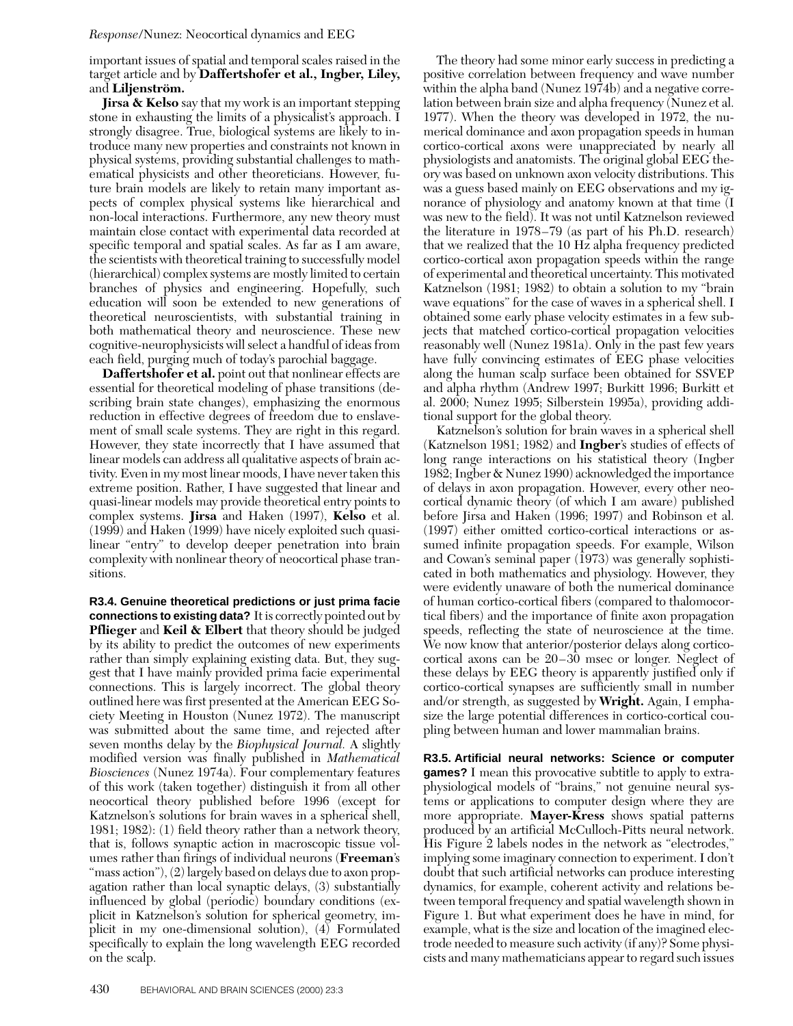important issues of spatial and temporal scales raised in the target article and by **Daffertshofer et al., Ingber, Liley,** and **Liljenström.**

**Jirsa & Kelso** say that my work is an important stepping stone in exhausting the limits of a physicalist's approach. I strongly disagree. True, biological systems are likely to introduce many new properties and constraints not known in physical systems, providing substantial challenges to mathematical physicists and other theoreticians. However, future brain models are likely to retain many important aspects of complex physical systems like hierarchical and non-local interactions. Furthermore, any new theory must maintain close contact with experimental data recorded at specific temporal and spatial scales. As far as I am aware, the scientists with theoretical training to successfully model (hierarchical) complex systems are mostly limited to certain branches of physics and engineering. Hopefully, such education will soon be extended to new generations of theoretical neuroscientists, with substantial training in both mathematical theory and neuroscience. These new cognitive-neurophysicists will select a handful of ideas from each field, purging much of today's parochial baggage.

**Daffertshofer et al.** point out that nonlinear effects are essential for theoretical modeling of phase transitions (describing brain state changes), emphasizing the enormous reduction in effective degrees of freedom due to enslavement of small scale systems. They are right in this regard. However, they state incorrectly that I have assumed that linear models can address all qualitative aspects of brain activity. Even in my most linear moods, I have never taken this extreme position. Rather, I have suggested that linear and quasi-linear models may provide theoretical entry points to complex systems. **Jirsa** and Haken (1997), **Kelso** et al. (1999) and Haken (1999) have nicely exploited such quasilinear "entry" to develop deeper penetration into brain complexity with nonlinear theory of neocortical phase transitions.

**R3.4. Genuine theoretical predictions or just prima facie connections to existing data?** It is correctly pointed out by **Pflieger** and **Keil & Elbert** that theory should be judged by its ability to predict the outcomes of new experiments rather than simply explaining existing data. But, they suggest that I have mainly provided prima facie experimental connections. This is largely incorrect. The global theory outlined here was first presented at the American EEG Society Meeting in Houston (Nunez 1972). The manuscript was submitted about the same time, and rejected after seven months delay by the *Biophysical Journal.* A slightly modified version was finally published in *Mathematical Biosciences* (Nunez 1974a). Four complementary features of this work (taken together) distinguish it from all other neocortical theory published before 1996 (except for Katznelson's solutions for brain waves in a spherical shell, 1981; 1982): (1) field theory rather than a network theory, that is, follows synaptic action in macroscopic tissue volumes rather than firings of individual neurons (**Freeman**'s "mass action"), (2) largely based on delays due to axon propagation rather than local synaptic delays, (3) substantially influenced by global (periodic) boundary conditions (explicit in Katznelson's solution for spherical geometry, implicit in my one-dimensional solution), (4) Formulated specifically to explain the long wavelength EEG recorded on the scalp.

The theory had some minor early success in predicting a positive correlation between frequency and wave number within the alpha band (Nunez 1974b) and a negative correlation between brain size and alpha frequency (Nunez et al. 1977). When the theory was developed in 1972, the numerical dominance and axon propagation speeds in human cortico-cortical axons were unappreciated by nearly all physiologists and anatomists. The original global EEG theory was based on unknown axon velocity distributions. This was a guess based mainly on EEG observations and my ignorance of physiology and anatomy known at that time (I was new to the field). It was not until Katznelson reviewed the literature in 1978–79 (as part of his Ph.D. research) that we realized that the 10 Hz alpha frequency predicted cortico-cortical axon propagation speeds within the range of experimental and theoretical uncertainty. This motivated Katznelson (1981; 1982) to obtain a solution to my "brain wave equations" for the case of waves in a spherical shell. I obtained some early phase velocity estimates in a few subjects that matched cortico-cortical propagation velocities reasonably well (Nunez 1981a). Only in the past few years have fully convincing estimates of EEG phase velocities along the human scalp surface been obtained for SSVEP and alpha rhythm (Andrew 1997; Burkitt 1996; Burkitt et al. 2000; Nunez 1995; Silberstein 1995a), providing additional support for the global theory.

Katznelson's solution for brain waves in a spherical shell (Katznelson 1981; 1982) and **Ingber**'s studies of effects of long range interactions on his statistical theory (Ingber 1982; Ingber & Nunez 1990) acknowledged the importance of delays in axon propagation. However, every other neocortical dynamic theory (of which I am aware) published before Jirsa and Haken (1996; 1997) and Robinson et al. (1997) either omitted cortico-cortical interactions or assumed infinite propagation speeds. For example, Wilson and Cowan's seminal paper (1973) was generally sophisticated in both mathematics and physiology. However, they were evidently unaware of both the numerical dominance of human cortico-cortical fibers (compared to thalomocortical fibers) and the importance of finite axon propagation speeds, reflecting the state of neuroscience at the time. We now know that anterior/posterior delays along corticocortical axons can be 20–30 msec or longer. Neglect of these delays by EEG theory is apparently justified only if cortico-cortical synapses are sufficiently small in number and/or strength, as suggested by **Wright.** Again, I emphasize the large potential differences in cortico-cortical coupling between human and lower mammalian brains.

**R3.5. Artificial neural networks: Science or computer games?** I mean this provocative subtitle to apply to extraphysiological models of "brains," not genuine neural systems or applications to computer design where they are more appropriate. **Mayer-Kress** shows spatial patterns produced by an artificial McCulloch-Pitts neural network. His Figure 2 labels nodes in the network as "electrodes," implying some imaginary connection to experiment. I don't doubt that such artificial networks can produce interesting dynamics, for example, coherent activity and relations between temporal frequency and spatial wavelength shown in Figure 1. But what experiment does he have in mind, for example, what is the size and location of the imagined electrode needed to measure such activity (if any)? Some physicists and many mathematicians appear to regard such issues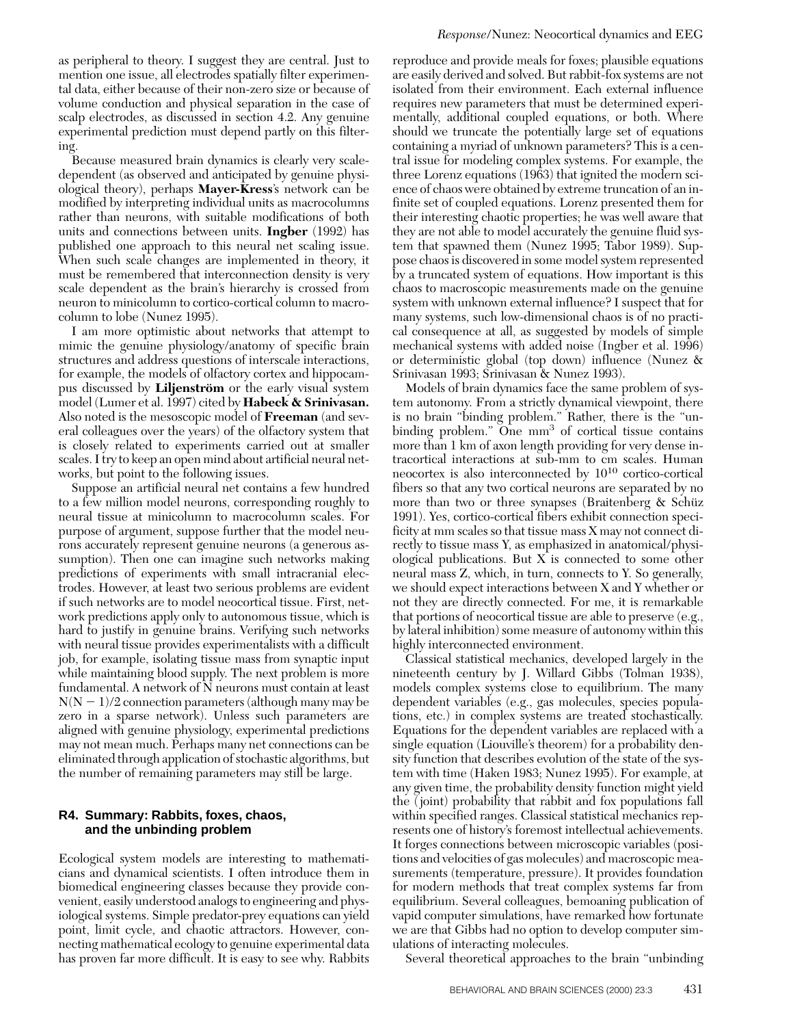as peripheral to theory. I suggest they are central. Just to mention one issue, all electrodes spatially filter experimental data, either because of their non-zero size or because of volume conduction and physical separation in the case of scalp electrodes, as discussed in section 4.2. Any genuine experimental prediction must depend partly on this filtering.

Because measured brain dynamics is clearly very scaledependent (as observed and anticipated by genuine physiological theory), perhaps **Mayer-Kress**'s network can be modified by interpreting individual units as macrocolumns rather than neurons, with suitable modifications of both units and connections between units. **Ingber** (1992) has published one approach to this neural net scaling issue. When such scale changes are implemented in theory, it must be remembered that interconnection density is very scale dependent as the brain's hierarchy is crossed from neuron to minicolumn to cortico-cortical column to macrocolumn to lobe (Nunez 1995).

I am more optimistic about networks that attempt to mimic the genuine physiology/anatomy of specific brain structures and address questions of interscale interactions, for example, the models of olfactory cortex and hippocampus discussed by **Liljenström** or the early visual system model (Lumer et al. 1997) cited by **Habeck & Srinivasan.** Also noted is the mesoscopic model of **Freeman** (and several colleagues over the years) of the olfactory system that is closely related to experiments carried out at smaller scales. I try to keep an open mind about artificial neural networks, but point to the following issues.

Suppose an artificial neural net contains a few hundred to a few million model neurons, corresponding roughly to neural tissue at minicolumn to macrocolumn scales. For purpose of argument, suppose further that the model neurons accurately represent genuine neurons (a generous assumption). Then one can imagine such networks making predictions of experiments with small intracranial electrodes. However, at least two serious problems are evident if such networks are to model neocortical tissue. First, network predictions apply only to autonomous tissue, which is hard to justify in genuine brains. Verifying such networks with neural tissue provides experimentalists with a difficult job, for example, isolating tissue mass from synaptic input while maintaining blood supply. The next problem is more fundamental. A network of N neurons must contain at least  $N(N - 1)/2$  connection parameters (although many may be zero in a sparse network). Unless such parameters are aligned with genuine physiology, experimental predictions may not mean much. Perhaps many net connections can be eliminated through application of stochastic algorithms, but the number of remaining parameters may still be large.

## **R4. Summary: Rabbits, foxes, chaos, and the unbinding problem**

Ecological system models are interesting to mathematicians and dynamical scientists. I often introduce them in biomedical engineering classes because they provide convenient, easily understood analogs to engineering and physiological systems. Simple predator-prey equations can yield point, limit cycle, and chaotic attractors. However, connecting mathematical ecology to genuine experimental data has proven far more difficult. It is easy to see why. Rabbits

reproduce and provide meals for foxes; plausible equations are easily derived and solved. But rabbit-fox systems are not isolated from their environment. Each external influence requires new parameters that must be determined experimentally, additional coupled equations, or both. Where should we truncate the potentially large set of equations containing a myriad of unknown parameters? This is a central issue for modeling complex systems. For example, the three Lorenz equations (1963) that ignited the modern science of chaos were obtained by extreme truncation of an infinite set of coupled equations. Lorenz presented them for their interesting chaotic properties; he was well aware that they are not able to model accurately the genuine fluid system that spawned them (Nunez 1995; Tabor 1989). Suppose chaos is discovered in some model system represented by a truncated system of equations. How important is this chaos to macroscopic measurements made on the genuine system with unknown external influence? I suspect that for many systems, such low-dimensional chaos is of no practical consequence at all, as suggested by models of simple mechanical systems with added noise (Ingber et al. 1996) or deterministic global (top down) influence (Nunez & Srinivasan 1993; Srinivasan & Nunez 1993).

Models of brain dynamics face the same problem of system autonomy. From a strictly dynamical viewpoint, there is no brain "binding problem." Rather, there is the "unbinding problem." One mm<sup>3</sup> of cortical tissue contains more than 1 km of axon length providing for very dense intracortical interactions at sub-mm to cm scales. Human neocortex is also interconnected by  $10^{10}$  cortico-cortical fibers so that any two cortical neurons are separated by no more than two or three synapses (Braitenberg & Schüz 1991). Yes, cortico-cortical fibers exhibit connection specificity at mm scales so that tissue mass X may not connect directly to tissue mass Y, as emphasized in anatomical/physiological publications. But X is connected to some other neural mass Z, which, in turn, connects to Y. So generally, we should expect interactions between X and Y whether or not they are directly connected. For me, it is remarkable that portions of neocortical tissue are able to preserve (e.g., by lateral inhibition) some measure of autonomy within this highly interconnected environment.

Classical statistical mechanics, developed largely in the nineteenth century by J. Willard Gibbs (Tolman 1938), models complex systems close to equilibrium. The many dependent variables (e.g., gas molecules, species populations, etc.) in complex systems are treated stochastically. Equations for the dependent variables are replaced with a single equation (Liouville's theorem) for a probability density function that describes evolution of the state of the system with time (Haken 1983; Nunez 1995). For example, at any given time, the probability density function might yield the (joint) probability that rabbit and fox populations fall within specified ranges. Classical statistical mechanics represents one of history's foremost intellectual achievements. It forges connections between microscopic variables (positions and velocities of gas molecules) and macroscopic measurements (temperature, pressure). It provides foundation for modern methods that treat complex systems far from equilibrium. Several colleagues, bemoaning publication of vapid computer simulations, have remarked how fortunate we are that Gibbs had no option to develop computer simulations of interacting molecules.

Several theoretical approaches to the brain "unbinding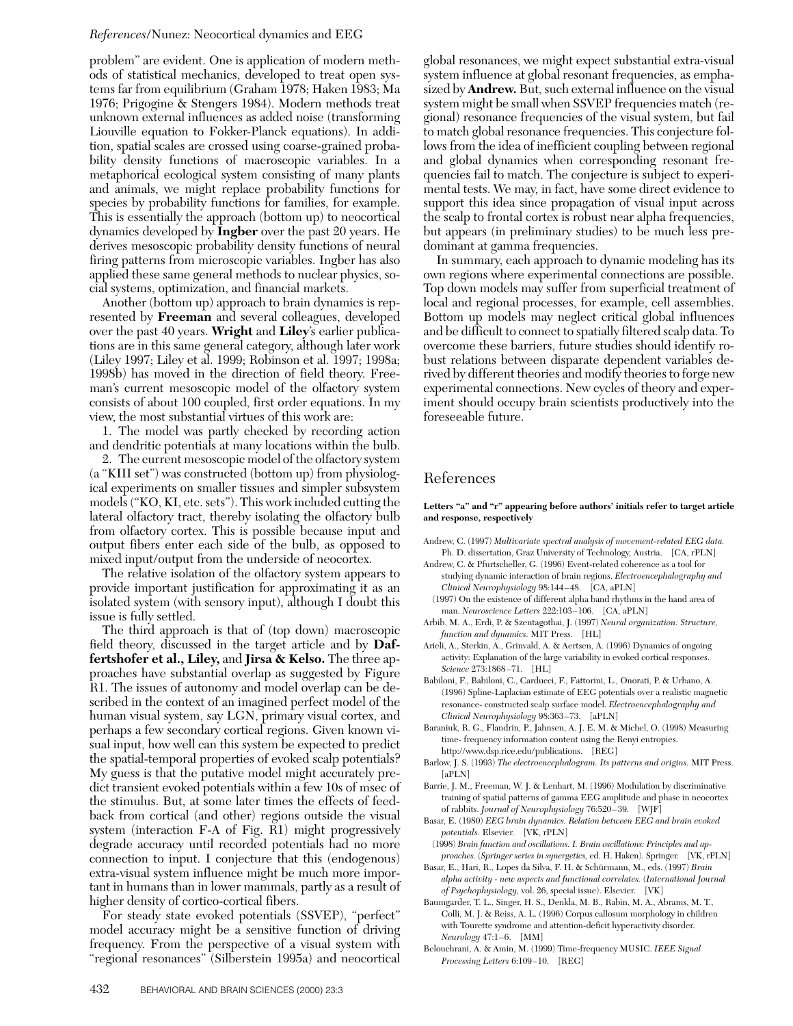### *References/*Nunez: Neocortical dynamics and EEG

problem" are evident. One is application of modern methods of statistical mechanics, developed to treat open systems far from equilibrium (Graham 1978; Haken 1983; Ma 1976; Prigogine & Stengers 1984). Modern methods treat unknown external influences as added noise (transforming Liouville equation to Fokker-Planck equations). In addition, spatial scales are crossed using coarse-grained probability density functions of macroscopic variables. In a metaphorical ecological system consisting of many plants and animals, we might replace probability functions for species by probability functions for families, for example. This is essentially the approach (bottom up) to neocortical dynamics developed by **Ingber** over the past 20 years. He derives mesoscopic probability density functions of neural firing patterns from microscopic variables. Ingber has also applied these same general methods to nuclear physics, social systems, optimization, and financial markets.

Another (bottom up) approach to brain dynamics is represented by **Freeman** and several colleagues, developed over the past 40 years. **Wright** and **Liley**'s earlier publications are in this same general category, although later work (Liley 1997; Liley et al. 1999; Robinson et al. 1997; 1998a; 1998b) has moved in the direction of field theory. Freeman's current mesoscopic model of the olfactory system consists of about 100 coupled, first order equations. In my view, the most substantial virtues of this work are:

1. The model was partly checked by recording action and dendritic potentials at many locations within the bulb.

2. The current mesoscopic model of the olfactory system (a "KIII set") was constructed (bottom up) from physiological experiments on smaller tissues and simpler subsystem models ("KO, KI, etc. sets"). This work included cutting the lateral olfactory tract, thereby isolating the olfactory bulb from olfactory cortex. This is possible because input and output fibers enter each side of the bulb, as opposed to mixed input/output from the underside of neocortex.

The relative isolation of the olfactory system appears to provide important justification for approximating it as an isolated system (with sensory input), although I doubt this issue is fully settled.

The third approach is that of (top down) macroscopic field theory, discussed in the target article and by **Daffertshofer et al., Liley,** and **Jirsa & Kelso.** The three approaches have substantial overlap as suggested by Figure R1. The issues of autonomy and model overlap can be described in the context of an imagined perfect model of the human visual system, say LGN, primary visual cortex, and perhaps a few secondary cortical regions. Given known visual input, how well can this system be expected to predict the spatial-temporal properties of evoked scalp potentials? My guess is that the putative model might accurately predict transient evoked potentials within a few 10s of msec of the stimulus. But, at some later times the effects of feedback from cortical (and other) regions outside the visual system (interaction F-A of Fig. R1) might progressively degrade accuracy until recorded potentials had no more connection to input. I conjecture that this (endogenous) extra-visual system influence might be much more important in humans than in lower mammals, partly as a result of higher density of cortico-cortical fibers.

For steady state evoked potentials (SSVEP), "perfect" model accuracy might be a sensitive function of driving frequency. From the perspective of a visual system with "regional resonances" (Silberstein 1995a) and neocortical global resonances, we might expect substantial extra-visual system influence at global resonant frequencies, as emphasized by **Andrew.** But, such external influence on the visual system might be small when SSVEP frequencies match (regional) resonance frequencies of the visual system, but fail to match global resonance frequencies. This conjecture follows from the idea of inefficient coupling between regional and global dynamics when corresponding resonant frequencies fail to match. The conjecture is subject to experimental tests. We may, in fact, have some direct evidence to support this idea since propagation of visual input across the scalp to frontal cortex is robust near alpha frequencies, but appears (in preliminary studies) to be much less predominant at gamma frequencies.

In summary, each approach to dynamic modeling has its own regions where experimental connections are possible. Top down models may suffer from superficial treatment of local and regional processes, for example, cell assemblies. Bottom up models may neglect critical global influences and be difficult to connect to spatially filtered scalp data. To overcome these barriers, future studies should identify robust relations between disparate dependent variables derived by different theories and modify theories to forge new experimental connections. New cycles of theory and experiment should occupy brain scientists productively into the foreseeable future.

## References

**Letters "a" and "r" appearing before authors' initials refer to target article and response, respectively**

- Andrew, C. (1997) *Multivariate spectral analysis of movement-related EEG data.* Ph. D. dissertation, Graz University of Technology, Austria. [CA, rPLN]
- Andrew, C. & Pfurtscheller, G. (1996) Event-related coherence as a tool for studying dynamic interaction of brain regions. *Electroencephalography and Clinical Neurophysiology* 98:144–48. [CA, aPLN]
- (1997) On the existence of different alpha band rhythms in the hand area of man. *Neuroscience Letters* 222:103–106. [CA, aPLN]
- Arbib, M. A., Erdi, P. & Szentagothai, J. (1997) *Neural organization: Structure, function and dynamics.* MIT Press. [HL]
- Arieli, A., Sterkin, A., Grinvald, A. & Aertsen, A. (1996) Dynamics of ongoing activity: Explanation of the large variability in evoked cortical responses. *Science* 273:1868–71. [HL]
- Babiloni, F., Babiloni, C., Carducci, F., Fattorini, L., Onorati, P. & Urbano, A. (1996) Spline-Laplacian estimate of EEG potentials over a realistic magnetic resonance- constructed scalp surface model. *Electroencephalography and Clinical Neurophysiology* 98:363–73. [aPLN]
- Baraniuk, R. G., Flandrin, P., Jahnsen, A. J. E. M. & Michel, O. (1998) Measuring time- frequency information content using the Renyi entropies. http://www.dsp.rice.edu/publications. [REG]
- Barlow, J. S. (1993) *The electroencephalogram. Its patterns and origins.* MIT Press. [aPLN]
- Barrie, J. M., Freeman, W. J. & Lenhart, M. (1996) Modulation by discriminative training of spatial patterns of gamma EEG amplitude and phase in neocortex of rabbits. *Journal of Neurophysiology* 76:520–39. [WJF]
- Basar, E. (1980) *EEG brain dynamics. Relation between EEG and brain evoked potentials.* Elsevier. [VK, rPLN]
- (1998) *Brain function and oscillations. I. Brain oscillations: Principles and approaches.* (*Springer series in synergetics,* ed. H. Haken). Springer. [VK, rPLN]
- Basar, E., Hari, R., Lopes da Silva, F. H. & Schürmann, M., eds. (1997) *Brain alpha activity - new aspects and functional correlates.* (*International Journal of Psychophysiology,* vol. 26, special issue). Elsevier. [VK]
- Baumgarder, T. L., Singer, H. S., Denkla, M. B., Rabin, M. A., Abrams, M. T., Colli, M. J. & Reiss, A. L. (1996) Corpus callosum morphology in children with Tourette syndrome and attention-deficit hyperactivity disorder. *Neurology* 47:1–6. [MM]
- Belouchrani, A. & Amin, M. (1999) Time-frequency MUSIC. *IEEE Signal Processing Letters* 6:109–10. [REG]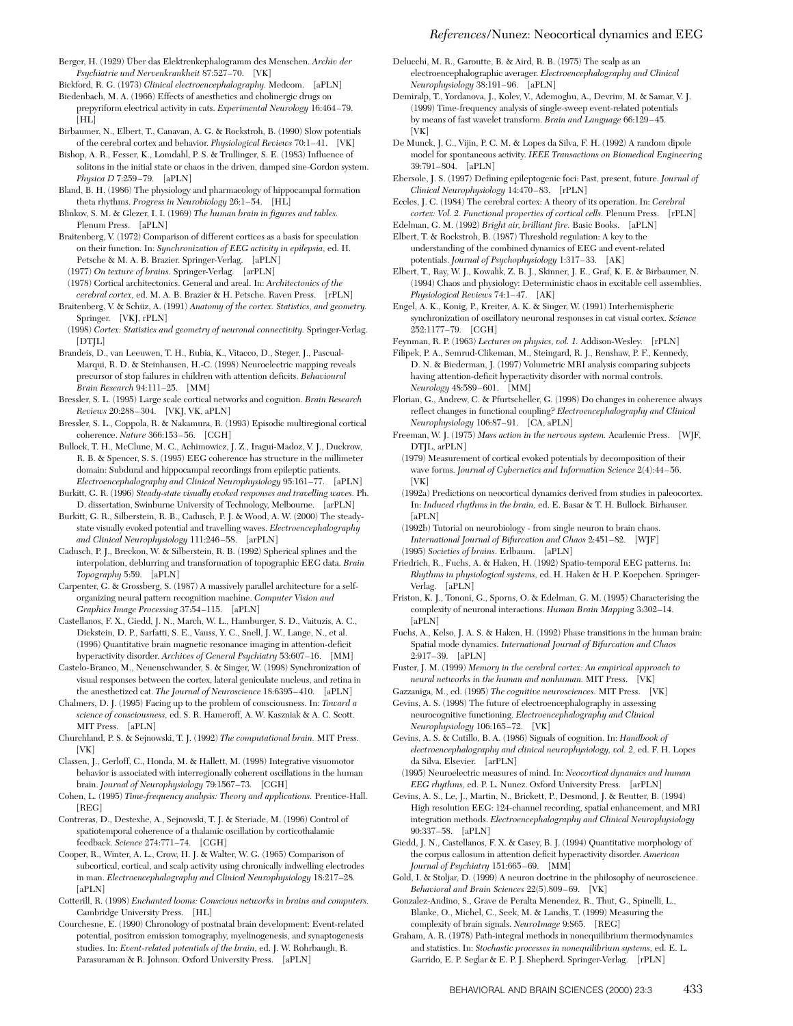Berger, H. (1929) Über das Elektrenkephalogramm des Menschen. *Archiv der Psychiatrie und Nervenkrankheit* 87:527–70. [VK]

Bickford, R. G. (1973) *Clinical electroencephalography.* Medcom. [aPLN]

Biedenbach, M. A. (1966) Effects of anesthetics and cholinergic drugs on prepyriform electrical activity in cats. *Experimental Neurology* 16:464–79. [HL]

Birbaumer, N., Elbert, T., Canavan, A. G. & Rockstroh, B. (1990) Slow potentials of the cerebral cortex and behavior. *Physiological Reviews* 70:1–41. [VK]

Bishop, A. R., Fesser, K., Lomdahl, P. S. & Trullinger, S. E. (1983) Influence of solitons in the initial state or chaos in the driven, damped sine-Gordon system. *Physica D* 7:259–79. [aPLN]

Bland, B. H. (1986) The physiology and pharmacology of hippocampal formation theta rhythms. *Progress in Neurobiology* 26:1–54. [HL]

Blinkov, S. M. & Glezer, I. I. (1969) *The human brain in figures and tables.* Plenum Press. [aPLN]

Braitenberg, V. (1972) Comparison of different cortices as a basis for speculation on their function. In: *Synchronization of EEG activity in epilepsia,* ed. H. Petsche & M. A. B. Brazier. Springer-Verlag. [aPLN]

(1977) *On texture of brains.* Springer-Verlag. [arPLN] (1978) Cortical architectonics. General and areal. In: *Architectonics of the cerebral cortex,* ed. M. A. B. Brazier & H. Petsche. Raven Press. [rPLN]

Braitenberg, V. & Schüz, A. (1991) *Anatomy of the cortex. Statistics, and geometry.* Springer. [VKJ, rPLN]

(1998) *Cortex: Statistics and geometry of neuronal connectivity.* Springer-Verlag. [DTJL]

Brandeis, D., van Leeuwen, T. H., Rubia, K., Vitacco, D., Steger, J., Pascual-Marqui, R. D. & Steinhausen, H.-C. (1998) Neuroelectric mapping reveals precursor of stop failures in children with attention deficits. *Behavioural Brain Research* 94:111–25. [MM]

Bressler, S. L. (1995) Large scale cortical networks and cognition. *Brain Research Reviews* 20:288–304. [VKJ, VK, aPLN]

Bressler, S. L., Coppola, R. & Nakamura, R. (1993) Episodic multiregional cortical coherence. *Nature* 366:153–56. [CGH]

Bullock, T. H., McClune, M. C., Achimowicz, J. Z., Iragui-Madoz, V. J., Duckrow, R. B. & Spencer, S. S. (1995) EEG coherence has structure in the millimeter domain: Subdural and hippocampal recordings from epileptic patients. *Electroencephalography and Clinical Neurophysiology* 95:161–77. [aPLN]

Burkitt, G. R. (1996) *Steady-state visually evoked responses and travelling waves.* Ph. D. dissertation, Swinburne University of Technology, Melbourne. [arPLN]

Burkitt, G. R., Silberstein, R. B., Cadusch, P. J. & Wood, A. W. (2000) The steadystate visually evoked potential and travelling waves. *Electroencephalography and Clinical Neurophysiology* 111:246–58. [arPLN]

Cadusch, P. J., Breckon, W. & Silberstein, R. B. (1992) Spherical splines and the interpolation, deblurring and transformation of topographic EEG data. *Brain Topography* 5:59. [aPLN]

Carpenter, G. & Grossberg, S. (1987) A massively parallel architecture for a selforganizing neural pattern recognition machine. *Computer Vision and Graphics Image Processing* 37:54–115. [aPLN]

Castellanos, F. X., Giedd, J. N., March, W. L., Hamburger, S. D., Vaituzis, A. C., Dickstein, D. P., Sarfatti, S. E., Vauss, Y. C., Snell, J. W., Lange, N., et al. (1996) Quantitative brain magnetic resonance imaging in attention-deficit hyperactivity disorder. *Archives of General Psychiatry* 53:607–16. [MM]

Castelo-Branco, M., Neuenschwander, S. & Singer, W. (1998) Synchronization of visual responses between the cortex, lateral geniculate nucleus, and retina in the anesthetized cat. *The Journal of Neuroscience* 18:6395–410. [aPLN]

Chalmers, D. J. (1995) Facing up to the problem of consciousness. In: *Toward a science of consciousness,* ed. S. R. Hameroff, A. W. Kaszniak & A. C. Scott. MIT Press. [aPLN]

Churchland, P. S. & Sejnowski, T. J. (1992) *The computational brain.* MIT Press. [VK]

Classen, J., Gerloff, C., Honda, M. & Hallett, M. (1998) Integrative visuomotor behavior is associated with interregionally coherent oscillations in the human brain. *Journal of Neurophysiology* 79:1567–73. [CGH]

Cohen, L. (1995) *Time-frequency analysis: Theory and applications.* Prentice-Hall. [REG]

Contreras, D., Destexhe, A., Sejnowski, T. J. & Steriade, M. (1996) Control of spatiotemporal coherence of a thalamic oscillation by corticothalamic feedback. *Science* 274:771–74. [CGH]

Cooper, R., Winter, A. L., Crow, H. J. & Walter, W. G. (1965) Comparison of subcortical, cortical, and scalp activity using chronically indwelling electrodes in man. *Electroencephalography and Clinical Neurophysiology* 18:217–28. [aPLN]

Cotterill, R. (1998) *Enchanted looms: Conscious networks in brains and computers.* Cambridge University Press. [HL]

Courchesne, E. (1990) Chronology of postnatal brain development: Event-related potential, positron emission tomography, myelinogenesis, and synaptogenesis studies. In: *Event-related potentials of the brain,* ed. J. W. Rohrbaugh, R. Parasuraman & R. Johnson. Oxford University Press. [aPLN]

Delucchi, M. R., Garoutte, B. & Aird, R. B. (1975) The scalp as an electroencephalographic averager. *Electroencephalography and Clinical Neurophysiology* 38:191–96. [aPLN]

Demiralp, T., Yordanova, J., Kolev, V., Ademoghu, A., Devrim, M. & Samar, V. J. (1999) Time-frequency analysis of single-sweep event-related potentials by means of fast wavelet transform. *Brain and Language* 66:129–45. [VK]

De Munck, J. C., Vijin, P. C. M. & Lopes da Silva, F. H. (1992) A random dipole model for spontaneous activity. *IEEE Transactions on Biomedical Engineering* 39:791–804. [aPLN]

Ebersole, J. S. (1997) Defining epileptogenic foci: Past, present, future. *Journal of Clinical Neurophysiology* 14:470–83. [rPLN]

Eccles, J. C. (1984) The cerebral cortex: A theory of its operation. In: *Cerebral cortex: Vol. 2. Functional properties of cortical cells.* Plenum Press. [rPLN] Edelman, G. M. (1992) *Bright air, brilliant fire.* Basic Books. [aPLN]

Elbert, T. & Rockstroh, B. (1987) Threshold regulation: A key to the understanding of the combined dynamics of EEG and event-related

potentials. *Journal of Psychophysiology* 1:317–33. [AK] Elbert, T., Ray, W. J., Kowalik, Z. B. J., Skinner, J. E., Graf, K. E. & Birbaumer, N.

(1994) Chaos and physiology: Deterministic chaos in excitable cell assemblies. *Physiological Reviews* 74:1–47. [AK]

Engel, A. K., Konig, P., Kreiter, A. K. & Singer, W. (1991) Interhemispheric synchronization of oscillatory neuronal responses in cat visual cortex. *Science* 252:1177–79. [CGH]

Feynman, R. P. (1963) *Lectures on physics, vol. 1.* Addison-Wesley. [rPLN]

Filipek, P. A., Semrud-Clikeman, M., Steingard, R. J., Renshaw, P. F., Kennedy, D. N. & Biederman, J. (1997) Volumetric MRI analysis comparing subjects having attention-deficit hyperactivity disorder with normal controls. *Neurology* 48:589–601. [MM]

Florian, G., Andrew, C. & Pfurtscheller, G. (1998) Do changes in coherence always reflect changes in functional coupling? *Electroencephalography and Clinical Neurophysiology* 106:87–91. [CA, aPLN]

Freeman, W. J. (1975) *Mass action in the nervous system.* Academic Press. [WJF, DTJL, arPLN]

(1979) Measurement of cortical evoked potentials by decomposition of their wave forms. *Journal of Cybernetics and Information Science* 2(4):44–56.  $[VK]$ 

(1992a) Predictions on neocortical dynamics derived from studies in paleocortex. In: *Induced rhythms in the brain,* ed. E. Basar & T. H. Bullock. Birhauser. [aPLN]

(1992b) Tutorial on neurobiology - from single neuron to brain chaos. *International Journal of Bifurcation and Chaos* 2:451–82. [WJF] (1995) *Societies of brains.* Erlbaum. [aPLN]

Friedrich, R., Fuchs, A. & Haken, H. (1992) Spatio-temporal EEG patterns. In: *Rhythms in physiological systems,* ed. H. Haken & H. P. Koepchen. Springer-Verlag. [aPLN]

Friston, K. J., Tononi, G., Sporns, O. & Edelman, G. M. (1995) Characterising the complexity of neuronal interactions. *Human Brain Mapping* 3:302–14. [aPLN]

Fuchs, A., Kelso, J. A. S. & Haken, H. (1992) Phase transitions in the human brain: Spatial mode dynamics. *International Journal of Bifurcation and Chaos* 2:917–39. [aPLN]

Fuster, J. M. (1999) *Memory in the cerebral cortex: An empirical approach to neural networks in the human and nonhuman.* MIT Press. [VK]

Gazzaniga, M., ed. (1995) *The cognitive neurosciences.* MIT Press. [VK]

Gevins, A. S. (1998) The future of electroencephalography in assessing neurocognitive functioning. *Electroencephalography and Clinical Neurophysiology* 106:165–72. [VK]

Gevins, A. S. & Cutillo, B. A. (1986) Signals of cognition. In: *Handbook of electroencephalography and clinical neurophysiology, vol. 2,* ed. F. H. Lopes da Silva. Elsevier. [arPLN]

(1995) Neuroelectric measures of mind. In: *Neocortical dynamics and human EEG rhythms,* ed. P. L. Nunez. Oxford University Press. [arPLN]

Gevins, A. S., Le, J., Martin, N., Brickett, P., Desmond, J. & Reutter, B. (1994) High resolution EEG: 124-channel recording, spatial enhancement, and MRI integration methods. *Electroencephalography and Clinical Neurophysiology* 90:337–58. [aPLN]

Giedd, J. N., Castellanos, F. X. & Casey, B. J. (1994) Quantitative morphology of the corpus callosum in attention deficit hyperactivity disorder. *American Journal of Psychiatry* 151:665–69. [MM]

Gold, I. & Stoljar, D. (1999) A neuron doctrine in the philosophy of neuroscience. *Behavioral and Brain Sciences* 22(5).809–69. [VK]

Gonzalez-Andino, S., Grave de Peralta Menendez, R., Thut, G., Spinelli, L., Blanke, O., Michel, C., Seek, M. & Landis, T. (1999) Measuring the complexity of brain signals. *NeuroImage* 9:S65. [REG]

Graham, A. R. (1978) Path-integral methods in nonequilibrium thermodynamics and statistics. In: *Stochastic processes in nonequilibrium systems,* ed. E. L. Garrido, E. P. Seglar & E. P. J. Shepherd. Springer-Verlag. [rPLN]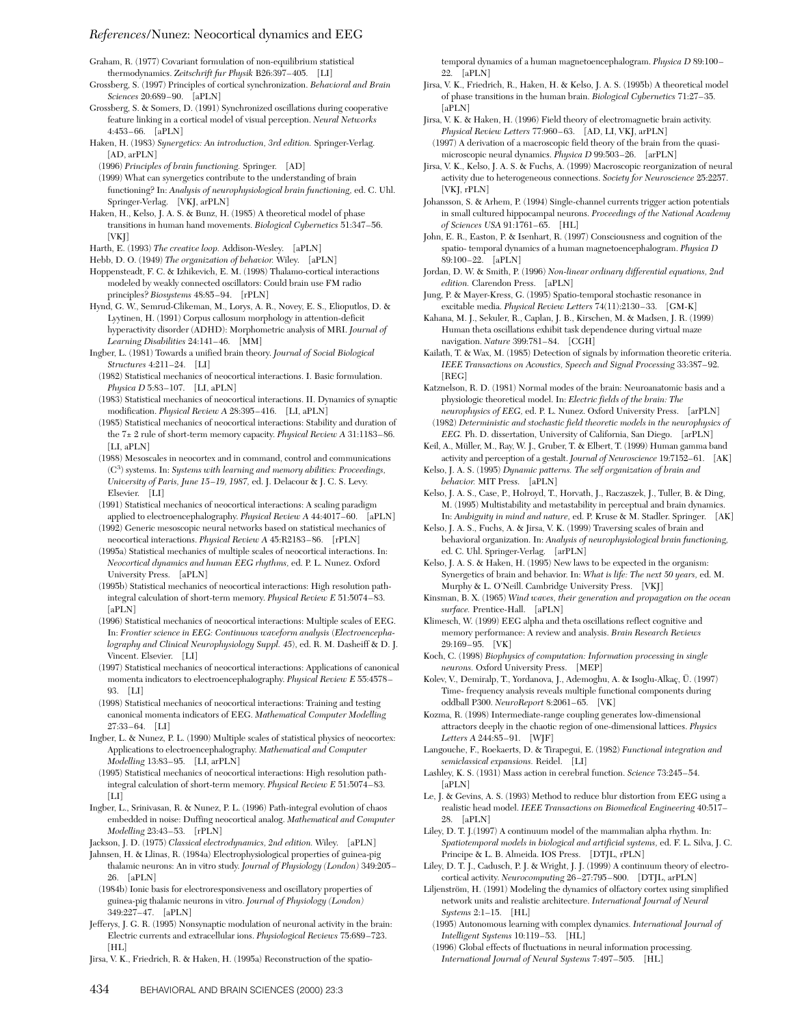## *References/*Nunez: Neocortical dynamics and EEG

- Graham, R. (1977) Covariant formulation of non-equilibrium statistical thermodynamics. *Zeitschrift fur Physik* B26:397–405. [LI]
- Grossberg, S. (1997) Principles of cortical synchronization. *Behavioral and Brain Sciences* 20:689–90. [aPLN]
- Grossberg, S. & Somers, D. (1991) Synchronized oscillations during cooperative feature linking in a cortical model of visual perception. *Neural Networks* 4:453–66. [aPLN]
- Haken, H. (1983) *Synergetics: An introduction, 3rd edition.* Springer-Verlag. [AD, arPLN]
- (1996) *Principles of brain functioning.* Springer. [AD]

(1999) What can synergetics contribute to the understanding of brain functioning? In: *Analysis of neurophysiological brain functioning,* ed. C. Uhl. Springer-Verlag. [VKJ, arPLN]

- Haken, H., Kelso, J. A. S. & Bunz, H. (1985) A theoretical model of phase transitions in human hand movements. *Biological Cybernetics* 51:347–56.  $|VK|$
- Harth, E. (1993) *The creative loop.* Addison-Wesley. [aPLN]
- Hebb, D. O. (1949) *The organization of behavior.* Wiley. [aPLN]

Hoppensteadt, F. C. & Izhikevich, E. M. (1998) Thalamo-cortical interactions modeled by weakly connected oscillators: Could brain use FM radio principles? *Biosystems* 48:85–94. [rPLN]

- Hynd, G. W., Semrud-Clikeman, M., Lorys, A. R., Novey, E. S., Elioputlos, D. & Lyytinen, H. (1991) Corpus callosum morphology in attention-deficit hyperactivity disorder (ADHD): Morphometric analysis of MRI. *Journal of Learning Disabilities* 24:141–46. [MM]
- Ingber, L. (1981) Towards a unified brain theory. *Journal of Social Biological Structures* 4:211–24. [LI]
- (1982) Statistical mechanics of neocortical interactions. I. Basic formulation. *Physica D* 5:83–107. [LI, aPLN]
- (1983) Statistical mechanics of neocortical interactions. II. Dynamics of synaptic modification. *Physical Review A* 28:395–416. [LI, aPLN]
- (1985) Statistical mechanics of neocortical interactions: Stability and duration of the 7± 2 rule of short-term memory capacity. *Physical Review A* 31:1183–86. [LI, aPLN]
- (1988) Mesoscales in neocortex and in command, control and communications (C<sup>3</sup> ) systems. In: *Systems with learning and memory abilities: Proceedings, University of Paris, June 15–19, 1987,* ed. J. Delacour & J. C. S. Levy. Elsevier. [LI]
- (1991) Statistical mechanics of neocortical interactions: A scaling paradigm applied to electroencephalography. *Physical Review A* 44:4017–60. [aPLN]
- (1992) Generic mesoscopic neural networks based on statistical mechanics of neocortical interactions. *Physical Review A* 45:R2183–86. [rPLN]
- (1995a) Statistical mechanics of multiple scales of neocortical interactions. In: *Neocortical dynamics and human EEG rhythms,* ed. P. L. Nunez. Oxford University Press. [aPLN]
- (1995b) Statistical mechanics of neocortical interactions: High resolution pathintegral calculation of short-term memory. *Physical Review E* 51:5074–83. [aPLN]
- (1996) Statistical mechanics of neocortical interactions: Multiple scales of EEG. In: *Frontier science in EEG: Continuous waveform analysis* (*Electroencephalography and Clinical Neurophysiology Suppl. 45*), ed. R. M. Dasheiff & D. J. Vincent. Elsevier. [LI]
- (1997) Statistical mechanics of neocortical interactions: Applications of canonical momenta indicators to electroencephalography. *Physical Review E* 55:4578– 93. [LI]
- (1998) Statistical mechanics of neocortical interactions: Training and testing canonical momenta indicators of EEG. *Mathematical Computer Modelling* 27:33–64. [LI]
- Ingber, L. & Nunez, P. L. (1990) Multiple scales of statistical physics of neocortex: Applications to electroencephalography. *Mathematical and Computer Modelling* 13:83–95. [LI, arPLN]
- (1995) Statistical mechanics of neocortical interactions: High resolution pathintegral calculation of short-term memory. *Physical Review E* 51:5074–83.  $[LI]$
- Ingber, L., Srinivasan, R. & Nunez, P. L. (1996) Path-integral evolution of chaos embedded in noise: Duffing neocortical analog. *Mathematical and Computer Modelling* 23:43–53. [rPLN]
- Jackson, J. D. (1975) *Classical electrodynamics, 2nd edition.* Wiley. [aPLN]
- Jahnsen, H. & Llinas, R. (1984a) Electrophysiological properties of guinea-pig thalamic neurons: An in vitro study. *Journal of Physiology (London)* 349:205– 26. [aPLN]
- (1984b) Ionic basis for electroresponsiveness and oscillatory properties of guinea-pig thalamic neurons in vitro. *Journal of Physiology (London)* 349:227–47. [aPLN]
- Jefferys, J. G. R. (1995) Nonsynaptic modulation of neuronal activity in the brain: Electric currents and extracellular ions. *Physiological Reviews* 75:689–723.  $|HL|$
- Jirsa, V. K., Friedrich, R. & Haken, H. (1995a) Reconstruction of the spatio-

temporal dynamics of a human magnetoencephalogram. *Physica D* 89:100– 22. [aPLN]

- Jirsa, V. K., Friedrich, R., Haken, H. & Kelso, J. A. S. (1995b) A theoretical model of phase transitions in the human brain. *Biological Cybernetics* 71:27–35. [aPLN]
- Jirsa, V. K. & Haken, H. (1996) Field theory of electromagnetic brain activity. *Physical Review Letters* 77:960–63. [AD, LI, VKJ, arPLN] (1997) A derivation of a macroscopic field theory of the brain from the quasi-
- microscopic neural dynamics. *Physica D* 99:503–26. [arPLN] Jirsa, V. K., Kelso, J. A. S. & Fuchs, A. (1999) Macroscopic reorganization of neural activity due to heterogeneous connections. *Society for Neuroscience* 25:2257. [VKJ, rPLN]
- Johansson, S. & Arhem, P. (1994) Single-channel currents trigger action potentials in small cultured hippocampal neurons. *Proceedings of the National Academy of Sciences USA* 91:1761–65. [HL]
- John, E. R., Easton, P. & Isenhart, R. (1997) Consciousness and cognition of the spatio- temporal dynamics of a human magnetoencephalogram. *Physica D* 89:100–22. [aPLN]
- Jordan, D. W. & Smith, P. (1996) *Non-linear ordinary differential equations, 2nd edition.* Clarendon Press. [aPLN]
- Jung, P. & Mayer-Kress, G. (1995) Spatio-temporal stochastic resonance in excitable media. *Physical Review Letters* 74(11):2130–33. [GM-K]
- Kahana, M. J., Sekuler, R., Caplan, J. B., Kirschen, M. & Madsen, J. R. (1999) Human theta oscillations exhibit task dependence during virtual maze navigation. *Nature* 399:781–84. [CGH]
- Kailath, T. & Wax, M. (1985) Detection of signals by information theoretic criteria. *IEEE Transactions on Acoustics, Speech and Signal Processing* 33:387–92. [REG]
- Katznelson, R. D. (1981) Normal modes of the brain: Neuroanatomic basis and a physiologic theoretical model. In: *Electric fields of the brain: The neurophysics of EEG,* ed. P. L. Nunez. Oxford University Press. [arPLN] (1982) *Deterministic and stochastic field theoretic models in the neurophysics of*
- *EEG.* Ph. D. dissertation, University of California, San Diego. [arPLN] Keil, A., Müller, M., Ray, W. J., Gruber, T. & Elbert, T. (1999) Human gamma band
- activity and perception of a gestalt. *Journal of Neuroscience* 19:7152–61. [AK]
- Kelso, J. A. S. (1995) *Dynamic patterns. The self organization of brain and behavior.* MIT Press. [aPLN]
- Kelso, J. A. S., Case, P., Holroyd, T., Horvath, J., Raczaszek, J., Tuller, B. & Ding, M. (1995) Multistability and metastability in perceptual and brain dynamics. In: *Ambiguity in mind and nature,* ed. P. Kruse & M. Stadler. Springer. [AK]
- Kelso, J. A. S., Fuchs, A. & Jirsa, V. K. (1999) Traversing scales of brain and behavioral organization. In: *Analysis of neurophysiological brain functioning,* ed. C. Uhl. Springer-Verlag. [arPLN]
- Kelso, J. A. S. & Haken, H. (1995) New laws to be expected in the organism: Synergetics of brain and behavior. In: *What is life: The next 50 years,* ed. M. Murphy & L. O'Neill. Cambridge University Press. [VKJ]
- Kinsman, B. X. (1965) *Wind waves, their generation and propagation on the ocean surface.* Prentice-Hall. [aPLN]
- Klimesch, W. (1999) EEG alpha and theta oscillations reflect cognitive and memory performance: A review and analysis. *Brain Research Reviews* 29:169–95. [VK]
- Koch, C. (1998) *Biophysics of computation: Information processing in single neurons.* Oxford University Press. [MEP]
- Kolev, V., Demiralp, T., Yordanova, J., Ademoghu, A. & Isoglu-Alkaç, Ü. (1997) Time- frequency analysis reveals multiple functional components during oddball P300. *NeuroReport* 8:2061–65. [VK]
- Kozma, R. (1998) Intermediate-range coupling generates low-dimensional attractors deeply in the chaotic region of one-dimensional lattices. *Physics Letters A* 244:85–91. [WJF]
- Langouche, F., Roekaerts, D. & Tirapegui, E. (1982) *Functional integration and semiclassical expansions.* Reidel. [LI]
- Lashley, K. S. (1931) Mass action in cerebral function. *Science* 73:245–54. [aPLN]
- Le, J. & Gevins, A. S. (1993) Method to reduce blur distortion from EEG using a realistic head model. *IEEE Transactions on Biomedical Engineering* 40:517– 28. [aPLN]
- Liley, D. T. J.(1997) A continuum model of the mammalian alpha rhythm. In: *Spatiotemporal models in biological and artificial systems,* ed. F. L. Silva, J. C. Principe & L. B. Almeida. IOS Press. [DTJL, rPLN]
- Liley, D. T. J., Cadusch, P. J. & Wright, J. J. (1999) A continuum theory of electrocortical activity. *Neurocomputing* 26–27:795–800. [DTJL, arPLN]
- Liljenström, H. (1991) Modeling the dynamics of olfactory cortex using simplified network units and realistic architecture. *International Journal of Neural Systems* 2:1–15. [HL]
	- (1995) Autonomous learning with complex dynamics. *International Journal of Intelligent Systems* 10:119–53. [HL]
	- (1996) Global effects of fluctuations in neural information processing. *International Journal of Neural Systems* 7:497–505. [HL]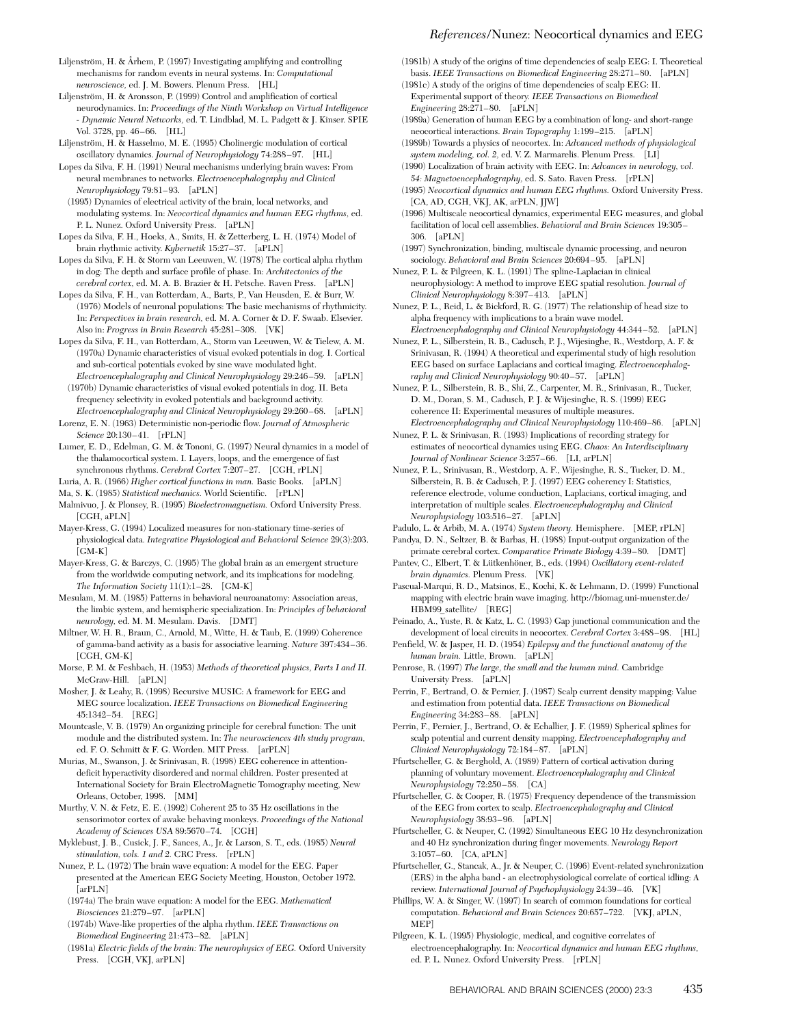Liljenström, H. & Århem, P. (1997) Investigating amplifying and controlling mechanisms for random events in neural systems. In: *Computational neuroscience,* ed. J. M. Bowers. Plenum Press. [HL]

Liljenström, H. & Aronsson, P. (1999) Control and amplification of cortical neurodynamics. In: *Proceedings of the Ninth Workshop on Virtual Intelligence - Dynamic Neural Networks,* ed. T. Lindblad, M. L. Padgett & J. Kinser. SPIE Vol. 3728, pp. 46–66. [HL]

Liljenström, H. & Hasselmo, M. E. (1995) Cholinergic modulation of cortical oscillatory dynamics. *Journal of Neurophysiology* 74:288–97. [HL]

Lopes da Silva, F. H. (1991) Neural mechanisms underlying brain waves: From neural membranes to networks. *Electroencephalography and Clinical Neurophysiology* 79:81–93. [aPLN]

- (1995) Dynamics of electrical activity of the brain, local networks, and modulating systems. In: *Neocortical dynamics and human EEG rhythms,* ed. P. L. Nunez. Oxford University Press. [aPLN]
- Lopes da Silva, F. H., Hoeks, A., Smits, H. & Zetterberg, L. H. (1974) Model of brain rhythmic activity. *Kybernetik* 15:27–37. [aPLN]
- Lopes da Silva, F. H. & Storm van Leeuwen, W. (1978) The cortical alpha rhythm in dog: The depth and surface profile of phase. In: *Architectonics of the cerebral cortex,* ed. M. A. B. Brazier & H. Petsche. Raven Press. [aPLN]
- Lopes da Silva, F. H., van Rotterdam, A., Barts, P., Van Heusden, E. & Burr, W. (1976) Models of neuronal populations: The basic mechanisms of rhythmicity. In: *Perspectives in brain research,* ed. M. A. Corner & D. F. Swaab. Elsevier. Also in: *Progress in Brain Research* 45:281–308. [VK]
- Lopes da Silva, F. H., van Rotterdam, A., Storm van Leeuwen, W. & Tielew, A. M. (1970a) Dynamic characteristics of visual evoked potentials in dog. I. Cortical and sub-cortical potentials evoked by sine wave modulated light. *Electroencephalography and Clinical Neurophysiology* 29:246–59. [aPLN]

(1970b) Dynamic characteristics of visual evoked potentials in dog. II. Beta frequency selectivity in evoked potentials and background activity.

- *Electroencephalography and Clinical Neurophysiology* 29:260–68. [aPLN] Lorenz, E. N. (1963) Deterministic non-periodic flow. *Journal of Atmospheric Science* 20:130–41. [rPLN]
- Lumer, E. D., Edelman, G. M. & Tononi, G. (1997) Neural dynamics in a model of the thalamocortical system. I. Layers, loops, and the emergence of fast synchronous rhythms. *Cerebral Cortex* 7:207–27. [CGH, rPLN]

Luria, A. R. (1966) *Higher cortical functions in man.* Basic Books. [aPLN]

- Ma, S. K. (1985) *Statistical mechanics.* World Scientific. [rPLN]
- Malmivuo, J. & Plonsey, R. (1995) *Bioelectromagnetism.* Oxford University Press. [CGH, aPLN]
- Mayer-Kress, G. (1994) Localized measures for non-stationary time-series of physiological data. *Integrative Physiological and Behavioral Science* 29(3):203.  $[GM-K]$

Mayer-Kress, G. & Barczys, C. (1995) The global brain as an emergent structure from the worldwide computing network, and its implications for modeling. *The Information Society* 11(1):1–28. [GM-K]

- Mesulam, M. M. (1985) Patterns in behavioral neuroanatomy: Association areas, the limbic system, and hemispheric specialization. In: *Principles of behavioral neurology,* ed. M. M. Mesulam. Davis. [DMT]
- Miltner, W. H. R., Braun, C., Arnold, M., Witte, H. & Taub, E. (1999) Coherence of gamma-band activity as a basis for associative learning. *Nature* 397:434–36. [CGH, GM-K]
- Morse, P. M. & Feshbach, H. (1953) *Methods of theoretical physics, Parts I and II.* McGraw-Hill. [aPLN]
- Mosher, J. & Leahy, R. (1998) Recursive MUSIC: A framework for EEG and MEG source localization. *IEEE Transactions on Biomedical Engineering* 45:1342–54. [REG]

Mountcasle, V. B. (1979) An organizing principle for cerebral function: The unit module and the distributed system. In: *The neurosciences 4th study program,* ed. F. O. Schmitt & F. G. Worden. MIT Press. [arPLN]

Murias, M., Swanson, J. & Srinivasan, R. (1998) EEG coherence in attentiondeficit hyperactivity disordered and normal children. Poster presented at International Society for Brain ElectroMagnetic Tomography meeting, New Orleans, October, 1998. [MM]

Murthy, V. N. & Fetz, E. E. (1992) Coherent 25 to 35 Hz oscillations in the sensorimotor cortex of awake behaving monkeys. *Proceedings of the National Academy of Sciences USA* 89:5670–74. [CGH]

Myklebust, J. B., Cusick, J. F., Sances, A., Jr. & Larson, S. T., eds. (1985) *Neural stimulation, vols. 1 and 2.* CRC Press. [rPLN]

Nunez, P. L. (1972) The brain wave equation: A model for the EEG. Paper presented at the American EEG Society Meeting, Houston, October 1972. [arPLN]

(1974a) The brain wave equation: A model for the EEG. *Mathematical Biosciences* 21:279–97. [arPLN]

(1974b) Wave-like properties of the alpha rhythm. *IEEE Transactions on Biomedical Engineering* 21:473–82. [aPLN]

(1981a) *Electric fields of the brain: The neurophysics of EEG.* Oxford University Press. [CGH, VKJ, arPLN]

## *References/*Nunez: Neocortical dynamics and EEG

(1981b) A study of the origins of time dependencies of scalp EEG: I. Theoretical basis. *IEEE Transactions on Biomedical Engineering* 28:271–80. [aPLN]

- (1981c) A study of the origins of time dependencies of scalp EEG: II. Experimental support of theory. *IEEE Transactions on Biomedical Engineering* 28:271–80. [aPLN]
- (1989a) Generation of human EEG by a combination of long- and short-range neocortical interactions. *Brain Topography* 1:199–215. [aPLN]
- (1989b) Towards a physics of neocortex. In: *Advanced methods of physiological system modeling, vol. 2,* ed. V. Z. Marmarelis. Plenum Press. [LI]
- (1990) Localization of brain activity with EEG. In: *Advances in neurology, vol. 54: Magnetoencephalography,* ed. S. Sato. Raven Press. [rPLN]
- (1995) *Neocortical dynamics and human EEG rhythms.* Oxford University Press. [CA, AD, CGH, VKJ, AK, arPLN, JJW]

(1996) Multiscale neocortical dynamics, experimental EEG measures, and global facilitation of local cell assemblies. *Behavioral and Brain Sciences* 19:305– 306. [aPLN]

- (1997) Synchronization, binding, multiscale dynamic processing, and neuron sociology. *Behavioral and Brain Sciences* 20:694–95. [aPLN]
- Nunez, P. L. & Pilgreen, K. L. (1991) The spline-Laplacian in clinical neurophysiology: A method to improve EEG spatial resolution. *Journal of Clinical Neurophysiology* 8:397–413. [aPLN]
- Nunez, P. L., Reid, L. & Bickford, R. G. (1977) The relationship of head size to alpha frequency with implications to a brain wave model.

*Electroencephalography and Clinical Neurophysiology* 44:344–52. [aPLN] Nunez, P. L., Silberstein, R. B., Cadusch, P. J., Wijesinghe, R., Westdorp, A. F. & Srinivasan, R. (1994) A theoretical and experimental study of high resolution EEG based on surface Laplacians and cortical imaging. *Electroencephalog-*

*raphy and Clinical Neurophysiology* 90:40–57. [aPLN] Nunez, P. L., Silberstein, R. B., Shi, Z., Carpenter, M. R., Srinivasan, R., Tucker, D. M., Doran, S. M., Cadusch, P. J. & Wijesinghe, R. S. (1999) EEG coherence II: Experimental measures of multiple measures.

*Electroencephalography and Clinical Neurophysiology* 110:469–86. [aPLN] Nunez, P. L. & Srinivasan, R. (1993) Implications of recording strategy for

estimates of neocortical dynamics using EEG. *Chaos: An Interdisciplinary Journal of Nonlinear Science* 3:257–66. [LI, arPLN]

Nunez, P. L., Srinivasan, R., Westdorp, A. F., Wijesinghe, R. S., Tucker, D. M., Silberstein, R. B. & Cadusch, P. J. (1997) EEG coherency I: Statistics, reference electrode, volume conduction, Laplacians, cortical imaging, and interpretation of multiple scales. *Electroencephalography and Clinical Neurophysiology* 103:516–27. [aPLN]

- Padulo, L. & Arbib, M. A. (1974) *System theory.* Hemisphere. [MEP, rPLN]
- Pandya, D. N., Seltzer, B. & Barbas, H. (1988) Input-output organization of the primate cerebral cortex. *Comparative Primate Biology* 4:39–80. [DMT]
- Pantev, C., Elbert, T. & Lütkenhöner, B., eds. (1994) *Oscillatory event-related brain dynamics.* Plenum Press. [VK]
- Pascual-Marqui, R. D., Matsinos, E., Kochi, K. & Lehmann, D. (1999) Functional mapping with electric brain wave imaging. http://biomag.uni-muenster.de/ HBM99\_satellite/ [REG]

Peinado, A., Yuste, R. & Katz, L. C. (1993) Gap junctional communication and the development of local circuits in neocortex. *Cerebral Cortex* 3:488–98. [HL]

Penfield, W. & Jasper, H. D. (1954) *Epilepsy and the functional anatomy of the human brain.* Little, Brown. [aPLN]

- Penrose, R. (1997) *The large, the small and the human mind.* Cambridge University Press. [aPLN]
- Perrin, F., Bertrand, O. & Pernier, J. (1987) Scalp current density mapping: Value and estimation from potential data. *IEEE Transactions on Biomedical Engineering* 34:283–88. [aPLN]

Perrin, F., Pernier, J., Bertrand, O. & Echallier, J. F. (1989) Spherical splines for scalp potential and current density mapping. *Electroencephalography and Clinical Neurophysiology* 72:184–87. [aPLN]

- Pfurtscheller, G. & Berghold, A. (1989) Pattern of cortical activation during planning of voluntary movement. *Electroencephalography and Clinical Neurophysiology* 72:250–58. [CA]
- Pfurtscheller, G. & Cooper, R. (1975) Frequency dependence of the transmission of the EEG from cortex to scalp. *Electroencephalography and Clinical Neurophysiology* 38:93–96. [aPLN]

Pfurtscheller, G. & Neuper, C. (1992) Simultaneous EEG 10 Hz desynchronization and 40 Hz synchronization during finger movements. *Neurology Report* 3:1057–60. [CA, aPLN]

Pfurtscheller, G., Stancak, A., Jr. & Neuper, C. (1996) Event-related synchronization (ERS) in the alpha band - an electrophysiological correlate of cortical idling: A review. *International Journal of Psychophysiology* 24:39–46. [VK]

Phillips, W. A. & Singer, W. (1997) In search of common foundations for cortical computation. *Behavioral and Brain Sciences* 20:657–722. [VKJ, aPLN, MEP]

Pilgreen, K. L. (1995) Physiologic, medical, and cognitive correlates of electroencephalography. In: *Neocortical dynamics and human EEG rhythms,* ed. P. L. Nunez. Oxford University Press. [rPLN]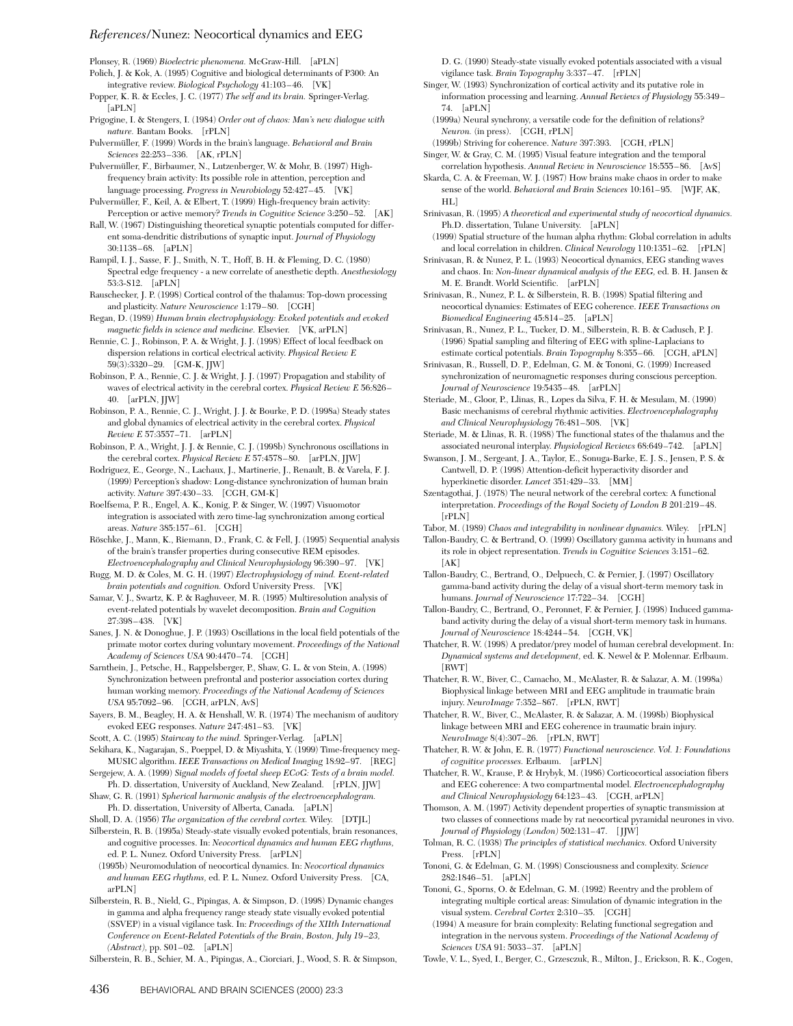#### *References/*Nunez: Neocortical dynamics and EEG

Plonsey, R. (1969) *Bioelectric phenomena.* McGraw-Hill. [aPLN]

Polich, J. & Kok, A. (1995) Cognitive and biological determinants of P300: An integrative review. *Biological Psychology* 41:103–46. [VK]

Popper, K. R. & Eccles, J. C. (1977) *The self and its brain.* Springer-Verlag. [aPLN]

Prigogine, I. & Stengers, I. (1984) *Order out of chaos: Man's new dialogue with nature.* Bantam Books. [rPLN]

Pulvermüller, F. (1999) Words in the brain's language. *Behavioral and Brain Sciences* 22:253–336. [AK, rPLN]

Pulvermüller, F., Birbaumer, N., Lutzenberger, W. & Mohr, B. (1997) Highfrequency brain activity: Its possible role in attention, perception and language processing. *Progress in Neurobiology* 52:427–45. [VK]

Pulvermüller, F., Keil, A. & Elbert, T. (1999) High-frequency brain activity: Perception or active memory? *Trends in Cognitive Science* 3:250–52. [AK]

Rall, W. (1967) Distinguishing theoretical synaptic potentials computed for different soma-dendritic distributions of synaptic input. *Journal of Physiology* 30:1138–68. [aPLN]

Rampil, I. J., Sasse, F. J., Smith, N. T., Hoff, B. H. & Fleming, D. C. (1980) Spectral edge frequency - a new correlate of anesthetic depth. *Anesthesiology* 53:3-S12. [aPLN]

Rauschecker, J. P. (1998) Cortical control of the thalamus: Top-down processing and plasticity. *Nature Neuroscience* 1:179–80. [CGH]

Regan, D. (1989) *Human brain electrophysiology: Evoked potentials and evoked magnetic fields in science and medicine.* Elsevier. [VK, arPLN]

Rennie, C. J., Robinson, P. A. & Wright, J. J. (1998) Effect of local feedback on dispersion relations in cortical electrical activity. *Physical Review E* 59(3):3320–29. [GM-K, JJW]

Robinson, P. A., Rennie, C. J. & Wright, J. J. (1997) Propagation and stability of waves of electrical activity in the cerebral cortex. *Physical Review E* 56:826– 40. [arPLN, JJW]

- Robinson, P. A., Rennie, C. J., Wright, J. J. & Bourke, P. D. (1998a) Steady states and global dynamics of electrical activity in the cerebral cortex. *Physical Review E* 57:3557–71. [arPLN]
- Robinson, P. A., Wright, J. J. & Rennie, C. J. (1998b) Synchronous oscillations in the cerebral cortex. *Physical Review E* 57:4578–80. [arPLN, JJW]

Rodriguez, E., George, N., Lachaux, J., Martinerie, J., Renault, B. & Varela, F. J. (1999) Perception's shadow: Long-distance synchronization of human brain activity. *Nature* 397:430–33. [CGH, GM-K]

Roelfsema, P. R., Engel, A. K., Konig, P. & Singer, W. (1997) Visuomotor integration is associated with zero time-lag synchronization among cortical areas. *Nature* 385:157–61. [CGH]

Röschke, J., Mann, K., Riemann, D., Frank, C. & Fell, J. (1995) Sequential analysis of the brain's transfer properties during consecutive REM episodes. *Electroencephalography and Clinical Neurophysiology* 96:390–97. [VK]

Rugg, M. D. & Coles, M. G. H. (1997) *Electrophysiology of mind. Event-related brain potentials and cognition.* Oxford University Press. [VK]

Samar, V. J., Swartz, K. P. & Raghuveer, M. R. (1995) Multiresolution analysis of event-related potentials by wavelet decomposition. *Brain and Cognition* 27:398–438. [VK]

Sanes, J. N. & Donoghue, J. P. (1993) Oscillations in the local field potentials of the primate motor cortex during voluntary movement. *Proceedings of the National Academy of Sciences USA* 90:4470–74. [CGH]

Sarnthein, J., Petsche, H., Rappelsberger, P., Shaw, G. L. & von Stein, A. (1998) Synchronization between prefrontal and posterior association cortex during human working memory. *Proceedings of the National Academy of Sciences USA* 95:7092–96. [CGH, arPLN, AvS]

Sayers, B. M., Beagley, H. A. & Henshall, W. R. (1974) The mechanism of auditory evoked EEG responses. *Nature* 247:481–83. [VK]

Scott, A. C. (1995) *Stairway to the mind.* Springer-Verlag. [aPLN]

Sekihara, K., Nagarajan, S., Poeppel, D. & Miyashita, Y. (1999) Time-frequency meg-MUSIC algorithm. *IEEE Transactions on Medical Imaging* 18:92–97. [REG]

Sergejew, A. A. (1999) *Signal models of foetal sheep ECoG: Tests of a brain model.* Ph. D. dissertation, University of Auckland, New Zealand. [rPLN, JJW]

Shaw, G. R. (1991) *Spherical harmonic analysis of the electroencephalogram.* Ph. D. dissertation, University of Alberta, Canada. [aPLN]

Sholl, D. A. (1956) *The organization of the cerebral cortex.* Wiley. [DTJL]

Silberstein, R. B. (1995a) Steady-state visually evoked potentials, brain resonances, and cognitive processes. In: *Neocortical dynamics and human EEG rhythms,* ed. P. L. Nunez. Oxford University Press. [arPLN]

(1995b) Neuromodulation of neocortical dynamics. In: *Neocortical dynamics and human EEG rhythms,* ed. P. L. Nunez. Oxford University Press. [CA, arPLN]

Silberstein, R. B., Nield, G., Pipingas, A. & Simpson, D. (1998) Dynamic changes in gamma and alpha frequency range steady state visually evoked potential (SSVEP) in a visual vigilance task. In: *Proceedings of the XIIth International Conference on Event-Related Potentials of the Brain, Boston, July 19–23, (Abstract),* pp. S01–02. [aPLN]

Silberstein, R. B., Schier, M. A., Pipingas, A., Ciorciari, J., Wood, S. R. & Simpson,

436 BEHAVIORAL AND BRAIN SCIENCES (2000) 23:3

D. G. (1990) Steady-state visually evoked potentials associated with a visual vigilance task. *Brain Topography* 3:337–47. [rPLN]

Singer, W. (1993) Synchronization of cortical activity and its putative role in information processing and learning. *Annual Reviews of Physiology* 55:349– 74. [aPLN]

(1999a) Neural synchrony, a versatile code for the definition of relations? *Neuron.* (in press). [CGH, rPLN]

(1999b) Striving for coherence. *Nature* 397:393. [CGH, rPLN]

Singer, W. & Gray, C. M. (1995) Visual feature integration and the temporal correlation hypothesis. *Annual Review in Neuroscience* 18:555–86. [AvS]

Skarda, C. A. & Freeman, W. J. (1987) How brains make chaos in order to make sense of the world. *Behavioral and Brain Sciences* 10:161–95. [WJF, AK, HL]

Srinivasan, R. (1995) *A theoretical and experimental study of neocortical dynamics.* Ph.D. dissertation, Tulane University. [aPLN]

(1999) Spatial structure of the human alpha rhythm: Global correlation in adults and local correlation in children. *Clinical Neurology* 110:1351–62. [rPLN]

Srinivasan, R. & Nunez, P. L. (1993) Neocortical dynamics, EEG standing waves and chaos. In: *Non-linear dynamical analysis of the EEG,* ed. B. H. Jansen & M. E. Brandt. World Scientific. [arPLN]

Srinivasan, R., Nunez, P. L. & Silberstein, R. B. (1998) Spatial filtering and neocortical dynamics: Estimates of EEG coherence. *IEEE Transactions on Biomedical Engineering* 45:814–25. [aPLN]

Srinivasan, R., Nunez, P. L., Tucker, D. M., Silberstein, R. B. & Cadusch, P. J. (1996) Spatial sampling and filtering of EEG with spline-Laplacians to estimate cortical potentials. *Brain Topography* 8:355–66. [CGH, aPLN]

Srinivasan, R., Russell, D. P., Edelman, G. M. & Tononi, G. (1999) Increased synchronization of neuromagnetic responses during conscious perception. *Journal of Neuroscience* 19:5435–48. [arPLN]

Steriade, M., Gloor, P., Llinas, R., Lopes da Silva, F. H. & Mesulam, M. (1990) Basic mechanisms of cerebral rhythmic activities. *Electroencephalography and Clinical Neurophysiology* 76:481–508. [VK]

Steriade, M. & Llinas, R. R. (1988) The functional states of the thalamus and the associated neuronal interplay. *Physiological Reviews* 68:649–742. [aPLN]

Swanson, J. M., Sergeant, J. A., Taylor, E., Sonuga-Barke, E. J. S., Jensen, P. S. & Cantwell, D. P. (1998) Attention-deficit hyperactivity disorder and hyperkinetic disorder. *Lancet* 351:429–33. [MM]

Szentagothai, J. (1978) The neural network of the cerebral cortex: A functional interpretation. *Proceedings of the Royal Society of London B* 201:219–48. [rPLN]

Tabor, M. (1989) *Chaos and integrability in nonlinear dynamics.* Wiley. [rPLN]

Tallon-Baudry, C. & Bertrand, O. (1999) Oscillatory gamma activity in humans and its role in object representation. *Trends in Cognitive Sciences* 3:151–62. [AK]

Tallon-Baudry, C., Bertrand, O., Delpuech, C. & Pernier, J. (1997) Oscillatory gamma-band activity during the delay of a visual short-term memory task in humans. *Journal of Neuroscience* 17:722–34. [CGH]

Tallon-Baudry, C., Bertrand, O., Peronnet, F. & Pernier, J. (1998) Induced gammaband activity during the delay of a visual short-term memory task in humans. *Journal of Neuroscience* 18:4244–54. [CGH, VK]

Thatcher, R. W. (1998) A predator/prey model of human cerebral development. In: *Dynamical systems and development,* ed. K. Newel & P. Molennar. Erlbaum. [RWT]

Thatcher, R. W., Biver, C., Camacho, M., McAlaster, R. & Salazar, A. M. (1998a) Biophysical linkage between MRI and EEG amplitude in traumatic brain injury. *NeuroImage* 7:352–867. [rPLN, RWT]

Thatcher, R. W., Biver, C., McAlaster, R. & Salazar, A. M. (1998b) Biophysical linkage between MRI and EEG coherence in traumatic brain injury. *NeuroImage* 8(4):307–26. [rPLN, RWT]

Thatcher, R. W. & John, E. R. (1977) *Functional neuroscience. Vol. 1: Foundations of cognitive processes.* Erlbaum. [arPLN]

Thatcher, R. W., Krause, P. & Hrybyk, M. (1986) Corticocortical association fibers and EEG coherence: A two compartmental model. *Electroencephalography and Clinical Neurophysiology* 64:123–43. [CGH, arPLN]

Thomson, A. M. (1997) Activity dependent properties of synaptic transmission at two classes of connections made by rat neocortical pyramidal neurones in vivo. *Journal of Physiology (London)* 502:131–47. [JJW]

Tolman, R. C. (1938) *The principles of statistical mechanics.* Oxford University Press. [rPLN]

Tononi, G. & Edelman, G. M. (1998) Consciousness and complexity. *Science* 282:1846–51. [aPLN]

Tononi, G., Sporns, O. & Edelman, G. M. (1992) Reentry and the problem of integrating multiple cortical areas: Simulation of dynamic integration in the visual system. *Cerebral Cortex* 2:310–35. [CGH]

(1994) A measure for brain complexity: Relating functional segregation and integration in the nervous system. *Proceedings of the National Academy of Sciences USA* 91: 5033–37. [aPLN]

Towle, V. L., Syed, I., Berger, C., Grzesczuk, R., Milton, J., Erickson, R. K., Cogen,